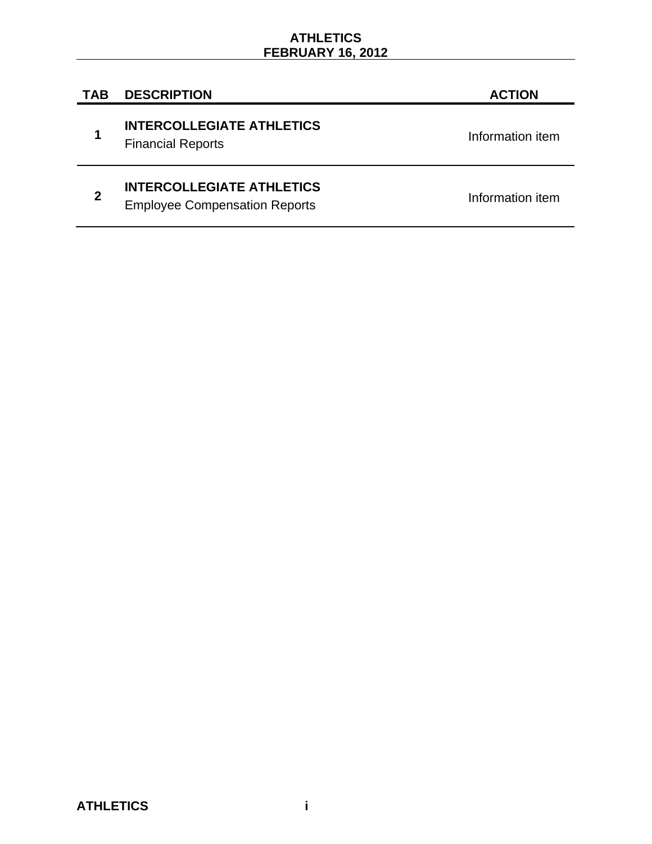### **ATHLETICS FEBRUARY 16, 2012**

### **TAB DESCRIPTION ACTION**

# **<sup>1</sup>INTERCOLLEGIATE ATHLETICS**

Financial Reports **Information** item

## **<sup>2</sup>INTERCOLLEGIATE ATHLETICS**

Employee Compensation Reports **Information** item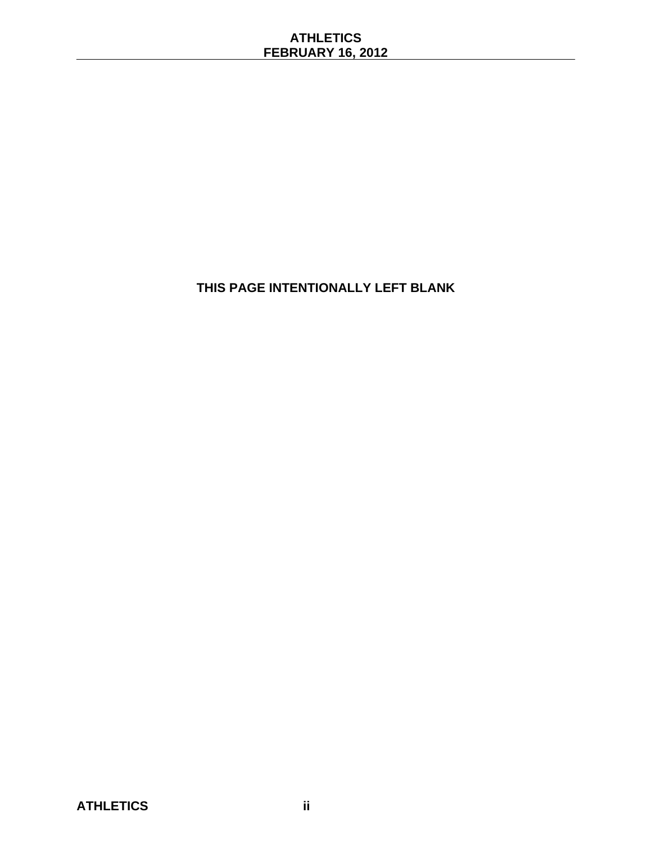### **ATHLETICS FEBRUARY 16, 2012**

### **THIS PAGE INTENTIONALLY LEFT BLANK**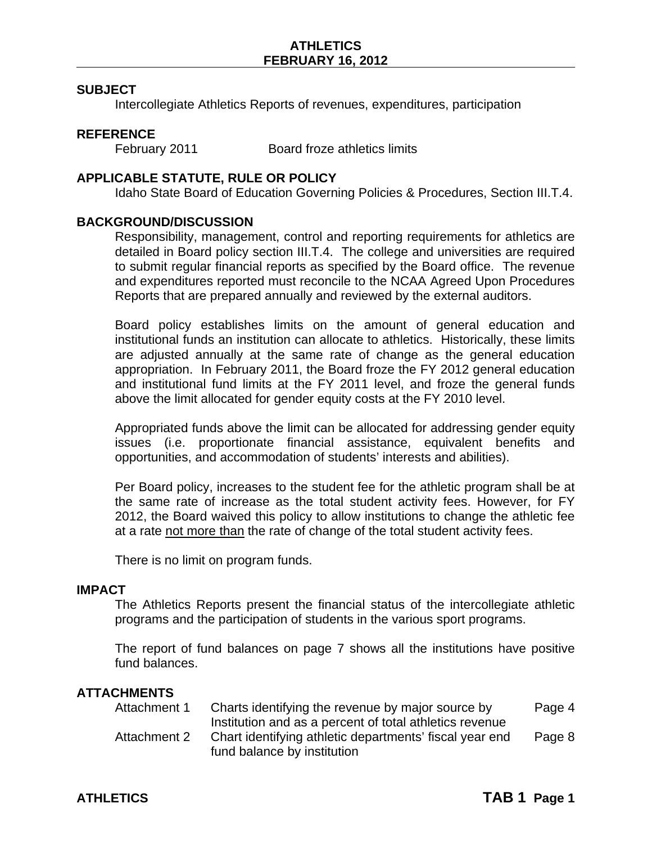### **SUBJECT**

Intercollegiate Athletics Reports of revenues, expenditures, participation

### **REFERENCE**

February 2011 **Board froze athletics limits** 

### **APPLICABLE STATUTE, RULE OR POLICY**

Idaho State Board of Education Governing Policies & Procedures, Section III.T.4.

### **BACKGROUND/DISCUSSION**

 Responsibility, management, control and reporting requirements for athletics are detailed in Board policy section III.T.4. The college and universities are required to submit regular financial reports as specified by the Board office. The revenue and expenditures reported must reconcile to the NCAA Agreed Upon Procedures Reports that are prepared annually and reviewed by the external auditors.

Board policy establishes limits on the amount of general education and institutional funds an institution can allocate to athletics. Historically, these limits are adjusted annually at the same rate of change as the general education appropriation. In February 2011, the Board froze the FY 2012 general education and institutional fund limits at the FY 2011 level, and froze the general funds above the limit allocated for gender equity costs at the FY 2010 level.

Appropriated funds above the limit can be allocated for addressing gender equity issues (i.e. proportionate financial assistance, equivalent benefits and opportunities, and accommodation of students' interests and abilities).

Per Board policy, increases to the student fee for the athletic program shall be at the same rate of increase as the total student activity fees. However, for FY 2012, the Board waived this policy to allow institutions to change the athletic fee at a rate not more than the rate of change of the total student activity fees.

There is no limit on program funds.

### **IMPACT**

 The Athletics Reports present the financial status of the intercollegiate athletic programs and the participation of students in the various sport programs.

 The report of fund balances on page 7 shows all the institutions have positive fund balances.

### **ATTACHMENTS**

| Attachment 1 | Charts identifying the revenue by major source by       | Page 4 |
|--------------|---------------------------------------------------------|--------|
|              | Institution and as a percent of total athletics revenue |        |
| Attachment 2 | Chart identifying athletic departments' fiscal year end | Page 8 |
|              | fund balance by institution                             |        |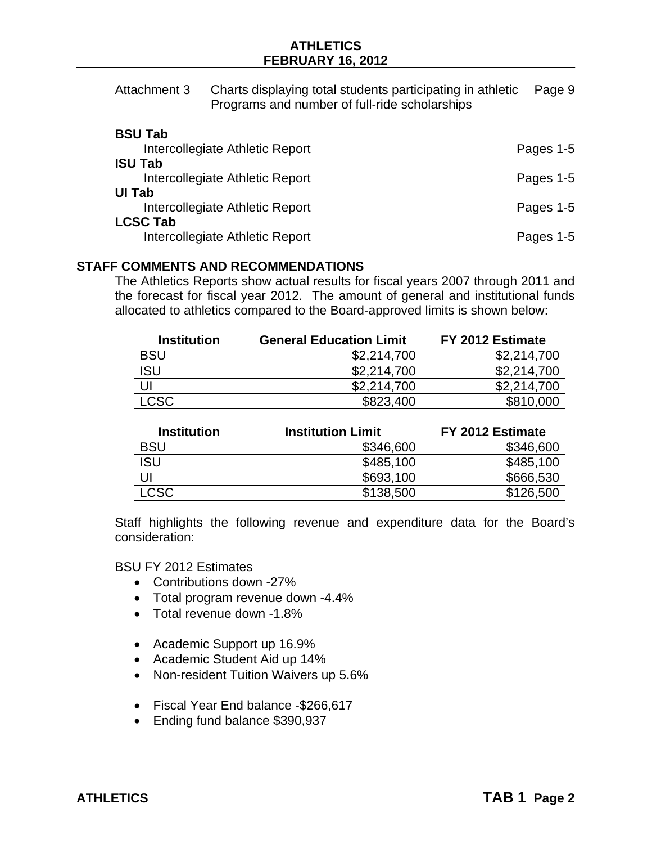### **ATHLETICS FEBRUARY 16, 2012**

| Attachment 3    | Charts displaying total students participating in athletic<br>Programs and number of full-ride scholarships | Page 9    |
|-----------------|-------------------------------------------------------------------------------------------------------------|-----------|
| <b>BSU Tab</b>  |                                                                                                             |           |
|                 | Intercollegiate Athletic Report                                                                             | Pages 1-5 |
| <b>ISU Tab</b>  |                                                                                                             |           |
|                 | Intercollegiate Athletic Report                                                                             | Pages 1-5 |
| <b>UI Tab</b>   |                                                                                                             |           |
|                 | Intercollegiate Athletic Report                                                                             | Pages 1-5 |
| <b>LCSC Tab</b> |                                                                                                             |           |
|                 | Intercollegiate Athletic Report                                                                             | Pages 1-5 |
|                 |                                                                                                             |           |

### **STAFF COMMENTS AND RECOMMENDATIONS**

 The Athletics Reports show actual results for fiscal years 2007 through 2011 and the forecast for fiscal year 2012. The amount of general and institutional funds allocated to athletics compared to the Board-approved limits is shown below:

| <b>Institution</b> | <b>General Education Limit</b> | FY 2012 Estimate |
|--------------------|--------------------------------|------------------|
| <b>BSU</b>         | \$2,214,700                    | \$2,214,700      |
| <b>ISU</b>         | \$2,214,700                    | \$2,214,700      |
| UI                 | \$2,214,700                    | \$2,214,700      |
| <b>LCSC</b>        | \$823,400                      | \$810,000        |

| Institution | <b>Institution Limit</b> | FY 2012 Estimate |
|-------------|--------------------------|------------------|
| <b>BSU</b>  | \$346,600                | \$346,600        |
| ISU         | \$485,100                | \$485,100        |
|             | \$693,100                | \$666,530        |
| $\_CSC$     | \$138,500                | \$126,500        |

Staff highlights the following revenue and expenditure data for the Board's consideration:

### BSU FY 2012 Estimates

- Contributions down -27%
- Total program revenue down -4.4%
- Total revenue down -1.8%
- Academic Support up 16.9%
- Academic Student Aid up 14%
- Non-resident Tuition Waivers up 5.6%
- Fiscal Year End balance -\$266,617
- Ending fund balance \$390,937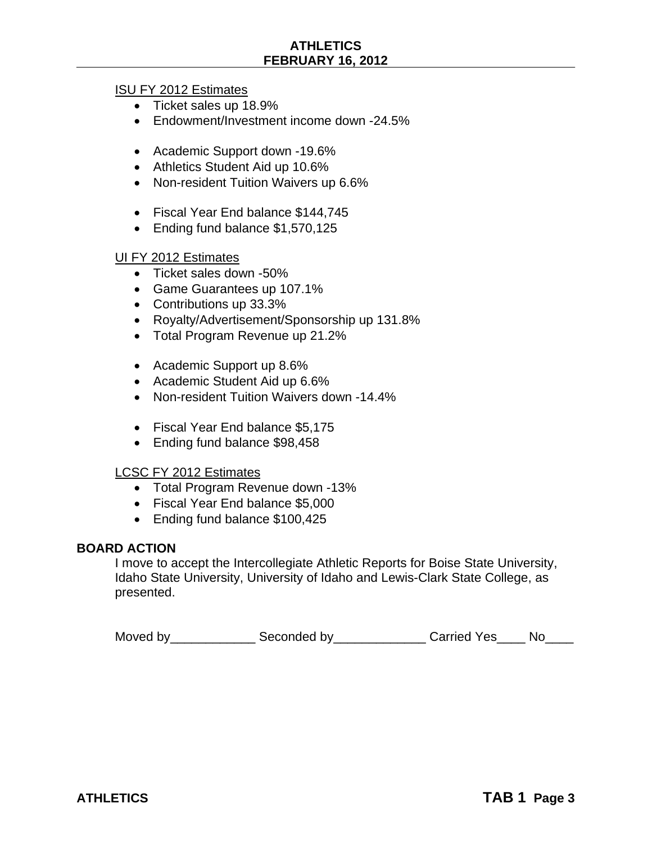### **ATHLETICS FEBRUARY 16, 2012**

### ISU FY 2012 Estimates

- Ticket sales up 18.9%
- Endowment/Investment income down -24.5%
- Academic Support down -19.6%
- Athletics Student Aid up 10.6%
- Non-resident Tuition Waivers up 6.6%
- Fiscal Year End balance \$144,745
- Ending fund balance \$1,570,125

### UI FY 2012 Estimates

- Ticket sales down -50%
- Game Guarantees up 107.1%
- Contributions up 33.3%
- Royalty/Advertisement/Sponsorship up 131.8%
- Total Program Revenue up 21.2%
- Academic Support up 8.6%
- Academic Student Aid up 6.6%
- Non-resident Tuition Waivers down -14.4%
- Fiscal Year End balance \$5.175
- Ending fund balance \$98,458

### LCSC FY 2012 Estimates

- Total Program Revenue down -13%
- Fiscal Year End balance \$5,000
- Ending fund balance \$100,425

### **BOARD ACTION**

I move to accept the Intercollegiate Athletic Reports for Boise State University, Idaho State University, University of Idaho and Lewis-Clark State College, as presented.

Moved by\_\_\_\_\_\_\_\_\_\_\_\_\_\_\_ Seconded by\_\_\_\_\_\_\_\_\_\_\_\_\_\_\_\_ Carried Yes\_\_\_\_\_ No\_\_\_\_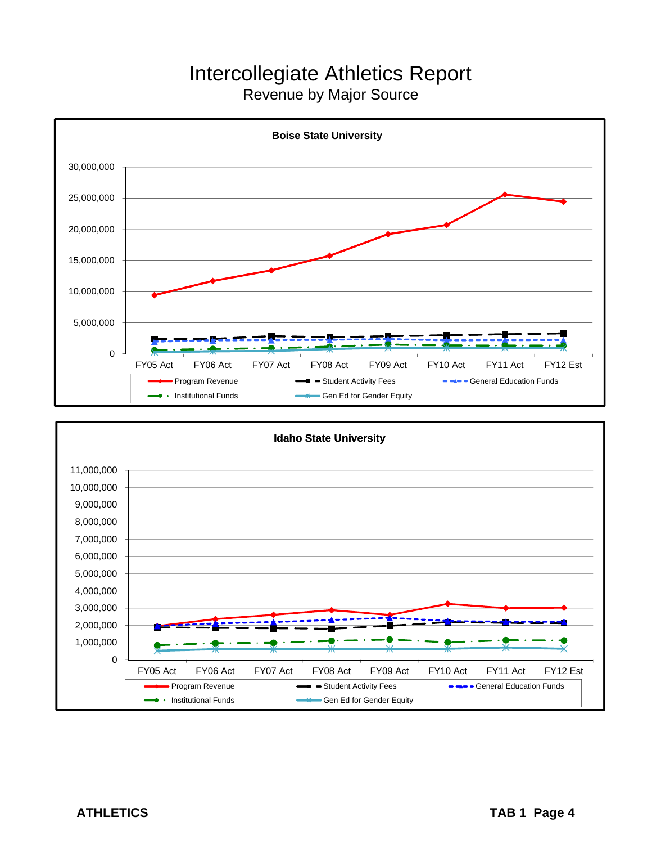## Intercollegiate Athletics Report Revenue by Major Source



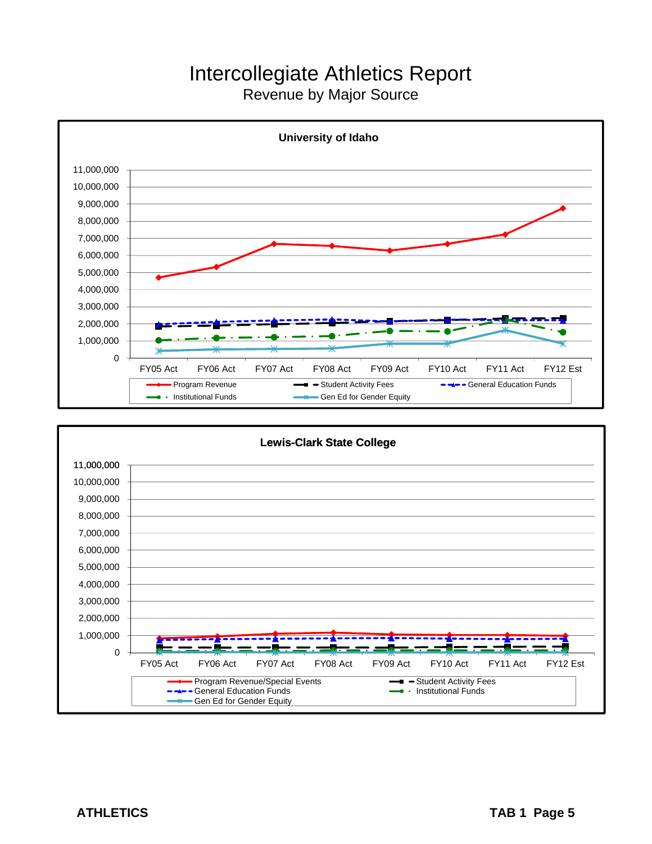## Intercollegiate Athletics Report Revenue by Major Source



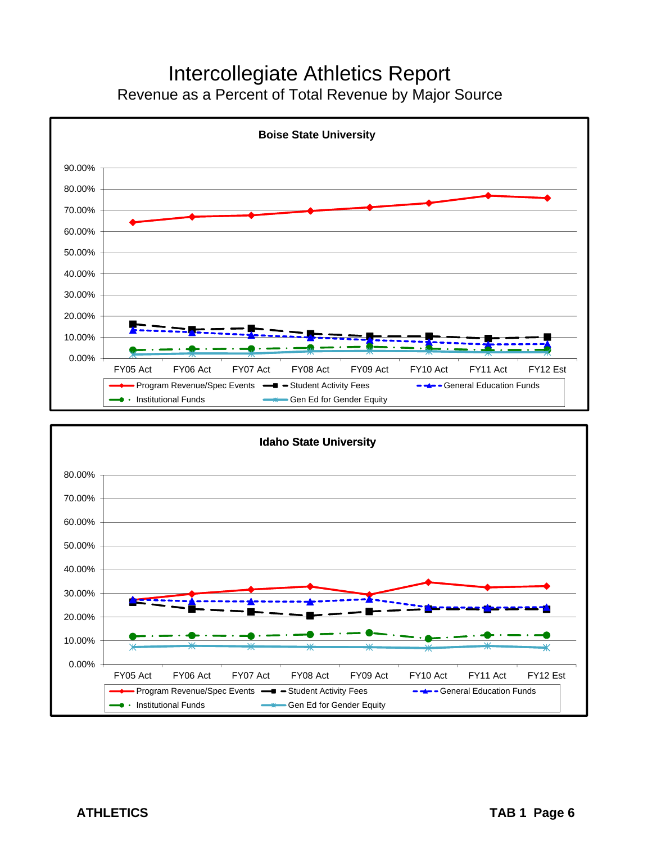## Revenue as a Percent of Total Revenue by Major Source Intercollegiate Athletics Report



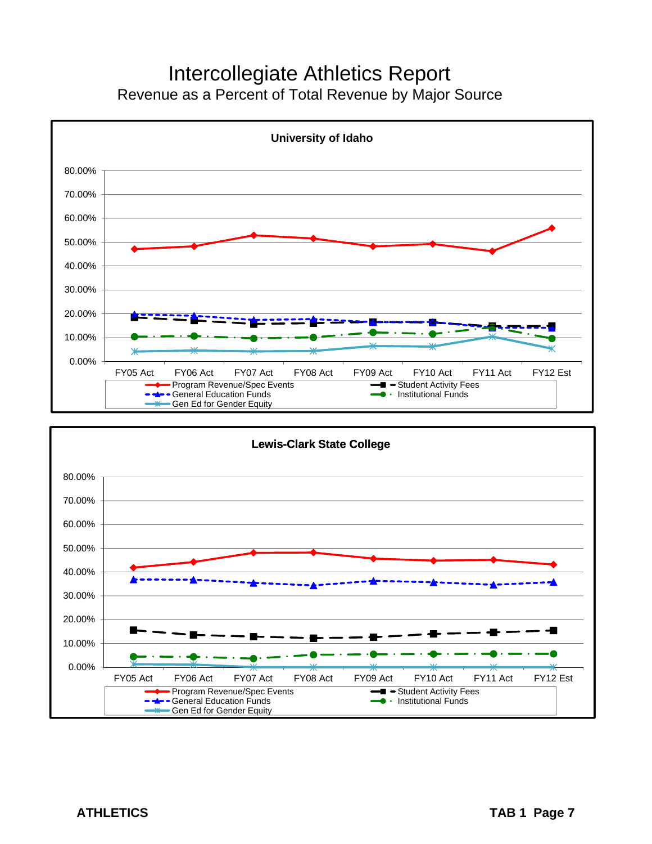## Intercollegiate Athletics Report Revenue as a Percent of Total Revenue by Major Source



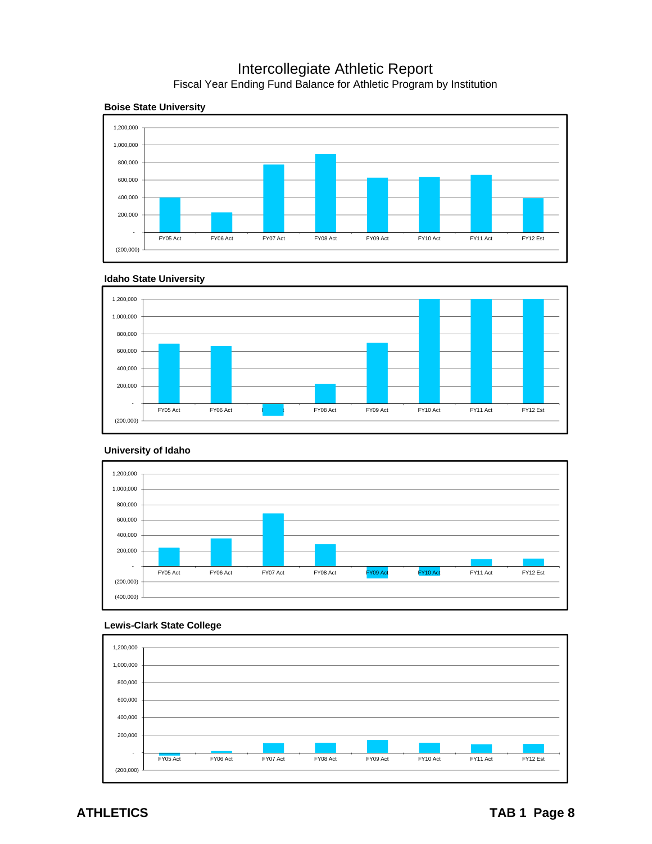## Intercollegiate Athletic Report

Fiscal Year Ending Fund Balance for Athletic Program by Institution

#### **Boise State University**





**Idaho State University**

#### **University of Idaho**





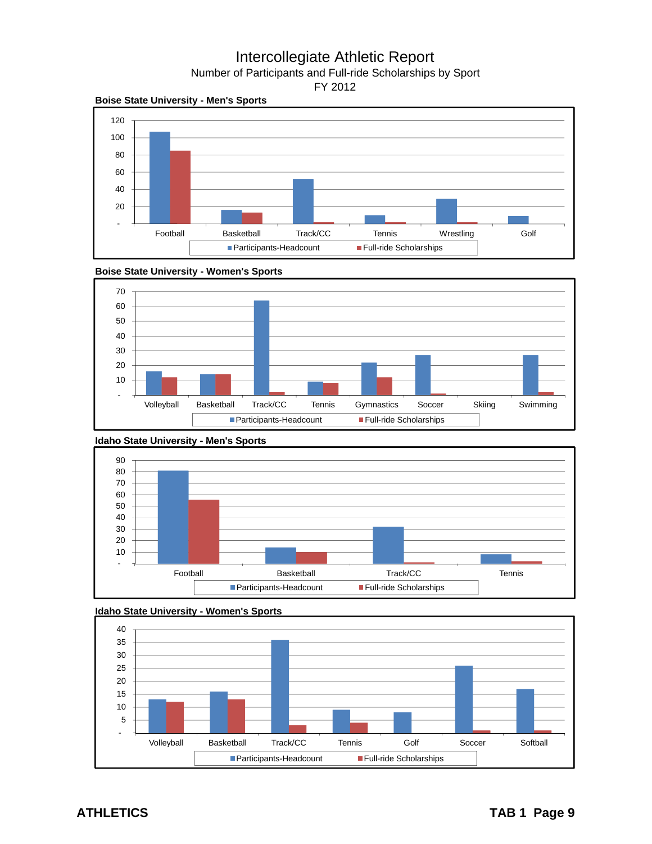### Intercollegiate Athletic Report

Number of Participants and Full-ride Scholarships by Sport

FY 2012

### **Boise State University - Men's Sports**











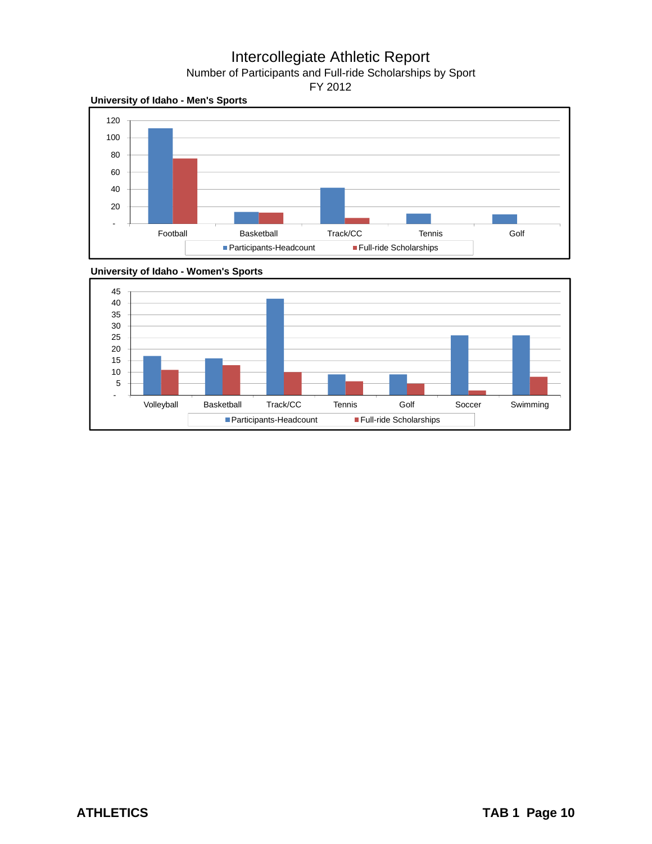### Intercollegiate Athletic Report

Number of Participants and Full-ride Scholarships by Sport

FY 2012

### **University of Idaho - Men's Sports**



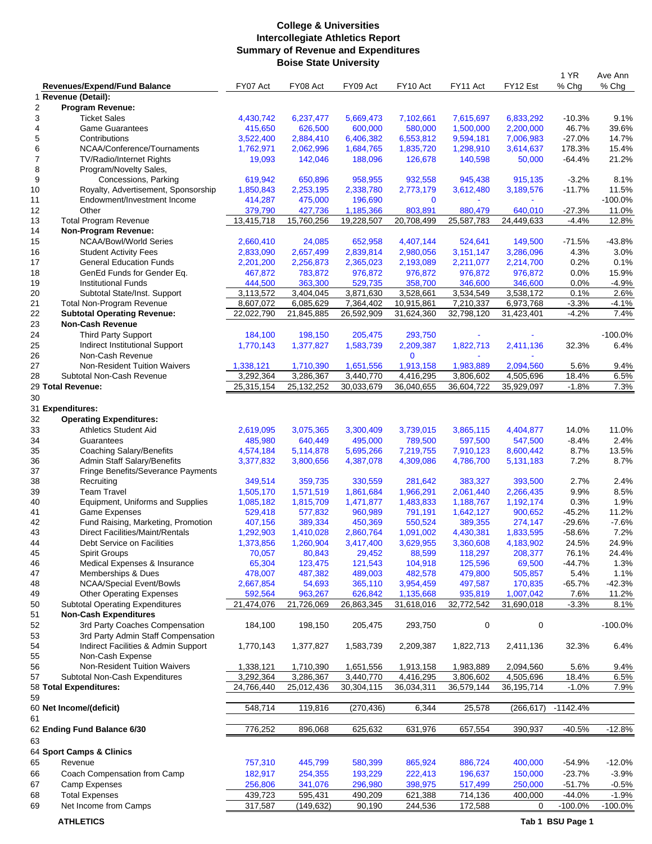|    |                                        |            |              |            |              |             |            | 1 YR       | Ave Ann   |
|----|----------------------------------------|------------|--------------|------------|--------------|-------------|------------|------------|-----------|
|    | Revenues/Expend/Fund Balance           | FY07 Act   | FY08 Act     | FY09 Act   | FY10 Act     | FY11 Act    | FY12 Est   | % Chg      | % Chg     |
|    | 1 Revenue (Detail):                    |            |              |            |              |             |            |            |           |
| 2  | <b>Program Revenue:</b>                |            |              |            |              |             |            |            |           |
| 3  | <b>Ticket Sales</b>                    | 4,430,742  | 6,237,477    | 5,669,473  | 7,102,661    | 7,615,697   | 6,833,292  | $-10.3%$   | 9.1%      |
| 4  | <b>Game Guarantees</b>                 | 415,650    | 626,500      |            | 580,000      | 1,500,000   | 2,200,000  | 46.7%      | 39.6%     |
|    |                                        |            |              | 600,000    |              |             |            |            |           |
| 5  | Contributions                          | 3,522,400  | 2,884,410    | 6,406,382  | 6,553,812    | 9,594,181   | 7,006,983  | $-27.0%$   | 14.7%     |
| 6  | NCAA/Conference/Tournaments            | 1,762,971  | 2,062,996    | 1,684,765  | 1,835,720    | 1,298,910   | 3,614,637  | 178.3%     | 15.4%     |
| 7  | <b>TV/Radio/Internet Rights</b>        | 19,093     | 142,046      | 188,096    | 126,678      | 140,598     | 50,000     | $-64.4%$   | 21.2%     |
| 8  | Program/Novelty Sales,                 |            |              |            |              |             |            |            |           |
| 9  | Concessions, Parking                   | 619,942    | 650,896      | 958,955    | 932,558      | 945,438     | 915,135    | $-3.2%$    | 8.1%      |
| 10 | Royalty, Advertisement, Sponsorship    | 1,850,843  | 2,253,195    | 2,338,780  | 2,773,179    | 3,612,480   | 3,189,576  | $-11.7%$   | 11.5%     |
| 11 | Endowment/Investment Income            | 414,287    | 475,000      | 196,690    | $\mathbf{0}$ |             |            |            | $-100.0%$ |
| 12 | Other                                  | 379,790    | 427,736      | 1,185,366  | 803,891      | 880,479     | 640,010    | $-27.3%$   | 11.0%     |
| 13 | <b>Total Program Revenue</b>           | 13,415,718 | 15,760,256   | 19,228,507 | 20,708,499   | 25,587,783  | 24,449,633 | $-4.4%$    | 12.8%     |
| 14 | Non-Program Revenue:                   |            |              |            |              |             |            |            |           |
| 15 | NCAA/Bowl/World Series                 | 2,660,410  | 24,085       | 652,958    | 4,407,144    | 524,641     | 149,500    | $-71.5%$   | $-43.8%$  |
| 16 | <b>Student Activity Fees</b>           | 2,833,090  | 2,657,499    | 2,839,814  | 2,980,056    | 3, 151, 147 | 3,286,096  | 4.3%       | 3.0%      |
| 17 | <b>General Education Funds</b>         | 2,201,200  | 2,256,873    | 2,365,023  | 2,193,089    | 2,211,077   | 2,214,700  | 0.2%       | 0.1%      |
|    |                                        |            |              |            |              |             |            |            |           |
| 18 | GenEd Funds for Gender Eq.             | 467,872    | 783,872      | 976,872    | 976,872      | 976,872     | 976,872    | $0.0\%$    | 15.9%     |
| 19 | <b>Institutional Funds</b>             | 444,500    | 363,300      | 529,735    | 358,700      | 346,600     | 346,600    | $0.0\%$    | $-4.9%$   |
| 20 | Subtotal State/Inst. Support           | 3,113,572  | 3,404,045    | 3,871,630  | 3,528,661    | 3,534,549   | 3,538,172  | 0.1%       | 2.6%      |
| 21 | <b>Total Non-Program Revenue</b>       | 8,607,072  | 6,085,629    | 7,364,402  | 10,915,861   | 7,210,337   | 6,973,768  | $-3.3%$    | $-4.1%$   |
| 22 | <b>Subtotal Operating Revenue:</b>     | 22,022,790 | 21,845,885   | 26,592,909 | 31,624,360   | 32,798,120  | 31,423,401 | $-4.2%$    | 7.4%      |
| 23 | <b>Non-Cash Revenue</b>                |            |              |            |              |             |            |            |           |
| 24 | <b>Third Party Support</b>             | 184,100    | 198,150      | 205,475    | 293,750      |             |            |            | $-100.0%$ |
| 25 | Indirect Institutional Support         | 1,770,143  | 1,377,827    | 1,583,739  | 2,209,387    | 1,822,713   | 2,411,136  | 32.3%      | 6.4%      |
| 26 | Non-Cash Revenue                       |            |              |            | 0            |             |            |            |           |
| 27 | <b>Non-Resident Tuition Waivers</b>    | 1,338,121  | 1,710,390    | 1,651,556  | 1,913,158    | 1,983,889   | 2,094,560  | 5.6%       | 9.4%      |
| 28 | Subtotal Non-Cash Revenue              | 3,292,364  | 3,286,367    | 3,440,770  | 4,416,295    | 3,806,602   | 4,505,696  | 18.4%      | 6.5%      |
|    | 29 Total Revenue:                      |            |              |            |              |             |            |            |           |
|    |                                        | 25,315,154 | 25, 132, 252 | 30,033,679 | 36,040,655   | 36,604,722  | 35,929,097 | $-1.8%$    | 7.3%      |
| 30 |                                        |            |              |            |              |             |            |            |           |
|    | 31 Expenditures:                       |            |              |            |              |             |            |            |           |
| 32 | <b>Operating Expenditures:</b>         |            |              |            |              |             |            |            |           |
| 33 | <b>Athletics Student Aid</b>           | 2,619,095  | 3,075,365    | 3,300,409  | 3,739,015    | 3,865,115   | 4,404,877  | 14.0%      | 11.0%     |
| 34 | Guarantees                             | 485,980    | 640,449      | 495,000    | 789,500      | 597,500     | 547,500    | $-8.4%$    | 2.4%      |
| 35 | <b>Coaching Salary/Benefits</b>        | 4,574,184  | 5,114,878    | 5,695,266  | 7,219,755    | 7,910,123   | 8,600,442  | 8.7%       | 13.5%     |
| 36 | Admin Staff Salary/Benefits            | 3,377,832  | 3,800,656    | 4,387,078  | 4,309,086    | 4,786,700   | 5,131,183  | 7.2%       | 8.7%      |
| 37 | Fringe Benefits/Severance Payments     |            |              |            |              |             |            |            |           |
|    |                                        |            |              |            |              |             |            |            |           |
| 38 | Recruiting                             | 349,514    | 359,735      | 330,559    | 281,642      | 383,327     | 393,500    | 2.7%       | 2.4%      |
| 39 | <b>Team Travel</b>                     | 1,505,170  | 1,571,519    | 1,861,684  | 1,966,291    | 2,061,440   | 2,266,435  | 9.9%       | 8.5%      |
| 40 | Equipment, Uniforms and Supplies       | 1,085,182  | 1,815,709    | 1,471,877  | 1,483,833    | 1,188,767   | 1,192,174  | 0.3%       | 1.9%      |
| 41 | <b>Game Expenses</b>                   | 529,418    | 577,832      | 960,989    | 791,191      | 1,642,127   | 900,652    | $-45.2%$   | 11.2%     |
| 42 | Fund Raising, Marketing, Promotion     | 407,156    | 389,334      | 450,369    | 550,524      | 389,355     | 274,147    | $-29.6%$   | $-7.6%$   |
| 43 | Direct Facilities/Maint/Rentals        | 1,292,903  | 1,410,028    | 2,860,764  | 1,091,002    | 4,430,381   | 1,833,595  | $-58.6%$   | 7.2%      |
| 44 | Debt Service on Facilities             | 1,373,856  | 1,260,904    | 3,417,400  | 3,629,955    | 3,360,608   | 4,183,902  | 24.5%      | 24.9%     |
| 45 | <b>Spirit Groups</b>                   | 70,057     | 80,843       | 29,452     | 88,599       | 118,297     | 208,377    | 76.1%      | 24.4%     |
| 46 | Medical Expenses & Insurance           | 65,304     | 123,475      | 121,543    | 104,918      | 125,596     | 69,500     | $-44.7%$   | 1.3%      |
| 47 | Memberships & Dues                     | 478,007    | 487,382      | 489,003    | 482,578      | 479,800     | 505,857    | 5.4%       | 1.1%      |
| 48 | <b>NCAA/Special Event/Bowls</b>        | 2,667,854  | 54,693       | 365,110    | 3,954,459    | 497,587     | 170,835    | -65.7%     | $-42.3%$  |
| 49 | <b>Other Operating Expenses</b>        | 592,564    | 963,267      | 626,842    | 1,135,668    | 935,819     | 1,007,042  | 7.6%       | 11.2%     |
|    | <b>Subtotal Operating Expenditures</b> | 21,474,076 | 21,726,069   | 26,863,345 | 31,618,016   | 32,772,542  | 31,690,018 | $-3.3%$    | 8.1%      |
| 50 |                                        |            |              |            |              |             |            |            |           |
| 51 | <b>Non-Cash Expenditures</b>           |            |              |            |              |             |            |            |           |
| 52 | 3rd Party Coaches Compensation         | 184,100    | 198,150      | 205,475    | 293,750      | 0           | 0          |            | $-100.0%$ |
| 53 | 3rd Party Admin Staff Compensation     |            |              |            |              |             |            |            |           |
| 54 | Indirect Facilities & Admin Support    | 1,770,143  | 1,377,827    | 1,583,739  | 2,209,387    | 1,822,713   | 2,411,136  | 32.3%      | 6.4%      |
| 55 | Non-Cash Expense                       |            |              |            |              |             |            |            |           |
| 56 | Non-Resident Tuition Waivers           | 1,338,121  | 1,710,390    | 1,651,556  | 1,913,158    | 1,983,889   | 2,094,560  | 5.6%       | 9.4%      |
| 57 | Subtotal Non-Cash Expenditures         | 3,292,364  | 3,286,367    | 3,440,770  | 4,416,295    | 3,806,602   | 4,505,696  | 18.4%      | 6.5%      |
|    | 58 Total Expenditures:                 | 24,766,440 | 25,012,436   | 30,304,115 | 36,034,311   | 36,579,144  | 36,195,714 | $-1.0%$    | 7.9%      |
| 59 |                                        |            |              |            |              |             |            |            |           |
|    | 60 Net Income/(deficit)                | 548,714    | 119,816      | (270, 436) | 6,344        | 25,578      | (266, 617) | $-1142.4%$ |           |
|    |                                        |            |              |            |              |             |            |            |           |
| 61 |                                        |            |              |            |              |             |            |            |           |
|    | 62 Ending Fund Balance 6/30            | 776,252    | 896,068      | 625,632    | 631,976      | 657,554     | 390,937    | $-40.5%$   | $-12.8%$  |
| 63 |                                        |            |              |            |              |             |            |            |           |
|    | 64 Sport Camps & Clinics               |            |              |            |              |             |            |            |           |
| 65 | Revenue                                | 757,310    | 445,799      | 580,399    | 865,924      | 886,724     | 400,000    | $-54.9%$   | $-12.0%$  |
| 66 | Coach Compensation from Camp           | 182,917    | 254,355      | 193,229    | 222,413      | 196,637     | 150,000    | $-23.7%$   | $-3.9%$   |
|    |                                        |            |              |            |              |             |            |            |           |
| 67 | Camp Expenses                          | 256,806    | 341,076      | 296,980    | 398,975      | 517,499     | 250,000    | $-51.7%$   | $-0.5%$   |
| 68 | <b>Total Expenses</b>                  | 439,723    | 595,431      | 490,209    | 621,388      | 714,136     | 400,000    | $-44.0%$   | $-1.9%$   |
| 69 | Net Income from Camps                  | 317,587    | (149, 632)   | 90,190     | 244,536      | 172,588     | 0          | $-100.0%$  | $-100.0%$ |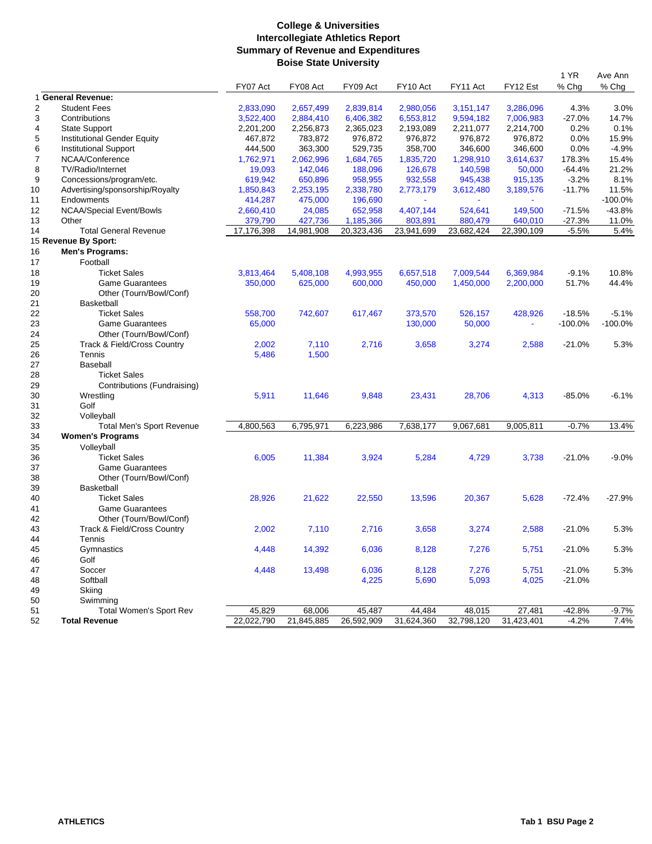|                |                                    |            |            |            |                          |            |            | 1 YR      | Ave Ann   |
|----------------|------------------------------------|------------|------------|------------|--------------------------|------------|------------|-----------|-----------|
|                |                                    | FY07 Act   | FY08 Act   | FY09 Act   | FY10 Act                 | FY11 Act   | FY12 Est   | % Chg     | % Chg     |
|                | 1 General Revenue:                 |            |            |            |                          |            |            |           |           |
| $\overline{c}$ | <b>Student Fees</b>                | 2,833,090  | 2,657,499  | 2,839,814  | 2,980,056                | 3,151,147  | 3,286,096  | 4.3%      | 3.0%      |
| 3              | Contributions                      | 3,522,400  | 2,884,410  | 6,406,382  | 6,553,812                | 9,594,182  | 7,006,983  | $-27.0%$  | 14.7%     |
| 4              | <b>State Support</b>               | 2,201,200  | 2,256,873  | 2,365,023  | 2,193,089                | 2,211,077  | 2,214,700  | 0.2%      | 0.1%      |
| 5              | <b>Institutional Gender Equity</b> | 467,872    | 783,872    | 976,872    | 976,872                  | 976,872    | 976,872    | 0.0%      | 15.9%     |
| 6              | <b>Institutional Support</b>       | 444,500    | 363,300    | 529,735    | 358,700                  | 346,600    | 346,600    | 0.0%      | $-4.9%$   |
| $\overline{7}$ | NCAA/Conference                    | 1,762,971  | 2,062,996  | 1,684,765  | 1,835,720                | 1,298,910  | 3,614,637  | 178.3%    | 15.4%     |
| 8              | TV/Radio/Internet                  | 19,093     | 142,046    | 188,096    | 126,678                  | 140,598    | 50,000     | $-64.4%$  | 21.2%     |
| 9              | Concessions/program/etc.           | 619,942    | 650,896    | 958,955    | 932,558                  | 945,438    | 915,135    | $-3.2%$   | 8.1%      |
| 10             | Advertising/sponsorship/Royalty    | 1,850,843  | 2,253,195  | 2,338,780  | 2,773,179                | 3,612,480  | 3,189,576  | $-11.7%$  | 11.5%     |
| 11             | Endowments                         | 414,287    | 475,000    | 196,690    | $\overline{\phantom{0}}$ |            |            |           | $-100.0%$ |
| 12             | NCAA/Special Event/Bowls           | 2,660,410  | 24,085     | 652,958    | 4,407,144                | 524,641    | 149,500    | $-71.5%$  | $-43.8%$  |
| 13             | Other                              | 379,790    | 427,736    | 1,185,366  | 803,891                  | 880,479    | 640,010    | $-27.3%$  | 11.0%     |
| 14             | <b>Total General Revenue</b>       | 17,176,398 | 14,981,908 | 20,323,436 | 23,941,699               | 23,682,424 | 22,390,109 | $-5.5%$   | 5.4%      |
|                | 15 Revenue By Sport:               |            |            |            |                          |            |            |           |           |
| 16             | Men's Programs:                    |            |            |            |                          |            |            |           |           |
| 17             | Football                           |            |            |            |                          |            |            |           |           |
| 18             | <b>Ticket Sales</b>                | 3,813,464  | 5,408,108  | 4,993,955  | 6,657,518                | 7,009,544  | 6,369,984  | $-9.1%$   | 10.8%     |
| 19             | <b>Game Guarantees</b>             | 350,000    | 625,000    | 600,000    | 450,000                  | 1,450,000  | 2,200,000  | 51.7%     | 44.4%     |
| 20             | Other (Tourn/Bowl/Conf)            |            |            |            |                          |            |            |           |           |
| 21             | <b>Basketball</b>                  |            |            |            |                          |            |            |           |           |
| 22             | <b>Ticket Sales</b>                | 558,700    | 742,607    | 617,467    | 373,570                  | 526,157    | 428,926    | $-18.5%$  | $-5.1%$   |
| 23             | <b>Game Guarantees</b>             | 65,000     |            |            | 130,000                  | 50,000     |            | $-100.0%$ | $-100.0%$ |
| 24             | Other (Tourn/Bowl/Conf)            |            |            |            |                          |            |            |           |           |
| 25             | Track & Field/Cross Country        | 2,002      | 7,110      | 2,716      | 3,658                    | 3,274      | 2,588      | $-21.0%$  | 5.3%      |
| 26             | Tennis                             | 5,486      | 1,500      |            |                          |            |            |           |           |
| 27             | Baseball                           |            |            |            |                          |            |            |           |           |
| 28             | <b>Ticket Sales</b>                |            |            |            |                          |            |            |           |           |
| 29             | Contributions (Fundraising)        |            |            |            |                          |            |            |           |           |
| 30             | Wrestling                          | 5,911      | 11,646     | 9,848      | 23,431                   | 28,706     | 4,313      | $-85.0%$  | $-6.1%$   |
| 31             | Golf                               |            |            |            |                          |            |            |           |           |
| 32             | Volleyball                         |            |            |            |                          |            |            |           |           |
| 33             | Total Men's Sport Revenue          | 4,800,563  | 6,795,971  | 6,223,986  | 7,638,177                | 9,067,681  | 9,005,811  | $-0.7%$   | 13.4%     |
| 34             | <b>Women's Programs</b>            |            |            |            |                          |            |            |           |           |
| 35             | Volleyball                         |            |            |            |                          |            |            |           |           |
| 36             | <b>Ticket Sales</b>                | 6,005      | 11,384     | 3,924      | 5,284                    | 4,729      | 3,738      | $-21.0%$  | $-9.0%$   |
| 37             | <b>Game Guarantees</b>             |            |            |            |                          |            |            |           |           |
| 38             | Other (Tourn/Bowl/Conf)            |            |            |            |                          |            |            |           |           |
| 39             | <b>Basketball</b>                  |            |            |            |                          |            |            |           |           |
| 40             | <b>Ticket Sales</b>                | 28,926     | 21,622     | 22,550     | 13,596                   | 20,367     | 5,628      | $-72.4%$  | $-27.9%$  |
| 41             | <b>Game Guarantees</b>             |            |            |            |                          |            |            |           |           |
| 42             | Other (Tourn/Bowl/Conf)            |            |            |            |                          |            |            |           |           |
| 43             | Track & Field/Cross Country        | 2,002      | 7,110      | 2,716      | 3,658                    | 3,274      | 2,588      | $-21.0%$  | 5.3%      |
| 44             | Tennis                             |            |            |            |                          |            |            |           |           |
| 45             | Gymnastics                         | 4,448      | 14,392     | 6,036      | 8,128                    | 7,276      | 5,751      | $-21.0%$  | 5.3%      |
|                |                                    |            |            |            |                          |            |            |           |           |
| 46             | Golf                               |            |            |            |                          |            |            |           |           |
| 47             | Soccer                             | 4,448      | 13,498     | 6,036      | 8,128                    | 7,276      | 5,751      | $-21.0%$  | 5.3%      |
| 48             | Softball                           |            |            | 4,225      | 5,690                    | 5,093      | 4,025      | $-21.0%$  |           |
| 49             | Skiing                             |            |            |            |                          |            |            |           |           |
| 50             | Swimming                           |            |            |            |                          |            |            |           |           |
| 51             | <b>Total Women's Sport Rev</b>     | 45,829     | 68,006     | 45,487     | 44,484                   | 48,015     | 27,481     | $-42.8%$  | $-9.7%$   |
| 52             | <b>Total Revenue</b>               | 22,022,790 | 21,845,885 | 26,592,909 | 31,624,360               | 32,798,120 | 31,423,401 | $-4.2%$   | 7.4%      |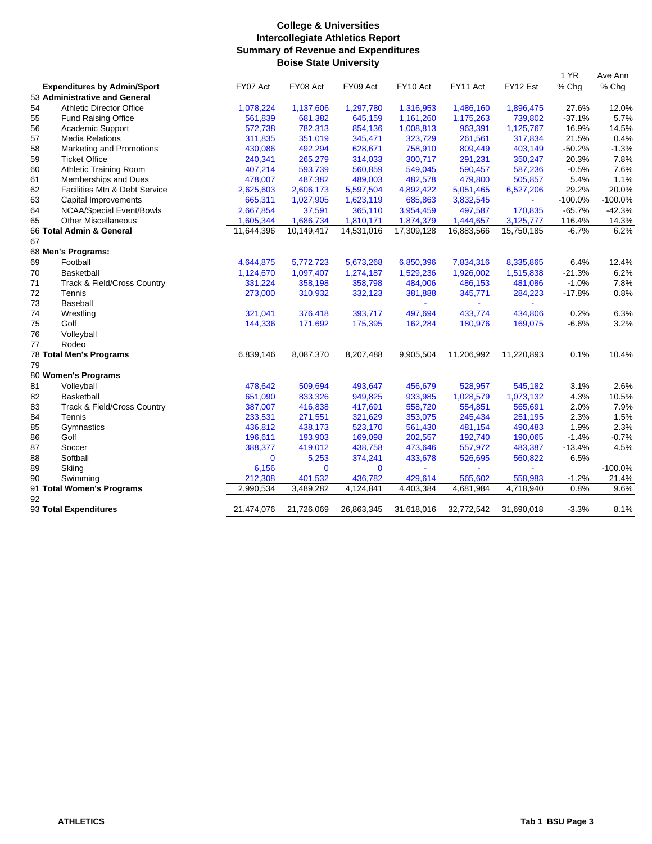|    | <b>Expenditures by Admin/Sport</b> | FY07 Act     | FY08 Act    | FY09 Act     | FY10 Act   | FY11 Act               | FY12 Est   | 1 YR<br>% Chq | Ave Ann<br>% Chg |
|----|------------------------------------|--------------|-------------|--------------|------------|------------------------|------------|---------------|------------------|
|    | 53 Administrative and General      |              |             |              |            |                        |            |               |                  |
| 54 | <b>Athletic Director Office</b>    | 1,078,224    | 1,137,606   | 1,297,780    | 1,316,953  | 1,486,160              | 1,896,475  | 27.6%         | 12.0%            |
| 55 | Fund Raising Office                | 561,839      | 681,382     | 645,159      | 1,161,260  | 1,175,263              | 739,802    | $-37.1%$      | 5.7%             |
| 56 | <b>Academic Support</b>            | 572,738      | 782,313     | 854,136      | 1,008,813  | 963,391                | 1,125,767  | 16.9%         | 14.5%            |
| 57 | <b>Media Relations</b>             | 311,835      | 351,019     | 345,471      | 323,729    | 261,561                | 317,834    | 21.5%         | 0.4%             |
| 58 | Marketing and Promotions           | 430,086      | 492,294     | 628,671      | 758,910    | 809,449                | 403,149    | $-50.2%$      | $-1.3%$          |
| 59 | <b>Ticket Office</b>               | 240,341      | 265,279     | 314,033      | 300,717    | 291,231                | 350,247    | 20.3%         | 7.8%             |
| 60 | Athletic Training Room             | 407,214      | 593,739     | 560,859      | 549,045    | 590,457                | 587,236    | $-0.5%$       | 7.6%             |
| 61 | Memberships and Dues               | 478,007      | 487,382     | 489,003      | 482,578    | 479,800                | 505,857    | 5.4%          | 1.1%             |
| 62 | Facilities Mtn & Debt Service      | 2,625,603    | 2,606,173   | 5,597,504    | 4,892,422  | 5,051,465              | 6,527,206  | 29.2%         | 20.0%            |
| 63 | Capital Improvements               | 665,311      | 1,027,905   | 1,623,119    | 685,863    | 3,832,545              |            | $-100.0%$     | $-100.0%$        |
| 64 | <b>NCAA/Special Event/Bowls</b>    | 2,667,854    | 37,591      | 365,110      | 3,954,459  | 497,587                | 170,835    | $-65.7%$      | $-42.3%$         |
| 65 | <b>Other Miscellaneous</b>         | 1,605,344    | 1,686,734   | 1,810,171    | 1,874,379  | 1,444,657              | 3,125,777  | 116.4%        | 14.3%            |
|    | 66 Total Admin & General           | 11,644,396   | 10,149,417  | 14,531,016   | 17,309,128 | 16,883,566             | 15,750,185 | $-6.7%$       | 6.2%             |
| 67 |                                    |              |             |              |            |                        |            |               |                  |
|    | 68 Men's Programs:                 |              |             |              |            |                        |            |               |                  |
| 69 | Football                           |              |             |              |            |                        |            |               |                  |
|    |                                    | 4,644,875    | 5,772,723   | 5,673,268    | 6,850,396  | 7,834,316<br>1,926,002 | 8,335,865  | 6.4%          | 12.4%<br>6.2%    |
| 70 | Basketball                         | 1,124,670    | 1,097,407   | 1,274,187    | 1,529,236  |                        | 1,515,838  | $-21.3%$      |                  |
| 71 | Track & Field/Cross Country        | 331,224      | 358,198     | 358,798      | 484,006    | 486,153                | 481,086    | $-1.0%$       | 7.8%             |
| 72 | Tennis                             | 273,000      | 310,932     | 332,123      | 381,888    | 345,771                | 284,223    | $-17.8%$      | 0.8%             |
| 73 | Baseball                           |              |             |              |            | ä,                     |            |               |                  |
| 74 | Wrestling                          | 321,041      | 376.418     | 393,717      | 497,694    | 433.774                | 434,806    | 0.2%          | 6.3%             |
| 75 | Golf                               | 144,336      | 171,692     | 175,395      | 162,284    | 180,976                | 169,075    | $-6.6%$       | 3.2%             |
| 76 | Volleyball                         |              |             |              |            |                        |            |               |                  |
| 77 | Rodeo                              |              |             |              |            |                        |            |               |                  |
|    | 78 Total Men's Programs            | 6,839,146    | 8,087,370   | 8,207,488    | 9,905,504  | 11,206,992             | 11,220,893 | 0.1%          | 10.4%            |
| 79 |                                    |              |             |              |            |                        |            |               |                  |
|    | 80 Women's Programs                |              |             |              |            |                        |            |               |                  |
| 81 | Volleyball                         | 478,642      | 509,694     | 493,647      | 456,679    | 528,957                | 545,182    | 3.1%          | 2.6%             |
| 82 | <b>Basketball</b>                  | 651,090      | 833,326     | 949,825      | 933,985    | 1,028,579              | 1,073,132  | 4.3%          | 10.5%            |
| 83 | Track & Field/Cross Country        | 387,007      | 416,838     | 417,691      | 558,720    | 554,851                | 565,691    | 2.0%          | 7.9%             |
| 84 | Tennis                             | 233,531      | 271,551     | 321,629      | 353,075    | 245,434                | 251,195    | 2.3%          | 1.5%             |
| 85 | Gymnastics                         | 436,812      | 438,173     | 523,170      | 561,430    | 481,154                | 490,483    | 1.9%          | 2.3%             |
| 86 | Golf                               | 196,611      | 193,903     | 169,098      | 202,557    | 192,740                | 190,065    | $-1.4%$       | $-0.7%$          |
| 87 | Soccer                             | 388,377      | 419,012     | 438,758      | 473,646    | 557,972                | 483,387    | $-13.4%$      | 4.5%             |
| 88 | Softball                           | $\mathbf{0}$ | 5,253       | 374,241      | 433,678    | 526,695                | 560,822    | 6.5%          |                  |
| 89 | Skiing                             | 6,156        | $\mathbf 0$ | $\mathbf{0}$ |            |                        |            |               | $-100.0%$        |
| 90 | Swimming                           | 212,308      | 401,532     | 436,782      | 429,614    | 565,602                | 558,983    | $-1.2%$       | 21.4%            |
|    | 91 Total Women's Programs          | 2,990,534    | 3,489,282   | 4,124,841    | 4,403,384  | 4,681,984              | 4,718,940  | 0.8%          | 9.6%             |
| 92 | 93 Total Expenditures              | 21,474,076   | 21,726,069  | 26,863,345   | 31,618,016 | 32,772,542             | 31,690,018 | $-3.3%$       | 8.1%             |
|    |                                    |              |             |              |            |                        |            |               |                  |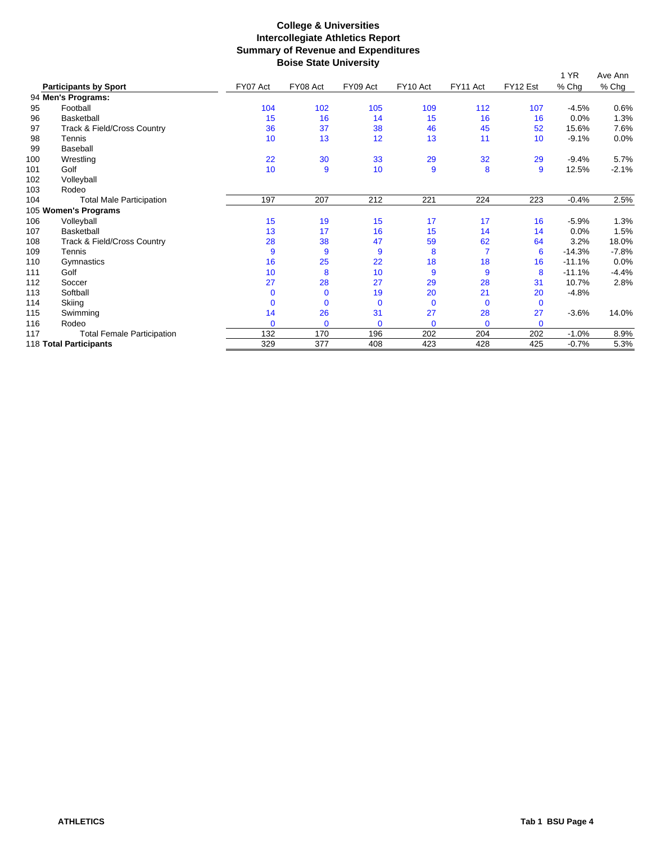|     |                                   |             |                |          |             |                |             | 1 YR     | Ave Ann |
|-----|-----------------------------------|-------------|----------------|----------|-------------|----------------|-------------|----------|---------|
|     | <b>Participants by Sport</b>      | FY07 Act    | FY08 Act       | FY09 Act | FY10 Act    | FY11 Act       | FY12 Est    | % Chg    | $%$ Chg |
|     | 94 Men's Programs:                |             |                |          |             |                |             |          |         |
| 95  | Football                          | 104         | 102            | 105      | 109         | 112            | 107         | $-4.5%$  | 0.6%    |
| 96  | <b>Basketball</b>                 | 15          | 16             | 14       | 15          | 16             | 16          | 0.0%     | 1.3%    |
| 97  | Track & Field/Cross Country       | 36          | 37             | 38       | 46          | 45             | 52          | 15.6%    | 7.6%    |
| 98  | Tennis                            | 10          | 13             | 12       | 13          | 11             | 10          | $-9.1%$  | 0.0%    |
| 99  | Baseball                          |             |                |          |             |                |             |          |         |
| 100 | Wrestling                         | 22          | 30             | 33       | 29          | 32             | 29          | $-9.4%$  | 5.7%    |
| 101 | Golf                              | 10          | $\overline{9}$ | 10       | 9           | 8              | 9           | 12.5%    | $-2.1%$ |
| 102 | Volleyball                        |             |                |          |             |                |             |          |         |
| 103 | Rodeo                             |             |                |          |             |                |             |          |         |
| 104 | <b>Total Male Participation</b>   | 197         | 207            | 212      | 221         | 224            | 223         | $-0.4%$  | 2.5%    |
|     | 105 Women's Programs              |             |                |          |             |                |             |          |         |
| 106 | Volleyball                        | 15          | 19             | 15       | 17          | 17             | 16          | $-5.9%$  | 1.3%    |
| 107 | Basketball                        | 13          | 17             | 16       | 15          | 14             | 14          | 0.0%     | 1.5%    |
| 108 | Track & Field/Cross Country       | 28          | 38             | 47       | 59          | 62             | 64          | 3.2%     | 18.0%   |
| 109 | Tennis                            | 9           | $\overline{9}$ | 9        | 8           | $\overline{7}$ | 6           | $-14.3%$ | $-7.8%$ |
| 110 | Gymnastics                        | 16          | 25             | 22       | 18          | 18             | 16          | $-11.1%$ | 0.0%    |
| 111 | Golf                              | 10          | 8              | 10       | 9           | 9              | 8           | $-11.1%$ | $-4.4%$ |
| 112 | Soccer                            | 27          | 28             | 27       | 29          | 28             | 31          | 10.7%    | 2.8%    |
| 113 | Softball                          | $\mathbf 0$ | $\Omega$       | 19       | 20          | 21             | 20          | $-4.8%$  |         |
| 114 | Skiing                            | $\bf{0}$    | $\mathbf 0$    | $\bf{0}$ | $\mathbf 0$ | $\mathbf 0$    | $\mathbf 0$ |          |         |
| 115 | Swimming                          | 14          | 26             | 31       | 27          | 28             | 27          | $-3.6%$  | 14.0%   |
| 116 | Rodeo                             | $\mathbf 0$ | $\Omega$       | 0        | $\Omega$    | $\Omega$       | $\Omega$    |          |         |
| 117 | <b>Total Female Participation</b> | 132         | 170            | 196      | 202         | 204            | 202         | $-1.0%$  | 8.9%    |
|     | 118 Total Participants            | 329         | 377            | 408      | 423         | 428            | 425         | $-0.7%$  | 5.3%    |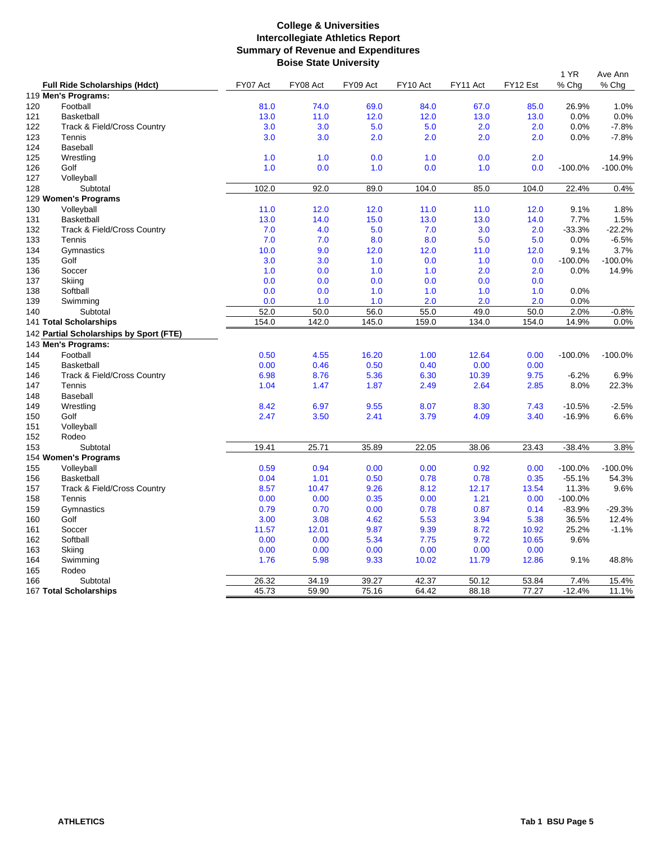|            |                                         |          |          |          |          |          |          | 1 YR      | Ave Ann   |
|------------|-----------------------------------------|----------|----------|----------|----------|----------|----------|-----------|-----------|
|            | <b>Full Ride Scholarships (Hdct)</b>    | FY07 Act | FY08 Act | FY09 Act | FY10 Act | FY11 Act | FY12 Est | % Chq     | % Chq     |
|            | 119 Men's Programs:                     |          |          |          |          |          |          |           |           |
| 120        | Football                                | 81.0     | 74.0     | 69.0     | 84.0     | 67.0     | 85.0     | 26.9%     | 1.0%      |
| 121        | <b>Basketball</b>                       | 13.0     | 11.0     | 12.0     | 12.0     | 13.0     | 13.0     | 0.0%      | 0.0%      |
| 122        | Track & Field/Cross Country             | 3.0      | 3.0      | 5.0      | 5.0      | 2.0      | 2.0      | 0.0%      | $-7.8%$   |
| 123        | Tennis                                  | 3.0      | 3.0      | 2.0      | 2.0      | 2.0      | 2.0      | 0.0%      | $-7.8%$   |
| 124        | <b>Baseball</b>                         |          |          |          |          |          |          |           |           |
| 125        | Wrestling                               | 1.0      | 1.0      | 0.0      | 1.0      | 0.0      | 2.0      |           | 14.9%     |
| 126        | Golf                                    | 1.0      | 0.0      | 1.0      | 0.0      | 1.0      | 0.0      | $-100.0%$ | $-100.0%$ |
| 127        | Volleyball                              |          |          |          |          |          |          |           |           |
| 128        | Subtotal                                | 102.0    | 92.0     | 89.0     | 104.0    | 85.0     | 104.0    | 22.4%     | 0.4%      |
|            | 129 Women's Programs                    |          |          |          |          |          |          |           |           |
| 130        | Volleyball                              | 11.0     | 12.0     | 12.0     | 11.0     | 11.0     | 12.0     | 9.1%      | 1.8%      |
| 131        | <b>Basketball</b>                       | 13.0     | 14.0     | 15.0     | 13.0     | 13.0     | 14.0     | 7.7%      | 1.5%      |
| 132        | Track & Field/Cross Country             | 7.0      | 4.0      | 5.0      | 7.0      | 3.0      | 2.0      | $-33.3%$  | $-22.2%$  |
| 133        | Tennis                                  | 7.0      | 7.0      | 8.0      | 8.0      | 5.0      | 5.0      | 0.0%      | $-6.5%$   |
| 134        | Gymnastics                              | 10.0     | 9.0      | 12.0     | 12.0     | 11.0     | 12.0     | 9.1%      | 3.7%      |
| 135        | Golf                                    | 3.0      | 3.0      | 1.0      | 0.0      | 1.0      | 0.0      | $-100.0%$ | $-100.0%$ |
| 136        | Soccer                                  | 1.0      | 0.0      | 1.0      | 1.0      | 2.0      | 2.0      | 0.0%      | 14.9%     |
| 137        | Skiing                                  | 0.0      | 0.0      | 0.0      | 0.0      | 0.0      | 0.0      |           |           |
| 138        | Softball                                | 0.0      | 0.0      | 1.0      | 1.0      | 1.0      | 1.0      | 0.0%      |           |
| 139        | Swimming                                | 0.0      | 1.0      | 1.0      | 2.0      | 2.0      | 2.0      | 0.0%      |           |
| 140        | Subtotal                                | 52.0     | 50.0     | 56.0     | 55.0     | 49.0     | 50.0     | 2.0%      | $-0.8%$   |
|            | 141 Total Scholarships                  | 154.0    | 142.0    | 145.0    | 159.0    | 134.0    | 154.0    | 14.9%     | 0.0%      |
|            | 142 Partial Scholarships by Sport (FTE) |          |          |          |          |          |          |           |           |
|            | 143 Men's Programs:                     |          |          |          |          |          |          |           |           |
| 144        | Football                                | 0.50     | 4.55     | 16.20    | 1.00     | 12.64    | 0.00     | $-100.0%$ | $-100.0%$ |
| 145        | <b>Basketball</b>                       | 0.00     | 0.46     | 0.50     | 0.40     | 0.00     | 0.00     |           |           |
| 146        | Track & Field/Cross Country             | 6.98     | 8.76     | 5.36     | 6.30     | 10.39    | 9.75     | $-6.2%$   | 6.9%      |
| 147        | Tennis                                  | 1.04     | 1.47     | 1.87     | 2.49     | 2.64     | 2.85     | 8.0%      | 22.3%     |
| 148        | <b>Baseball</b>                         |          |          |          |          |          |          |           |           |
| 149        | Wrestling                               | 8.42     | 6.97     | 9.55     | 8.07     | 8.30     | 7.43     | $-10.5%$  | $-2.5%$   |
|            | Golf                                    |          |          | 2.41     | 3.79     | 4.09     |          |           |           |
| 150        |                                         | 2.47     | 3.50     |          |          |          | 3.40     | $-16.9%$  | 6.6%      |
| 151        | Volleyball                              |          |          |          |          |          |          |           |           |
| 152<br>153 | Rodeo<br>Subtotal                       | 19.41    | 25.71    | 35.89    | 22.05    | 38.06    | 23.43    | $-38.4%$  | 3.8%      |
|            |                                         |          |          |          |          |          |          |           |           |
|            | 154 Women's Programs                    |          |          |          |          |          |          |           |           |
| 155        | Volleyball                              | 0.59     | 0.94     | 0.00     | 0.00     | 0.92     | 0.00     | $-100.0%$ | $-100.0%$ |
| 156        | <b>Basketball</b>                       | 0.04     | 1.01     | 0.50     | 0.78     | 0.78     | 0.35     | $-55.1%$  | 54.3%     |
| 157        | Track & Field/Cross Country             | 8.57     | 10.47    | 9.26     | 8.12     | 12.17    | 13.54    | 11.3%     | 9.6%      |
| 158        | Tennis                                  | 0.00     | 0.00     | 0.35     | 0.00     | 1.21     | 0.00     | $-100.0%$ |           |
| 159        | Gymnastics                              | 0.79     | 0.70     | 0.00     | 0.78     | 0.87     | 0.14     | $-83.9%$  | $-29.3%$  |
| 160        | Golf                                    | 3.00     | 3.08     | 4.62     | 5.53     | 3.94     | 5.38     | 36.5%     | 12.4%     |
| 161        | Soccer                                  | 11.57    | 12.01    | 9.87     | 9.39     | 8.72     | 10.92    | 25.2%     | $-1.1%$   |
| 162        | Softball                                | 0.00     | 0.00     | 5.34     | 7.75     | 9.72     | 10.65    | 9.6%      |           |
| 163        | Skiing                                  | 0.00     | 0.00     | 0.00     | 0.00     | 0.00     | 0.00     |           |           |
| 164        | Swimming                                | 1.76     | 5.98     | 9.33     | 10.02    | 11.79    | 12.86    | 9.1%      | 48.8%     |
| 165        | Rodeo                                   |          |          |          |          |          |          |           |           |
| 166        | Subtotal                                | 26.32    | 34.19    | 39.27    | 42.37    | 50.12    | 53.84    | 7.4%      | 15.4%     |
|            | 167 Total Scholarships                  | 45.73    | 59.90    | 75.16    | 64.42    | 88.18    | 77.27    | $-12.4%$  | 11.1%     |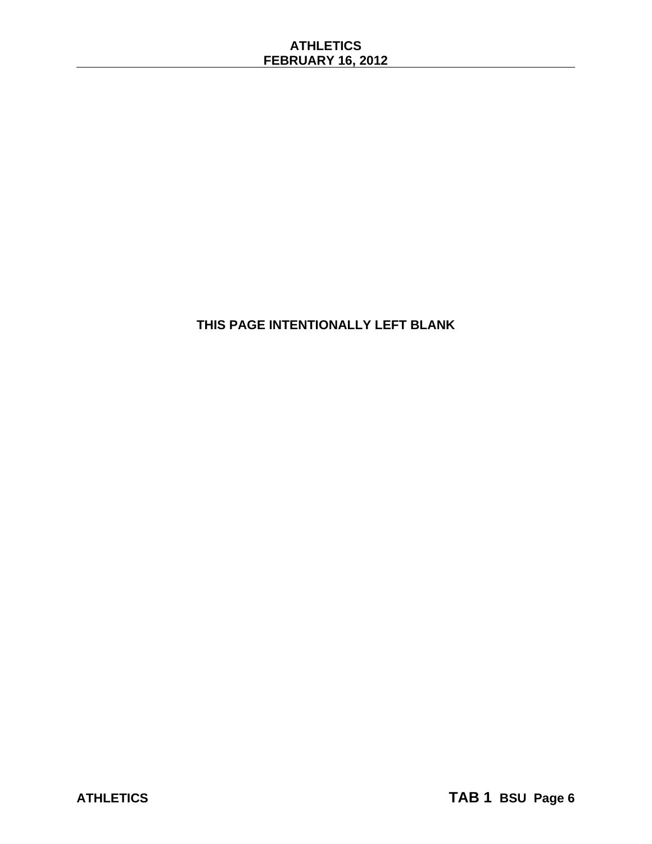### **ATHLETICS FEBRUARY 16, 2012**

### **THIS PAGE INTENTIONALLY LEFT BLANK**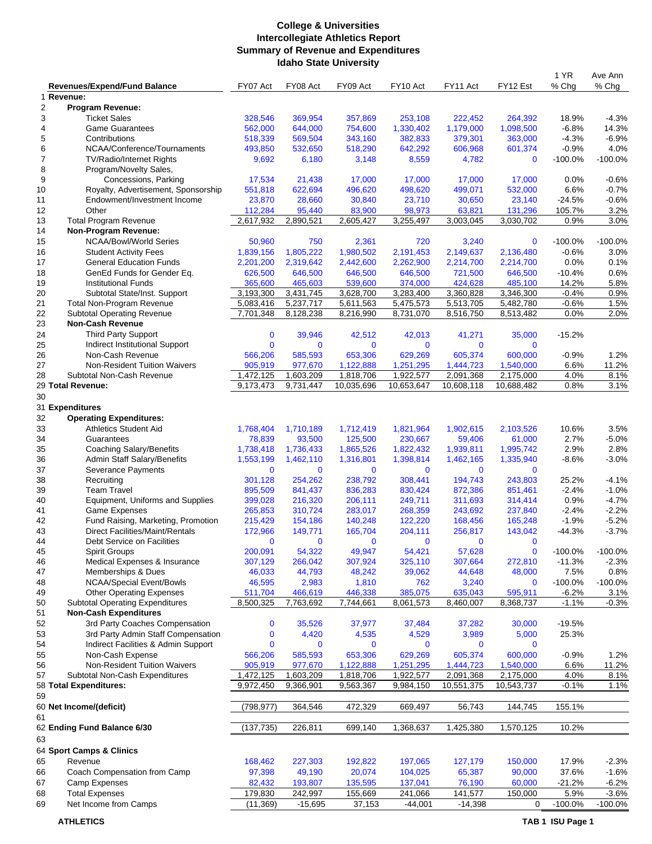|                |                                                |                   |                   |                   |                   |                   |                   | 1 YR            | Ave Ann          |
|----------------|------------------------------------------------|-------------------|-------------------|-------------------|-------------------|-------------------|-------------------|-----------------|------------------|
|                | <b>Revenues/Expend/Fund Balance</b>            | FY07 Act          | FY08 Act          | FY09 Act          | FY10 Act          | FY11 Act          | FY12 Est          | % Chg           | % Chq            |
|                | 1 Revenue:                                     |                   |                   |                   |                   |                   |                   |                 |                  |
| 2              | Program Revenue:                               |                   |                   |                   |                   |                   |                   |                 |                  |
| 3              | <b>Ticket Sales</b>                            | 328,546           | 369,954           | 357,869           | 253,108           | 222,452           | 264,392           | 18.9%           | $-4.3%$          |
| 4              | <b>Game Guarantees</b>                         | 562,000           | 644,000           | 754,600           | 1,330,402         | 1,179,000         | 1,098,500         | $-6.8%$         | 14.3%            |
| 5              | Contributions                                  | 518,339           | 569,504           | 343,160           | 382,833           | 379,301           | 363.000           | $-4.3%$         | $-6.9%$          |
| 6              | NCAA/Conference/Tournaments                    | 493,850           | 532,650           | 518,290           | 642,292           | 606,968           | 601,374           | $-0.9%$         | 4.0%             |
| $\overline{7}$ | <b>TV/Radio/Internet Rights</b>                | 9,692             | 6,180             | 3,148             | 8,559             | 4,782             | $\mathbf 0$       | $-100.0%$       | $-100.0%$        |
| 8              | Program/Novelty Sales,<br>Concessions, Parking |                   |                   |                   |                   |                   |                   |                 |                  |
| 9              | Royalty, Advertisement, Sponsorship            | 17,534            | 21,438            | 17,000            | 17,000            | 17,000            | 17,000<br>532,000 | $0.0\%$<br>6.6% | -0.6%<br>$-0.7%$ |
| 10<br>11       | Endowment/Investment Income                    | 551,818<br>23,870 | 622,694<br>28,660 | 496,620<br>30,840 | 498,620<br>23,710 | 499,071<br>30,650 | 23,140            | $-24.5%$        | $-0.6%$          |
| 12             | Other                                          | 112,284           | 95,440            | 83,900            | 98,973            | 63,821            | 131,296           | 105.7%          | 3.2%             |
| 13             | <b>Total Program Revenue</b>                   | 2,617,932         | 2,890,521         | 2,605,427         | 3,255,497         | 3,003,045         | 3,030,702         | 0.9%            | 3.0%             |
| 14             | <b>Non-Program Revenue:</b>                    |                   |                   |                   |                   |                   |                   |                 |                  |
| 15             | <b>NCAA/Bowl/World Series</b>                  | 50,960            | 750               | 2,361             | 720               | 3,240             | $\mathbf 0$       | $-100.0%$       | $-100.0%$        |
| 16             | <b>Student Activity Fees</b>                   | 1,839,156         | 1,805,222         | 1,980,502         | 2,191,453         | 2,149,637         | 2,136,480         | $-0.6%$         | 3.0%             |
| 17             | <b>General Education Funds</b>                 | 2,201,200         | 2,319,642         | 2,442,600         | 2,262,900         | 2,214,700         | 2,214,700         | 0.0%            | 0.1%             |
| 18             | GenEd Funds for Gender Eq.                     | 626,500           | 646,500           | 646,500           | 646,500           | 721,500           | 646,500           | $-10.4%$        | 0.6%             |
| 19             | <b>Institutional Funds</b>                     | 365,600           | 465,603           | 539,600           | 374,000           | 424,628           | 485,100           | 14.2%           | 5.8%             |
| 20             | Subtotal State/Inst. Support                   | 3,193,300         | 3,431,745         | 3,628,700         | 3,283,400         | 3,360,828         | 3,346,300         | $-0.4%$         | 0.9%             |
| 21             | Total Non-Program Revenue                      | 5,083,416         | 5,237,717         | 5,611,563         | 5,475,573         | 5,513,705         | 5,482,780         | $-0.6%$         | 1.5%             |
| 22             | <b>Subtotal Operating Revenue</b>              | 7,701,348         | 8,128,238         | 8,216,990         | 8,731,070         | 8,516,750         | 8,513,482         | 0.0%            | 2.0%             |
| 23             | <b>Non-Cash Revenue</b>                        |                   |                   |                   |                   |                   |                   |                 |                  |
| 24             | <b>Third Party Support</b>                     | $\mathbf 0$       | 39,946            | 42,512            | 42,013            | 41,271            | 35.000            | $-15.2%$        |                  |
| 25             | <b>Indirect Institutional Support</b>          | $\bf{0}$          | $\mathbf 0$       | $\mathbf 0$       | $\mathbf{0}$      | $\mathbf 0$       | $\mathbf{0}$      |                 |                  |
| 26             | Non-Cash Revenue                               | 566,206           | 585,593           | 653,306           | 629,269           | 605,374           | 600,000           | $-0.9%$         | 1.2%             |
| 27             | <b>Non-Resident Tuition Waivers</b>            | 905,919           | 977,670           | 1,122,888         | 1,251,295         | 1,444,723         | 1,540,000         | 6.6%            | 11.2%            |
| 28             | Subtotal Non-Cash Revenue                      | 1,472,125         | 1,603,209         | 1,818,706         | 1,922,577         | 2,091,368         | 2,175,000         | 4.0%            | 8.1%             |
|                | 29 Total Revenue:                              | 9,173,473         | 9,731,447         | 10,035,696        | 10,653,647        | 10,608,118        | 10,688,482        | 0.8%            | 3.1%             |
| 30             |                                                |                   |                   |                   |                   |                   |                   |                 |                  |
|                | 31 Expenditures                                |                   |                   |                   |                   |                   |                   |                 |                  |
| 32             | <b>Operating Expenditures:</b>                 |                   |                   |                   |                   |                   |                   |                 |                  |
| 33             | <b>Athletics Student Aid</b>                   | 1,768,404         | 1,710,189         | 1,712,419         | 1,821,964         | 1,902,615         | 2,103,526         | 10.6%           | 3.5%             |
| 34             | Guarantees                                     | 78,839            | 93,500            | 125,500           | 230,667           | 59,406            | 61,000            | 2.7%            | $-5.0%$          |
| 35             | <b>Coaching Salary/Benefits</b>                | 1,738,418         | 1,736,433         | 1,865,526         | 1,822,432         | 1,939,811         | 1,995,742         | 2.9%            | 2.8%             |
| 36             | Admin Staff Salary/Benefits                    | 1,553,199         | 1,462,110         | 1,316,801         | 1,398,814         | 1,462,165         | 1,335,940         | $-8.6%$         | $-3.0%$          |
| 37             | <b>Severance Payments</b>                      | $\mathbf 0$       | $\mathbf 0$       | $\mathbf 0$       | $\mathbf 0$       | $\mathbf 0$       | 0                 |                 |                  |
| 38             | Recruiting                                     | 301,128           | 254,262           | 238,792           | 308,441           | 194,743           | 243,803           | 25.2%           | -4.1%            |
| 39             | <b>Team Travel</b>                             | 895,509           | 841,437           | 836,283           | 830,424           | 872,386           | 851,461           | $-2.4%$         | $-1.0%$          |
| 40             | Equipment, Uniforms and Supplies               | 399,028           | 216,320           | 206,111           | 249,711           | 311,693           | 314,414           | 0.9%            | $-4.7%$          |
| 41             | <b>Game Expenses</b>                           | 265,853           | 310,724           | 283,017           | 268,359           | 243,692           | 237,840           | $-2.4%$         | $-2.2%$          |
| 42             | Fund Raising, Marketing, Promotion             | 215,429           | 154,186           | 140,248           | 122,220           | 168,456           | 165,248           | $-1.9%$         | $-5.2%$          |
| 43             | Direct Facilities/Maint/Rentals                | 172,966           | 149,771           | 165,704           | 204,111           | 256,817           | 143,042           | $-44.3%$        | $-3.7%$          |
| 44             | Debt Service on Facilities                     | $\mathbf 0$       | $\bf{0}$          | 0                 | $\bf{0}$          | $\bf{0}$          | $\mathbf 0$       |                 |                  |
| 45             | Spirit Groups                                  | 200,091           | 54,322            | 49,947            | 54,421            | 57,628            | $\mathbf 0$       | $-100.0%$       | $-100.0%$        |
| 46             | Medical Expenses & Insurance                   | 307,129           | 266,042           | 307,924           | 325,110           | 307,664           | 272,810           | $-11.3%$        | -2.3%            |
| 47             | Memberships & Dues                             | 46,033            | 44,793            | 48,242            | 39,062            | 44,648            | 48,000            | 7.5%            | 0.8%             |
| 48             | <b>NCAA/Special Event/Bowls</b>                | 46,595            | 2,983             | 1,810             | 762               | 3,240             | $\mathbf 0$       | $-100.0%$       | $-100.0%$        |
| 49             | <b>Other Operating Expenses</b>                | 511,704           | 466,619           | 446,338           | 385,075           | 635,043           | 595,911           | $-6.2%$         | 3.1%             |
| 50             | <b>Subtotal Operating Expenditures</b>         | 8,500,325         | 7,763,692         | 7,744,661         | 8,061,573         | 8,460,007         | 8,368,737         | $-1.1%$         | $-0.3%$          |
| 51             | <b>Non-Cash Expenditures</b>                   |                   |                   |                   |                   |                   |                   |                 |                  |
| 52             | 3rd Party Coaches Compensation                 | $\mathbf 0$       | 35,526            | 37,977            | 37,484            | 37,282            | 30,000            | $-19.5%$        |                  |
| 53             | 3rd Party Admin Staff Compensation             | 0                 | 4,420             | 4,535             | 4,529             | 3,989             | 5,000             | 25.3%           |                  |
| 54             | Indirect Facilities & Admin Support            | 0                 | $\bf{0}$          | $\mathbf 0$       | $\bf{0}$          | $\mathbf 0$       | $\mathbf 0$       |                 |                  |
| 55             | Non-Cash Expense                               | 566,206           | 585,593           | 653,306           | 629,269           | 605,374           | 600,000           | $-0.9%$         | 1.2%             |
| 56             | Non-Resident Tuition Waivers                   | 905,919           | 977,670           | 1,122,888         | 1,251,295         | 1,444,723         | 1,540,000         | 6.6%            | 11.2%            |
| 57             | Subtotal Non-Cash Expenditures                 | 1,472,125         | 1,603,209         | 1,818,706         | 1,922,577         | 2,091,368         | 2,175,000         | 4.0%            | 8.1%             |
|                | 58 Total Expenditures:                         | 9,972,450         | 9,366,901         | 9,563,367         | 9,984,150         | 10,551,375        | 10,543,737        | $-0.1%$         | 1.1%             |
| 59             |                                                |                   |                   |                   |                   |                   |                   |                 |                  |
|                | 60 Net Income/(deficit)                        | (798, 977)        | 364,546           | 472,329           | 669,497           | 56,743            | 144,745           | 155.1%          |                  |
| 61             |                                                |                   |                   |                   |                   |                   |                   |                 |                  |
|                | 62 Ending Fund Balance 6/30                    | (137, 735)        | 226,811           | 699,140           | 1,368,637         | 1,425,380         | 1,570,125         | 10.2%           |                  |
| 63             |                                                |                   |                   |                   |                   |                   |                   |                 |                  |
|                | 64 Sport Camps & Clinics                       |                   |                   |                   |                   |                   |                   |                 |                  |
| 65             | Revenue                                        | 168,462           | 227,303           | 192,822           | 197,065           | 127,179           | 150,000           | 17.9%           | $-2.3%$          |
| 66             | Coach Compensation from Camp                   | 97,398            | 49,190            | 20,074            | 104,025           | 65,387            | 90,000            | 37.6%           | $-1.6%$          |
| 67             | Camp Expenses                                  | 82,432            | 193,807           | 135,595           | 137,041           | 76,190            | 60,000            | $-21.2%$        | $-6.2%$          |
| 68             | <b>Total Expenses</b>                          | 179,830           | 242,997           | 155,669           | 241,066           | 141,577           | 150,000           | 5.9%            | $-3.6%$          |
| 69             | Net Income from Camps                          | (11, 369)         | $-15,695$         | 37,153            | $-44,001$         | $-14,398$         | 0                 | $-100.0%$       | $-100.0\%$       |
|                |                                                |                   |                   |                   |                   |                   |                   |                 |                  |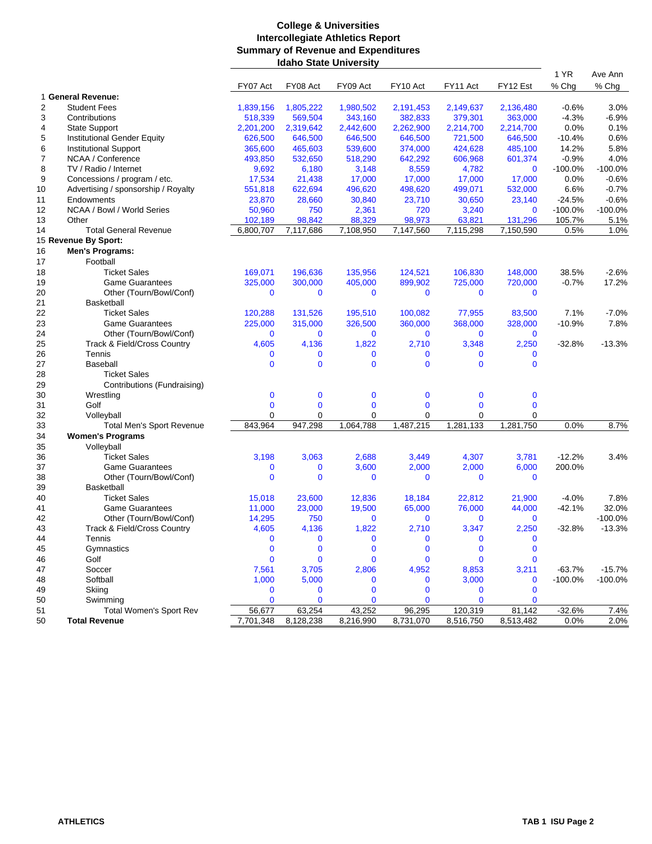|                |                                     |              |             |             |              |              |             | 1 YR       | Ave Ann    |
|----------------|-------------------------------------|--------------|-------------|-------------|--------------|--------------|-------------|------------|------------|
|                |                                     | FY07 Act     | FY08 Act    | FY09 Act    | FY10 Act     | FY11 Act     | FY12 Est    | % Chq      | % Chq      |
|                | 1 General Revenue:                  |              |             |             |              |              |             |            |            |
| $\overline{2}$ | <b>Student Fees</b>                 | 1,839,156    | 1,805,222   | 1,980,502   | 2,191,453    | 2,149,637    | 2,136,480   | $-0.6%$    | 3.0%       |
| 3              | Contributions                       | 518,339      | 569,504     | 343,160     | 382,833      | 379,301      | 363,000     | $-4.3%$    | $-6.9%$    |
| 4              | <b>State Support</b>                | 2,201,200    | 2,319,642   | 2,442,600   | 2,262,900    | 2,214,700    | 2,214,700   | 0.0%       | 0.1%       |
| 5              | <b>Institutional Gender Equity</b>  | 626,500      | 646,500     | 646,500     | 646,500      | 721,500      | 646,500     | $-10.4%$   | 0.6%       |
| 6              | <b>Institutional Support</b>        | 365,600      | 465,603     | 539,600     | 374,000      | 424,628      | 485,100     | 14.2%      | 5.8%       |
| $\overline{7}$ | NCAA / Conference                   | 493,850      | 532,650     | 518,290     | 642,292      | 606,968      | 601,374     | $-0.9%$    | 4.0%       |
| 8              | TV / Radio / Internet               | 9,692        | 6,180       | 3,148       | 8,559        | 4,782        | $\mathbf 0$ | $-100.0%$  | $-100.0%$  |
| 9              | Concessions / program / etc.        | 17,534       | 21,438      | 17,000      | 17,000       | 17,000       | 17,000      | 0.0%       | $-0.6%$    |
| 10             | Advertising / sponsorship / Royalty | 551,818      | 622,694     | 496,620     | 498,620      | 499,071      | 532,000     | 6.6%       | $-0.7%$    |
| 11             | Endowments                          | 23,870       | 28,660      | 30,840      | 23,710       | 30,650       | 23,140      | $-24.5%$   | $-0.6%$    |
|                |                                     |              |             |             |              |              |             |            | $-100.0%$  |
| 12             | NCAA / Bowl / World Series          | 50,960       | 750         | 2,361       | 720          | 3,240        | $\mathbf 0$ | $-100.0%$  |            |
| 13             | Other                               | 102,189      | 98,842      | 88,329      | 98,973       | 63,821       | 131,296     | 105.7%     | 5.1%       |
| 14             | <b>Total General Revenue</b>        | 6,800,707    | 7,117,686   | 7,108,950   | 7,147,560    | 7,115,298    | 7,150,590   | 0.5%       | 1.0%       |
|                | 15 Revenue By Sport:                |              |             |             |              |              |             |            |            |
| 16             | <b>Men's Programs:</b>              |              |             |             |              |              |             |            |            |
| 17             | Football                            |              |             |             |              |              |             |            |            |
| 18             | <b>Ticket Sales</b>                 | 169,071      | 196,636     | 135,956     | 124,521      | 106,830      | 148,000     | 38.5%      | $-2.6%$    |
| 19             | <b>Game Guarantees</b>              | 325,000      | 300,000     | 405,000     | 899,902      | 725,000      | 720,000     | $-0.7%$    | 17.2%      |
| 20             | Other (Tourn/Bowl/Conf)             | $\mathbf 0$  | $\mathbf 0$ | $\mathbf 0$ | $\mathbf 0$  | $\mathbf 0$  | $\mathbf 0$ |            |            |
| 21             | <b>Basketball</b>                   |              |             |             |              |              |             |            |            |
| 22             | <b>Ticket Sales</b>                 | 120,288      | 131,526     | 195,510     | 100,082      | 77,955       | 83,500      | 7.1%       | $-7.0%$    |
| 23             | <b>Game Guarantees</b>              | 225,000      | 315,000     | 326,500     | 360,000      | 368,000      | 328,000     | $-10.9%$   | 7.8%       |
| 24             | Other (Tourn/Bowl/Conf)             | $\mathbf 0$  | 0           | 0           | $\mathbf 0$  | 0            | $\bf{0}$    |            |            |
| 25             | Track & Field/Cross Country         | 4,605        | 4,136       | 1,822       | 2,710        | 3,348        | 2,250       | $-32.8%$   | $-13.3%$   |
| 26             | Tennis                              | $\bf{0}$     | $\mathbf 0$ | $\mathbf 0$ | $\mathbf 0$  | 0            | 0           |            |            |
| 27             | Baseball                            | $\mathbf{0}$ | $\mathbf 0$ | $\mathbf 0$ | $\mathbf{0}$ | $\mathbf{0}$ | $\mathbf 0$ |            |            |
| 28             | <b>Ticket Sales</b>                 |              |             |             |              |              |             |            |            |
| 29             | Contributions (Fundraising)         |              |             |             |              |              |             |            |            |
| 30             | Wrestling                           | $\bf{0}$     | $\bf{0}$    | 0           | $\mathbf 0$  | 0            | 0           |            |            |
| 31             | Golf                                | $\mathbf 0$  | 0           | $\mathbf 0$ | $\mathbf 0$  | $\mathbf{0}$ | $\mathbf 0$ |            |            |
| 32             | Volleyball                          | 0            | 0           | 0           | $\mathbf 0$  | 0            | 0           |            |            |
| 33             | <b>Total Men's Sport Revenue</b>    | 843,964      | 947,298     | 1,064,788   | 1,487,215    | 1,281,133    | 1,281,750   | 0.0%       | 8.7%       |
| 34             | <b>Women's Programs</b>             |              |             |             |              |              |             |            |            |
| 35             | Volleyball                          |              |             |             |              |              |             |            |            |
|                | <b>Ticket Sales</b>                 | 3,198        | 3,063       | 2,688       |              | 4,307        | 3,781       | $-12.2%$   | 3.4%       |
| 36             |                                     |              |             |             | 3,449        |              |             |            |            |
| 37             | <b>Game Guarantees</b>              | $\mathbf 0$  | $\mathbf 0$ | 3,600       | 2,000        | 2,000        | 6,000       | 200.0%     |            |
| 38             | Other (Tourn/Bowl/Conf)             | $\mathbf 0$  | $\mathbf 0$ | $\mathbf 0$ | $\mathbf 0$  | $\mathbf 0$  | $\mathbf 0$ |            |            |
| 39             | <b>Basketball</b>                   |              |             |             |              |              |             |            |            |
| 40             | <b>Ticket Sales</b>                 | 15,018       | 23,600      | 12,836      | 18,184       | 22,812       | 21,900      | $-4.0%$    | 7.8%       |
| 41             | <b>Game Guarantees</b>              | 11,000       | 23,000      | 19,500      | 65,000       | 76,000       | 44,000      | $-42.1%$   | 32.0%      |
| 42             | Other (Tourn/Bowl/Conf)             | 14,295       | 750         | $\mathbf 0$ | $\mathbf 0$  | $\mathbf 0$  | $\mathbf 0$ |            | $-100.0%$  |
| 43             | Track & Field/Cross Country         | 4,605        | 4,136       | 1,822       | 2,710        | 3,347        | 2,250       | $-32.8%$   | $-13.3%$   |
| 44             | Tennis                              | $\mathbf 0$  | $\mathbf 0$ | $\mathbf 0$ | $\mathbf 0$  | $\Omega$     | $\mathbf 0$ |            |            |
| 45             | Gymnastics                          | $\pmb{0}$    | $\bf{0}$    | $\bf{0}$    | $\pmb{0}$    | $\mathbf 0$  | 0           |            |            |
| 46             | Golf                                | $\bf{0}$     | $\mathbf 0$ | $\mathbf 0$ | $\mathbf 0$  | $\mathbf 0$  | $\mathbf 0$ |            |            |
| 47             | Soccer                              | 7,561        | 3,705       | 2,806       | 4,952        | 8,853        | 3,211       | $-63.7%$   | $-15.7%$   |
| 48             | Softball                            | 1,000        | 5,000       | $\bf{0}$    | $\mathbf 0$  | 3,000        | $\bf{0}$    | $-100.0\%$ | $-100.0\%$ |
| 49             | Skiing                              | $\bf{0}$     | 0           | 0           | $\bf{0}$     | 0            | 0           |            |            |
| 50             | Swimming                            | $\mathbf 0$  | 0           | $\mathbf 0$ | $\mathbf 0$  | $\mathbf 0$  | 0           |            |            |
| 51             | Total Women's Sport Rev             | 56,677       | 63,254      | 43,252      | 96,295       | 120,319      | 81,142      | $-32.6%$   | 7.4%       |
| 50             | <b>Total Revenue</b>                | 7,701,348    | 8,128,238   | 8,216,990   | 8,731,070    | 8,516,750    | 8,513,482   | 0.0%       | 2.0%       |
|                |                                     |              |             |             |              |              |             |            |            |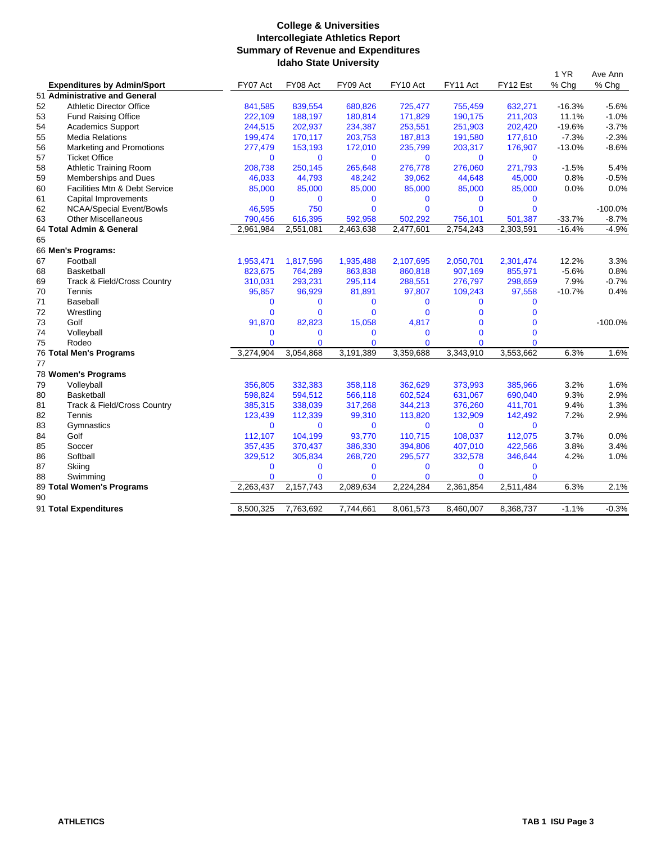|    |                                    |              |              |              |              |                |              | 1 YR     | Ave Ann   |
|----|------------------------------------|--------------|--------------|--------------|--------------|----------------|--------------|----------|-----------|
|    | <b>Expenditures by Admin/Sport</b> | FY07 Act     | FY08 Act     | FY09 Act     | FY10 Act     | FY11 Act       | FY12 Est     | % Chg    | % Chg     |
|    | 51 Administrative and General      |              |              |              |              |                |              |          |           |
| 52 | <b>Athletic Director Office</b>    | 841,585      | 839,554      | 680,826      | 725,477      | 755,459        | 632,271      | $-16.3%$ | $-5.6%$   |
| 53 | <b>Fund Raising Office</b>         | 222,109      | 188,197      | 180,814      | 171,829      | 190,175        | 211,203      | 11.1%    | $-1.0%$   |
| 54 | <b>Academics Support</b>           | 244,515      | 202,937      | 234,387      | 253,551      | 251,903        | 202,420      | $-19.6%$ | $-3.7%$   |
| 55 | <b>Media Relations</b>             | 199,474      | 170,117      | 203,753      | 187,813      | 191,580        | 177,610      | $-7.3%$  | $-2.3%$   |
| 56 | <b>Marketing and Promotions</b>    | 277,479      | 153,193      | 172,010      | 235,799      | 203,317        | 176,907      | $-13.0%$ | $-8.6%$   |
| 57 | <b>Ticket Office</b>               | $\Omega$     | $\mathbf 0$  | $\mathbf 0$  | $\mathbf{0}$ | $\mathbf{0}$   | $\mathbf{0}$ |          |           |
| 58 | <b>Athletic Training Room</b>      | 208,738      | 250,145      | 265,648      | 276,778      | 276,060        | 271,793      | $-1.5%$  | 5.4%      |
| 59 | Memberships and Dues               | 46,033       | 44,793       | 48,242       | 39,062       | 44,648         | 45,000       | 0.8%     | $-0.5%$   |
| 60 | Facilities Mtn & Debt Service      | 85,000       | 85,000       | 85,000       | 85,000       | 85,000         | 85,000       | 0.0%     | 0.0%      |
| 61 | Capital Improvements               | $\mathbf 0$  | $\mathbf 0$  | $\mathbf 0$  | $\mathbf{0}$ | $\mathbf 0$    | $\mathbf{0}$ |          |           |
| 62 | <b>NCAA/Special Event/Bowls</b>    | 46,595       | 750          | $\mathbf 0$  | $\Omega$     | $\overline{0}$ | $\mathbf{0}$ |          | $-100.0%$ |
| 63 | <b>Other Miscellaneous</b>         | 790,456      | 616,395      | 592,958      | 502,292      | 756,101        | 501,387      | $-33.7%$ | $-8.7%$   |
|    | 64 Total Admin & General           | 2,961,984    | 2,551,081    | 2,463,638    | 2,477,601    | 2,754,243      | 2,303,591    | $-16.4%$ | $-4.9%$   |
| 65 |                                    |              |              |              |              |                |              |          |           |
|    | 66 Men's Programs:                 |              |              |              |              |                |              |          |           |
| 67 | Football                           | 1,953,471    | 1,817,596    | 1,935,488    | 2,107,695    | 2,050,701      | 2,301,474    | 12.2%    | 3.3%      |
| 68 | <b>Basketball</b>                  | 823,675      | 764,289      | 863,838      | 860,818      | 907,169        | 855,971      | $-5.6%$  | 0.8%      |
| 69 | Track & Field/Cross Country        | 310,031      | 293,231      | 295,114      | 288,551      | 276,797        | 298,659      | 7.9%     | $-0.7%$   |
| 70 | Tennis                             | 95,857       | 96,929       | 81,891       | 97,807       | 109,243        | 97,558       | $-10.7%$ | 0.4%      |
| 71 | Baseball                           | $\mathbf 0$  | $\mathbf{0}$ | $\mathbf 0$  | $\mathbf 0$  | $\mathbf{0}$   | $\mathbf{0}$ |          |           |
| 72 | Wrestling                          | $\Omega$     | $\Omega$     | $\mathbf{0}$ | $\mathbf 0$  | $\mathbf 0$    | $\mathbf{0}$ |          |           |
| 73 | Golf                               | 91,870       | 82,823       | 15,058       | 4,817        | $\overline{0}$ | $\Omega$     |          | $-100.0%$ |
| 74 | Volleyball                         | $\mathbf 0$  | $\mathbf 0$  | $\mathbf 0$  | $\mathbf 0$  | 0              | $\Omega$     |          |           |
| 75 | Rodeo                              | $\mathbf{0}$ | $\Omega$     | $\mathbf{0}$ | $\mathbf{0}$ | $\overline{0}$ | $\Omega$     |          |           |
|    | 76 Total Men's Programs            | 3,274,904    | 3,054,868    | 3,191,389    | 3,359,688    | 3,343,910      | 3,553,662    | 6.3%     | 1.6%      |
| 77 |                                    |              |              |              |              |                |              |          |           |
|    | 78 Women's Programs                |              |              |              |              |                |              |          |           |
| 79 | Volleyball                         | 356,805      | 332,383      | 358,118      | 362,629      | 373,993        | 385,966      | 3.2%     | 1.6%      |
| 80 | <b>Basketball</b>                  | 598,824      | 594,512      | 566,118      | 602,524      | 631,067        | 690,040      | 9.3%     | 2.9%      |
| 81 | Track & Field/Cross Country        | 385,315      | 338,039      | 317,268      | 344,213      | 376,260        | 411,701      | 9.4%     | 1.3%      |
| 82 | Tennis                             | 123,439      | 112,339      | 99,310       | 113,820      | 132,909        | 142,492      | 7.2%     | 2.9%      |
| 83 | Gymnastics                         | $\mathbf{0}$ | $\mathbf{0}$ | $\mathbf 0$  | $\mathbf{0}$ | $\mathbf{0}$   | $\mathbf{0}$ |          |           |
| 84 | Golf                               | 112,107      | 104,199      | 93,770       | 110,715      | 108.037        | 112,075      | 3.7%     | 0.0%      |
| 85 | Soccer                             | 357,435      | 370,437      | 386,330      | 394,806      | 407,010        | 422,566      | 3.8%     | 3.4%      |
| 86 | Softball                           | 329,512      | 305,834      | 268,720      | 295,577      | 332,578        | 346,644      | 4.2%     | 1.0%      |
| 87 | Skiing                             | $\mathbf 0$  | $\mathbf 0$  | $\mathbf 0$  | $\mathbf 0$  | $\mathbf 0$    | $\mathbf{0}$ |          |           |
| 88 | Swimming                           | $\mathbf{0}$ | $\Omega$     | $\Omega$     | $\mathbf{0}$ | $\Omega$       | $\Omega$     |          |           |
|    | 89 Total Women's Programs          | 2,263,437    | 2,157,743    | 2,089,634    | 2,224,284    | 2,361,854      | 2,511,484    | 6.3%     | 2.1%      |
| 90 |                                    |              |              |              |              |                |              |          |           |
|    | 91 Total Expenditures              | 8,500,325    | 7,763,692    | 7,744,661    | 8,061,573    | 8,460,007      | 8,368,737    | $-1.1%$  | $-0.3%$   |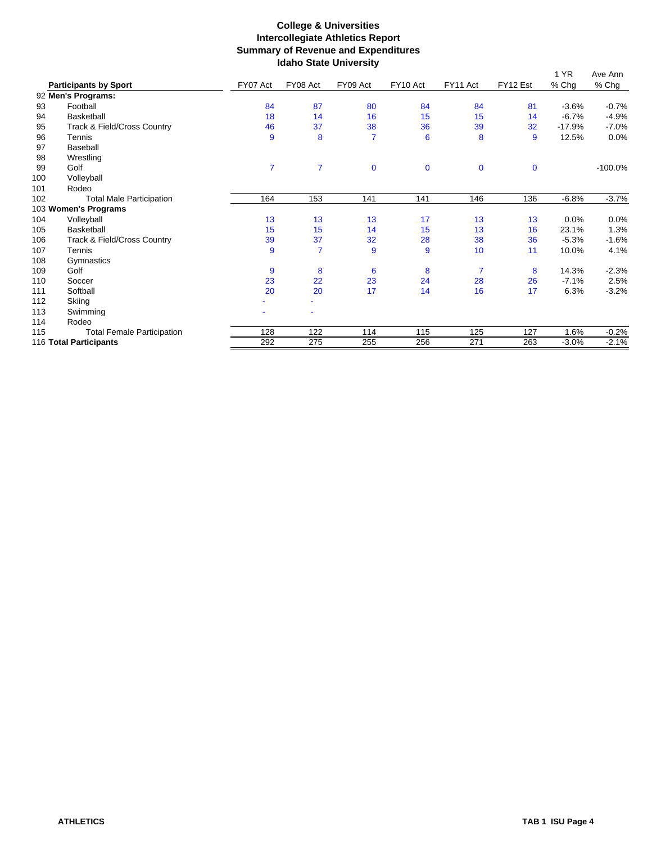| % Chg<br>FY12 Est<br>FY07 Act<br>FY08 Act<br>FY09 Act<br>FY10 Act<br>FY11 Act<br><b>Participants by Sport</b><br>92 Men's Programs:<br>Football<br>84<br>87<br>80<br>84<br>84<br>$-3.6%$<br>93<br>81<br>Basketball<br>18<br>14<br>16<br>15<br>$-6.7%$<br>15<br>14<br>94<br>46<br>37<br>Track & Field/Cross Country<br>38<br>36<br>39<br>32<br>$-17.9%$<br>95<br>8<br>8<br>12.5%<br>9<br>$\overline{7}$<br>6<br>9<br>96<br>Tennis<br>Baseball<br>97<br>98<br>Wrestling<br>$\overline{7}$<br>$\overline{7}$<br>$\bf{0}$<br>$\mathbf 0$<br>$\mathbf 0$<br>Golf<br>$\mathbf 0$<br>99<br>100<br>Volleyball<br>101<br>Rodeo<br>153<br>146<br>164<br>141<br>141<br>136<br>$-6.8%$<br>102<br><b>Total Male Participation</b><br>103 Women's Programs<br>104<br>Volleyball<br>13<br>13<br>13<br>13<br>13<br>0.0%<br>17<br>15<br>15<br>13<br>23.1%<br>105<br><b>Basketball</b><br>14<br>15<br>16<br>39<br>37<br>$-5.3%$<br>106<br>Track & Field/Cross Country<br>32<br>28<br>38<br>36 |            |
|-----------------------------------------------------------------------------------------------------------------------------------------------------------------------------------------------------------------------------------------------------------------------------------------------------------------------------------------------------------------------------------------------------------------------------------------------------------------------------------------------------------------------------------------------------------------------------------------------------------------------------------------------------------------------------------------------------------------------------------------------------------------------------------------------------------------------------------------------------------------------------------------------------------------------------------------------------------------------------|------------|
|                                                                                                                                                                                                                                                                                                                                                                                                                                                                                                                                                                                                                                                                                                                                                                                                                                                                                                                                                                             | % Chg      |
|                                                                                                                                                                                                                                                                                                                                                                                                                                                                                                                                                                                                                                                                                                                                                                                                                                                                                                                                                                             |            |
|                                                                                                                                                                                                                                                                                                                                                                                                                                                                                                                                                                                                                                                                                                                                                                                                                                                                                                                                                                             | $-0.7%$    |
|                                                                                                                                                                                                                                                                                                                                                                                                                                                                                                                                                                                                                                                                                                                                                                                                                                                                                                                                                                             | $-4.9%$    |
|                                                                                                                                                                                                                                                                                                                                                                                                                                                                                                                                                                                                                                                                                                                                                                                                                                                                                                                                                                             | $-7.0%$    |
|                                                                                                                                                                                                                                                                                                                                                                                                                                                                                                                                                                                                                                                                                                                                                                                                                                                                                                                                                                             | 0.0%       |
|                                                                                                                                                                                                                                                                                                                                                                                                                                                                                                                                                                                                                                                                                                                                                                                                                                                                                                                                                                             |            |
|                                                                                                                                                                                                                                                                                                                                                                                                                                                                                                                                                                                                                                                                                                                                                                                                                                                                                                                                                                             |            |
|                                                                                                                                                                                                                                                                                                                                                                                                                                                                                                                                                                                                                                                                                                                                                                                                                                                                                                                                                                             | $-100.0\%$ |
|                                                                                                                                                                                                                                                                                                                                                                                                                                                                                                                                                                                                                                                                                                                                                                                                                                                                                                                                                                             |            |
|                                                                                                                                                                                                                                                                                                                                                                                                                                                                                                                                                                                                                                                                                                                                                                                                                                                                                                                                                                             |            |
|                                                                                                                                                                                                                                                                                                                                                                                                                                                                                                                                                                                                                                                                                                                                                                                                                                                                                                                                                                             | $-3.7%$    |
|                                                                                                                                                                                                                                                                                                                                                                                                                                                                                                                                                                                                                                                                                                                                                                                                                                                                                                                                                                             |            |
|                                                                                                                                                                                                                                                                                                                                                                                                                                                                                                                                                                                                                                                                                                                                                                                                                                                                                                                                                                             | 0.0%       |
|                                                                                                                                                                                                                                                                                                                                                                                                                                                                                                                                                                                                                                                                                                                                                                                                                                                                                                                                                                             | 1.3%       |
|                                                                                                                                                                                                                                                                                                                                                                                                                                                                                                                                                                                                                                                                                                                                                                                                                                                                                                                                                                             | $-1.6%$    |
| 9<br>$\overline{7}$<br>9<br>9<br>10<br>10.0%<br>107<br>11<br>Tennis                                                                                                                                                                                                                                                                                                                                                                                                                                                                                                                                                                                                                                                                                                                                                                                                                                                                                                         | 4.1%       |
| 108<br>Gymnastics                                                                                                                                                                                                                                                                                                                                                                                                                                                                                                                                                                                                                                                                                                                                                                                                                                                                                                                                                           |            |
| 14.3%<br>109<br>Golf<br>9<br>8<br>6<br>8<br>7<br>8                                                                                                                                                                                                                                                                                                                                                                                                                                                                                                                                                                                                                                                                                                                                                                                                                                                                                                                          | $-2.3%$    |
| 23<br>22<br>23<br>24<br>28<br>26<br>$-7.1%$<br>110<br>Soccer                                                                                                                                                                                                                                                                                                                                                                                                                                                                                                                                                                                                                                                                                                                                                                                                                                                                                                                | 2.5%       |
| 17<br>16<br>6.3%<br>Softball<br>20<br>20<br>14<br>17<br>111                                                                                                                                                                                                                                                                                                                                                                                                                                                                                                                                                                                                                                                                                                                                                                                                                                                                                                                 | $-3.2%$    |
| 112<br>Skiing                                                                                                                                                                                                                                                                                                                                                                                                                                                                                                                                                                                                                                                                                                                                                                                                                                                                                                                                                               |            |
| 113<br>Swimming<br>۰                                                                                                                                                                                                                                                                                                                                                                                                                                                                                                                                                                                                                                                                                                                                                                                                                                                                                                                                                        |            |
| 114<br>Rodeo                                                                                                                                                                                                                                                                                                                                                                                                                                                                                                                                                                                                                                                                                                                                                                                                                                                                                                                                                                |            |
| 115<br><b>Total Female Participation</b><br>128<br>122<br>114<br>115<br>125<br>127<br>1.6%                                                                                                                                                                                                                                                                                                                                                                                                                                                                                                                                                                                                                                                                                                                                                                                                                                                                                  | $-0.2%$    |
| 292<br>275<br>271<br>255<br>256<br>263<br>$-3.0%$<br>116 Total Participants                                                                                                                                                                                                                                                                                                                                                                                                                                                                                                                                                                                                                                                                                                                                                                                                                                                                                                 | $-2.1%$    |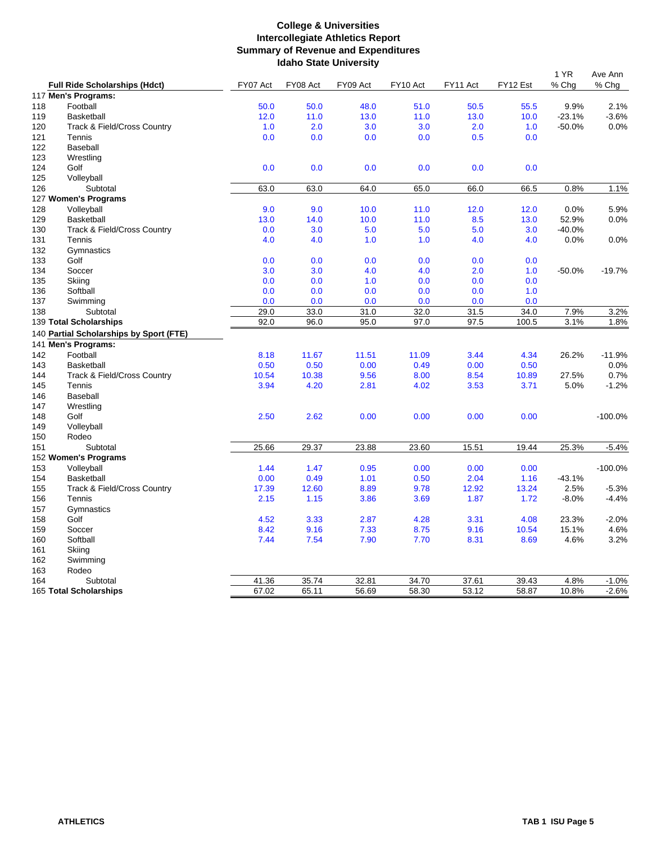|     |                                         |          |          |          |          |          |          | 1 YR     | Ave Ann   |
|-----|-----------------------------------------|----------|----------|----------|----------|----------|----------|----------|-----------|
|     | <b>Full Ride Scholarships (Hdct)</b>    | FY07 Act | FY08 Act | FY09 Act | FY10 Act | FY11 Act | FY12 Est | % Chg    | % Chg     |
|     | 117 Men's Programs:                     |          |          |          |          |          |          |          |           |
| 118 | Football                                | 50.0     | 50.0     | 48.0     | 51.0     | 50.5     | 55.5     | 9.9%     | 2.1%      |
| 119 | <b>Basketball</b>                       | 12.0     | 11.0     | 13.0     | 11.0     | 13.0     | 10.0     | $-23.1%$ | $-3.6%$   |
| 120 | Track & Field/Cross Country             | 1.0      | 2.0      | 3.0      | 3.0      | 2.0      | 1.0      | $-50.0%$ | 0.0%      |
| 121 | Tennis                                  | 0.0      | 0.0      | 0.0      | 0.0      | 0.5      | 0.0      |          |           |
| 122 | Baseball                                |          |          |          |          |          |          |          |           |
| 123 | Wrestling                               |          |          |          |          |          |          |          |           |
| 124 | Golf                                    | 0.0      | 0.0      | 0.0      | 0.0      | 0.0      | 0.0      |          |           |
| 125 | Volleyball                              |          |          |          |          |          |          |          |           |
| 126 | Subtotal                                | 63.0     | 63.0     | 64.0     | 65.0     | 66.0     | 66.5     | 0.8%     | 1.1%      |
|     | 127 Women's Programs                    |          |          |          |          |          |          |          |           |
| 128 | Volleyball                              | 9.0      | 9.0      | 10.0     | 11.0     | 12.0     | 12.0     | 0.0%     | 5.9%      |
| 129 | <b>Basketball</b>                       | 13.0     | 14.0     | 10.0     | 11.0     | 8.5      | 13.0     | 52.9%    | 0.0%      |
| 130 | Track & Field/Cross Country             | 0.0      | 3.0      | 5.0      | 5.0      | 5.0      | 3.0      | $-40.0%$ |           |
| 131 | Tennis                                  | 4.0      | 4.0      | 1.0      | 1.0      | 4.0      | 4.0      | 0.0%     | 0.0%      |
| 132 | Gymnastics                              |          |          |          |          |          |          |          |           |
| 133 | Golf                                    | 0.0      | 0.0      | 0.0      | 0.0      | 0.0      | 0.0      |          |           |
| 134 | Soccer                                  | 3.0      | 3.0      | 4.0      | 4.0      | 2.0      | 1.0      | $-50.0%$ | $-19.7%$  |
| 135 | Skiing                                  | 0.0      | 0.0      | 1.0      | 0.0      | 0.0      | 0.0      |          |           |
| 136 | Softball                                | 0.0      | 0.0      | 0.0      | 0.0      | 0.0      | 1.0      |          |           |
| 137 | Swimming                                | 0.0      | 0.0      | 0.0      | 0.0      | 0.0      | 0.0      |          |           |
| 138 | Subtotal                                | 29.0     | 33.0     | 31.0     | 32.0     | 31.5     | 34.0     | 7.9%     | 3.2%      |
|     | 139 Total Scholarships                  | 92.0     | 96.0     | 95.0     | 97.0     | 97.5     | 100.5    | 3.1%     | 1.8%      |
|     |                                         |          |          |          |          |          |          |          |           |
|     | 140 Partial Scholarships by Sport (FTE) |          |          |          |          |          |          |          |           |
|     | 141 Men's Programs:                     |          |          |          |          |          |          |          |           |
| 142 | Football                                | 8.18     | 11.67    | 11.51    | 11.09    | 3.44     | 4.34     | 26.2%    | $-11.9%$  |
| 143 | <b>Basketball</b>                       | 0.50     | 0.50     | 0.00     | 0.49     | 0.00     | 0.50     |          | 0.0%      |
| 144 | Track & Field/Cross Country             | 10.54    | 10.38    | 9.56     | 8.00     | 8.54     | 10.89    | 27.5%    | 0.7%      |
| 145 | Tennis                                  | 3.94     | 4.20     | 2.81     | 4.02     | 3.53     | 3.71     | 5.0%     | $-1.2%$   |
| 146 | Baseball                                |          |          |          |          |          |          |          |           |
| 147 | Wrestling                               |          |          |          |          |          |          |          |           |
| 148 | Golf                                    | 2.50     | 2.62     | 0.00     | 0.00     | 0.00     | 0.00     |          | $-100.0%$ |
| 149 | Volleyball                              |          |          |          |          |          |          |          |           |
| 150 | Rodeo                                   |          |          |          |          |          |          |          |           |
| 151 | Subtotal                                | 25.66    | 29.37    | 23.88    | 23.60    | 15.51    | 19.44    | 25.3%    | $-5.4%$   |
|     | 152 Women's Programs                    |          |          |          |          |          |          |          |           |
| 153 | Volleyball                              | 1.44     | 1.47     | 0.95     | 0.00     | 0.00     | 0.00     |          | $-100.0%$ |
| 154 | <b>Basketball</b>                       | 0.00     | 0.49     | 1.01     | 0.50     | 2.04     | 1.16     | $-43.1%$ |           |
| 155 | Track & Field/Cross Country             | 17.39    | 12.60    | 8.89     | 9.78     | 12.92    | 13.24    | 2.5%     | $-5.3%$   |
| 156 | Tennis                                  | 2.15     | 1.15     | 3.86     | 3.69     | 1.87     | 1.72     | $-8.0%$  | $-4.4%$   |
| 157 | Gymnastics                              |          |          |          |          |          |          |          |           |
| 158 | Golf                                    | 4.52     | 3.33     | 2.87     | 4.28     | 3.31     | 4.08     | 23.3%    | $-2.0%$   |
| 159 | Soccer                                  | 8.42     | 9.16     | 7.33     | 8.75     | 9.16     | 10.54    | 15.1%    | 4.6%      |
| 160 | Softball                                | 7.44     | 7.54     | 7.90     | 7.70     | 8.31     | 8.69     | 4.6%     | 3.2%      |
| 161 | Skiing                                  |          |          |          |          |          |          |          |           |
|     |                                         |          |          |          |          |          |          |          |           |
| 162 | Swimming<br>Rodeo                       |          |          |          |          |          |          |          |           |
| 163 |                                         |          |          |          |          |          |          |          |           |
| 164 | Subtotal                                | 41.36    | 35.74    | 32.81    | 34.70    | 37.61    | 39.43    | 4.8%     | $-1.0%$   |
|     | 165 Total Scholarships                  | 67.02    | 65.11    | 56.69    | 58.30    | 53.12    | 58.87    | 10.8%    | $-2.6%$   |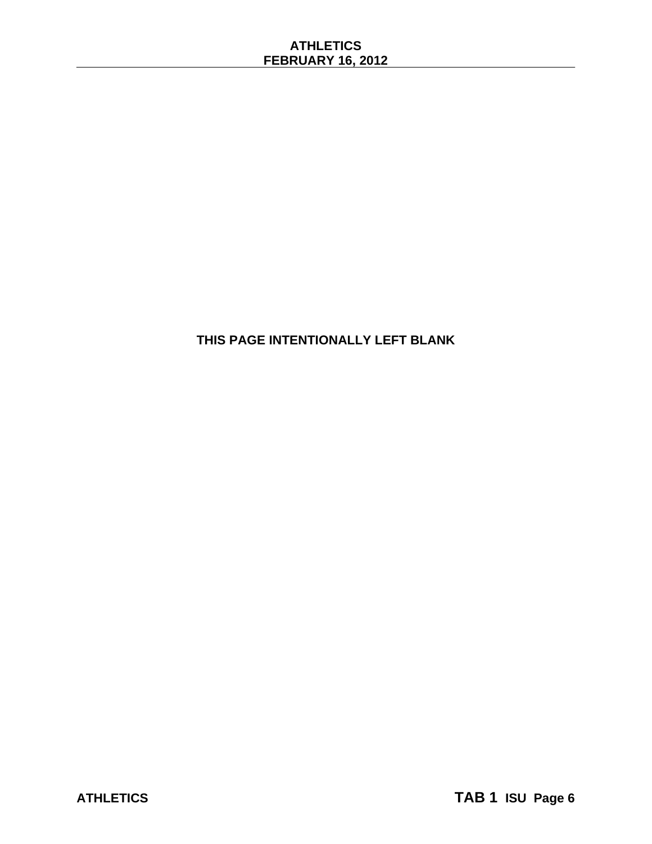### **ATHLETICS FEBRUARY 16, 2012**

### **THIS PAGE INTENTIONALLY LEFT BLANK**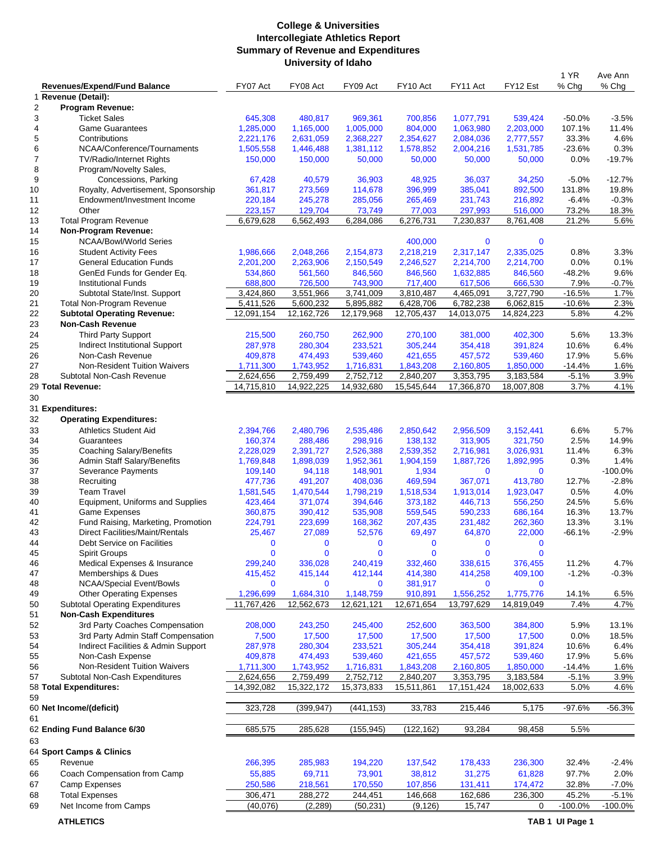|                |                                        |             |            |              |              |              |              | 1 YR      | Ave Ann   |
|----------------|----------------------------------------|-------------|------------|--------------|--------------|--------------|--------------|-----------|-----------|
|                | Revenues/Expend/Fund Balance           | FY07 Act    | FY08 Act   | FY09 Act     | FY10 Act     | FY11 Act     | FY12 Est     | % Chg     | % Chg     |
|                | 1 Revenue (Detail):                    |             |            |              |              |              |              |           |           |
| 2              | <b>Program Revenue:</b>                |             |            |              |              |              |              |           |           |
|                |                                        |             |            |              |              |              |              |           |           |
| 3              | <b>Ticket Sales</b>                    | 645,308     | 480,817    | 969,361      | 700,856      | 1,077,791    | 539,424      | $-50.0%$  | $-3.5%$   |
| 4              | <b>Game Guarantees</b>                 | 1,285,000   | 1,165,000  | 1,005,000    | 804,000      | 1,063,980    | 2,203,000    | 107.1%    | 11.4%     |
| 5              | Contributions                          | 2,221,176   | 2,631,059  | 2,368,227    | 2,354,627    | 2,084,036    | 2,777,557    | 33.3%     | 4.6%      |
| 6              | NCAA/Conference/Tournaments            | 1,505,558   | 1,446,488  | 1,381,112    | 1,578,852    | 2,004,216    | 1,531,785    | $-23.6%$  | 0.3%      |
| $\overline{7}$ | <b>TV/Radio/Internet Rights</b>        | 150,000     | 150,000    | 50,000       | 50,000       | 50,000       | 50,000       | 0.0%      | $-19.7%$  |
| 8              | Program/Novelty Sales,                 |             |            |              |              |              |              |           |           |
| 9              | Concessions, Parking                   | 67,428      | 40,579     | 36,903       | 48,925       | 36,037       | 34,250       | $-5.0%$   | $-12.7%$  |
| 10             | Royalty, Advertisement, Sponsorship    | 361,817     | 273,569    | 114,678      | 396,999      | 385,041      | 892,500      | 131.8%    | 19.8%     |
| 11             | Endowment/Investment Income            | 220,184     | 245,278    | 285,056      | 265,469      | 231,743      | 216,892      | $-6.4%$   | $-0.3%$   |
| 12             | Other                                  | 223,157     | 129,704    | 73,749       | 77,003       | 297,993      | 516,000      | 73.2%     | 18.3%     |
| 13             | <b>Total Program Revenue</b>           | 6,679,628   | 6,562,493  | 6,284,086    | 6,276,731    | 7,230,837    | 8,761,408    | 21.2%     | 5.6%      |
| 14             | Non-Program Revenue:                   |             |            |              |              |              |              |           |           |
| 15             | NCAA/Bowl/World Series                 |             |            |              | 400,000      | $\mathbf 0$  | $\mathbf 0$  |           |           |
|                |                                        |             |            |              |              |              |              |           |           |
| 16             | <b>Student Activity Fees</b>           | 1,986,666   | 2,048,266  | 2,154,873    | 2,218,219    | 2,317,147    | 2,335,025    | 0.8%      | 3.3%      |
| 17             | <b>General Education Funds</b>         | 2,201,200   | 2,263,906  | 2,150,549    | 2,246,527    | 2,214,700    | 2,214,700    | 0.0%      | 0.1%      |
| 18             | GenEd Funds for Gender Eq.             | 534,860     | 561,560    | 846,560      | 846,560      | 1,632,885    | 846,560      | $-48.2%$  | 9.6%      |
| 19             | <b>Institutional Funds</b>             | 688,800     | 726,500    | 743,900      | 717,400      | 617,506      | 666,530      | 7.9%      | $-0.7%$   |
| 20             | Subtotal State/Inst. Support           | 3,424,860   | 3,551,966  | 3,741,009    | 3,810,487    | 4,465,091    | 3,727,790    | $-16.5%$  | 1.7%      |
| 21             | Total Non-Program Revenue              | 5,411,526   | 5,600,232  | 5,895,882    | 6,428,706    | 6,782,238    | 6,062,815    | $-10.6%$  | 2.3%      |
| 22             | <b>Subtotal Operating Revenue:</b>     | 12,091,154  | 12,162,726 | 12,179,968   | 12,705,437   | 14,013,075   | 14,824,223   | 5.8%      | 4.2%      |
| 23             | <b>Non-Cash Revenue</b>                |             |            |              |              |              |              |           |           |
| 24             | <b>Third Party Support</b>             | 215,500     | 260,750    | 262,900      | 270,100      | 381,000      | 402,300      | 5.6%      | 13.3%     |
| 25             | Indirect Institutional Support         | 287,978     | 280,304    | 233,521      | 305,244      | 354,418      | 391,824      | 10.6%     | 6.4%      |
| 26             | Non-Cash Revenue                       | 409,878     | 474,493    | 539,460      | 421,655      | 457,572      | 539,460      | 17.9%     | 5.6%      |
|                |                                        |             |            |              |              |              |              |           |           |
| 27             | Non-Resident Tuition Waivers           | 1,711,300   | 1,743,952  | 1,716,831    | 1,843,208    | 2,160,805    | 1,850,000    | $-14.4%$  | 1.6%      |
| 28             | Subtotal Non-Cash Revenue              | 2,624,656   | 2,759,499  | 2,752,712    | 2,840,207    | 3,353,795    | 3,183,584    | $-5.1%$   | 3.9%      |
|                | 29 Total Revenue:                      | 14,715,810  | 14,922,225 | 14,932,680   | 15,545,644   | 17,366,870   | 18,007,808   | 3.7%      | 4.1%      |
| 30             |                                        |             |            |              |              |              |              |           |           |
|                | 31 Expenditures:                       |             |            |              |              |              |              |           |           |
| 32             | <b>Operating Expenditures:</b>         |             |            |              |              |              |              |           |           |
| 33             | <b>Athletics Student Aid</b>           | 2,394,766   | 2,480,796  | 2,535,486    | 2,850,642    | 2,956,509    | 3,152,441    | 6.6%      | 5.7%      |
| 34             | Guarantees                             | 160,374     | 288,486    | 298,916      | 138,132      | 313,905      | 321,750      | 2.5%      | 14.9%     |
| 35             | <b>Coaching Salary/Benefits</b>        | 2,228,029   | 2,391,727  | 2,526,388    | 2,539,352    | 2,716,981    | 3,026,931    | 11.4%     | 6.3%      |
|                |                                        |             |            |              |              |              |              |           |           |
| 36             | <b>Admin Staff Salary/Benefits</b>     | 1,769,848   | 1,898,039  | 1,952,361    | 1,904,159    | 1,887,726    | 1,892,995    | 0.3%      | 1.4%      |
| 37             | Severance Payments                     | 109,140     | 94,118     | 148,901      | 1,934        | $\mathbf 0$  | $\mathbf{0}$ |           | $-100.0%$ |
| 38             | Recruiting                             | 477,736     | 491,207    | 408,036      | 469,594      | 367,071      | 413,780      | 12.7%     | $-2.8%$   |
| 39             | <b>Team Travel</b>                     | 1,581,545   | 1,470,544  | 1,798,219    | 1,518,534    | 1,913,014    | 1,923,047    | 0.5%      | 4.0%      |
| 40             | Equipment, Uniforms and Supplies       | 423,464     | 371,074    | 394,646      | 373,182      | 446,713      | 556,250      | 24.5%     | 5.6%      |
| 41             | <b>Game Expenses</b>                   | 360,875     | 390,412    | 535,908      | 559,545      | 590,233      | 686,164      | 16.3%     | 13.7%     |
| 42             | Fund Raising, Marketing, Promotion     | 224,791     | 223,699    | 168,362      | 207,435      | 231,482      | 262,360      | 13.3%     | 3.1%      |
| 43             | Direct Facilities/Maint/Rentals        | 25,467      | 27,089     | 52,576       | 69,497       | 64,870       | 22,000       | $-66.1%$  | $-2.9%$   |
| 44             | Debt Service on Facilities             | $\mathbf 0$ | 0          | $\mathbf{0}$ | $\mathbf{0}$ | $\mathbf 0$  | $\mathbf 0$  |           |           |
| 45             | <b>Spirit Groups</b>                   | $\mathbf 0$ | 0          | $\mathbf 0$  | $\mathbf 0$  | $\mathbf 0$  | $\mathbf 0$  |           |           |
| 46             | Medical Expenses & Insurance           | 299,240     | 336,028    | 240,419      | 332,460      | 338,615      | 376,455      | 11.2%     | 4.7%      |
|                | Memberships & Dues                     | 415,452     | 415,144    | 412,144      | 414,380      | 414,258      | 409,100      | $-1.2%$   | $-0.3%$   |
| 47             |                                        |             |            |              |              |              |              |           |           |
| 48             | <b>NCAA/Special Event/Bowls</b>        | $\mathbf 0$ | 0          | $\mathbf 0$  | 381,917      | $\mathbf 0$  | $\mathbf 0$  |           |           |
| 49             | <b>Other Operating Expenses</b>        | 1,296,699   | 1,684,310  | 1,148,759    | 910,891      | 1,556,252    | 1,775,776    | 14.1%     | 6.5%      |
| 50             | <b>Subtotal Operating Expenditures</b> | 11,767,426  | 12,562,673 | 12,621,121   | 12,671,654   | 13,797,629   | 14,819,049   | 7.4%      | 4.7%      |
| 51             | <b>Non-Cash Expenditures</b>           |             |            |              |              |              |              |           |           |
| 52             | 3rd Party Coaches Compensation         | 208,000     | 243,250    | 245,400      | 252,600      | 363,500      | 384,800      | 5.9%      | 13.1%     |
| 53             | 3rd Party Admin Staff Compensation     | 7,500       | 17,500     | 17,500       | 17,500       | 17,500       | 17,500       | 0.0%      | 18.5%     |
| 54             | Indirect Facilities & Admin Support    | 287,978     | 280,304    | 233,521      | 305,244      | 354,418      | 391,824      | 10.6%     | 6.4%      |
| 55             | Non-Cash Expense                       | 409,878     | 474,493    | 539,460      | 421,655      | 457,572      | 539,460      | 17.9%     | 5.6%      |
| 56             | Non-Resident Tuition Waivers           | 1,711,300   | 1,743,952  | 1,716,831    | 1,843,208    | 2,160,805    | 1,850,000    | $-14.4%$  | 1.6%      |
|                |                                        |             | 2,759,499  | 2,752,712    | 2,840,207    |              |              |           |           |
| 57             | Subtotal Non-Cash Expenditures         | 2,624,656   |            |              |              | 3,353,795    | 3,183,584    | $-5.1%$   | 3.9%      |
|                | 58 Total Expenditures:                 | 14,392,082  | 15,322,172 | 15,373,833   | 15,511,861   | 17, 151, 424 | 18,002,633   | 5.0%      | 4.6%      |
| 59             |                                        |             |            |              |              |              |              |           |           |
|                | 60 Net Income/(deficit)                | 323,728     | (399, 947) | (441, 153)   | 33,783       | 215,446      | 5,175        | $-97.6%$  | $-56.3%$  |
| 61             |                                        |             |            |              |              |              |              |           |           |
|                | 62 Ending Fund Balance 6/30            | 685,575     | 285,628    | (155, 945)   | (122, 162)   | 93,284       | 98,458       | 5.5%      |           |
| 63             |                                        |             |            |              |              |              |              |           |           |
|                |                                        |             |            |              |              |              |              |           |           |
|                | 64 Sport Camps & Clinics               |             |            |              |              |              |              |           |           |
| 65             | Revenue                                | 266,395     | 285,983    | 194,220      | 137,542      | 178,433      | 236,300      | 32.4%     | $-2.4%$   |
| 66             | Coach Compensation from Camp           | 55,885      | 69,711     | 73,901       | 38,812       | 31,275       | 61,828       | 97.7%     | 2.0%      |
| 67             | Camp Expenses                          | 250,586     | 218,561    | 170,550      | 107,856      | 131,411      | 174,472      | 32.8%     | $-7.0%$   |
| 68             | <b>Total Expenses</b>                  | 306,471     | 288,272    | 244,451      | 146,668      | 162,686      | 236,300      | 45.2%     | $-5.1%$   |
| 69             | Net Income from Camps                  | (40, 076)   | (2, 289)   | (50, 231)    | (9, 126)     | 15,747       | 0            | $-100.0%$ | $-100.0%$ |
|                |                                        |             |            |              |              |              |              |           |           |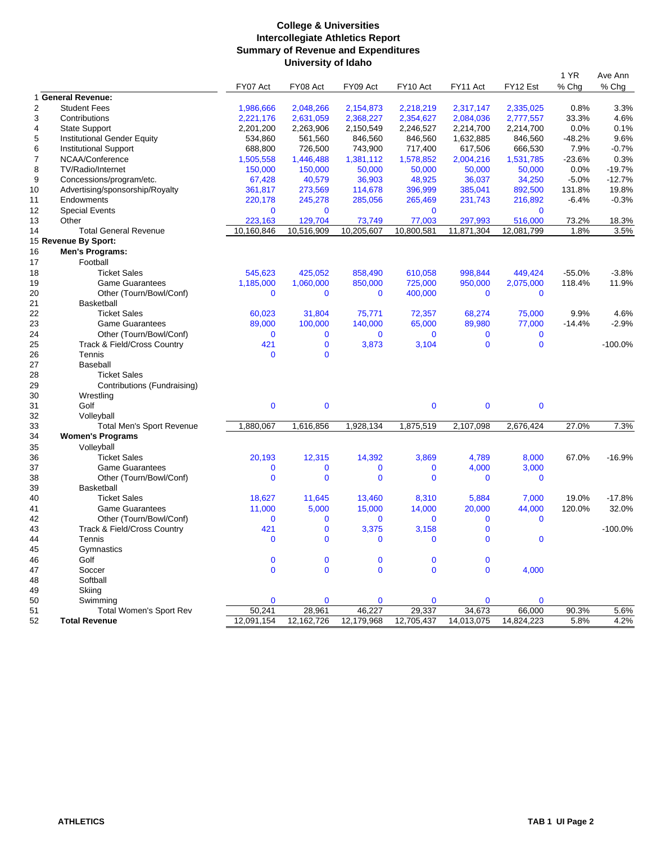| 1 General Revenue:<br>$\overline{2}$<br><b>Student Fees</b><br>3<br>Contributions<br>$\overline{4}$<br><b>State Support</b><br>$\mathbf 5$<br><b>Institutional Gender Equity</b><br><b>Institutional Support</b><br>6<br>$\overline{7}$<br>NCAA/Conference<br>8<br>TV/Radio/Internet<br>9<br>Concessions/program/etc.<br>Advertising/sponsorship/Royalty<br>10<br>Endowments<br>11<br>12<br><b>Special Events</b><br>Other<br>13<br><b>Total General Revenue</b><br>14<br>15 Revenue By Sport:<br><b>Men's Programs:</b><br>16<br>Football<br>17<br><b>Ticket Sales</b><br>18<br>19<br><b>Game Guarantees</b><br>20<br>Other (Tourn/Bowl/Conf)<br>21<br>Basketball<br>22<br><b>Ticket Sales</b><br>23<br><b>Game Guarantees</b><br>Other (Tourn/Bowl/Conf)<br>24<br>25<br>Track & Field/Cross Country | FY07 Act<br>1,986,666<br>2,221,176<br>2,201,200 | FY08 Act<br>2,048,266<br>2,631,059 | FY09 Act<br>2,154,873<br>2,368,227 | FY <sub>10</sub> Act<br>2,218,219 | FY11 Act<br>2,317,147 | FY12 Est<br>2,335,025 | % Chq<br>0.8% | % Chq     |
|-------------------------------------------------------------------------------------------------------------------------------------------------------------------------------------------------------------------------------------------------------------------------------------------------------------------------------------------------------------------------------------------------------------------------------------------------------------------------------------------------------------------------------------------------------------------------------------------------------------------------------------------------------------------------------------------------------------------------------------------------------------------------------------------------------|-------------------------------------------------|------------------------------------|------------------------------------|-----------------------------------|-----------------------|-----------------------|---------------|-----------|
|                                                                                                                                                                                                                                                                                                                                                                                                                                                                                                                                                                                                                                                                                                                                                                                                       |                                                 |                                    |                                    |                                   |                       |                       |               |           |
|                                                                                                                                                                                                                                                                                                                                                                                                                                                                                                                                                                                                                                                                                                                                                                                                       |                                                 |                                    |                                    |                                   |                       |                       |               |           |
|                                                                                                                                                                                                                                                                                                                                                                                                                                                                                                                                                                                                                                                                                                                                                                                                       |                                                 |                                    |                                    |                                   |                       |                       |               | 3.3%      |
|                                                                                                                                                                                                                                                                                                                                                                                                                                                                                                                                                                                                                                                                                                                                                                                                       |                                                 |                                    |                                    | 2,354,627                         | 2,084,036             | 2,777,557             | 33.3%         | 4.6%      |
|                                                                                                                                                                                                                                                                                                                                                                                                                                                                                                                                                                                                                                                                                                                                                                                                       |                                                 | 2,263,906                          | 2,150,549                          | 2,246,527                         | 2,214,700             | 2,214,700             | 0.0%          | 0.1%      |
|                                                                                                                                                                                                                                                                                                                                                                                                                                                                                                                                                                                                                                                                                                                                                                                                       | 534,860                                         | 561,560                            | 846,560                            | 846,560                           | 1,632,885             | 846,560               | $-48.2%$      | 9.6%      |
|                                                                                                                                                                                                                                                                                                                                                                                                                                                                                                                                                                                                                                                                                                                                                                                                       | 688,800                                         | 726,500                            | 743,900                            | 717,400                           | 617,506               | 666,530               | 7.9%          | $-0.7%$   |
|                                                                                                                                                                                                                                                                                                                                                                                                                                                                                                                                                                                                                                                                                                                                                                                                       | 1,505,558                                       | 1,446,488                          | 1,381,112                          | 1,578,852                         | 2,004,216             | 1,531,785             | $-23.6%$      | 0.3%      |
|                                                                                                                                                                                                                                                                                                                                                                                                                                                                                                                                                                                                                                                                                                                                                                                                       | 150,000                                         | 150,000                            | 50,000                             | 50,000                            | 50,000                | 50,000                | 0.0%          | $-19.7%$  |
|                                                                                                                                                                                                                                                                                                                                                                                                                                                                                                                                                                                                                                                                                                                                                                                                       | 67,428                                          | 40,579                             | 36,903                             | 48,925                            | 36,037                | 34,250                | $-5.0%$       | $-12.7%$  |
|                                                                                                                                                                                                                                                                                                                                                                                                                                                                                                                                                                                                                                                                                                                                                                                                       | 361,817                                         | 273,569                            | 114,678                            | 396,999                           | 385,041               | 892,500               | 131.8%        | 19.8%     |
|                                                                                                                                                                                                                                                                                                                                                                                                                                                                                                                                                                                                                                                                                                                                                                                                       | 220,178                                         | 245,278                            | 285,056                            | 265,469                           | 231,743               | 216,892               | $-6.4%$       | $-0.3%$   |
|                                                                                                                                                                                                                                                                                                                                                                                                                                                                                                                                                                                                                                                                                                                                                                                                       | $\mathbf 0$                                     | $\Omega$                           |                                    | $\Omega$                          |                       | $\Omega$              |               |           |
|                                                                                                                                                                                                                                                                                                                                                                                                                                                                                                                                                                                                                                                                                                                                                                                                       | 223,163                                         | 129,704                            | 73,749                             | 77,003                            | 297,993               | 516,000               | 73.2%         | 18.3%     |
|                                                                                                                                                                                                                                                                                                                                                                                                                                                                                                                                                                                                                                                                                                                                                                                                       | 10,160,846                                      | 10,516,909                         | 10,205,607                         | 10,800,581                        | 11,871,304            | 12,081,799            | 1.8%          | 3.5%      |
|                                                                                                                                                                                                                                                                                                                                                                                                                                                                                                                                                                                                                                                                                                                                                                                                       |                                                 |                                    |                                    |                                   |                       |                       |               |           |
|                                                                                                                                                                                                                                                                                                                                                                                                                                                                                                                                                                                                                                                                                                                                                                                                       |                                                 |                                    |                                    |                                   |                       |                       |               |           |
|                                                                                                                                                                                                                                                                                                                                                                                                                                                                                                                                                                                                                                                                                                                                                                                                       |                                                 |                                    |                                    |                                   |                       |                       |               |           |
|                                                                                                                                                                                                                                                                                                                                                                                                                                                                                                                                                                                                                                                                                                                                                                                                       |                                                 |                                    |                                    |                                   |                       |                       |               |           |
|                                                                                                                                                                                                                                                                                                                                                                                                                                                                                                                                                                                                                                                                                                                                                                                                       | 545,623                                         | 425,052                            | 858,490                            | 610,058                           | 998,844               | 449,424               | $-55.0%$      | $-3.8%$   |
|                                                                                                                                                                                                                                                                                                                                                                                                                                                                                                                                                                                                                                                                                                                                                                                                       | 1,185,000                                       | 1,060,000                          | 850,000                            | 725,000                           | 950,000               | 2,075,000             | 118.4%        | 11.9%     |
|                                                                                                                                                                                                                                                                                                                                                                                                                                                                                                                                                                                                                                                                                                                                                                                                       | $\mathbf 0$                                     | $\mathbf 0$                        | $\mathbf 0$                        | 400,000                           | $\mathbf 0$           | $\mathbf 0$           |               |           |
|                                                                                                                                                                                                                                                                                                                                                                                                                                                                                                                                                                                                                                                                                                                                                                                                       |                                                 |                                    |                                    |                                   |                       |                       |               |           |
|                                                                                                                                                                                                                                                                                                                                                                                                                                                                                                                                                                                                                                                                                                                                                                                                       | 60,023                                          | 31,804                             | 75,771                             | 72,357                            | 68,274                | 75,000                | 9.9%          | 4.6%      |
|                                                                                                                                                                                                                                                                                                                                                                                                                                                                                                                                                                                                                                                                                                                                                                                                       | 89,000                                          | 100,000                            | 140,000                            | 65,000                            | 89,980                | 77,000                | $-14.4%$      | $-2.9%$   |
|                                                                                                                                                                                                                                                                                                                                                                                                                                                                                                                                                                                                                                                                                                                                                                                                       | $\mathbf 0$                                     | $\mathbf 0$                        | 0                                  | $\mathbf 0$                       | $\bf{0}$              | 0                     |               |           |
|                                                                                                                                                                                                                                                                                                                                                                                                                                                                                                                                                                                                                                                                                                                                                                                                       | 421                                             | $\mathbf 0$                        | 3,873                              | 3,104                             | $\mathbf 0$           | $\overline{0}$        |               | $-100.0%$ |
| 26<br>Tennis                                                                                                                                                                                                                                                                                                                                                                                                                                                                                                                                                                                                                                                                                                                                                                                          | $\mathbf 0$                                     | $\mathbf 0$                        |                                    |                                   |                       |                       |               |           |
| 27<br><b>Baseball</b>                                                                                                                                                                                                                                                                                                                                                                                                                                                                                                                                                                                                                                                                                                                                                                                 |                                                 |                                    |                                    |                                   |                       |                       |               |           |
| 28<br><b>Ticket Sales</b>                                                                                                                                                                                                                                                                                                                                                                                                                                                                                                                                                                                                                                                                                                                                                                             |                                                 |                                    |                                    |                                   |                       |                       |               |           |
| 29<br>Contributions (Fundraising)                                                                                                                                                                                                                                                                                                                                                                                                                                                                                                                                                                                                                                                                                                                                                                     |                                                 |                                    |                                    |                                   |                       |                       |               |           |
| 30<br>Wrestling                                                                                                                                                                                                                                                                                                                                                                                                                                                                                                                                                                                                                                                                                                                                                                                       |                                                 |                                    |                                    |                                   |                       |                       |               |           |
| 31<br>Golf                                                                                                                                                                                                                                                                                                                                                                                                                                                                                                                                                                                                                                                                                                                                                                                            | $\mathbf 0$                                     | $\mathbf{0}$                       |                                    | $\mathbf 0$                       | $\mathbf 0$           | 0                     |               |           |
| 32<br>Volleyball                                                                                                                                                                                                                                                                                                                                                                                                                                                                                                                                                                                                                                                                                                                                                                                      |                                                 |                                    |                                    |                                   |                       |                       |               |           |
| 33<br><b>Total Men's Sport Revenue</b>                                                                                                                                                                                                                                                                                                                                                                                                                                                                                                                                                                                                                                                                                                                                                                | 1,880,067                                       | 1,616,856                          | 1,928,134                          | 1,875,519                         | 2,107,098             | 2,676,424             | 27.0%         | 7.3%      |
| <b>Women's Programs</b><br>34                                                                                                                                                                                                                                                                                                                                                                                                                                                                                                                                                                                                                                                                                                                                                                         |                                                 |                                    |                                    |                                   |                       |                       |               |           |
| 35<br>Volleyball                                                                                                                                                                                                                                                                                                                                                                                                                                                                                                                                                                                                                                                                                                                                                                                      |                                                 |                                    |                                    |                                   |                       |                       |               |           |
| 36<br><b>Ticket Sales</b>                                                                                                                                                                                                                                                                                                                                                                                                                                                                                                                                                                                                                                                                                                                                                                             | 20,193                                          | 12,315                             | 14,392                             | 3,869                             | 4,789                 | 8,000                 | 67.0%         | $-16.9%$  |
| 37<br><b>Game Guarantees</b>                                                                                                                                                                                                                                                                                                                                                                                                                                                                                                                                                                                                                                                                                                                                                                          | $\mathbf 0$                                     | $\bf{0}$                           | $\bf{0}$                           | $\bf{0}$                          | 4,000                 | 3,000                 |               |           |
| Other (Tourn/Bowl/Conf)<br>38                                                                                                                                                                                                                                                                                                                                                                                                                                                                                                                                                                                                                                                                                                                                                                         | $\mathbf 0$                                     | $\mathbf{0}$                       | $\mathbf{0}$                       | $\Omega$                          | $\mathbf 0$           | 0                     |               |           |
|                                                                                                                                                                                                                                                                                                                                                                                                                                                                                                                                                                                                                                                                                                                                                                                                       |                                                 |                                    |                                    |                                   |                       |                       |               |           |
| Basketball<br>39                                                                                                                                                                                                                                                                                                                                                                                                                                                                                                                                                                                                                                                                                                                                                                                      |                                                 |                                    |                                    |                                   |                       |                       |               |           |
| <b>Ticket Sales</b><br>40                                                                                                                                                                                                                                                                                                                                                                                                                                                                                                                                                                                                                                                                                                                                                                             | 18,627                                          | 11,645                             | 13,460                             | 8,310                             | 5,884                 | 7,000                 | 19.0%         | $-17.8%$  |
| <b>Game Guarantees</b><br>41                                                                                                                                                                                                                                                                                                                                                                                                                                                                                                                                                                                                                                                                                                                                                                          | 11,000                                          | 5,000                              | 15,000                             | 14,000                            | 20,000                | 44,000                | 120.0%        | 32.0%     |
| Other (Tourn/Bowl/Conf)<br>42                                                                                                                                                                                                                                                                                                                                                                                                                                                                                                                                                                                                                                                                                                                                                                         | $\mathbf 0$                                     | $\mathbf 0$                        | $\mathbf 0$                        | $\mathbf{0}$                      | $\bf{0}$              | $\mathbf 0$           |               |           |
| Track & Field/Cross Country<br>43                                                                                                                                                                                                                                                                                                                                                                                                                                                                                                                                                                                                                                                                                                                                                                     | 421                                             | $\mathbf 0$                        | 3,375                              | 3,158                             | $\mathbf 0$           |                       |               | $-100.0%$ |
| Tennis<br>44                                                                                                                                                                                                                                                                                                                                                                                                                                                                                                                                                                                                                                                                                                                                                                                          | $\Omega$                                        | $\Omega$                           | $\mathbf 0$                        | $\Omega$                          | $\mathbf 0$           | $\mathbf 0$           |               |           |
| 45<br>Gymnastics                                                                                                                                                                                                                                                                                                                                                                                                                                                                                                                                                                                                                                                                                                                                                                                      |                                                 |                                    |                                    |                                   |                       |                       |               |           |
| Golf<br>46                                                                                                                                                                                                                                                                                                                                                                                                                                                                                                                                                                                                                                                                                                                                                                                            | $\mathbf 0$                                     | $\mathbf{0}$                       | $\mathbf 0$                        | $\mathbf 0$                       | $\mathbf 0$           |                       |               |           |
| Soccer<br>47                                                                                                                                                                                                                                                                                                                                                                                                                                                                                                                                                                                                                                                                                                                                                                                          | $\mathbf 0$                                     | $\mathbf 0$                        | $\mathbf 0$                        | $\Omega$                          | $\mathbf 0$           | 4,000                 |               |           |
| Softball<br>48                                                                                                                                                                                                                                                                                                                                                                                                                                                                                                                                                                                                                                                                                                                                                                                        |                                                 |                                    |                                    |                                   |                       |                       |               |           |
| Skiing<br>49                                                                                                                                                                                                                                                                                                                                                                                                                                                                                                                                                                                                                                                                                                                                                                                          |                                                 |                                    |                                    |                                   |                       |                       |               |           |
| 50<br>Swimming                                                                                                                                                                                                                                                                                                                                                                                                                                                                                                                                                                                                                                                                                                                                                                                        |                                                 |                                    |                                    |                                   |                       |                       |               |           |
| 51<br><b>Total Women's Sport Rev</b>                                                                                                                                                                                                                                                                                                                                                                                                                                                                                                                                                                                                                                                                                                                                                                  | $\mathbf 0$                                     | $\mathbf 0$                        | $\mathbf 0$                        | $\mathbf 0$                       | $\mathbf 0$           | 0                     |               |           |
| 52<br><b>Total Revenue</b>                                                                                                                                                                                                                                                                                                                                                                                                                                                                                                                                                                                                                                                                                                                                                                            | 50,241<br>12,091,154                            | 28,961<br>12, 162, 726             | 46,227                             | 29,337                            | 34,673                | 66,000                | 90.3%         | 5.6%      |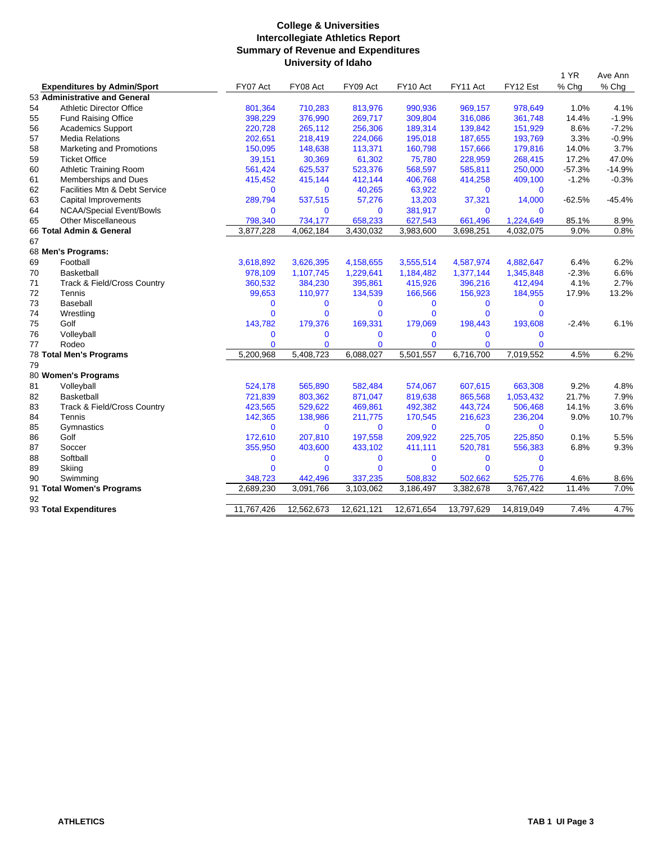|          | <b>Expenditures by Admin/Sport</b> | FY07 Act               | FY08 Act               | FY09 Act                | FY10 Act     | FY11 Act     | FY12 Est                  | 1 YR<br>% Chq | Ave Ann<br>% Chq |
|----------|------------------------------------|------------------------|------------------------|-------------------------|--------------|--------------|---------------------------|---------------|------------------|
|          | 53 Administrative and General      |                        |                        |                         |              |              |                           |               |                  |
| 54       | <b>Athletic Director Office</b>    | 801,364                | 710,283                | 813,976                 | 990,936      | 969,157      | 978,649                   | 1.0%          | 4.1%             |
| 55       | <b>Fund Raising Office</b>         | 398,229                | 376,990                | 269,717                 | 309,804      | 316,086      | 361,748                   | 14.4%         | $-1.9%$          |
| 56       | <b>Academics Support</b>           | 220,728                | 265,112                | 256,306                 | 189,314      | 139,842      | 151,929                   | 8.6%          | $-7.2%$          |
| 57       | <b>Media Relations</b>             | 202,651                | 218,419                | 224,066                 | 195,018      | 187,655      | 193,769                   | 3.3%          | $-0.9%$          |
|          | Marketing and Promotions           | 150,095                | 148,638                | 113,371                 | 160,798      | 157,666      | 179,816                   | 14.0%         | 3.7%             |
| 58<br>59 |                                    | 39,151                 | 30,369                 | 61,302                  | 75,780       | 228,959      | 268,415                   | 17.2%         | 47.0%            |
| 60       | <b>Ticket Office</b>               | 561,424                | 625,537                | 523,376                 | 568,597      | 585,811      | 250,000                   | $-57.3%$      | $-14.9%$         |
|          | <b>Athletic Training Room</b>      | 415,452                |                        |                         |              |              |                           | $-1.2%$       | $-0.3%$          |
| 61       | Memberships and Dues               |                        | 415,144                | 412,144                 | 406,768      | 414,258      | 409,100                   |               |                  |
| 62<br>63 | Facilities Mtn & Debt Service      | $\mathbf 0$<br>289,794 | $\mathbf 0$            | 40,265                  | 63,922       | $\mathbf 0$  | $\mathbf{0}$              | $-62.5%$      | $-45.4%$         |
|          | Capital Improvements               |                        | 537,515                | 57,276                  | 13,203       | 37,321       | 14,000                    |               |                  |
| 64       | <b>NCAA/Special Event/Bowls</b>    | $\mathbf 0$<br>798,340 | $\mathbf 0$<br>734,177 | $\mathbf{0}$<br>658,233 | 381,917      | $\mathbf 0$  | $\mathbf{0}$<br>1,224,649 |               |                  |
| 65       | <b>Other Miscellaneous</b>         |                        |                        |                         | 627,543      | 661,496      |                           | 85.1%         | 8.9%             |
|          | 66 Total Admin & General           | 3,877,228              | 4,062,184              | 3,430,032               | 3,983,600    | 3,698,251    | 4,032,075                 | 9.0%          | 0.8%             |
| 67       |                                    |                        |                        |                         |              |              |                           |               |                  |
|          | 68 Men's Programs:                 |                        |                        |                         |              |              |                           |               |                  |
| 69       | Football                           | 3,618,892              | 3,626,395              | 4,158,655               | 3,555,514    | 4,587,974    | 4,882,647                 | 6.4%          | 6.2%             |
| 70       | Basketball                         | 978,109                | 1,107,745              | 1,229,641               | 1,184,482    | 1,377,144    | 1,345,848                 | $-2.3%$       | 6.6%             |
| 71       | Track & Field/Cross Country        | 360,532                | 384,230                | 395,861                 | 415,926      | 396,216      | 412,494                   | 4.1%          | 2.7%             |
| 72       | Tennis                             | 99,653                 | 110,977                | 134,539                 | 166,566      | 156,923      | 184,955                   | 17.9%         | 13.2%            |
| 73       | Baseball                           | $\mathbf{0}$           | $\mathbf 0$            | $\mathbf 0$             | $\mathbf 0$  | $\mathbf{0}$ | $\Omega$                  |               |                  |
| 74       | Wrestling                          | $\Omega$               | $\mathbf{0}$           | $\Omega$                | $\mathbf{0}$ | $\mathbf 0$  | $\Omega$                  |               |                  |
| 75       | Golf                               | 143,782                | 179,376                | 169,331                 | 179,069      | 198,443      | 193,608                   | $-2.4%$       | 6.1%             |
| 76       | Volleyball                         | $\mathbf 0$            | $\mathbf 0$            | $\mathbf 0$             | $\mathbf 0$  | $\bf{0}$     | $\mathbf 0$               |               |                  |
| 77       | Rodeo                              | $\Omega$               | $\mathbf{0}$           | $\mathbf{0}$            | $\Omega$     | $\Omega$     | $\Omega$                  |               |                  |
|          | <b>78 Total Men's Programs</b>     | 5,200,968              | 5,408,723              | 6,088,027               | 5,501,557    | 6,716,700    | 7,019,552                 | 4.5%          | 6.2%             |
| 79       |                                    |                        |                        |                         |              |              |                           |               |                  |
|          | 80 Women's Programs                |                        |                        |                         |              |              |                           |               |                  |
| 81       | Volleyball                         | 524,178                | 565,890                | 582,484                 | 574,067      | 607,615      | 663,308                   | 9.2%          | 4.8%             |
| 82       | <b>Basketball</b>                  | 721,839                | 803,362                | 871,047                 | 819,638      | 865,568      | 1,053,432                 | 21.7%         | 7.9%             |
| 83       | Track & Field/Cross Country        | 423,565                | 529,622                | 469,861                 | 492,382      | 443,724      | 506,468                   | 14.1%         | 3.6%             |
| 84       | Tennis                             | 142,365                | 138,986                | 211,775                 | 170,545      | 216,623      | 236,204                   | 9.0%          | 10.7%            |
| 85       | Gymnastics                         | $\mathbf 0$            | $\mathbf 0$            | $\mathbf 0$             | $\mathbf 0$  | $\mathbf 0$  | $\mathbf 0$               |               |                  |
| 86       | Golf                               | 172,610                | 207,810                | 197,558                 | 209,922      | 225,705      | 225,850                   | 0.1%          | 5.5%             |
| 87       | Soccer                             | 355,950                | 403,600                | 433,102                 | 411,111      | 520,781      | 556,383                   | 6.8%          | 9.3%             |
| 88       | Softball                           | $\mathbf 0$            | 0                      | $\bf{0}$                | $\mathbf 0$  | $\bf{0}$     | $\mathbf 0$               |               |                  |
| 89       | Skiing                             | $\Omega$               | $\mathbf{0}$           | $\Omega$                | $\Omega$     | $\mathbf{0}$ | $\Omega$                  |               |                  |
| 90       | Swimming                           | 348,723                | 442,496                | 337,235                 | 508,832      | 502,662      | 525,776                   | 4.6%          | 8.6%             |
|          | 91 Total Women's Programs          | 2,689,230              | 3,091,766              | 3,103,062               | 3,186,497    | 3,382,678    | 3,767,422                 | 11.4%         | 7.0%             |
| 92       |                                    |                        |                        |                         |              |              |                           |               |                  |
|          | 93 Total Expenditures              | 11,767,426             | 12,562,673             | 12,621,121              | 12,671,654   | 13,797,629   | 14,819,049                | 7.4%          | 4.7%             |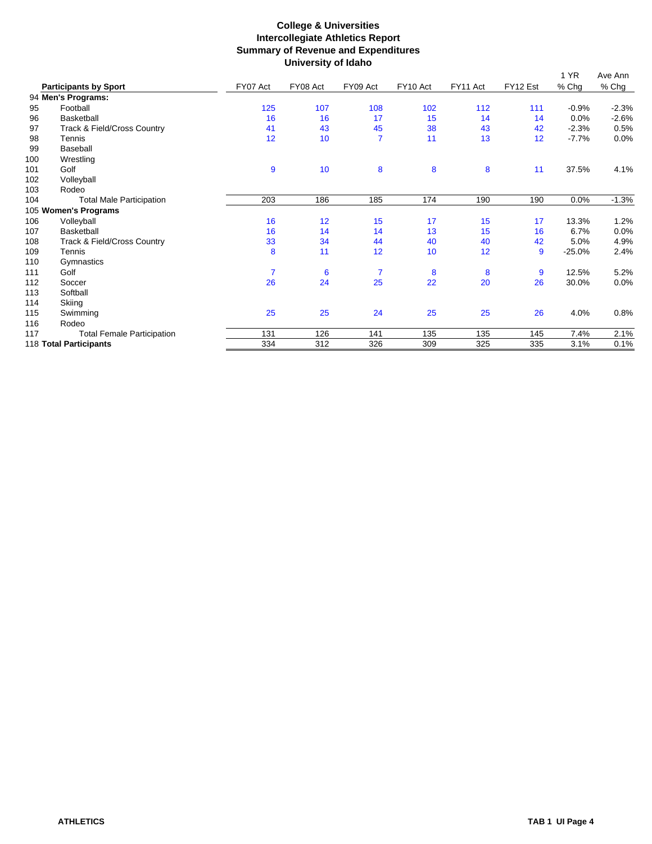|     |                                   |                |          |                |          |          |          | 1 YR     | Ave Ann |
|-----|-----------------------------------|----------------|----------|----------------|----------|----------|----------|----------|---------|
|     | <b>Participants by Sport</b>      | FY07 Act       | FY08 Act | FY09 Act       | FY10 Act | FY11 Act | FY12 Est | % Chg    | % Chg   |
|     | 94 Men's Programs:                |                |          |                |          |          |          |          |         |
| 95  | Football                          | 125            | 107      | 108            | 102      | 112      | 111      | $-0.9%$  | $-2.3%$ |
| 96  | <b>Basketball</b>                 | 16             | 16       | 17             | 15       | 14       | 14       | 0.0%     | $-2.6%$ |
| 97  | Track & Field/Cross Country       | 41             | 43       | 45             | 38       | 43       | 42       | $-2.3%$  | 0.5%    |
| 98  | Tennis                            | 12             | 10       | $\overline{7}$ | 11       | 13       | 12       | $-7.7%$  | 0.0%    |
| 99  | Baseball                          |                |          |                |          |          |          |          |         |
| 100 | Wrestling                         |                |          |                |          |          |          |          |         |
| 101 | Golf                              | 9              | 10       | 8              | 8        | 8        | 11       | 37.5%    | 4.1%    |
| 102 | Volleyball                        |                |          |                |          |          |          |          |         |
| 103 | Rodeo                             |                |          |                |          |          |          |          |         |
| 104 | <b>Total Male Participation</b>   | 203            | 186      | 185            | 174      | 190      | 190      | 0.0%     | $-1.3%$ |
|     | 105 Women's Programs              |                |          |                |          |          |          |          |         |
| 106 | Volleyball                        | 16             | 12       | 15             | 17       | 15       | 17       | 13.3%    | 1.2%    |
| 107 | Basketball                        | 16             | 14       | 14             | 13       | 15       | 16       | 6.7%     | 0.0%    |
| 108 | Track & Field/Cross Country       | 33             | 34       | 44             | 40       | 40       | 42       | 5.0%     | 4.9%    |
| 109 | Tennis                            | 8              | 11       | 12             | 10       | 12       | 9        | $-25.0%$ | 2.4%    |
| 110 | Gymnastics                        |                |          |                |          |          |          |          |         |
| 111 | Golf                              | $\overline{7}$ | 6        | 7              | 8        | 8        | 9        | 12.5%    | 5.2%    |
| 112 | Soccer                            | 26             | 24       | 25             | 22       | 20       | 26       | 30.0%    | 0.0%    |
| 113 | Softball                          |                |          |                |          |          |          |          |         |
| 114 | Skiing                            |                |          |                |          |          |          |          |         |
| 115 | Swimming                          | 25             | 25       | 24             | 25       | 25       | 26       | 4.0%     | 0.8%    |
| 116 | Rodeo                             |                |          |                |          |          |          |          |         |
| 117 | <b>Total Female Participation</b> | 131            | 126      | 141            | 135      | 135      | 145      | 7.4%     | 2.1%    |
|     | 118 Total Participants            | 334            | 312      | 326            | 309      | 325      | 335      | 3.1%     | 0.1%    |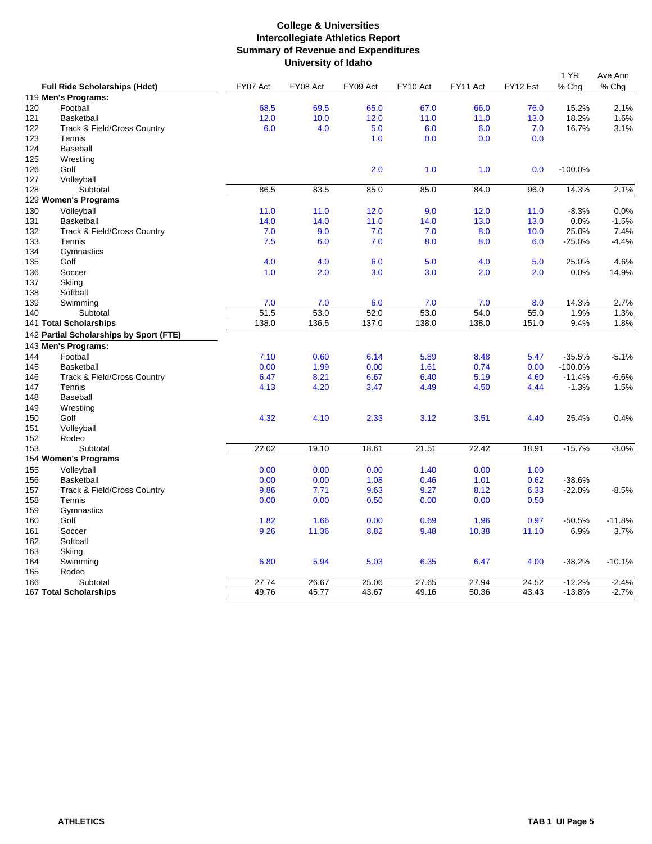|     | <b>Full Ride Scholarships (Hdct)</b>    | FY07 Act | FY08 Act | FY09 Act | FY10 Act | FY11 Act | FY12 Est | 1 YR<br>% Chg | Ave Ann<br>% Chg |
|-----|-----------------------------------------|----------|----------|----------|----------|----------|----------|---------------|------------------|
|     | 119 Men's Programs:                     |          |          |          |          |          |          |               |                  |
| 120 | Football                                | 68.5     | 69.5     | 65.0     | 67.0     | 66.0     | 76.0     | 15.2%         | 2.1%             |
| 121 | <b>Basketball</b>                       | 12.0     | 10.0     | 12.0     | 11.0     | 11.0     | 13.0     | 18.2%         | 1.6%             |
| 122 | Track & Field/Cross Country             | 6.0      | 4.0      | 5.0      | 6.0      | 6.0      | 7.0      | 16.7%         | 3.1%             |
| 123 | Tennis                                  |          |          | 1.0      | 0.0      | 0.0      | 0.0      |               |                  |
| 124 | <b>Baseball</b>                         |          |          |          |          |          |          |               |                  |
| 125 | Wrestling                               |          |          |          |          |          |          |               |                  |
| 126 | Golf                                    |          |          | 2.0      | 1.0      | 1.0      | 0.0      | $-100.0%$     |                  |
| 127 | Volleyball                              |          |          |          |          |          |          |               |                  |
|     |                                         |          |          |          |          |          |          |               |                  |
| 128 | Subtotal<br>129 Women's Programs        | 86.5     | 83.5     | 85.0     | 85.0     | 84.0     | 96.0     | 14.3%         | 2.1%             |
|     |                                         |          |          |          |          |          |          |               |                  |
| 130 | Volleyball                              | 11.0     | 11.0     | 12.0     | 9.0      | 12.0     | 11.0     | $-8.3%$       | 0.0%             |
| 131 | Basketball                              | 14.0     | 14.0     | 11.0     | 14.0     | 13.0     | 13.0     | 0.0%          | $-1.5%$          |
| 132 | Track & Field/Cross Country             | 7.0      | 9.0      | 7.0      | 7.0      | 8.0      | 10.0     | 25.0%         | 7.4%             |
| 133 | Tennis                                  | 7.5      | 6.0      | 7.0      | 8.0      | 8.0      | 6.0      | $-25.0%$      | $-4.4%$          |
| 134 | Gymnastics                              |          |          |          |          |          |          |               |                  |
| 135 | Golf                                    | 4.0      | 4.0      | 6.0      | 5.0      | 4.0      | 5.0      | 25.0%         | 4.6%             |
| 136 | Soccer                                  | 1.0      | 2.0      | 3.0      | 3.0      | 2.0      | 2.0      | 0.0%          | 14.9%            |
| 137 | Skiing                                  |          |          |          |          |          |          |               |                  |
| 138 | Softball                                |          |          |          |          |          |          |               |                  |
| 139 | Swimming                                | 7.0      | 7.0      | 6.0      | 7.0      | 7.0      | 8.0      | 14.3%         | 2.7%             |
| 140 | Subtotal                                | 51.5     | 53.0     | 52.0     | 53.0     | 54.0     | 55.0     | 1.9%          | 1.3%             |
|     | 141 Total Scholarships                  | 138.0    | 136.5    | 137.0    | 138.0    | 138.0    | 151.0    | 9.4%          | 1.8%             |
|     | 142 Partial Scholarships by Sport (FTE) |          |          |          |          |          |          |               |                  |
|     | 143 Men's Programs:                     |          |          |          |          |          |          |               |                  |
| 144 | Football                                | 7.10     | 0.60     | 6.14     | 5.89     | 8.48     | 5.47     | $-35.5%$      | $-5.1%$          |
| 145 | <b>Basketball</b>                       | 0.00     | 1.99     | 0.00     | 1.61     | 0.74     | 0.00     | $-100.0%$     |                  |
| 146 | Track & Field/Cross Country             | 6.47     | 8.21     | 6.67     | 6.40     | 5.19     | 4.60     | $-11.4%$      | -6.6%            |
| 147 | Tennis                                  | 4.13     | 4.20     | 3.47     | 4.49     | 4.50     | 4.44     | $-1.3%$       | 1.5%             |
| 148 | Baseball                                |          |          |          |          |          |          |               |                  |
| 149 | Wrestling                               |          |          |          |          |          |          |               |                  |
| 150 | Golf                                    | 4.32     | 4.10     | 2.33     | 3.12     | 3.51     | 4.40     | 25.4%         | 0.4%             |
|     |                                         |          |          |          |          |          |          |               |                  |
| 151 | Volleyball                              |          |          |          |          |          |          |               |                  |
| 152 | Rodeo                                   | 22.02    | 19.10    | 18.61    | 21.51    | 22.42    | 18.91    | $-15.7%$      |                  |
| 153 | Subtotal                                |          |          |          |          |          |          |               | $-3.0%$          |
|     | 154 Women's Programs                    |          |          |          |          |          |          |               |                  |
| 155 | Volleyball                              | 0.00     | 0.00     | 0.00     | 1.40     | 0.00     | 1.00     |               |                  |
| 156 | <b>Basketball</b>                       | 0.00     | 0.00     | 1.08     | 0.46     | 1.01     | 0.62     | $-38.6%$      |                  |
| 157 | Track & Field/Cross Country             | 9.86     | 7.71     | 9.63     | 9.27     | 8.12     | 6.33     | $-22.0%$      | -8.5%            |
| 158 | Tennis                                  | 0.00     | 0.00     | 0.50     | 0.00     | 0.00     | 0.50     |               |                  |
| 159 | Gymnastics                              |          |          |          |          |          |          |               |                  |
| 160 | Golf                                    | 1.82     | 1.66     | 0.00     | 0.69     | 1.96     | 0.97     | $-50.5%$      | $-11.8%$         |
| 161 | Soccer                                  | 9.26     | 11.36    | 8.82     | 9.48     | 10.38    | 11.10    | 6.9%          | 3.7%             |
| 162 | Softball                                |          |          |          |          |          |          |               |                  |
| 163 | Skiing                                  |          |          |          |          |          |          |               |                  |
| 164 | Swimming                                | 6.80     | 5.94     | 5.03     | 6.35     | 6.47     | 4.00     | $-38.2%$      | $-10.1%$         |
| 165 | Rodeo                                   |          |          |          |          |          |          |               |                  |
| 166 | Subtotal                                | 27.74    | 26.67    | 25.06    | 27.65    | 27.94    | 24.52    | $-12.2%$      | $-2.4%$          |
|     | 167 Total Scholarships                  | 49.76    | 45.77    | 43.67    | 49.16    | 50.36    | 43.43    | $-13.8%$      | $-2.7%$          |
|     |                                         |          |          |          |          |          |          |               |                  |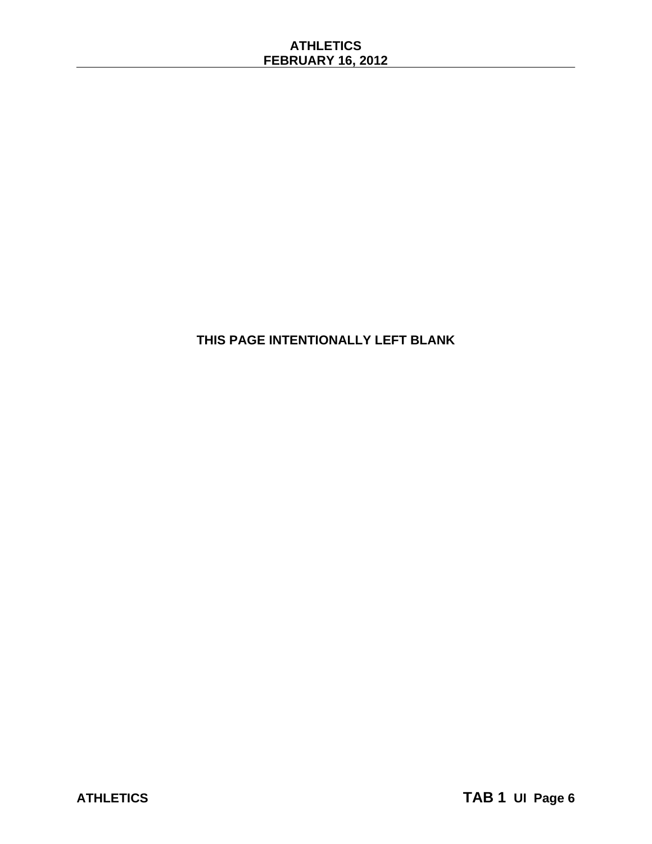### **ATHLETICS FEBRUARY 16, 2012**

### **THIS PAGE INTENTIONALLY LEFT BLANK**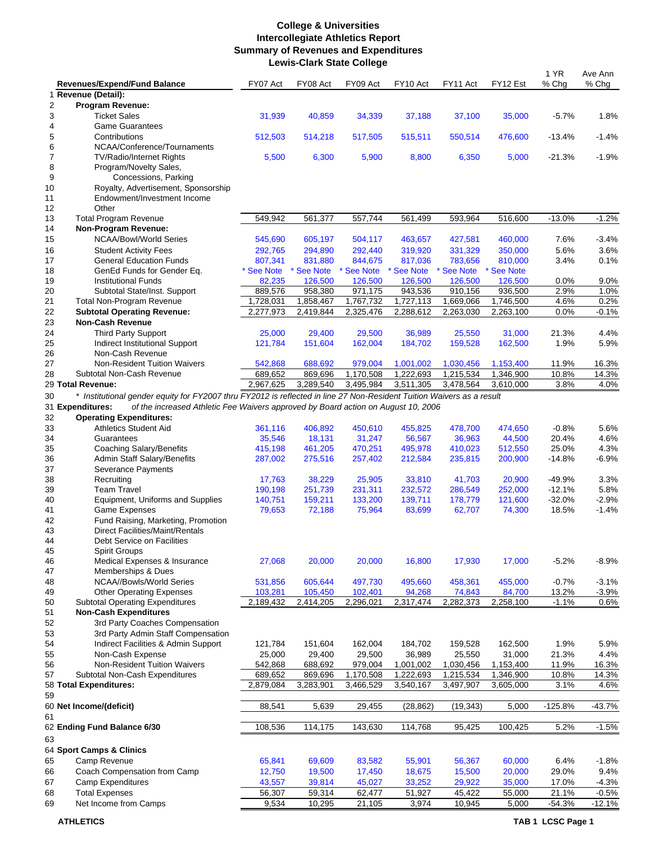| <b>Revenues/Expend/Fund Balance</b>                                                                                         | FY07 Act          | FY08 Act          | FY09 Act          | FY <sub>10</sub> Act | FY11 Act          | FY12 Est         | 1 YR<br>% Chg  | Ave Ann<br>% Chg   |
|-----------------------------------------------------------------------------------------------------------------------------|-------------------|-------------------|-------------------|----------------------|-------------------|------------------|----------------|--------------------|
| 1 Revenue (Detail):                                                                                                         |                   |                   |                   |                      |                   |                  |                |                    |
| 2<br><b>Program Revenue:</b>                                                                                                |                   |                   |                   |                      |                   |                  |                |                    |
| 3<br><b>Ticket Sales</b>                                                                                                    | 31,939            | 40,859            | 34,339            | 37,188               | 37,100            | 35,000           | $-5.7%$        | 1.8%               |
| 4<br><b>Game Guarantees</b>                                                                                                 |                   |                   |                   |                      |                   |                  |                |                    |
| 5<br>Contributions                                                                                                          | 512,503           | 514,218           | 517,505           | 515,511              | 550,514           | 476,600          | $-13.4%$       | $-1.4%$            |
| 6<br>NCAA/Conference/Tournaments                                                                                            |                   |                   |                   |                      |                   |                  |                |                    |
| $\overline{7}$<br>TV/Radio/Internet Rights                                                                                  | 5,500             | 6,300             | 5,900             | 8,800                | 6,350             | 5,000            | $-21.3%$       | $-1.9%$            |
| 8<br>Program/Novelty Sales,                                                                                                 |                   |                   |                   |                      |                   |                  |                |                    |
| 9<br>Concessions, Parking                                                                                                   |                   |                   |                   |                      |                   |                  |                |                    |
| 10<br>Royalty, Advertisement, Sponsorship                                                                                   |                   |                   |                   |                      |                   |                  |                |                    |
| Endowment/Investment Income<br>11                                                                                           |                   |                   |                   |                      |                   |                  |                |                    |
| Other<br>12<br><b>Total Program Revenue</b>                                                                                 | 549,942           | 561,377           | 557,744           | 561,499              | 593,964           | 516,600          | $-13.0%$       |                    |
| 13<br>Non-Program Revenue:<br>14                                                                                            |                   |                   |                   |                      |                   |                  |                | $-1.2%$            |
| NCAA/Bowl/World Series<br>15                                                                                                | 545,690           | 605,197           | 504,117           | 463,657              | 427,581           | 460,000          | 7.6%           | $-3.4%$            |
| <b>Student Activity Fees</b><br>16                                                                                          | 292,765           | 294,890           | 292,440           | 319,920              | 331,329           | 350,000          | 5.6%           | 3.6%               |
| <b>General Education Funds</b><br>17                                                                                        | 807,341           | 831,880           | 844,675           | 817,036              | 783,656           | 810,000          | 3.4%           | 0.1%               |
| 18<br>GenEd Funds for Gender Eq.                                                                                            | * See Note        | * See Note        | * See Note        | * See Note           | * See Note        | * See Note       |                |                    |
| 19<br><b>Institutional Funds</b>                                                                                            | 82,235            | 126,500           | 126,500           | 126,500              | 126,500           | 126,500          | $0.0\%$        | 9.0%               |
| Subtotal State/Inst. Support<br>20                                                                                          | 889,576           | 958,380           | 971,175           | 943,536              | 910,156           | 936,500          | 2.9%           | 1.0%               |
| Total Non-Program Revenue<br>21                                                                                             | 1,728,031         | 1,858,467         | 1,767,732         | 1,727,113            | 1,669,066         | 1,746,500        | 4.6%           | 0.2%               |
| <b>Subtotal Operating Revenue:</b><br>22                                                                                    | 2,277,973         | 2,419,844         | 2,325,476         | 2,288,612            | 2,263,030         | 2,263,100        | 0.0%           | $-0.1%$            |
| 23<br><b>Non-Cash Revenue</b>                                                                                               |                   |                   |                   |                      |                   |                  |                |                    |
| 24<br><b>Third Party Support</b>                                                                                            | 25,000            | 29,400            | 29,500            | 36,989               | 25,550            | 31,000           | 21.3%          | 4.4%               |
| Indirect Institutional Support<br>25                                                                                        | 121,784           | 151,604           | 162,004           | 184,702              | 159,528           | 162,500          | 1.9%           | 5.9%               |
| Non-Cash Revenue<br>26                                                                                                      |                   |                   |                   |                      |                   |                  |                |                    |
| <b>Non-Resident Tuition Waivers</b><br>27                                                                                   | 542,868           | 688,692           | 979,004           | 1,001,002            | 1,030,456         | 1,153,400        | 11.9%          | 16.3%              |
| Subtotal Non-Cash Revenue<br>28                                                                                             | 689,652           | 869,696           | 1,170,508         | 1,222,693            | 1,215,534         | 1,346,900        | 10.8%          | 14.3%              |
| 29 Total Revenue:                                                                                                           | 2,967,625         | 3,289,540         | 3,495,984         | 3,511,305            | 3,478,564         | 3,610,000        | 3.8%           | 4.0%               |
| * Institutional gender equity for FY2007 thru FY2012 is reflected in line 27 Non-Resident Tuition Waivers as a result<br>30 |                   |                   |                   |                      |                   |                  |                |                    |
| of the increased Athletic Fee Waivers approved by Board action on August 10, 2006<br>31 Expenditures:                       |                   |                   |                   |                      |                   |                  |                |                    |
| 32<br><b>Operating Expenditures:</b>                                                                                        |                   |                   |                   |                      |                   |                  |                |                    |
| <b>Athletics Student Aid</b><br>33                                                                                          | 361,116           | 406,892           | 450,610           | 455,825              | 478,700           | 474,650          | $-0.8%$        | 5.6%               |
| 34<br>Guarantees                                                                                                            | 35,546            | 18,131            | 31,247            | 56,567               | 36,963            | 44,500           | 20.4%          | 4.6%               |
| <b>Coaching Salary/Benefits</b><br>35                                                                                       | 415,198           | 461,205           | 470,251           | 495,978              | 410,023           | 512,550          | 25.0%          | 4.3%               |
| <b>Admin Staff Salary/Benefits</b><br>36                                                                                    | 287,002           | 275,516           | 257,402           | 212,584              | 235,815           | 200,900          | $-14.8%$       | -6.9%              |
| 37<br>Severance Payments                                                                                                    |                   |                   |                   |                      |                   |                  |                |                    |
| Recruiting<br>38                                                                                                            | 17,763            | 38,229            | 25,905            | 33,810               | 41,703            | 20,900           | $-49.9%$       | 3.3%               |
| <b>Team Travel</b><br>39                                                                                                    | 190,198           | 251,739           | 231,311           | 232,572              | 286,549           | 252,000          | $-12.1%$       | 5.8%               |
| Equipment, Uniforms and Supplies<br>40                                                                                      | 140,751           | 159,211           | 133,200           | 139,711              | 178,779           | 121,600          | $-32.0%$       | $-2.9%$            |
| <b>Game Expenses</b><br>41                                                                                                  | 79,653            | 72,188            | 75,964            | 83,699               | 62,707            | 74,300           | 18.5%          | $-1.4%$            |
| Fund Raising, Marketing, Promotion<br>42                                                                                    |                   |                   |                   |                      |                   |                  |                |                    |
| Direct Facilities/Maint/Rentals<br>43                                                                                       |                   |                   |                   |                      |                   |                  |                |                    |
| 44<br>Debt Service on Facilities                                                                                            |                   |                   |                   |                      |                   |                  |                |                    |
| <b>Spirit Groups</b><br>45                                                                                                  |                   |                   |                   |                      |                   |                  |                |                    |
| Medical Expenses & Insurance<br>46                                                                                          | 27,068            | 20,000            | 20,000            | 16,800               | 17,930            | 17,000           | $-5.2%$        | $-8.9%$            |
| Memberships & Dues<br>47                                                                                                    |                   |                   |                   |                      |                   |                  |                |                    |
| NCAA//Bowls/World Series<br>48                                                                                              | 531,856           | 605,644           | 497,730           | 495,660              | 458,361           | 455,000          | $-0.7%$        | $-3.1%$            |
| <b>Other Operating Expenses</b><br>49                                                                                       | 103,281           | 105,450           | 102,401           | 94,268               | 74,843            | 84,700           | 13.2%          | $-3.9%$            |
| <b>Subtotal Operating Expenditures</b><br>50                                                                                | 2,189,432         | 2,414,205         | 2,296,021         | 2,317,474            | 2,282,373         | 2,258,100        | $-1.1%$        | 0.6%               |
| <b>Non-Cash Expenditures</b><br>51                                                                                          |                   |                   |                   |                      |                   |                  |                |                    |
| 3rd Party Coaches Compensation<br>52                                                                                        |                   |                   |                   |                      |                   |                  |                |                    |
| 3rd Party Admin Staff Compensation<br>53<br>Indirect Facilities & Admin Support                                             |                   |                   |                   | 184,702              |                   | 162,500          |                |                    |
| 54<br>Non-Cash Expense<br>55                                                                                                | 121,784<br>25,000 | 151,604<br>29,400 | 162,004<br>29,500 | 36,989               | 159,528<br>25,550 | 31,000           | 1.9%<br>21.3%  | 5.9%<br>4.4%       |
| Non-Resident Tuition Waivers<br>56                                                                                          | 542,868           | 688,692           | 979,004           | 1,001,002            | 1,030,456         | 1,153,400        | 11.9%          | 16.3%              |
| Subtotal Non-Cash Expenditures<br>57                                                                                        | 689,652           | 869,696           | 1,170,508         | 1,222,693            | 1,215,534         | 1,346,900        | 10.8%          | 14.3%              |
| 58 Total Expenditures:                                                                                                      | 2,879,084         | 3,283,901         | 3,466,529         | 3,540,167            | 3,497,907         | 3,605,000        | 3.1%           | 4.6%               |
| 59                                                                                                                          |                   |                   |                   |                      |                   |                  |                |                    |
| 60 Net Income/(deficit)                                                                                                     | 88,541            | 5,639             | 29,455            | (28, 862)            | (19, 343)         | 5,000            | $-125.8%$      | $-43.7%$           |
| 61                                                                                                                          |                   |                   |                   |                      |                   |                  |                |                    |
| 62 Ending Fund Balance 6/30                                                                                                 | 108,536           | 114,175           | 143,630           | 114,768              | 95,425            | 100,425          | 5.2%           | $-1.5%$            |
| 63                                                                                                                          |                   |                   |                   |                      |                   |                  |                |                    |
| 64 Sport Camps & Clinics                                                                                                    |                   |                   |                   |                      |                   |                  |                |                    |
| Camp Revenue<br>65                                                                                                          | 65,841            | 69,609            | 83,582            | 55,901               | 56,367            | 60,000           | 6.4%           | $-1.8%$            |
| Coach Compensation from Camp                                                                                                |                   |                   |                   |                      |                   |                  | 29.0%          | 9.4%               |
| 66                                                                                                                          | 12,750            | 19,500            | 17,450<br>45,027  | 18,675<br>33,252     | 15,500            | 20,000           |                |                    |
| Camp Expenditures<br>67<br><b>Total Expenses</b>                                                                            | 43,557<br>56,307  | 39,814<br>59,314  | 62,477            |                      | 29,922<br>45,422  | 35,000<br>55,000 | 17.0%<br>21.1% | $-4.3%$<br>$-0.5%$ |
| 68<br>Net Income from Camps<br>69                                                                                           | 9,534             | 10,295            | 21,105            | 51,927<br>3,974      | 10,945            | 5,000            | $-54.3%$       | $-12.1%$           |
|                                                                                                                             |                   |                   |                   |                      |                   |                  |                |                    |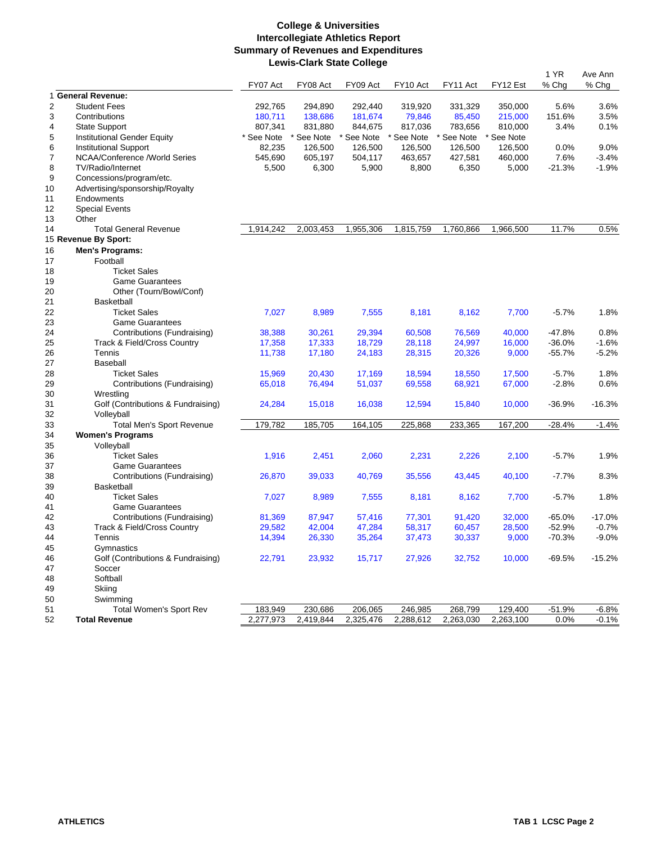|                |                                    |            |            |            |            |            |            | 1 YR     | Ave Ann  |
|----------------|------------------------------------|------------|------------|------------|------------|------------|------------|----------|----------|
|                |                                    | FY07 Act   | FY08 Act   | FY09 Act   | FY10 Act   | FY11 Act   | FY12 Est   | % Chg    | % Chg    |
|                | 1 General Revenue:                 |            |            |            |            |            |            |          |          |
| $\overline{2}$ | <b>Student Fees</b>                | 292,765    | 294,890    | 292,440    | 319,920    | 331,329    | 350,000    | 5.6%     | 3.6%     |
| 3              | Contributions                      | 180,711    | 138,686    | 181,674    | 79,846     | 85,450     | 215,000    | 151.6%   | 3.5%     |
| 4              | <b>State Support</b>               | 807,341    | 831,880    | 844,675    | 817,036    | 783,656    | 810,000    | 3.4%     | 0.1%     |
| 5              | <b>Institutional Gender Equity</b> | * See Note | * See Note | * See Note | * See Note | * See Note | * See Note |          |          |
| 6              | <b>Institutional Support</b>       | 82,235     | 126,500    | 126,500    | 126,500    | 126,500    | 126,500    | 0.0%     | 9.0%     |
| $\overline{7}$ | NCAA/Conference /World Series      | 545,690    | 605,197    | 504,117    | 463,657    | 427,581    | 460,000    | 7.6%     | $-3.4%$  |
| 8              | TV/Radio/Internet                  | 5,500      | 6,300      | 5,900      | 8,800      | 6,350      | 5,000      | $-21.3%$ | $-1.9%$  |
| 9              | Concessions/program/etc.           |            |            |            |            |            |            |          |          |
| 10             | Advertising/sponsorship/Royalty    |            |            |            |            |            |            |          |          |
| 11             | Endowments                         |            |            |            |            |            |            |          |          |
| 12             | <b>Special Events</b>              |            |            |            |            |            |            |          |          |
| 13             | Other                              |            |            |            |            |            |            |          |          |
| 14             | <b>Total General Revenue</b>       | 1,914,242  | 2,003,453  | 1,955,306  | 1,815,759  | 1,760,866  | 1,966,500  | 11.7%    | 0.5%     |
|                | 15 Revenue By Sport:               |            |            |            |            |            |            |          |          |
| 16             | <b>Men's Programs:</b>             |            |            |            |            |            |            |          |          |
| 17             | Football                           |            |            |            |            |            |            |          |          |
| 18             | <b>Ticket Sales</b>                |            |            |            |            |            |            |          |          |
| 19             | <b>Game Guarantees</b>             |            |            |            |            |            |            |          |          |
|                |                                    |            |            |            |            |            |            |          |          |
| 20             | Other (Tourn/Bowl/Conf)            |            |            |            |            |            |            |          |          |
| 21             | <b>Basketball</b>                  |            |            |            |            |            |            |          |          |
| 22             | <b>Ticket Sales</b>                | 7,027      | 8,989      | 7,555      | 8,181      | 8,162      | 7,700      | $-5.7\%$ | 1.8%     |
| 23             | <b>Game Guarantees</b>             |            |            |            |            |            |            |          |          |
| 24             | Contributions (Fundraising)        | 38,388     | 30,261     | 29,394     | 60,508     | 76,569     | 40,000     | -47.8%   | 0.8%     |
| 25             | Track & Field/Cross Country        | 17,358     | 17,333     | 18,729     | 28,118     | 24,997     | 16,000     | $-36.0%$ | $-1.6%$  |
| 26             | Tennis                             | 11,738     | 17,180     | 24,183     | 28,315     | 20,326     | 9,000      | $-55.7%$ | $-5.2%$  |
| 27             | Baseball                           |            |            |            |            |            |            |          |          |
| 28             | <b>Ticket Sales</b>                | 15,969     | 20,430     | 17,169     | 18,594     | 18,550     | 17,500     | $-5.7%$  | 1.8%     |
| 29             | Contributions (Fundraising)        | 65,018     | 76,494     | 51,037     | 69,558     | 68,921     | 67,000     | $-2.8%$  | 0.6%     |
| 30             | Wrestling                          |            |            |            |            |            |            |          |          |
| 31             | Golf (Contributions & Fundraising) | 24,284     | 15,018     | 16,038     | 12,594     | 15,840     | 10,000     | -36.9%   | $-16.3%$ |
| 32             | Volleyball                         |            |            |            |            |            |            |          |          |
| 33             | <b>Total Men's Sport Revenue</b>   | 179,782    | 185,705    | 164,105    | 225,868    | 233,365    | 167,200    | $-28.4%$ | $-1.4%$  |
| 34             | <b>Women's Programs</b>            |            |            |            |            |            |            |          |          |
| 35             | Volleyball                         |            |            |            |            |            |            |          |          |
| 36             | <b>Ticket Sales</b>                | 1,916      | 2,451      | 2,060      | 2,231      | 2,226      | 2,100      | $-5.7\%$ | 1.9%     |
| 37             | <b>Game Guarantees</b>             |            |            |            |            |            |            |          |          |
| 38             | Contributions (Fundraising)        | 26,870     | 39,033     | 40,769     | 35,556     | 43,445     | 40,100     | $-7.7%$  | 8.3%     |
| 39             | Basketball                         |            |            |            |            |            |            |          |          |
| 40             | <b>Ticket Sales</b>                | 7,027      | 8,989      | 7,555      | 8,181      | 8,162      | 7,700      | $-5.7%$  | 1.8%     |
| 41             | <b>Game Guarantees</b>             |            |            |            |            |            |            |          |          |
| 42             | Contributions (Fundraising)        | 81,369     | 87,947     | 57,416     | 77,301     | 91,420     | 32,000     | $-65.0%$ | $-17.0%$ |
| 43             | Track & Field/Cross Country        | 29,582     | 42,004     | 47,284     | 58,317     | 60,457     | 28,500     | $-52.9%$ | $-0.7%$  |
| 44             | Tennis                             | 14,394     | 26,330     | 35,264     | 37,473     | 30,337     | 9,000      | $-70.3%$ | $-9.0%$  |
| 45             | Gymnastics                         |            |            |            |            |            |            |          |          |
| 46             | Golf (Contributions & Fundraising) | 22,791     | 23,932     | 15,717     | 27,926     | 32,752     | 10,000     | $-69.5%$ | $-15.2%$ |
| 47             |                                    |            |            |            |            |            |            |          |          |
|                | Soccer<br>Softball                 |            |            |            |            |            |            |          |          |
| 48             |                                    |            |            |            |            |            |            |          |          |
| 49             | Skiing                             |            |            |            |            |            |            |          |          |
| 50             | Swimming                           |            |            |            |            |            |            |          |          |
| 51             | <b>Total Women's Sport Rev</b>     | 183,949    | 230,686    | 206,065    | 246,985    | 268,799    | 129,400    | $-51.9%$ | $-6.8%$  |
| 52             | <b>Total Revenue</b>               | 2,277,973  | 2,419,844  | 2,325,476  | 2,288,612  | 2,263,030  | 2,263,100  | 0.0%     | $-0.1%$  |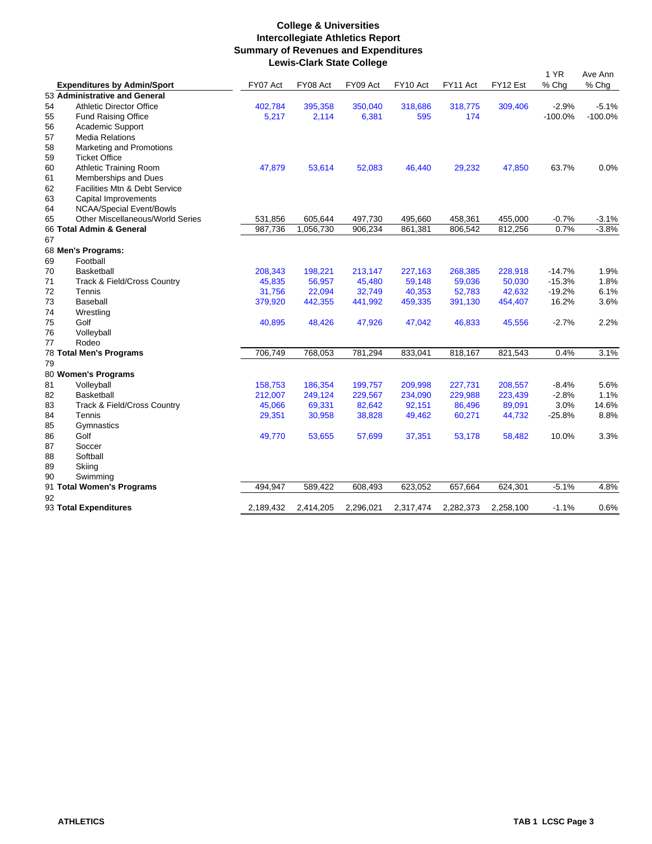|    | <b>Expenditures by Admin/Sport</b> | FY07 Act  | FY08 Act  | FY09 Act  | FY10 Act  | FY11 Act  | FY12 Est  | 1 YR<br>% Chq | Ave Ann<br>% Chq |
|----|------------------------------------|-----------|-----------|-----------|-----------|-----------|-----------|---------------|------------------|
|    | 53 Administrative and General      |           |           |           |           |           |           |               |                  |
| 54 | <b>Athletic Director Office</b>    | 402,784   | 395,358   | 350,040   | 318,686   | 318,775   | 309,406   | $-2.9%$       | $-5.1%$          |
| 55 | <b>Fund Raising Office</b>         | 5,217     | 2,114     | 6,381     | 595       | 174       |           | $-100.0%$     | $-100.0%$        |
| 56 | Academic Support                   |           |           |           |           |           |           |               |                  |
| 57 | <b>Media Relations</b>             |           |           |           |           |           |           |               |                  |
| 58 | Marketing and Promotions           |           |           |           |           |           |           |               |                  |
| 59 | <b>Ticket Office</b>               |           |           |           |           |           |           |               |                  |
| 60 | Athletic Training Room             | 47,879    | 53,614    | 52,083    | 46,440    | 29,232    | 47,850    | 63.7%         | 0.0%             |
| 61 | Memberships and Dues               |           |           |           |           |           |           |               |                  |
| 62 | Facilities Mtn & Debt Service      |           |           |           |           |           |           |               |                  |
| 63 | Capital Improvements               |           |           |           |           |           |           |               |                  |
| 64 | <b>NCAA/Special Event/Bowls</b>    |           |           |           |           |           |           |               |                  |
| 65 | Other Miscellaneous/World Series   | 531,856   | 605,644   | 497,730   | 495,660   | 458,361   | 455,000   | $-0.7%$       | $-3.1%$          |
|    | 66 Total Admin & General           | 987.736   | 1,056,730 | 906,234   | 861,381   | 806,542   | 812,256   | 0.7%          | $-3.8%$          |
| 67 |                                    |           |           |           |           |           |           |               |                  |
|    | 68 Men's Programs:                 |           |           |           |           |           |           |               |                  |
| 69 | Football                           |           |           |           |           |           |           |               |                  |
| 70 | <b>Basketball</b>                  | 208,343   | 198,221   | 213,147   | 227,163   | 268,385   | 228,918   | $-14.7%$      | 1.9%             |
| 71 | Track & Field/Cross Country        | 45,835    | 56,957    | 45,480    | 59,148    | 59,036    | 50,030    | $-15.3%$      | 1.8%             |
| 72 | Tennis                             | 31,756    | 22,094    | 32,749    | 40,353    | 52,783    | 42,632    | $-19.2%$      | 6.1%             |
| 73 | Baseball                           | 379,920   | 442,355   | 441,992   | 459,335   | 391,130   | 454,407   | 16.2%         | 3.6%             |
| 74 | Wrestling                          |           |           |           |           |           |           |               |                  |
| 75 | Golf                               | 40,895    | 48,426    | 47,926    | 47,042    | 46,833    | 45,556    | $-2.7%$       | 2.2%             |
| 76 | Volleyball                         |           |           |           |           |           |           |               |                  |
| 77 | Rodeo                              |           |           |           |           |           |           |               |                  |
|    | 78 Total Men's Programs            | 706,749   | 768,053   | 781,294   | 833,041   | 818,167   | 821,543   | 0.4%          | 3.1%             |
| 79 |                                    |           |           |           |           |           |           |               |                  |
|    | 80 Women's Programs                |           |           |           |           |           |           |               |                  |
| 81 | Volleyball                         | 158,753   | 186,354   | 199,757   | 209,998   | 227,731   | 208,557   | $-8.4%$       | 5.6%             |
| 82 | <b>Basketball</b>                  | 212,007   | 249,124   | 229,567   | 234,090   | 229,988   | 223,439   | $-2.8%$       | 1.1%             |
| 83 | Track & Field/Cross Country        | 45,066    | 69,331    | 82,642    | 92,151    | 86,496    | 89,091    | 3.0%          | 14.6%            |
| 84 | Tennis                             | 29,351    | 30,958    | 38,828    | 49,462    | 60,271    | 44,732    | $-25.8%$      | 8.8%             |
| 85 | Gymnastics                         |           |           |           |           |           |           |               |                  |
| 86 | Golf                               | 49,770    | 53,655    | 57,699    | 37,351    | 53,178    | 58,482    | 10.0%         | 3.3%             |
| 87 | Soccer                             |           |           |           |           |           |           |               |                  |
| 88 | Softball                           |           |           |           |           |           |           |               |                  |
| 89 | Skiing                             |           |           |           |           |           |           |               |                  |
| 90 | Swimming                           |           |           |           |           |           |           |               |                  |
|    | 91 Total Women's Programs          | 494,947   | 589,422   | 608,493   | 623,052   | 657,664   | 624,301   | $-5.1%$       | 4.8%             |
| 92 | 93 Total Expenditures              | 2,189,432 | 2,414,205 | 2,296,021 | 2,317,474 | 2,282,373 | 2,258,100 | $-1.1%$       | 0.6%             |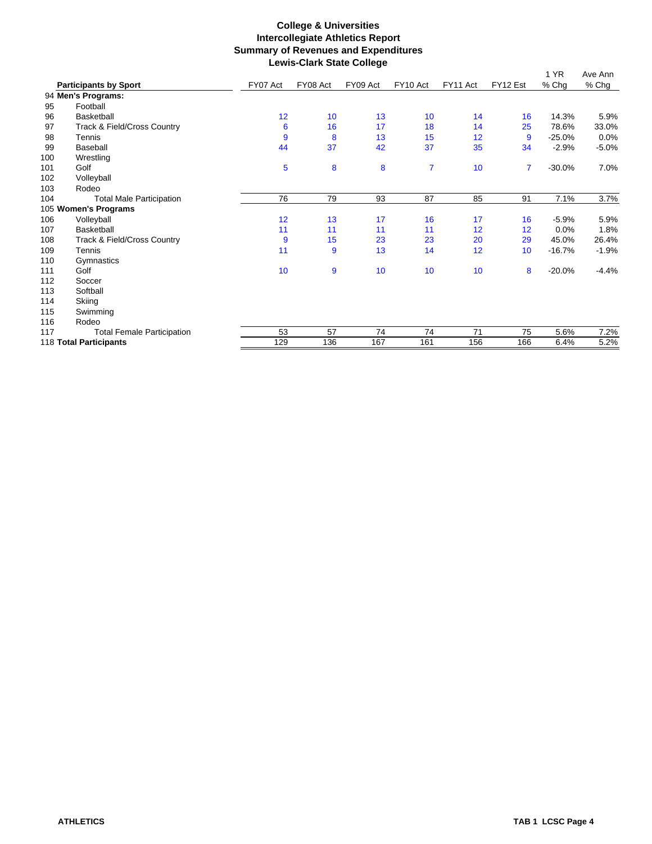|     |                                   |          |          |          |                      |          |          | 1 YR     | Ave Ann |
|-----|-----------------------------------|----------|----------|----------|----------------------|----------|----------|----------|---------|
|     | <b>Participants by Sport</b>      | FY07 Act | FY08 Act | FY09 Act | FY <sub>10</sub> Act | FY11 Act | FY12 Est | % Chq    | % Chg   |
|     | 94 Men's Programs:                |          |          |          |                      |          |          |          |         |
| 95  | Football                          |          |          |          |                      |          |          |          |         |
| 96  | <b>Basketball</b>                 | 12       | 10       | 13       | 10                   | 14       | 16       | 14.3%    | 5.9%    |
| 97  | Track & Field/Cross Country       | 6        | 16       | 17       | 18                   | 14       | 25       | 78.6%    | 33.0%   |
| 98  | Tennis                            | 9        | 8        | 13       | 15                   | 12       | 9        | $-25.0%$ | 0.0%    |
| 99  | Baseball                          | 44       | 37       | 42       | 37                   | 35       | 34       | $-2.9%$  | $-5.0%$ |
| 100 | Wrestling                         |          |          |          |                      |          |          |          |         |
| 101 | Golf                              | 5        | 8        | 8        | $\overline{7}$       | 10       | 7        | $-30.0%$ | 7.0%    |
| 102 | Volleyball                        |          |          |          |                      |          |          |          |         |
| 103 | Rodeo                             |          |          |          |                      |          |          |          |         |
| 104 | <b>Total Male Participation</b>   | 76       | 79       | 93       | 87                   | 85       | 91       | 7.1%     | 3.7%    |
|     | 105 Women's Programs              |          |          |          |                      |          |          |          |         |
| 106 | Volleyball                        | 12       | 13       | 17       | 16                   | 17       | 16       | $-5.9%$  | 5.9%    |
| 107 | <b>Basketball</b>                 | 11       | 11       | 11       | 11                   | 12       | 12       | 0.0%     | 1.8%    |
| 108 | Track & Field/Cross Country       | 9        | 15       | 23       | 23                   | 20       | 29       | 45.0%    | 26.4%   |
| 109 | Tennis                            | 11       | 9        | 13       | 14                   | 12       | 10       | $-16.7%$ | $-1.9%$ |
| 110 | Gymnastics                        |          |          |          |                      |          |          |          |         |
| 111 | Golf                              | 10       | 9        | 10       | 10                   | 10       | 8        | $-20.0%$ | $-4.4%$ |
| 112 | Soccer                            |          |          |          |                      |          |          |          |         |
| 113 | Softball                          |          |          |          |                      |          |          |          |         |
| 114 | Skiing                            |          |          |          |                      |          |          |          |         |
| 115 | Swimming                          |          |          |          |                      |          |          |          |         |
| 116 | Rodeo                             |          |          |          |                      |          |          |          |         |
| 117 | <b>Total Female Participation</b> | 53       | 57       | 74       | 74                   | 71       | 75       | 5.6%     | 7.2%    |
|     | 118 Total Participants            | 129      | 136      | 167      | 161                  | 156      | 166      | 6.4%     | 5.2%    |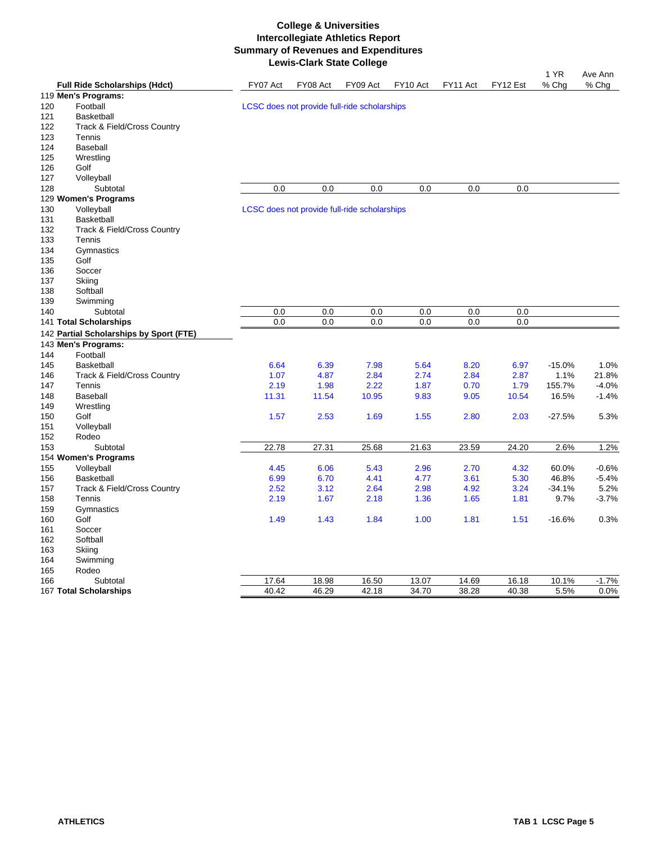|     |                                         |                                              |          |          |          |          |          | 1 YR     | Ave Ann |
|-----|-----------------------------------------|----------------------------------------------|----------|----------|----------|----------|----------|----------|---------|
|     | <b>Full Ride Scholarships (Hdct)</b>    | FY07 Act                                     | FY08 Act | FY09 Act | FY10 Act | FY11 Act | FY12 Est | % Chg    | % Chg   |
|     | 119 Men's Programs:                     |                                              |          |          |          |          |          |          |         |
| 120 | Football                                | LCSC does not provide full-ride scholarships |          |          |          |          |          |          |         |
| 121 | Basketball                              |                                              |          |          |          |          |          |          |         |
| 122 | Track & Field/Cross Country             |                                              |          |          |          |          |          |          |         |
| 123 | Tennis                                  |                                              |          |          |          |          |          |          |         |
| 124 | <b>Baseball</b>                         |                                              |          |          |          |          |          |          |         |
| 125 | Wrestling                               |                                              |          |          |          |          |          |          |         |
| 126 | Golf                                    |                                              |          |          |          |          |          |          |         |
| 127 | Volleyball                              |                                              |          |          |          |          |          |          |         |
| 128 | Subtotal                                | 0.0                                          | 0.0      | 0.0      | 0.0      | 0.0      | 0.0      |          |         |
|     | 129 Women's Programs                    |                                              |          |          |          |          |          |          |         |
| 130 | Volleyball                              | LCSC does not provide full-ride scholarships |          |          |          |          |          |          |         |
| 131 | Basketball                              |                                              |          |          |          |          |          |          |         |
| 132 | Track & Field/Cross Country             |                                              |          |          |          |          |          |          |         |
| 133 | Tennis                                  |                                              |          |          |          |          |          |          |         |
| 134 | Gymnastics                              |                                              |          |          |          |          |          |          |         |
| 135 | Golf                                    |                                              |          |          |          |          |          |          |         |
| 136 | Soccer                                  |                                              |          |          |          |          |          |          |         |
| 137 | Skiing                                  |                                              |          |          |          |          |          |          |         |
| 138 | Softball                                |                                              |          |          |          |          |          |          |         |
| 139 | Swimming                                |                                              |          |          |          |          |          |          |         |
| 140 | Subtotal                                | 0.0                                          | 0.0      | 0.0      | 0.0      | 0.0      | 0.0      |          |         |
|     | 141 Total Scholarships                  | 0.0                                          | 0.0      | 0.0      | 0.0      | 0.0      | 0.0      |          |         |
|     | 142 Partial Scholarships by Sport (FTE) |                                              |          |          |          |          |          |          |         |
|     | 143 Men's Programs:                     |                                              |          |          |          |          |          |          |         |
| 144 | Football                                |                                              |          |          |          |          |          |          |         |
| 145 | Basketball                              | 6.64                                         | 6.39     | 7.98     | 5.64     | 8.20     | 6.97     | $-15.0%$ | 1.0%    |
| 146 | Track & Field/Cross Country             | 1.07                                         | 4.87     | 2.84     | 2.74     | 2.84     | 2.87     | 1.1%     | 21.8%   |
| 147 | Tennis                                  | 2.19                                         | 1.98     | 2.22     | 1.87     | 0.70     | 1.79     | 155.7%   | $-4.0%$ |
| 148 | <b>Baseball</b>                         | 11.31                                        | 11.54    | 10.95    | 9.83     | 9.05     | 10.54    | 16.5%    | $-1.4%$ |
| 149 | Wrestling                               |                                              |          |          |          |          |          |          |         |
| 150 | Golf                                    | 1.57                                         | 2.53     | 1.69     | 1.55     | 2.80     | 2.03     | $-27.5%$ | 5.3%    |
| 151 | Volleyball                              |                                              |          |          |          |          |          |          |         |
| 152 | Rodeo                                   |                                              |          |          |          |          |          |          |         |
| 153 | Subtotal                                | 22.78                                        | 27.31    | 25.68    | 21.63    | 23.59    | 24.20    | 2.6%     | 1.2%    |
|     | 154 Women's Programs                    |                                              |          |          |          |          |          |          |         |
| 155 | Volleyball                              | 4.45                                         | 6.06     | 5.43     | 2.96     | 2.70     | 4.32     | 60.0%    | $-0.6%$ |
| 156 | <b>Basketball</b>                       | 6.99                                         | 6.70     | 4.41     | 4.77     | 3.61     | 5.30     | 46.8%    | $-5.4%$ |
| 157 | Track & Field/Cross Country             | 2.52                                         | 3.12     | 2.64     | 2.98     | 4.92     | 3.24     | $-34.1%$ | 5.2%    |
| 158 | Tennis                                  | 2.19                                         | 1.67     | 2.18     | 1.36     | 1.65     | 1.81     | 9.7%     | $-3.7%$ |
| 159 | Gymnastics                              |                                              |          |          |          |          |          |          |         |
| 160 | Golf                                    | 1.49                                         | 1.43     | 1.84     | 1.00     | 1.81     | 1.51     | $-16.6%$ | 0.3%    |
| 161 | Soccer                                  |                                              |          |          |          |          |          |          |         |
| 162 | Softball                                |                                              |          |          |          |          |          |          |         |
| 163 | Skiing                                  |                                              |          |          |          |          |          |          |         |
| 164 | Swimming                                |                                              |          |          |          |          |          |          |         |
| 165 | Rodeo                                   |                                              |          |          |          |          |          |          |         |
| 166 | Subtotal                                | 17.64                                        | 18.98    | 16.50    | 13.07    | 14.69    | 16.18    | 10.1%    | $-1.7%$ |
|     | 167 Total Scholarships                  | 40.42                                        | 46.29    | 42.18    | 34.70    | 38.28    | 40.38    | 5.5%     | 0.0%    |
|     |                                         |                                              |          |          |          |          |          |          |         |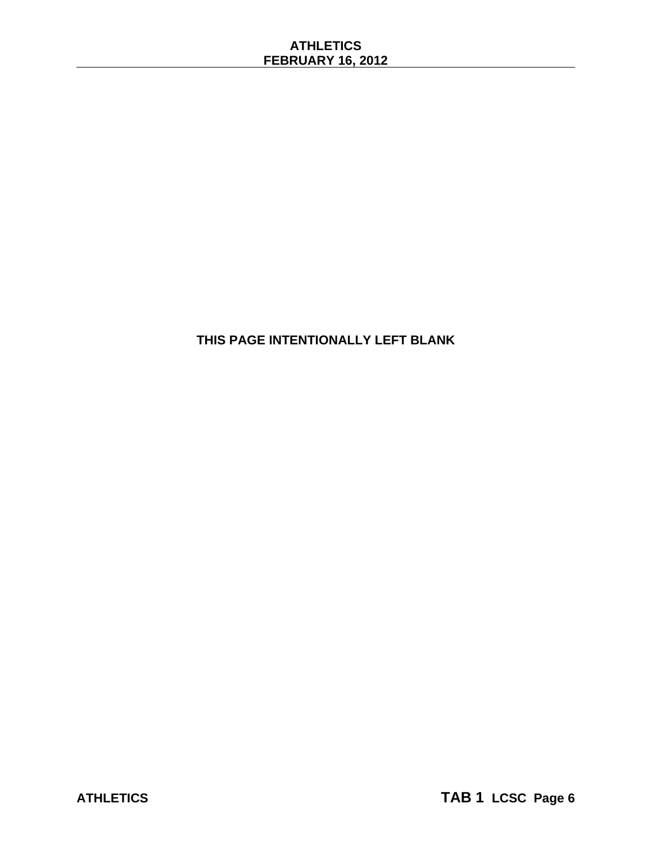### **ATHLETICS FEBRUARY 16, 2012**

### **THIS PAGE INTENTIONALLY LEFT BLANK**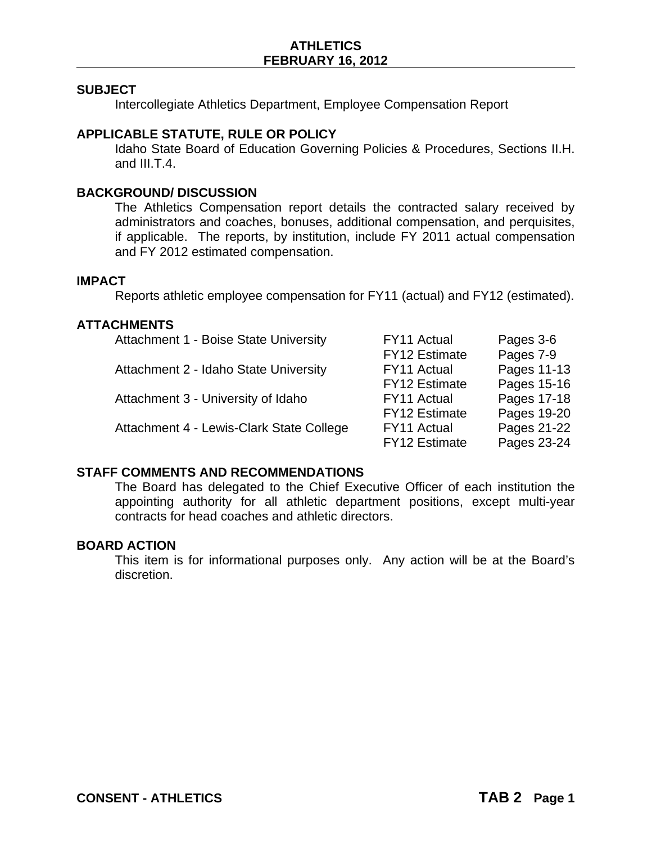### **SUBJECT**

Intercollegiate Athletics Department, Employee Compensation Report

### **APPLICABLE STATUTE, RULE OR POLICY**

 Idaho State Board of Education Governing Policies & Procedures, Sections II.H. and III.T.4.

### **BACKGROUND/ DISCUSSION**

 The Athletics Compensation report details the contracted salary received by administrators and coaches, bonuses, additional compensation, and perquisites, if applicable. The reports, by institution, include FY 2011 actual compensation and FY 2012 estimated compensation.

### **IMPACT**

Reports athletic employee compensation for FY11 (actual) and FY12 (estimated).

### **ATTACHMENTS**

| Attachment 1 - Boise State University    | FY11 Actual          | Pages 3-6   |
|------------------------------------------|----------------------|-------------|
|                                          | <b>FY12 Estimate</b> | Pages 7-9   |
| Attachment 2 - Idaho State University    | FY11 Actual          | Pages 11-13 |
|                                          | <b>FY12 Estimate</b> | Pages 15-16 |
| Attachment 3 - University of Idaho       | FY11 Actual          | Pages 17-18 |
|                                          | <b>FY12 Estimate</b> | Pages 19-20 |
| Attachment 4 - Lewis-Clark State College | FY11 Actual          | Pages 21-22 |
|                                          | <b>FY12 Estimate</b> | Pages 23-24 |

### **STAFF COMMENTS AND RECOMMENDATIONS**

 The Board has delegated to the Chief Executive Officer of each institution the appointing authority for all athletic department positions, except multi-year contracts for head coaches and athletic directors.

### **BOARD ACTION**

This item is for informational purposes only. Any action will be at the Board's discretion.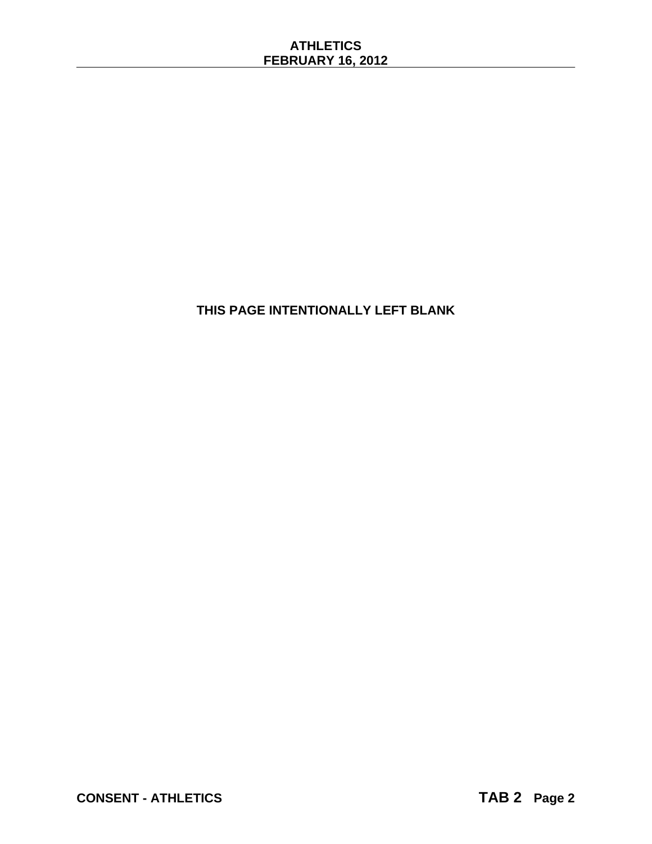### **ATHLETICS FEBRUARY 16, 2012**

### **THIS PAGE INTENTIONALLY LEFT BLANK**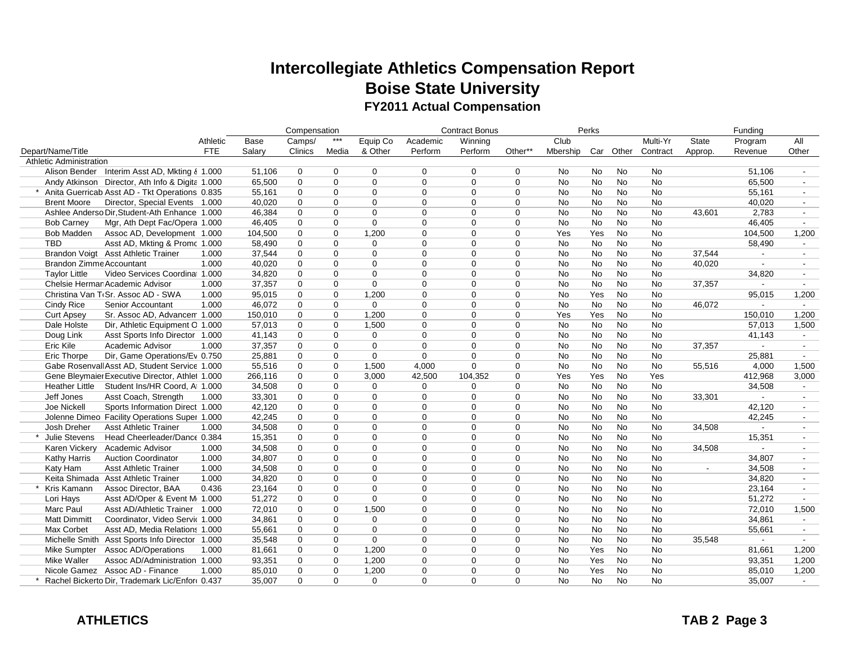**FY2011 Actual Compensation**

|                                                  |                                 |         | Compensation |              |             |             | <b>Contract Bonus</b> |             |           | Perks     |           |           |         | Funding        |        |
|--------------------------------------------------|---------------------------------|---------|--------------|--------------|-------------|-------------|-----------------------|-------------|-----------|-----------|-----------|-----------|---------|----------------|--------|
|                                                  | Athletic                        | Base    | Camps/       | $***$        | Equip Co    | Academic    | Winning               |             | Club      |           |           | Multi-Yr  | State   | Program        | All    |
| Depart/Name/Title                                | <b>FTE</b>                      | Salary  | Clinics      | Media        | & Other     | Perform     | Perform               | Other**     | Mbership  |           | Car Other | Contract  | Approp. | Revenue        | Other  |
| <b>Athletic Administration</b>                   |                                 |         |              |              |             |             |                       |             |           |           |           |           |         |                |        |
| Alison Bender Interim Asst AD, Mkting & 1.000    |                                 | 51,106  | $\mathbf 0$  | $\mathbf 0$  | $\mathbf 0$ | 0           | $\mathbf 0$           | $\mathbf 0$ | No        | No.       | <b>No</b> | No        |         | 51,106         |        |
| Andy Atkinson Director, Ath Info & Digita 1.000  |                                 | 65,500  | $\mathbf{0}$ | $\mathbf 0$  | $\mathbf 0$ | $\mathbf 0$ | $\mathbf 0$           | $\mathbf 0$ | <b>No</b> | <b>No</b> | <b>No</b> | <b>No</b> |         | 65,500         | $\sim$ |
| * Anita Guerricab Asst AD - Tkt Operations 0.835 |                                 | 55,161  | $\mathbf{0}$ | $\mathbf 0$  | $\Omega$    | $\Omega$    | $\mathbf 0$           | $\Omega$    | <b>No</b> | <b>No</b> | <b>No</b> | <b>No</b> |         | 55,161         | $\sim$ |
| <b>Brent Moore</b>                               | Director, Special Events 1.000  | 40,020  | $\Omega$     | $\Omega$     | $\Omega$    | $\Omega$    | $\Omega$              | $\Omega$    | <b>No</b> | No        | <b>No</b> | No        |         | 40,020         | $\sim$ |
| Ashlee Anderso Dir. Student-Ath Enhance 1.000    |                                 | 46,384  | $\mathbf 0$  | $\mathbf 0$  | $\mathbf 0$ | 0           | $\mathbf 0$           | $\mathbf 0$ | No        | No        | <b>No</b> | <b>No</b> | 43.601  | 2,783          | $\sim$ |
| <b>Bob Carney</b>                                | Mgr, Ath Dept Fac/Opera 1.000   | 46,405  | $\Omega$     | $\Omega$     | $\Omega$    | $\Omega$    | $\mathbf 0$           | $\Omega$    | <b>No</b> | <b>No</b> | <b>No</b> | <b>No</b> |         | 46,405         | $\sim$ |
| Bob Madden                                       | Assoc AD, Development 1.000     | 104,500 | $\mathbf{0}$ | $\mathbf 0$  | 1,200       | $\Omega$    | $\mathbf 0$           | $\Omega$    | Yes       | Yes       | <b>No</b> | <b>No</b> |         | 104,500        | 1,200  |
| <b>TBD</b>                                       | Asst AD, Mkting & Promc 1.000   | 58,490  | $\mathbf 0$  | $\mathbf 0$  | $\mathbf 0$ | $\mathbf 0$ | 0                     | $\mathbf 0$ | No        | No        | <b>No</b> | <b>No</b> |         | 58,490         | $\sim$ |
| Brandon Voigt Asst Athletic Trainer              | 1.000                           | 37,544  | $\mathbf 0$  | $\Omega$     | $\Omega$    | $\Omega$    | $\mathbf 0$           | $\Omega$    | No        | No        | <b>No</b> | <b>No</b> | 37,544  | $\mathbf{r}$   | $\sim$ |
| <b>Brandon Zimme Accountant</b>                  | 1.000                           | 40,020  | $\mathbf{0}$ | $\mathbf 0$  | $\Omega$    | $\Omega$    | $\mathbf 0$           | $\mathbf 0$ | No        | No        | No        | No        | 40,020  | $\sim$         | $\sim$ |
| <b>Taylor Little</b>                             | Video Services Coordina 1.000   | 34,820  | $\mathbf 0$  | $\mathbf 0$  | $\mathbf 0$ | $\Omega$    | $\mathbf 0$           | $\mathbf 0$ | No        | No        | <b>No</b> | <b>No</b> |         | 34,820         | $\sim$ |
| Chelsie Hermar Academic Advisor                  | 1.000                           | 37,357  | $\mathbf{0}$ | $\mathbf 0$  | $\Omega$    | $\mathbf 0$ | $\mathbf 0$           | $\Omega$    | No        | No        | No        | <b>No</b> | 37,357  |                | $\sim$ |
| Christina Van T Sr. Assoc AD - SWA               | 1.000                           | 95,015  | $\mathbf 0$  | $\mathbf 0$  | 1,200       | 0           | $\mathbf 0$           | $\mathbf 0$ | No        | Yes       | No        | No        |         | 95,015         | 1,200  |
| Cindy Rice<br>Senior Accountant                  | 1.000                           | 46,072  | $\mathbf{0}$ | $\mathbf 0$  | $\Omega$    | $\mathbf 0$ | 0                     | $\mathbf 0$ | No        | No        | <b>No</b> | <b>No</b> | 46.072  | $\sim$         | $\sim$ |
| <b>Curt Apsey</b>                                | Sr. Assoc AD, Advancem 1.000    | 150,010 | $\mathbf{0}$ | $\mathbf 0$  | 1,200       | $\mathbf 0$ | $\mathbf 0$           | $\Omega$    | Yes       | Yes       | No        | No        |         | 150,010        | 1,200  |
| Dale Holste                                      | Dir, Athletic Equipment O 1.000 | 57,013  | $\mathbf 0$  | $\mathbf 0$  | 1,500       | 0           | $\mathbf 0$           | $\mathbf 0$ | No        | No        | No        | <b>No</b> |         | 57,013         | 1,500  |
| Doug Link                                        | Asst Sports Info Director 1.000 | 41,143  | $\mathbf 0$  | $\mathbf 0$  | $\mathbf 0$ | $\mathbf 0$ | 0                     | $\mathbf 0$ | No        | No        | No        | No        |         | 41,143         | $\sim$ |
| Eric Kile<br>Academic Advisor                    | 1.000                           | 37,357  | $\mathbf{0}$ | $\mathbf 0$  | $\Omega$    | $\mathbf 0$ | $\mathbf 0$           | $\mathbf 0$ | No        | No        | No        | No        | 37,357  |                | $\sim$ |
| Eric Thorpe                                      | Dir, Game Operations/Ev 0.750   | 25,881  | $\mathbf{0}$ | $\mathbf 0$  | $\mathbf 0$ | $\Omega$    | $\mathbf 0$           | $\mathbf 0$ | No        | No        | No        | <b>No</b> |         | 25,881         |        |
| Gabe Rosenvall Asst AD, Student Service 1.000    |                                 | 55,516  | $\mathbf 0$  | $\mathbf 0$  | 1,500       | 4,000       | 0                     | $\mathsf 0$ | No        | No        | <b>No</b> | <b>No</b> | 55,516  | 4,000          | 1,500  |
| Gene Bleymaieı Executive Director, Athlet 1.000  |                                 | 266,116 | $\mathbf 0$  | $\mathbf{0}$ | 3,000       | 42,500      | 104,352               | $\mathbf 0$ | Yes       | Yes       | No        | Yes       |         | 412,968        | 3,000  |
| <b>Heather Little</b>                            | Student Ins/HR Coord, At 1.000  | 34,508  | $\mathbf 0$  | $\mathbf 0$  | $\mathbf 0$ | $\mathbf 0$ | 0                     | $\mathbf 0$ | No        | No        | No        | No        |         | 34,508         | $\sim$ |
| Jeff Jones<br>Asst Coach, Strength               | 1.000                           | 33,301  | $\mathbf 0$  | $\mathbf 0$  | $\mathbf 0$ | $\mathbf 0$ | 0                     | $\mathbf 0$ | No        | No        | No        | No        | 33,301  | $\blacksquare$ | $\sim$ |
| Joe Nickell                                      | Sports Information Direct 1.000 | 42,120  | $\mathbf 0$  | $\mathbf 0$  | $\mathbf 0$ | $\mathbf 0$ | $\mathbf 0$           | $\mathbf 0$ | <b>No</b> | <b>No</b> | <b>No</b> | <b>No</b> |         | 42,120         | $\sim$ |
| Jolenne Dimeo Facility Operations Super 1.000    |                                 | 42,245  | $\mathbf{0}$ | $\mathbf 0$  | $\Omega$    | $\Omega$    | $\mathbf 0$           | $\Omega$    | <b>No</b> | <b>No</b> | <b>No</b> | No        |         | 42,245         | $\sim$ |
| Josh Dreher<br><b>Asst Athletic Trainer</b>      | 1.000                           | 34,508  | $\mathbf 0$  | $\mathbf 0$  | $\Omega$    | $\Omega$    | $\mathbf 0$           | $\mathbf 0$ | <b>No</b> | <b>No</b> | <b>No</b> | <b>No</b> | 34.508  | $\blacksquare$ | $\sim$ |
| Julie Stevens                                    | Head Cheerleader/Dance 0.384    | 15,351  | $\mathbf 0$  | $\mathbf 0$  | $\Omega$    | $\Omega$    | $\mathbf 0$           | $\Omega$    | No        | No        | <b>No</b> | <b>No</b> |         | 15,351         | $\sim$ |
| Karen Vickery<br><b>Academic Advisor</b>         | 1.000                           | 34,508  | $\mathbf{0}$ | $\mathbf 0$  | $\Omega$    | $\Omega$    | $\mathbf 0$           | $\Omega$    | <b>No</b> | No        | <b>No</b> | <b>No</b> | 34,508  | $\sim$         | $\sim$ |
| Kathy Harris<br><b>Auction Coordinator</b>       | 1.000                           | 34,807  | $\mathbf 0$  | $\mathbf 0$  | $\Omega$    | $\Omega$    | $\mathbf 0$           | $\mathbf 0$ | <b>No</b> | <b>No</b> | <b>No</b> | <b>No</b> |         | 34.807         | $\sim$ |
| Katy Ham<br><b>Asst Athletic Trainer</b>         | 1.000                           | 34,508  | $\mathbf{0}$ | $\mathbf 0$  | $\Omega$    | $\Omega$    | $\mathbf 0$           | $\Omega$    | <b>No</b> | No        | <b>No</b> | <b>No</b> | $\sim$  | 34,508         | $\sim$ |
| Keita Shimada Asst Athletic Trainer              | 1.000                           | 34,820  | $\mathbf{0}$ | $\mathbf 0$  | $\Omega$    | $\Omega$    | $\mathbf 0$           | $\Omega$    | <b>No</b> | No        | <b>No</b> | <b>No</b> |         | 34,820         | $\sim$ |
| Kris Kamann<br>Assoc Director, BAA               | 0.436                           | 23,164  | $\mathbf 0$  | $\mathbf 0$  | $\mathbf 0$ | $\mathbf 0$ | $\mathbf 0$           | $\mathbf 0$ | <b>No</b> | <b>No</b> | <b>No</b> | <b>No</b> |         | 23,164         | $\sim$ |
| Lori Hays                                        | Asst AD/Oper & Event M 1.000    | 51,272  | $\mathbf{0}$ | $\mathbf 0$  | $\Omega$    | $\Omega$    | $\mathbf 0$           | $\mathbf 0$ | No        | No        | No        | <b>No</b> |         | 51,272         | $\sim$ |
| Marc Paul                                        | Asst AD/Athletic Trainer 1.000  | 72,010  | $\mathbf 0$  | $\mathbf 0$  | 1,500       | 0           | $\mathbf 0$           | $\Omega$    | <b>No</b> | No        | <b>No</b> | <b>No</b> |         | 72,010         | 1,500  |
| <b>Matt Dimmitt</b>                              | Coordinator, Video Servic 1.000 | 34,861  | $\mathbf 0$  | $\mathbf 0$  | $\Omega$    | $\Omega$    | $\mathbf 0$           | $\mathbf 0$ | No        | No        | <b>No</b> | <b>No</b> |         | 34,861         | $\sim$ |
| Max Corbet                                       | Asst AD, Media Relations 1.000  | 55,661  | $\mathbf 0$  | $\mathbf 0$  | $\Omega$    | $\mathbf 0$ | $\mathbf 0$           | $\mathbf 0$ | No        | No        | No        | No        |         | 55,661         | $\sim$ |
| Michelle Smith Asst Sports Info Director 1.000   |                                 | 35,548  | $\mathbf{0}$ | $\mathbf 0$  | $\Omega$    | $\Omega$    | $\mathbf 0$           | $\mathbf 0$ | <b>No</b> | No        | No        | No        | 35,548  |                |        |
| Mike Sumpter Assoc AD/Operations                 | 1.000                           | 81,661  | $\mathbf 0$  | $\mathbf 0$  | 1,200       | 0           | 0                     | $\mathbf 0$ | No        | Yes       | No        | <b>No</b> |         | 81,661         | 1,200  |
| Mike Waller                                      | Assoc AD/Administration 1.000   | 93,351  | $\mathbf 0$  | $\mathbf 0$  | 1,200       | $\mathbf 0$ | $\mathbf 0$           | $\mathbf 0$ | No        | Yes       | No        | No        |         | 93,351         | 1,200  |
| Nicole Gamez Assoc AD - Finance                  | 1.000                           | 85,010  | $\mathbf 0$  | $\mathbf 0$  | 1,200       | $\mathbf 0$ | $\mathbf 0$           | $\mathbf 0$ | No        | Yes       | No        | <b>No</b> |         | 85,010         | 1,200  |
| Rachel Bickerto Dir, Trademark Lic/Enford 0.437  |                                 | 35,007  | $\mathbf{0}$ | $\Omega$     | $\mathbf 0$ | $\mathbf 0$ | $\mathbf 0$           | $\mathbf 0$ | No        | No        | No        | <b>No</b> |         | 35,007         | $\sim$ |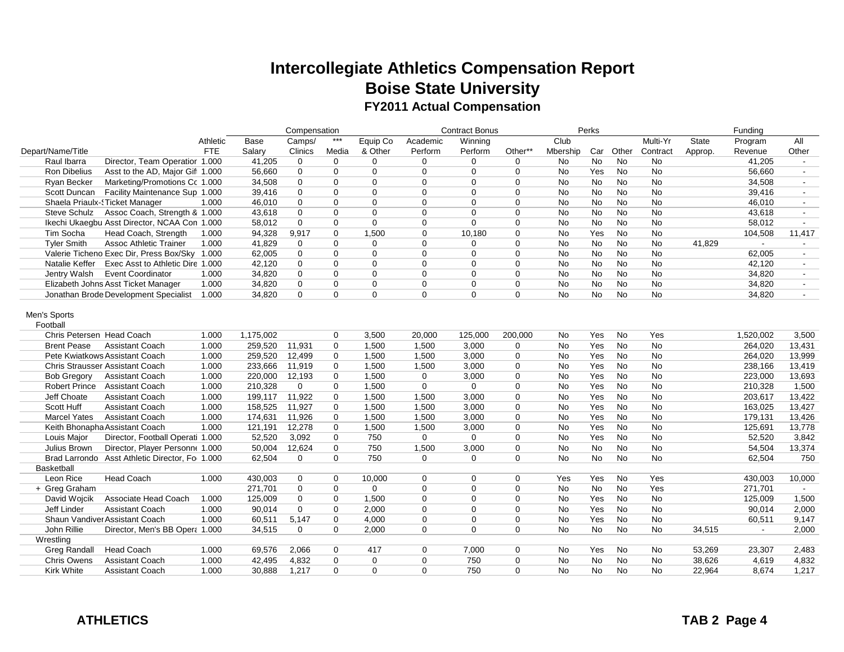**FY2011 Actual Compensation**

| $***$<br>Club<br>Winning<br>Multi-Yr<br><b>State</b><br>All<br>Athletic<br>Base<br>Camps/<br>Equip Co<br>Program<br>Academic<br><b>FTE</b><br>& Other<br>Other**<br>Car<br>Other<br>Other<br>Depart/Name/Title<br>Salary<br>Clinics<br>Media<br>Perform<br>Perform<br>Mbership<br>Contract<br>Revenue<br>Approp.<br>Raul Ibarra<br>Director, Team Operatior 1.000<br>No<br><b>No</b><br>41,205<br>41,205<br>$\mathbf 0$<br>$\mathbf 0$<br>0<br>$\mathbf 0$<br>No<br>No<br>$\Omega$<br>0<br>$\sim$<br>$\mathbf{0}$<br>$\mathbf 0$<br>56,660<br>$\mathbf 0$<br>$\mathbf{0}$<br>$\mathbf 0$<br>Yes<br><b>No</b><br>56,660<br>Asst to the AD, Major Gift 1.000<br>$\mathbf 0$<br><b>No</b><br><b>No</b><br><b>Ron Dibelius</b><br>$\blacksquare$<br>Marketing/Promotions Cc 1.000<br>34,508<br>$\mathbf 0$<br>$\mathbf 0$<br>$\mathbf 0$<br>$\Omega$<br>0<br>$\mathbf 0$<br>No<br>No<br>No<br>No<br>34,508<br>Ryan Becker<br>$\sim$<br>$\mathbf 0$<br><b>No</b><br>Facility Maintenance Sup 1.000<br>39,416<br>$\mathbf 0$<br>$\Omega$<br>$\Omega$<br>0<br>$\mathbf 0$<br>No<br>No<br><b>No</b><br>39,416<br>Scott Duncan<br>$\sim$<br>$\mathbf{0}$<br><b>No</b><br>Shaela Priaulx-STicket Manager<br>46,010<br>$\mathbf 0$<br>$\Omega$<br>$\Omega$<br>$\Omega$<br>$\Omega$<br><b>No</b><br>No<br><b>No</b><br>46,010<br>1.000<br>$\sim$<br>Assoc Coach, Strength & 1.000<br>43,618<br>$\mathbf 0$<br>$\mathbf 0$<br>$\mathbf 0$<br>$\mathbf 0$<br>$\mathbf 0$<br>No<br>No<br>No<br>Steve Schulz<br>$\Omega$<br>No<br>43,618<br>$\sim$<br>$\mathbf{0}$<br>$\Omega$<br>$\Omega$<br>$\Omega$<br>$\mathbf 0$<br><b>No</b><br><b>No</b><br>58,012<br>Ikechi Ukaegbu Asst Director, NCAA Con 1.000<br>58,012<br>$\Omega$<br>No<br>No<br>Tim Socha<br>Head Coach, Strength<br>94,328<br>9,917<br>$\mathbf 0$<br>1,500<br>$\Omega$<br>10,180<br>$\mathbf 0$<br>Yes<br><b>No</b><br><b>No</b><br>104,508<br>11,417<br>1.000<br>No<br>$\Omega$<br>$\Omega$<br><b>No</b><br><b>No</b><br><b>Tyler Smith</b><br><b>Assoc Athletic Trainer</b><br>1.000<br>41,829<br>$\mathbf{0}$<br>$\Omega$<br>$\Omega$<br>No<br><b>No</b><br>41.829<br>0<br>$\sim$<br>No<br>Valerie Ticheno Exec Dir, Press Box/Sky 1.000<br>62,005<br>$\mathbf 0$<br>$\mathbf 0$<br>$\mathbf 0$<br>$\Omega$<br>0<br>No<br>No<br>No<br>$\mathbf{0}$<br>62,005<br>$\sim$<br>42,120<br>$\mathbf 0$<br>$\mathbf 0$<br>$\Omega$<br>$\mathbf 0$<br>No<br>No<br>42,120<br>Natalie Keffer<br>Exec Asst to Athletic Dire 1.000<br>$\Omega$<br>$\mathbf 0$<br>No<br>No<br>$\sim$<br>$\mathbf{0}$<br>$\Omega$<br>$\Omega$<br>$\Omega$<br><b>No</b><br><b>Event Coordinator</b><br>34,820<br>$\Omega$<br>$\Omega$<br>No<br><b>No</b><br><b>No</b><br>34,820<br>Jentry Walsh<br>1.000<br>$\sim$<br>Elizabeth Johns Asst Ticket Manager<br>$\mathbf{0}$<br>$\mathbf{0}$<br>$\mathbf 0$<br>$\mathbf 0$<br>$\mathbf 0$<br>No<br>No<br><b>No</b><br><b>No</b><br>1.000<br>34,820<br>$\mathbf 0$<br>34,820<br>$\sim$<br>$\mathbf{0}$<br>$\mathbf 0$<br>$\mathbf 0$<br>$\mathbf 0$<br>$\Omega$<br>No<br>No<br>34,820<br>$\mathbf 0$<br>No<br><b>No</b><br>34,820<br>Jonathan Brode Development Specialist<br>1.000<br>Men's Sports<br>Football<br>Chris Petersen Head Coach<br>1.000<br>1,175,002<br>3,500<br>20,000<br>125,000<br>200,000<br>$\mathbf 0$<br>No<br>Yes<br>No<br>Yes<br>1,520,002<br>3,500<br>Yes<br><b>No</b><br>13,431<br>Assistant Coach<br>1.000<br>259,520<br>11,931<br>$\mathbf 0$<br>1,500<br>1,500<br>3,000<br><b>No</b><br><b>No</b><br><b>Brent Pease</b><br>$\mathbf 0$<br>264,020<br>$\mathbf 0$<br>No<br>Yes<br><b>No</b><br><b>No</b><br>13,999<br>Pete Kwiatkows Assistant Coach<br>1.000<br>259,520<br>12,499<br>$\mathbf{0}$<br>1,500<br>1,500<br>3,000<br>264,020<br>233,666<br>$\mathbf 0$<br>1,500<br>1,500<br>$\mathbf 0$<br>No<br>Yes<br>No<br>No<br>Chris Strausser Assistant Coach<br>1.000<br>11,919<br>238,166<br>13,419<br>3,000<br>220,000<br>$\mathbf 0$<br>1,500<br>$\mathbf 0$<br>Yes<br>No<br><b>No</b><br>13,693<br><b>Bob Gregory</b><br><b>Assistant Coach</b><br>1.000<br>12,193<br>$\mathbf 0$<br>3,000<br>No<br>223,000<br><b>No</b><br><b>No</b><br><b>Robert Prince</b><br><b>Assistant Coach</b><br>1.000<br>210,328<br>$\mathbf 0$<br>$\mathbf 0$<br>1,500<br>$\Omega$<br>$\mathbf 0$<br>No<br>Yes<br>210,328<br>1,500<br>$\mathbf{0}$<br>11,922<br><b>No</b><br>1.000<br>$\mathbf 0$<br>1,500<br>1,500<br>3,000<br>$\mathbf 0$<br><b>No</b><br>Yes<br><b>No</b><br>13,422<br>Jeff Choate<br><b>Assistant Coach</b><br>199,117<br>203,617<br>Scott Huff<br>158,525<br>11,927<br>$\mathbf{0}$<br>1,500<br>1,500<br>$\mathbf 0$<br>Yes<br>No<br>No<br>13,427<br>Assistant Coach<br>1.000<br>3,000<br>No<br>163,025<br>Assistant Coach<br>1.000<br>174,631<br>11,926<br>$\mathbf 0$<br>1,500<br>1,500<br>$\Omega$<br>No<br>Yes<br>No<br><b>No</b><br>13,426<br><b>Marcel Yates</b><br>3,000<br>179,131 |
|-----------------------------------------------------------------------------------------------------------------------------------------------------------------------------------------------------------------------------------------------------------------------------------------------------------------------------------------------------------------------------------------------------------------------------------------------------------------------------------------------------------------------------------------------------------------------------------------------------------------------------------------------------------------------------------------------------------------------------------------------------------------------------------------------------------------------------------------------------------------------------------------------------------------------------------------------------------------------------------------------------------------------------------------------------------------------------------------------------------------------------------------------------------------------------------------------------------------------------------------------------------------------------------------------------------------------------------------------------------------------------------------------------------------------------------------------------------------------------------------------------------------------------------------------------------------------------------------------------------------------------------------------------------------------------------------------------------------------------------------------------------------------------------------------------------------------------------------------------------------------------------------------------------------------------------------------------------------------------------------------------------------------------------------------------------------------------------------------------------------------------------------------------------------------------------------------------------------------------------------------------------------------------------------------------------------------------------------------------------------------------------------------------------------------------------------------------------------------------------------------------------------------------------------------------------------------------------------------------------------------------------------------------------------------------------------------------------------------------------------------------------------------------------------------------------------------------------------------------------------------------------------------------------------------------------------------------------------------------------------------------------------------------------------------------------------------------------------------------------------------------------------------------------------------------------------------------------------------------------------------------------------------------------------------------------------------------------------------------------------------------------------------------------------------------------------------------------------------------------------------------------------------------------------------------------------------------------------------------------------------------------------------------------------------------------------------------------------------------------------------------------------------------------------------------------------------------------------------------------------------------------------------------------------------------------------------------------------------------------------------------------------------------------------------------------------------------------------------------------------------------------------------------------------------------------------------------------------------------------------------------------------------------------------------------------------------------------------------------------------------------------------------------------------------------------------------------------------------------------------------------------------------------------------------------------------------------------------------------------------------------------------------------------------------------------------------------------------------------------------------------------------------------------------------------------------------------------------------------------------------------------------------|
|                                                                                                                                                                                                                                                                                                                                                                                                                                                                                                                                                                                                                                                                                                                                                                                                                                                                                                                                                                                                                                                                                                                                                                                                                                                                                                                                                                                                                                                                                                                                                                                                                                                                                                                                                                                                                                                                                                                                                                                                                                                                                                                                                                                                                                                                                                                                                                                                                                                                                                                                                                                                                                                                                                                                                                                                                                                                                                                                                                                                                                                                                                                                                                                                                                                                                                                                                                                                                                                                                                                                                                                                                                                                                                                                                                                                                                                                                                                                                                                                                                                                                                                                                                                                                                                                                                                                                                                                                                                                                                                                                                                                                                                                                                                                                                                                                                                                                               |
|                                                                                                                                                                                                                                                                                                                                                                                                                                                                                                                                                                                                                                                                                                                                                                                                                                                                                                                                                                                                                                                                                                                                                                                                                                                                                                                                                                                                                                                                                                                                                                                                                                                                                                                                                                                                                                                                                                                                                                                                                                                                                                                                                                                                                                                                                                                                                                                                                                                                                                                                                                                                                                                                                                                                                                                                                                                                                                                                                                                                                                                                                                                                                                                                                                                                                                                                                                                                                                                                                                                                                                                                                                                                                                                                                                                                                                                                                                                                                                                                                                                                                                                                                                                                                                                                                                                                                                                                                                                                                                                                                                                                                                                                                                                                                                                                                                                                                               |
|                                                                                                                                                                                                                                                                                                                                                                                                                                                                                                                                                                                                                                                                                                                                                                                                                                                                                                                                                                                                                                                                                                                                                                                                                                                                                                                                                                                                                                                                                                                                                                                                                                                                                                                                                                                                                                                                                                                                                                                                                                                                                                                                                                                                                                                                                                                                                                                                                                                                                                                                                                                                                                                                                                                                                                                                                                                                                                                                                                                                                                                                                                                                                                                                                                                                                                                                                                                                                                                                                                                                                                                                                                                                                                                                                                                                                                                                                                                                                                                                                                                                                                                                                                                                                                                                                                                                                                                                                                                                                                                                                                                                                                                                                                                                                                                                                                                                                               |
|                                                                                                                                                                                                                                                                                                                                                                                                                                                                                                                                                                                                                                                                                                                                                                                                                                                                                                                                                                                                                                                                                                                                                                                                                                                                                                                                                                                                                                                                                                                                                                                                                                                                                                                                                                                                                                                                                                                                                                                                                                                                                                                                                                                                                                                                                                                                                                                                                                                                                                                                                                                                                                                                                                                                                                                                                                                                                                                                                                                                                                                                                                                                                                                                                                                                                                                                                                                                                                                                                                                                                                                                                                                                                                                                                                                                                                                                                                                                                                                                                                                                                                                                                                                                                                                                                                                                                                                                                                                                                                                                                                                                                                                                                                                                                                                                                                                                                               |
|                                                                                                                                                                                                                                                                                                                                                                                                                                                                                                                                                                                                                                                                                                                                                                                                                                                                                                                                                                                                                                                                                                                                                                                                                                                                                                                                                                                                                                                                                                                                                                                                                                                                                                                                                                                                                                                                                                                                                                                                                                                                                                                                                                                                                                                                                                                                                                                                                                                                                                                                                                                                                                                                                                                                                                                                                                                                                                                                                                                                                                                                                                                                                                                                                                                                                                                                                                                                                                                                                                                                                                                                                                                                                                                                                                                                                                                                                                                                                                                                                                                                                                                                                                                                                                                                                                                                                                                                                                                                                                                                                                                                                                                                                                                                                                                                                                                                                               |
|                                                                                                                                                                                                                                                                                                                                                                                                                                                                                                                                                                                                                                                                                                                                                                                                                                                                                                                                                                                                                                                                                                                                                                                                                                                                                                                                                                                                                                                                                                                                                                                                                                                                                                                                                                                                                                                                                                                                                                                                                                                                                                                                                                                                                                                                                                                                                                                                                                                                                                                                                                                                                                                                                                                                                                                                                                                                                                                                                                                                                                                                                                                                                                                                                                                                                                                                                                                                                                                                                                                                                                                                                                                                                                                                                                                                                                                                                                                                                                                                                                                                                                                                                                                                                                                                                                                                                                                                                                                                                                                                                                                                                                                                                                                                                                                                                                                                                               |
|                                                                                                                                                                                                                                                                                                                                                                                                                                                                                                                                                                                                                                                                                                                                                                                                                                                                                                                                                                                                                                                                                                                                                                                                                                                                                                                                                                                                                                                                                                                                                                                                                                                                                                                                                                                                                                                                                                                                                                                                                                                                                                                                                                                                                                                                                                                                                                                                                                                                                                                                                                                                                                                                                                                                                                                                                                                                                                                                                                                                                                                                                                                                                                                                                                                                                                                                                                                                                                                                                                                                                                                                                                                                                                                                                                                                                                                                                                                                                                                                                                                                                                                                                                                                                                                                                                                                                                                                                                                                                                                                                                                                                                                                                                                                                                                                                                                                                               |
|                                                                                                                                                                                                                                                                                                                                                                                                                                                                                                                                                                                                                                                                                                                                                                                                                                                                                                                                                                                                                                                                                                                                                                                                                                                                                                                                                                                                                                                                                                                                                                                                                                                                                                                                                                                                                                                                                                                                                                                                                                                                                                                                                                                                                                                                                                                                                                                                                                                                                                                                                                                                                                                                                                                                                                                                                                                                                                                                                                                                                                                                                                                                                                                                                                                                                                                                                                                                                                                                                                                                                                                                                                                                                                                                                                                                                                                                                                                                                                                                                                                                                                                                                                                                                                                                                                                                                                                                                                                                                                                                                                                                                                                                                                                                                                                                                                                                                               |
|                                                                                                                                                                                                                                                                                                                                                                                                                                                                                                                                                                                                                                                                                                                                                                                                                                                                                                                                                                                                                                                                                                                                                                                                                                                                                                                                                                                                                                                                                                                                                                                                                                                                                                                                                                                                                                                                                                                                                                                                                                                                                                                                                                                                                                                                                                                                                                                                                                                                                                                                                                                                                                                                                                                                                                                                                                                                                                                                                                                                                                                                                                                                                                                                                                                                                                                                                                                                                                                                                                                                                                                                                                                                                                                                                                                                                                                                                                                                                                                                                                                                                                                                                                                                                                                                                                                                                                                                                                                                                                                                                                                                                                                                                                                                                                                                                                                                                               |
|                                                                                                                                                                                                                                                                                                                                                                                                                                                                                                                                                                                                                                                                                                                                                                                                                                                                                                                                                                                                                                                                                                                                                                                                                                                                                                                                                                                                                                                                                                                                                                                                                                                                                                                                                                                                                                                                                                                                                                                                                                                                                                                                                                                                                                                                                                                                                                                                                                                                                                                                                                                                                                                                                                                                                                                                                                                                                                                                                                                                                                                                                                                                                                                                                                                                                                                                                                                                                                                                                                                                                                                                                                                                                                                                                                                                                                                                                                                                                                                                                                                                                                                                                                                                                                                                                                                                                                                                                                                                                                                                                                                                                                                                                                                                                                                                                                                                                               |
|                                                                                                                                                                                                                                                                                                                                                                                                                                                                                                                                                                                                                                                                                                                                                                                                                                                                                                                                                                                                                                                                                                                                                                                                                                                                                                                                                                                                                                                                                                                                                                                                                                                                                                                                                                                                                                                                                                                                                                                                                                                                                                                                                                                                                                                                                                                                                                                                                                                                                                                                                                                                                                                                                                                                                                                                                                                                                                                                                                                                                                                                                                                                                                                                                                                                                                                                                                                                                                                                                                                                                                                                                                                                                                                                                                                                                                                                                                                                                                                                                                                                                                                                                                                                                                                                                                                                                                                                                                                                                                                                                                                                                                                                                                                                                                                                                                                                                               |
|                                                                                                                                                                                                                                                                                                                                                                                                                                                                                                                                                                                                                                                                                                                                                                                                                                                                                                                                                                                                                                                                                                                                                                                                                                                                                                                                                                                                                                                                                                                                                                                                                                                                                                                                                                                                                                                                                                                                                                                                                                                                                                                                                                                                                                                                                                                                                                                                                                                                                                                                                                                                                                                                                                                                                                                                                                                                                                                                                                                                                                                                                                                                                                                                                                                                                                                                                                                                                                                                                                                                                                                                                                                                                                                                                                                                                                                                                                                                                                                                                                                                                                                                                                                                                                                                                                                                                                                                                                                                                                                                                                                                                                                                                                                                                                                                                                                                                               |
|                                                                                                                                                                                                                                                                                                                                                                                                                                                                                                                                                                                                                                                                                                                                                                                                                                                                                                                                                                                                                                                                                                                                                                                                                                                                                                                                                                                                                                                                                                                                                                                                                                                                                                                                                                                                                                                                                                                                                                                                                                                                                                                                                                                                                                                                                                                                                                                                                                                                                                                                                                                                                                                                                                                                                                                                                                                                                                                                                                                                                                                                                                                                                                                                                                                                                                                                                                                                                                                                                                                                                                                                                                                                                                                                                                                                                                                                                                                                                                                                                                                                                                                                                                                                                                                                                                                                                                                                                                                                                                                                                                                                                                                                                                                                                                                                                                                                                               |
|                                                                                                                                                                                                                                                                                                                                                                                                                                                                                                                                                                                                                                                                                                                                                                                                                                                                                                                                                                                                                                                                                                                                                                                                                                                                                                                                                                                                                                                                                                                                                                                                                                                                                                                                                                                                                                                                                                                                                                                                                                                                                                                                                                                                                                                                                                                                                                                                                                                                                                                                                                                                                                                                                                                                                                                                                                                                                                                                                                                                                                                                                                                                                                                                                                                                                                                                                                                                                                                                                                                                                                                                                                                                                                                                                                                                                                                                                                                                                                                                                                                                                                                                                                                                                                                                                                                                                                                                                                                                                                                                                                                                                                                                                                                                                                                                                                                                                               |
|                                                                                                                                                                                                                                                                                                                                                                                                                                                                                                                                                                                                                                                                                                                                                                                                                                                                                                                                                                                                                                                                                                                                                                                                                                                                                                                                                                                                                                                                                                                                                                                                                                                                                                                                                                                                                                                                                                                                                                                                                                                                                                                                                                                                                                                                                                                                                                                                                                                                                                                                                                                                                                                                                                                                                                                                                                                                                                                                                                                                                                                                                                                                                                                                                                                                                                                                                                                                                                                                                                                                                                                                                                                                                                                                                                                                                                                                                                                                                                                                                                                                                                                                                                                                                                                                                                                                                                                                                                                                                                                                                                                                                                                                                                                                                                                                                                                                                               |
|                                                                                                                                                                                                                                                                                                                                                                                                                                                                                                                                                                                                                                                                                                                                                                                                                                                                                                                                                                                                                                                                                                                                                                                                                                                                                                                                                                                                                                                                                                                                                                                                                                                                                                                                                                                                                                                                                                                                                                                                                                                                                                                                                                                                                                                                                                                                                                                                                                                                                                                                                                                                                                                                                                                                                                                                                                                                                                                                                                                                                                                                                                                                                                                                                                                                                                                                                                                                                                                                                                                                                                                                                                                                                                                                                                                                                                                                                                                                                                                                                                                                                                                                                                                                                                                                                                                                                                                                                                                                                                                                                                                                                                                                                                                                                                                                                                                                                               |
|                                                                                                                                                                                                                                                                                                                                                                                                                                                                                                                                                                                                                                                                                                                                                                                                                                                                                                                                                                                                                                                                                                                                                                                                                                                                                                                                                                                                                                                                                                                                                                                                                                                                                                                                                                                                                                                                                                                                                                                                                                                                                                                                                                                                                                                                                                                                                                                                                                                                                                                                                                                                                                                                                                                                                                                                                                                                                                                                                                                                                                                                                                                                                                                                                                                                                                                                                                                                                                                                                                                                                                                                                                                                                                                                                                                                                                                                                                                                                                                                                                                                                                                                                                                                                                                                                                                                                                                                                                                                                                                                                                                                                                                                                                                                                                                                                                                                                               |
|                                                                                                                                                                                                                                                                                                                                                                                                                                                                                                                                                                                                                                                                                                                                                                                                                                                                                                                                                                                                                                                                                                                                                                                                                                                                                                                                                                                                                                                                                                                                                                                                                                                                                                                                                                                                                                                                                                                                                                                                                                                                                                                                                                                                                                                                                                                                                                                                                                                                                                                                                                                                                                                                                                                                                                                                                                                                                                                                                                                                                                                                                                                                                                                                                                                                                                                                                                                                                                                                                                                                                                                                                                                                                                                                                                                                                                                                                                                                                                                                                                                                                                                                                                                                                                                                                                                                                                                                                                                                                                                                                                                                                                                                                                                                                                                                                                                                                               |
|                                                                                                                                                                                                                                                                                                                                                                                                                                                                                                                                                                                                                                                                                                                                                                                                                                                                                                                                                                                                                                                                                                                                                                                                                                                                                                                                                                                                                                                                                                                                                                                                                                                                                                                                                                                                                                                                                                                                                                                                                                                                                                                                                                                                                                                                                                                                                                                                                                                                                                                                                                                                                                                                                                                                                                                                                                                                                                                                                                                                                                                                                                                                                                                                                                                                                                                                                                                                                                                                                                                                                                                                                                                                                                                                                                                                                                                                                                                                                                                                                                                                                                                                                                                                                                                                                                                                                                                                                                                                                                                                                                                                                                                                                                                                                                                                                                                                                               |
|                                                                                                                                                                                                                                                                                                                                                                                                                                                                                                                                                                                                                                                                                                                                                                                                                                                                                                                                                                                                                                                                                                                                                                                                                                                                                                                                                                                                                                                                                                                                                                                                                                                                                                                                                                                                                                                                                                                                                                                                                                                                                                                                                                                                                                                                                                                                                                                                                                                                                                                                                                                                                                                                                                                                                                                                                                                                                                                                                                                                                                                                                                                                                                                                                                                                                                                                                                                                                                                                                                                                                                                                                                                                                                                                                                                                                                                                                                                                                                                                                                                                                                                                                                                                                                                                                                                                                                                                                                                                                                                                                                                                                                                                                                                                                                                                                                                                                               |
|                                                                                                                                                                                                                                                                                                                                                                                                                                                                                                                                                                                                                                                                                                                                                                                                                                                                                                                                                                                                                                                                                                                                                                                                                                                                                                                                                                                                                                                                                                                                                                                                                                                                                                                                                                                                                                                                                                                                                                                                                                                                                                                                                                                                                                                                                                                                                                                                                                                                                                                                                                                                                                                                                                                                                                                                                                                                                                                                                                                                                                                                                                                                                                                                                                                                                                                                                                                                                                                                                                                                                                                                                                                                                                                                                                                                                                                                                                                                                                                                                                                                                                                                                                                                                                                                                                                                                                                                                                                                                                                                                                                                                                                                                                                                                                                                                                                                                               |
|                                                                                                                                                                                                                                                                                                                                                                                                                                                                                                                                                                                                                                                                                                                                                                                                                                                                                                                                                                                                                                                                                                                                                                                                                                                                                                                                                                                                                                                                                                                                                                                                                                                                                                                                                                                                                                                                                                                                                                                                                                                                                                                                                                                                                                                                                                                                                                                                                                                                                                                                                                                                                                                                                                                                                                                                                                                                                                                                                                                                                                                                                                                                                                                                                                                                                                                                                                                                                                                                                                                                                                                                                                                                                                                                                                                                                                                                                                                                                                                                                                                                                                                                                                                                                                                                                                                                                                                                                                                                                                                                                                                                                                                                                                                                                                                                                                                                                               |
|                                                                                                                                                                                                                                                                                                                                                                                                                                                                                                                                                                                                                                                                                                                                                                                                                                                                                                                                                                                                                                                                                                                                                                                                                                                                                                                                                                                                                                                                                                                                                                                                                                                                                                                                                                                                                                                                                                                                                                                                                                                                                                                                                                                                                                                                                                                                                                                                                                                                                                                                                                                                                                                                                                                                                                                                                                                                                                                                                                                                                                                                                                                                                                                                                                                                                                                                                                                                                                                                                                                                                                                                                                                                                                                                                                                                                                                                                                                                                                                                                                                                                                                                                                                                                                                                                                                                                                                                                                                                                                                                                                                                                                                                                                                                                                                                                                                                                               |
|                                                                                                                                                                                                                                                                                                                                                                                                                                                                                                                                                                                                                                                                                                                                                                                                                                                                                                                                                                                                                                                                                                                                                                                                                                                                                                                                                                                                                                                                                                                                                                                                                                                                                                                                                                                                                                                                                                                                                                                                                                                                                                                                                                                                                                                                                                                                                                                                                                                                                                                                                                                                                                                                                                                                                                                                                                                                                                                                                                                                                                                                                                                                                                                                                                                                                                                                                                                                                                                                                                                                                                                                                                                                                                                                                                                                                                                                                                                                                                                                                                                                                                                                                                                                                                                                                                                                                                                                                                                                                                                                                                                                                                                                                                                                                                                                                                                                                               |
|                                                                                                                                                                                                                                                                                                                                                                                                                                                                                                                                                                                                                                                                                                                                                                                                                                                                                                                                                                                                                                                                                                                                                                                                                                                                                                                                                                                                                                                                                                                                                                                                                                                                                                                                                                                                                                                                                                                                                                                                                                                                                                                                                                                                                                                                                                                                                                                                                                                                                                                                                                                                                                                                                                                                                                                                                                                                                                                                                                                                                                                                                                                                                                                                                                                                                                                                                                                                                                                                                                                                                                                                                                                                                                                                                                                                                                                                                                                                                                                                                                                                                                                                                                                                                                                                                                                                                                                                                                                                                                                                                                                                                                                                                                                                                                                                                                                                                               |
|                                                                                                                                                                                                                                                                                                                                                                                                                                                                                                                                                                                                                                                                                                                                                                                                                                                                                                                                                                                                                                                                                                                                                                                                                                                                                                                                                                                                                                                                                                                                                                                                                                                                                                                                                                                                                                                                                                                                                                                                                                                                                                                                                                                                                                                                                                                                                                                                                                                                                                                                                                                                                                                                                                                                                                                                                                                                                                                                                                                                                                                                                                                                                                                                                                                                                                                                                                                                                                                                                                                                                                                                                                                                                                                                                                                                                                                                                                                                                                                                                                                                                                                                                                                                                                                                                                                                                                                                                                                                                                                                                                                                                                                                                                                                                                                                                                                                                               |
|                                                                                                                                                                                                                                                                                                                                                                                                                                                                                                                                                                                                                                                                                                                                                                                                                                                                                                                                                                                                                                                                                                                                                                                                                                                                                                                                                                                                                                                                                                                                                                                                                                                                                                                                                                                                                                                                                                                                                                                                                                                                                                                                                                                                                                                                                                                                                                                                                                                                                                                                                                                                                                                                                                                                                                                                                                                                                                                                                                                                                                                                                                                                                                                                                                                                                                                                                                                                                                                                                                                                                                                                                                                                                                                                                                                                                                                                                                                                                                                                                                                                                                                                                                                                                                                                                                                                                                                                                                                                                                                                                                                                                                                                                                                                                                                                                                                                                               |
|                                                                                                                                                                                                                                                                                                                                                                                                                                                                                                                                                                                                                                                                                                                                                                                                                                                                                                                                                                                                                                                                                                                                                                                                                                                                                                                                                                                                                                                                                                                                                                                                                                                                                                                                                                                                                                                                                                                                                                                                                                                                                                                                                                                                                                                                                                                                                                                                                                                                                                                                                                                                                                                                                                                                                                                                                                                                                                                                                                                                                                                                                                                                                                                                                                                                                                                                                                                                                                                                                                                                                                                                                                                                                                                                                                                                                                                                                                                                                                                                                                                                                                                                                                                                                                                                                                                                                                                                                                                                                                                                                                                                                                                                                                                                                                                                                                                                                               |
| $\mathbf 0$<br>Yes<br><b>No</b><br><b>No</b><br>Keith Bhonapha Assistant Coach<br>1.000<br>12,278<br>$\mathbf{0}$<br>1,500<br>1,500<br>No<br>13,778<br>121,191<br>3,000<br>125,691                                                                                                                                                                                                                                                                                                                                                                                                                                                                                                                                                                                                                                                                                                                                                                                                                                                                                                                                                                                                                                                                                                                                                                                                                                                                                                                                                                                                                                                                                                                                                                                                                                                                                                                                                                                                                                                                                                                                                                                                                                                                                                                                                                                                                                                                                                                                                                                                                                                                                                                                                                                                                                                                                                                                                                                                                                                                                                                                                                                                                                                                                                                                                                                                                                                                                                                                                                                                                                                                                                                                                                                                                                                                                                                                                                                                                                                                                                                                                                                                                                                                                                                                                                                                                                                                                                                                                                                                                                                                                                                                                                                                                                                                                                            |
| 52,520<br>$\mathbf{0}$<br>750<br>$\Omega$<br>Yes<br><b>No</b><br><b>No</b><br>52,520<br>3,842<br>Louis Major<br>Director, Football Operati 1.000<br>3,092<br>$\Omega$<br>0<br><b>No</b>                                                                                                                                                                                                                                                                                                                                                                                                                                                                                                                                                                                                                                                                                                                                                                                                                                                                                                                                                                                                                                                                                                                                                                                                                                                                                                                                                                                                                                                                                                                                                                                                                                                                                                                                                                                                                                                                                                                                                                                                                                                                                                                                                                                                                                                                                                                                                                                                                                                                                                                                                                                                                                                                                                                                                                                                                                                                                                                                                                                                                                                                                                                                                                                                                                                                                                                                                                                                                                                                                                                                                                                                                                                                                                                                                                                                                                                                                                                                                                                                                                                                                                                                                                                                                                                                                                                                                                                                                                                                                                                                                                                                                                                                                                       |
| Director, Player Personn( 1.000<br>$\mathbf 0$<br>750<br>1,500<br>3,000<br>$\mathbf 0$<br>No<br>13,374<br>Julius Brown<br>50,004<br>12,624<br>No<br>No<br>No<br>54,504                                                                                                                                                                                                                                                                                                                                                                                                                                                                                                                                                                                                                                                                                                                                                                                                                                                                                                                                                                                                                                                                                                                                                                                                                                                                                                                                                                                                                                                                                                                                                                                                                                                                                                                                                                                                                                                                                                                                                                                                                                                                                                                                                                                                                                                                                                                                                                                                                                                                                                                                                                                                                                                                                                                                                                                                                                                                                                                                                                                                                                                                                                                                                                                                                                                                                                                                                                                                                                                                                                                                                                                                                                                                                                                                                                                                                                                                                                                                                                                                                                                                                                                                                                                                                                                                                                                                                                                                                                                                                                                                                                                                                                                                                                                        |
| No<br>No<br>Brad Larrondo Asst Athletic Director, Fo 1.000<br>62,504<br>$\Omega$<br>750<br>$\Omega$<br>No<br>No<br>62,504<br>750<br>$\mathbf{0}$<br>$\Omega$<br>$\mathbf 0$                                                                                                                                                                                                                                                                                                                                                                                                                                                                                                                                                                                                                                                                                                                                                                                                                                                                                                                                                                                                                                                                                                                                                                                                                                                                                                                                                                                                                                                                                                                                                                                                                                                                                                                                                                                                                                                                                                                                                                                                                                                                                                                                                                                                                                                                                                                                                                                                                                                                                                                                                                                                                                                                                                                                                                                                                                                                                                                                                                                                                                                                                                                                                                                                                                                                                                                                                                                                                                                                                                                                                                                                                                                                                                                                                                                                                                                                                                                                                                                                                                                                                                                                                                                                                                                                                                                                                                                                                                                                                                                                                                                                                                                                                                                   |
| <b>Basketball</b>                                                                                                                                                                                                                                                                                                                                                                                                                                                                                                                                                                                                                                                                                                                                                                                                                                                                                                                                                                                                                                                                                                                                                                                                                                                                                                                                                                                                                                                                                                                                                                                                                                                                                                                                                                                                                                                                                                                                                                                                                                                                                                                                                                                                                                                                                                                                                                                                                                                                                                                                                                                                                                                                                                                                                                                                                                                                                                                                                                                                                                                                                                                                                                                                                                                                                                                                                                                                                                                                                                                                                                                                                                                                                                                                                                                                                                                                                                                                                                                                                                                                                                                                                                                                                                                                                                                                                                                                                                                                                                                                                                                                                                                                                                                                                                                                                                                                             |
| <b>Head Coach</b><br>$\mathbf 0$<br>0<br>Yes<br>Yes<br>Yes<br>Leon Rice<br>1.000<br>430,003<br>0<br>10,000<br>$\mathbf 0$<br>$\mathbf 0$<br>No<br>430,003<br>10,000                                                                                                                                                                                                                                                                                                                                                                                                                                                                                                                                                                                                                                                                                                                                                                                                                                                                                                                                                                                                                                                                                                                                                                                                                                                                                                                                                                                                                                                                                                                                                                                                                                                                                                                                                                                                                                                                                                                                                                                                                                                                                                                                                                                                                                                                                                                                                                                                                                                                                                                                                                                                                                                                                                                                                                                                                                                                                                                                                                                                                                                                                                                                                                                                                                                                                                                                                                                                                                                                                                                                                                                                                                                                                                                                                                                                                                                                                                                                                                                                                                                                                                                                                                                                                                                                                                                                                                                                                                                                                                                                                                                                                                                                                                                           |
| $\mathbf{0}$<br>271,701<br>$\mathbf 0$<br>$\mathbf 0$<br>$\Omega$<br>$\mathbf{0}$<br>$\mathbf 0$<br>No<br>No<br>Yes<br>+ Greg Graham<br>No<br>271,701                                                                                                                                                                                                                                                                                                                                                                                                                                                                                                                                                                                                                                                                                                                                                                                                                                                                                                                                                                                                                                                                                                                                                                                                                                                                                                                                                                                                                                                                                                                                                                                                                                                                                                                                                                                                                                                                                                                                                                                                                                                                                                                                                                                                                                                                                                                                                                                                                                                                                                                                                                                                                                                                                                                                                                                                                                                                                                                                                                                                                                                                                                                                                                                                                                                                                                                                                                                                                                                                                                                                                                                                                                                                                                                                                                                                                                                                                                                                                                                                                                                                                                                                                                                                                                                                                                                                                                                                                                                                                                                                                                                                                                                                                                                                         |
| $\mathbf{0}$<br>1,500<br>$\mathbf 0$<br><b>No</b><br>David Wojcik<br>Associate Head Coach<br>1.000<br>125,009<br>$\mathbf 0$<br>$\Omega$<br>$\mathbf{0}$<br>No<br>Yes<br><b>No</b><br>125,009<br>1,500                                                                                                                                                                                                                                                                                                                                                                                                                                                                                                                                                                                                                                                                                                                                                                                                                                                                                                                                                                                                                                                                                                                                                                                                                                                                                                                                                                                                                                                                                                                                                                                                                                                                                                                                                                                                                                                                                                                                                                                                                                                                                                                                                                                                                                                                                                                                                                                                                                                                                                                                                                                                                                                                                                                                                                                                                                                                                                                                                                                                                                                                                                                                                                                                                                                                                                                                                                                                                                                                                                                                                                                                                                                                                                                                                                                                                                                                                                                                                                                                                                                                                                                                                                                                                                                                                                                                                                                                                                                                                                                                                                                                                                                                                        |
| Jeff Linder<br>90,014<br>$\mathbf 0$<br><b>Assistant Coach</b><br>1.000<br>$\mathbf 0$<br>2,000<br>$\Omega$<br>$\mathbf{0}$<br>$\mathbf 0$<br><b>No</b><br>Yes<br><b>No</b><br>No<br>90,014<br>2,000                                                                                                                                                                                                                                                                                                                                                                                                                                                                                                                                                                                                                                                                                                                                                                                                                                                                                                                                                                                                                                                                                                                                                                                                                                                                                                                                                                                                                                                                                                                                                                                                                                                                                                                                                                                                                                                                                                                                                                                                                                                                                                                                                                                                                                                                                                                                                                                                                                                                                                                                                                                                                                                                                                                                                                                                                                                                                                                                                                                                                                                                                                                                                                                                                                                                                                                                                                                                                                                                                                                                                                                                                                                                                                                                                                                                                                                                                                                                                                                                                                                                                                                                                                                                                                                                                                                                                                                                                                                                                                                                                                                                                                                                                          |
| 5,147<br>$\mathbf 0$<br>$\mathbf 0$<br>$\mathbf 0$<br>Yes<br>No<br>No<br>Shaun Vandiver Assistant Coach<br>1.000<br>60,511<br>4,000<br>$\Omega$<br>No<br>60,511<br>9,147                                                                                                                                                                                                                                                                                                                                                                                                                                                                                                                                                                                                                                                                                                                                                                                                                                                                                                                                                                                                                                                                                                                                                                                                                                                                                                                                                                                                                                                                                                                                                                                                                                                                                                                                                                                                                                                                                                                                                                                                                                                                                                                                                                                                                                                                                                                                                                                                                                                                                                                                                                                                                                                                                                                                                                                                                                                                                                                                                                                                                                                                                                                                                                                                                                                                                                                                                                                                                                                                                                                                                                                                                                                                                                                                                                                                                                                                                                                                                                                                                                                                                                                                                                                                                                                                                                                                                                                                                                                                                                                                                                                                                                                                                                                      |
| $\Omega$<br><b>No</b><br>John Rillie<br>$\mathbf{0}$<br>$\Omega$<br>2.000<br>$\Omega$<br>$\Omega$<br><b>No</b><br>No<br><b>No</b><br>34,515<br>2,000<br>Director, Men's BB Opera 1.000<br>34,515                                                                                                                                                                                                                                                                                                                                                                                                                                                                                                                                                                                                                                                                                                                                                                                                                                                                                                                                                                                                                                                                                                                                                                                                                                                                                                                                                                                                                                                                                                                                                                                                                                                                                                                                                                                                                                                                                                                                                                                                                                                                                                                                                                                                                                                                                                                                                                                                                                                                                                                                                                                                                                                                                                                                                                                                                                                                                                                                                                                                                                                                                                                                                                                                                                                                                                                                                                                                                                                                                                                                                                                                                                                                                                                                                                                                                                                                                                                                                                                                                                                                                                                                                                                                                                                                                                                                                                                                                                                                                                                                                                                                                                                                                              |
| Wrestling                                                                                                                                                                                                                                                                                                                                                                                                                                                                                                                                                                                                                                                                                                                                                                                                                                                                                                                                                                                                                                                                                                                                                                                                                                                                                                                                                                                                                                                                                                                                                                                                                                                                                                                                                                                                                                                                                                                                                                                                                                                                                                                                                                                                                                                                                                                                                                                                                                                                                                                                                                                                                                                                                                                                                                                                                                                                                                                                                                                                                                                                                                                                                                                                                                                                                                                                                                                                                                                                                                                                                                                                                                                                                                                                                                                                                                                                                                                                                                                                                                                                                                                                                                                                                                                                                                                                                                                                                                                                                                                                                                                                                                                                                                                                                                                                                                                                                     |
| <b>Head Coach</b><br>1.000<br>69,576<br>7.000<br>$\mathbf 0$<br>2,483<br><b>Greg Randall</b><br>2,066<br>$\mathbf 0$<br>417<br>$\Omega$<br><b>No</b><br>Yes<br><b>No</b><br>53.269<br>23,307<br>No                                                                                                                                                                                                                                                                                                                                                                                                                                                                                                                                                                                                                                                                                                                                                                                                                                                                                                                                                                                                                                                                                                                                                                                                                                                                                                                                                                                                                                                                                                                                                                                                                                                                                                                                                                                                                                                                                                                                                                                                                                                                                                                                                                                                                                                                                                                                                                                                                                                                                                                                                                                                                                                                                                                                                                                                                                                                                                                                                                                                                                                                                                                                                                                                                                                                                                                                                                                                                                                                                                                                                                                                                                                                                                                                                                                                                                                                                                                                                                                                                                                                                                                                                                                                                                                                                                                                                                                                                                                                                                                                                                                                                                                                                            |
| 42,495<br>4,832<br>$\mathbf 0$<br>$\mathbf 0$<br>No<br>No<br><b>No</b><br>No<br>4,619<br>4,832<br><b>Chris Owens</b><br><b>Assistant Coach</b><br>1.000<br>$\mathbf 0$<br>$\Omega$<br>750<br>38,626                                                                                                                                                                                                                                                                                                                                                                                                                                                                                                                                                                                                                                                                                                                                                                                                                                                                                                                                                                                                                                                                                                                                                                                                                                                                                                                                                                                                                                                                                                                                                                                                                                                                                                                                                                                                                                                                                                                                                                                                                                                                                                                                                                                                                                                                                                                                                                                                                                                                                                                                                                                                                                                                                                                                                                                                                                                                                                                                                                                                                                                                                                                                                                                                                                                                                                                                                                                                                                                                                                                                                                                                                                                                                                                                                                                                                                                                                                                                                                                                                                                                                                                                                                                                                                                                                                                                                                                                                                                                                                                                                                                                                                                                                           |
| $\Omega$<br>$\Omega$<br><b>No</b><br>1,217<br>Kirk White<br>1.000<br>30,888<br>1,217<br>$\Omega$<br>750<br>$\Omega$<br>No<br>No<br><b>No</b><br>22,964<br>8,674<br><b>Assistant Coach</b>                                                                                                                                                                                                                                                                                                                                                                                                                                                                                                                                                                                                                                                                                                                                                                                                                                                                                                                                                                                                                                                                                                                                                                                                                                                                                                                                                                                                                                                                                                                                                                                                                                                                                                                                                                                                                                                                                                                                                                                                                                                                                                                                                                                                                                                                                                                                                                                                                                                                                                                                                                                                                                                                                                                                                                                                                                                                                                                                                                                                                                                                                                                                                                                                                                                                                                                                                                                                                                                                                                                                                                                                                                                                                                                                                                                                                                                                                                                                                                                                                                                                                                                                                                                                                                                                                                                                                                                                                                                                                                                                                                                                                                                                                                     |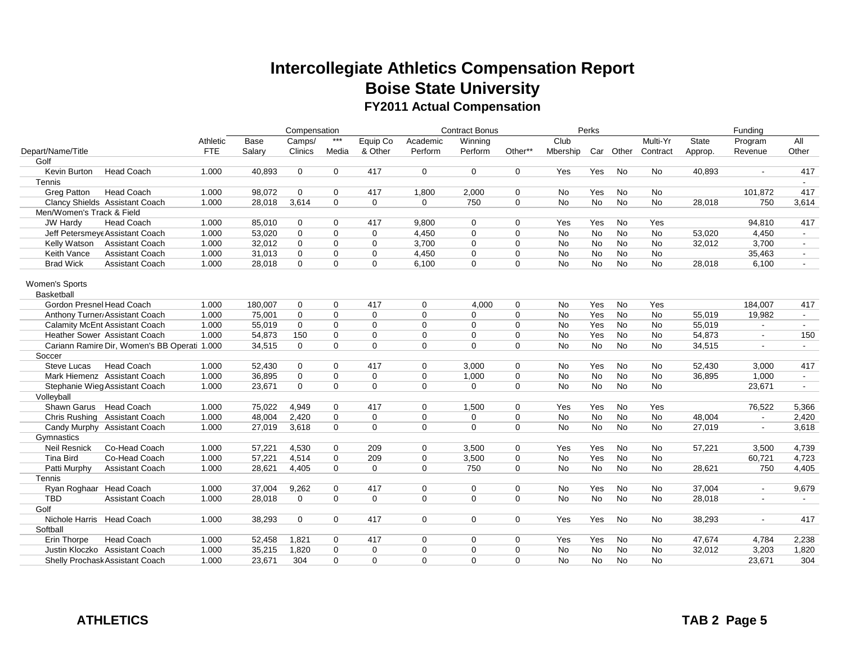**FY2011 Actual Compensation**

|                           |                                              |            |         | Compensation |             |             |              | <b>Contract Bonus</b>       |             |           | Perks     |           |           |         | Funding                  |                |
|---------------------------|----------------------------------------------|------------|---------|--------------|-------------|-------------|--------------|-----------------------------|-------------|-----------|-----------|-----------|-----------|---------|--------------------------|----------------|
|                           |                                              | Athletic   | Base    | Camps/       | $***$       | Equip Co    | Academic     | $\overline{\text{Winning}}$ |             | Club      |           |           | Multi-Yr  | State   | Program                  | All            |
| Depart/Name/Title         |                                              | <b>FTE</b> | Salary  | Clinics      | Media       | & Other     | Perform      | Perform                     | Other**     | Mbership  |           | Car Other | Contract  | Approp. | Revenue                  | Other          |
| Golf                      |                                              |            |         |              |             |             |              |                             |             |           |           |           |           |         |                          |                |
| Kevin Burton              | <b>Head Coach</b>                            | 1.000      | 40,893  | $\mathbf 0$  | $\mathbf 0$ | 417         | $\mathbf 0$  | $\mathbf 0$                 | $\mathbf 0$ | Yes       | Yes       | No        | No        | 40,893  |                          | 417            |
| Tennis                    |                                              |            |         |              |             |             |              |                             |             |           |           |           |           |         |                          | $\sim$         |
| <b>Greg Patton</b>        | <b>Head Coach</b>                            | 1.000      | 98,072  | $\mathbf{0}$ | $\mathbf 0$ | 417         | 1,800        | 2,000                       | $\mathbf 0$ | No        | Yes       | No        | No        |         | 101,872                  | 417            |
|                           | Clancy Shields Assistant Coach               | 1.000      | 28,018  | 3,614        | $\mathbf 0$ | $\mathbf 0$ | $\mathbf{0}$ | 750                         | $\mathbf 0$ | <b>No</b> | No        | No        | <b>No</b> | 28,018  | 750                      | 3,614          |
| Men/Women's Track & Field |                                              |            |         |              |             |             |              |                             |             |           |           |           |           |         |                          |                |
| <b>JW Hardy</b>           | <b>Head Coach</b>                            | 1.000      | 85,010  | $\mathbf 0$  | $\mathbf 0$ | 417         | 9,800        | 0                           | $\mathbf 0$ | Yes       | Yes       | No        | Yes       |         | 94,810                   | 417            |
|                           | Jeff Petersmeye Assistant Coach              | 1.000      | 53,020  | $\mathbf{0}$ | $\Omega$    | $\mathbf 0$ | 4,450        | $\mathbf 0$                 | $\Omega$    | <b>No</b> | No        | No        | <b>No</b> | 53,020  | 4,450                    | $\blacksquare$ |
| Kelly Watson              | <b>Assistant Coach</b>                       | 1.000      | 32,012  | $\mathbf{0}$ | $\mathbf 0$ | $\mathbf 0$ | 3,700        | $\mathbf 0$                 | $\mathbf 0$ | No        | <b>No</b> | No        | <b>No</b> | 32,012  | 3,700                    | $\sim$         |
| Keith Vance               | Assistant Coach                              | 1.000      | 31,013  | $\mathbf{0}$ | $\mathbf 0$ | $\mathbf 0$ | 4,450        | 0                           | $\mathsf 0$ | No        | No        | No        | <b>No</b> |         | 35,463                   | $\sim$         |
| <b>Brad Wick</b>          | <b>Assistant Coach</b>                       | 1.000      | 28,018  | $\mathbf{0}$ | $\mathbf 0$ | $\mathbf 0$ | 6,100        | $\mathbf 0$                 | $\mathbf 0$ | No        | No        | No        | No        | 28,018  | 6,100                    | $\sim$         |
|                           |                                              |            |         |              |             |             |              |                             |             |           |           |           |           |         |                          |                |
| <b>Women's Sports</b>     |                                              |            |         |              |             |             |              |                             |             |           |           |           |           |         |                          |                |
| Basketball                |                                              |            |         |              |             |             |              |                             |             |           |           |           |           |         |                          |                |
| Gordon Presnel Head Coach |                                              | 1.000      | 180,007 | $\mathbf 0$  | 0           | 417         | 0            | 4,000                       | 0           | No        | Yes       | No        | Yes       |         | 184,007                  | 417            |
|                           | Anthony Turner, Assistant Coach              | 1.000      | 75,001  | $\mathbf 0$  | $\mathbf 0$ | $\mathbf 0$ | 0            | $\mathbf 0$                 | $\mathbf 0$ | No        | Yes       | No        | No        | 55,019  | 19,982                   | $\sim$         |
|                           | <b>Calamity McEnt Assistant Coach</b>        | 1.000      | 55,019  | $\mathbf{0}$ | $\mathbf 0$ | $\mathbf 0$ | $\mathbf 0$  | $\mathbf 0$                 | $\mathbf 0$ | <b>No</b> | Yes       | <b>No</b> | <b>No</b> | 55,019  |                          |                |
|                           | Heather Sower Assistant Coach                | 1.000      | 54,873  | 150          | $\mathbf 0$ | $\Omega$    | $\mathbf 0$  | $\mathbf 0$                 | $\mathbf 0$ | <b>No</b> | Yes       | No        | No        | 54,873  | $\Delta$                 | 150            |
|                           | Cariann Ramire Dir, Women's BB Operati 1.000 |            | 34,515  | $\mathbf{0}$ | $\Omega$    | $\Omega$    | $\mathbf 0$  | $\Omega$                    | $\Omega$    | <b>No</b> | No        | No        | <b>No</b> | 34,515  |                          | $\sim$         |
| Soccer                    |                                              |            |         |              |             |             |              |                             |             |           |           |           |           |         |                          |                |
| Steve Lucas               | <b>Head Coach</b>                            | 1.000      | 52,430  | $\mathbf{0}$ | $\Omega$    | 417         | $\Omega$     | 3,000                       | $\mathbf 0$ | No        | Yes       | No        | <b>No</b> | 52,430  | 3,000                    | 417            |
|                           | Mark Hiemenz Assistant Coach                 | 1.000      | 36,895  | $\mathbf 0$  | $\mathbf 0$ | $\mathbf 0$ | $\mathbf 0$  | 1,000                       | $\mathbf 0$ | No        | No        | No        | No        | 36,895  | 1,000                    | $\sim$         |
|                           | Stephanie Wieg Assistant Coach               | 1.000      | 23,671  | $\mathbf{0}$ | $\Omega$    | $\mathbf 0$ | $\mathbf 0$  | $\mathbf 0$                 | $\mathbf 0$ | No        | No        | No        | No        |         | 23,671                   | $\blacksquare$ |
| Volleyball                |                                              |            |         |              |             |             |              |                             |             |           |           |           |           |         |                          |                |
| Shawn Garus Head Coach    |                                              | 1.000      | 75,022  | 4,949        | $\mathbf 0$ | 417         | $\mathbf 0$  | 1,500                       | $\mathbf 0$ | Yes       | Yes       | <b>No</b> | Yes       |         | 76,522                   | 5,366          |
|                           | Chris Rushing Assistant Coach                | 1.000      | 48,004  | 2,420        | $\mathbf 0$ | $\mathbf 0$ | $\mathbf 0$  | 0                           | $\mathbf 0$ | <b>No</b> | <b>No</b> | No        | No        | 48,004  | $\sim$                   | 2,420          |
|                           | Candy Murphy Assistant Coach                 | 1.000      | 27,019  | 3,618        | $\Omega$    | $\Omega$    | $\Omega$     | $\Omega$                    | $\Omega$    | No        | No        | No        | No        | 27,019  | $\overline{\phantom{a}}$ | 3,618          |
| Gymnastics                |                                              |            |         |              |             |             |              |                             |             |           |           |           |           |         |                          |                |
| <b>Neil Resnick</b>       | Co-Head Coach                                | 1.000      | 57,221  | 4,530        | $\mathbf 0$ | 209         | 0            | 3,500                       | $\mathbf 0$ | Yes       | Yes       | No        | No        | 57,221  | 3,500                    | 4,739          |
| <b>Tina Bird</b>          | Co-Head Coach                                | 1.000      | 57,221  | 4,514        | $\mathbf 0$ | 209         | 0            | 3,500                       | $\mathbf 0$ | <b>No</b> | Yes       | No        | No        |         | 60,721                   | 4,723          |
| Patti Murphy              | <b>Assistant Coach</b>                       | 1.000      | 28,621  | 4,405        | $\mathbf 0$ | $\mathbf 0$ | $\mathbf 0$  | 750                         | $\mathbf 0$ | <b>No</b> | No        | No        | <b>No</b> | 28,621  | 750                      | 4,405          |
| Tennis                    |                                              |            |         |              |             |             |              |                             |             |           |           |           |           |         |                          |                |
| Ryan Roghaar Head Coach   |                                              | 1.000      | 37,004  | 9,262        | $\mathbf 0$ | 417         | $\mathbf 0$  | $\mathbf 0$                 | $\mathbf 0$ | No        | Yes       | No        | No        | 37,004  |                          | 9,679          |
| <b>TBD</b>                | <b>Assistant Coach</b>                       | 1.000      | 28,018  | $\mathbf{0}$ | $\mathbf 0$ | $\mathbf 0$ | $\mathbf 0$  | $\mathbf 0$                 | $\mathbf 0$ | No        | <b>No</b> | <b>No</b> | <b>No</b> | 28,018  | $\sim$                   | $\sim$         |
| Golf                      |                                              |            |         |              |             |             |              |                             |             |           |           |           |           |         |                          |                |
| Nichole Harris Head Coach |                                              | 1.000      | 38,293  | $\mathbf{0}$ | $\mathbf 0$ | 417         | $\mathbf{0}$ | $\mathbf 0$                 | $\mathbf 0$ | Yes       | Yes       | <b>No</b> | No        | 38,293  | $\sim$                   | 417            |
| Softball                  |                                              |            |         |              |             |             |              |                             |             |           |           |           |           |         |                          |                |
| Erin Thorpe               | <b>Head Coach</b>                            | 1.000      | 52,458  | 1,821        | $\mathbf 0$ | 417         | $\mathbf 0$  | $\mathbf 0$                 | $\mathbf 0$ | Yes       | Yes       | No        | No        | 47.674  | 4.784                    | 2,238          |
|                           | Justin Kloczko Assistant Coach               | 1.000      | 35,215  | 1,820        | $\mathbf 0$ | $\mathbf 0$ | $\mathbf 0$  | $\mathbf 0$                 | $\mathbf 0$ | No        | No        | No        | No        | 32,012  | 3,203                    | 1,820          |
|                           | Shelly Prochask Assistant Coach              | 1.000      | 23,671  | 304          | $\Omega$    | $\Omega$    | $\Omega$     | $\mathbf 0$                 | $\mathbf 0$ | No        | No        | <b>No</b> | <b>No</b> |         | 23,671                   | 304            |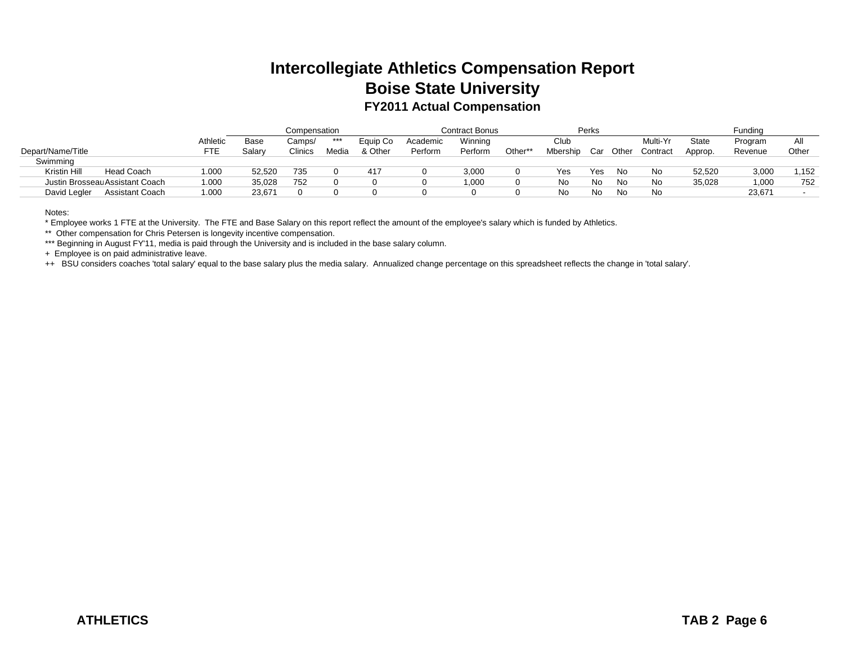### **FY2011 Actual Compensation**

|                   |                                 |          |        | Compensation |       |          |          | Contract Bonus |         |          | Perks |       |          |              | Funding |       |
|-------------------|---------------------------------|----------|--------|--------------|-------|----------|----------|----------------|---------|----------|-------|-------|----------|--------------|---------|-------|
|                   |                                 | Athletic | Base   | Camps/       | ***   | Equip Co | Academic | Winning        |         | Club     |       |       | Multi-Yr | <b>State</b> | Program | Αll   |
| Depart/Name/Title |                                 | FTE      | Salary | Clinics      | Media | & Other  | Perform  | Perform        | Other** | Mbership | Car   | Other | Contract | Approp.      | Revenue | Other |
| Swimming          |                                 |          |        |              |       |          |          |                |         |          |       |       |          |              |         |       |
| Kristin Hill      | <b>Head Coach</b>               | .000     | 52.520 | 735          |       |          |          | 3.000          |         | Yes      | Yes   | No    | No       | 52.520       | 3,000   | 1.152 |
|                   | Justin Brosseau Assistant Coach | 1.000    | 35,028 | 752          |       |          |          | 000, ا         |         | No       | No.   | No    | No       | 35,028       | 1,000   | 752   |
| David Legler      | <b>Assistant Coach</b>          | 1.000    | 23.671 |              |       |          |          |                |         | No       | No.   | No    | No       |              | 23.671  |       |

Notes:

\* Employee works 1 FTE at the University. The FTE and Base Salary on this report reflect the amount of the employee's salary which is funded by Athletics.

\*\* Other compensation for Chris Petersen is longevity incentive compensation.

\*\*\* Beginning in August FY'11, media is paid through the University and is included in the base salary column.

+ Employee is on paid administrative leave.

++ BSU considers coaches 'total salary' equal to the base salary plus the media salary. Annualized change percentage on this spreadsheet reflects the change in 'total salary'.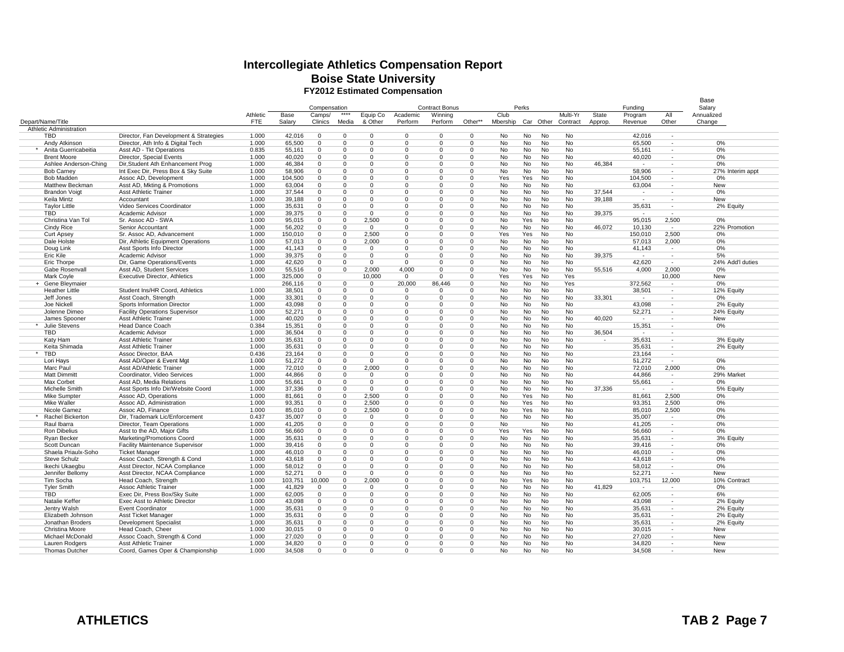### **Intercollegiate Athletics Compensation Report Boise State University FY2012 Estimated Compensation**

|                                              |                                            |                |                  |                            |                      |                      |                      |                      |                      |                    |                        |                 |           |                  |                  |                          | Base             |
|----------------------------------------------|--------------------------------------------|----------------|------------------|----------------------------|----------------------|----------------------|----------------------|----------------------|----------------------|--------------------|------------------------|-----------------|-----------|------------------|------------------|--------------------------|------------------|
|                                              |                                            |                |                  | Compensation               |                      |                      |                      | Contract Bonus       |                      |                    | Perks                  |                 |           |                  | Funding          |                          | Salary           |
|                                              |                                            | Athletic       | Base             | Camps/                     | ****                 | Equip Co             | Academic             | Winning              |                      | Club               |                        |                 | Multi-Yr  | State            | Program          | All                      | Annualized       |
| Depart/Name/Title<br>Athletic Administration |                                            | <b>FTE</b>     | Salary           | Clinics                    | Media                | & Other              | Perform              | Perform              | Other**              | Mbership Car Other |                        |                 | Contract  | Approp.          | Revenue          | Other                    | Change           |
| TBD                                          | Director, Fan Development & Strategies     | 1.000          | 42,016           | $\overline{0}$             | $\Omega$             | $\Omega$             | $\Omega$             | $\Omega$             | $\Omega$             | No                 | No                     | <b>No</b>       | No        |                  | 42,016           | $\sim$                   |                  |
| Andy Atkinson                                | Director, Ath Info & Digital Tech          | 1.000          | 65.500           | $\mathbf{0}$               | $\Omega$             | $\Omega$             | $\Omega$             | $\Omega$             | $\Omega$             | No                 | <b>No</b>              | No              | No.       |                  | 65.500           | ٠                        | 0%               |
| Anita Guerricabeitia                         | Asst AD - Tkt Operations                   | 0.835          | 55.161           | $\mathbf{0}$               | $\Omega$             | $\Omega$             | $\Omega$             | $\Omega$             | $\Omega$             | No                 | <b>No</b>              | <b>No</b>       | No        |                  | 55.161           | $\sim$                   | 0%               |
| <b>Brent Moore</b>                           | Director, Special Events                   | 1.000          | 40.020           | $\Omega$                   | $\Omega$             | $\Omega$             | $\Omega$             | $\Omega$             | $\Omega$             | No                 | <b>No</b>              | No              | No        |                  | 40,020           | ×.                       | 0%               |
| Ashlee Anderson-Ching                        | Dir, Student Ath Enhancement Prog          | 1.000          | 46,384           | $\Omega$                   | $\mathbf 0$          | $\Omega$             | $\Omega$             | $\Omega$             | $\Omega$             | No                 | No                     | No              | No        | 46,384           | $\sim$           | ÷.                       | 0%               |
|                                              |                                            | 1.000          | 58,906           | $\Omega$                   | $\Omega$             | $\Omega$             | $\Omega$             | $\Omega$             | $\Omega$             | No                 | <b>No</b>              | <b>No</b>       | No        |                  | 58,906           |                          | 27% Interim appt |
| <b>Bob Carney</b>                            | Int Exec Dir, Press Box & Sky Suite        | 1.000          | 104.500          | $\Omega$                   | $\Omega$             | $\Omega$             | $\Omega$             | $\Omega$             | $\Omega$             |                    | Yes                    |                 |           |                  | 104.500          |                          |                  |
| <b>Bob Madden</b>                            | Assoc AD, Development                      |                |                  | $\mathbf 0$                | $\Omega$             | $\Omega$             | $\Omega$             | $\Omega$             | $\Omega$             | Yes                |                        | <b>No</b>       | No.       |                  |                  | ×.                       | 0%               |
| Matthew Beckman                              | Asst AD, Mkting & Promotions               | 1.000          | 63,004           |                            |                      |                      | $\Omega$             | $\Omega$             | $\Omega$             | No                 | No                     | No              | No        |                  | 63,004           |                          | New              |
| <b>Brandon Voigt</b><br>Keila Mintz          | <b>Asst Athletic Trainer</b><br>Accountant | 1.000<br>1.000 | 37.544<br>39.188 | $\mathbf 0$<br>$\mathbf 0$ | $\Omega$<br>$\Omega$ | $\Omega$<br>$\Omega$ | $\Omega$             | $\Omega$             | $\Omega$             | No<br>No           | <b>No</b><br><b>No</b> | <b>No</b><br>No | No.<br>No | 37.544<br>39.188 | $\sim$<br>$\sim$ | $\overline{\phantom{a}}$ | 0%<br>New        |
|                                              |                                            |                |                  | $\Omega$                   |                      | $\Omega$             |                      |                      |                      |                    |                        |                 |           |                  |                  | ×.                       |                  |
| <b>Taylor Little</b>                         | Video Services Coordinator                 | 1.000          | 35,631           | $\Omega$                   | $\Omega$             |                      | $\Omega$<br>$\Omega$ | $\Omega$             | $\Omega$             | No                 | No                     | No              | No        |                  | 35,631           |                          | 2% Equity        |
| TBD                                          | Academic Advisor                           | 1.000          | 39,375           |                            | $\Omega$             | $\Omega$             |                      | $\Omega$<br>$\Omega$ | $\Omega$<br>$\Omega$ | No                 | No                     | No              | No        | 39,375           | $\sim$           | ×.                       |                  |
| Christina Van Tol                            | Sr. Assoc AD - SWA                         | 1.000          | 95.015           | $\Omega$                   | $\Omega$             | 2,500                | $\Omega$             |                      |                      | No                 | Yes                    | <b>No</b>       | No        |                  | 95,015           | 2,500                    | 0%               |
| Cindy Rice                                   | Senior Accountant                          | 1.000          | 56.202           | $\Omega$                   | U                    | $\Omega$             | $\Omega$             | $\Omega$             | $\Omega$             | No                 | <b>No</b>              | <b>No</b>       | No.       | 46.072           | 10.130           |                          | 22% Promotion    |
| <b>Curt Apsey</b>                            | Sr. Assoc AD, Advancement                  | 1.000          | 150,010          | $\mathbf 0$                | $\mathbf 0$          | 2,500                | $\Omega$             | $\Omega$             | $\Omega$             | Yes                | Yes                    | No              | No        |                  | 150,010          | 2,500                    | 0%               |
| Dale Holste                                  | Dir, Athletic Equipment Operations         | 1.000          | 57,013           | $\mathbf{0}$               | $\Omega$             | 2.000                | $\Omega$             | $\Omega$             | $\Omega$             | No                 | No                     | No              | No        |                  | 57,013           | 2,000                    | 0%               |
| Doug Link                                    | Asst Sports Info Director                  | 1.000          | 41.143           | $\mathbf 0$                | $\Omega$             | $\mathbf{0}$         | $\Omega$             | $\Omega$             | $\Omega$             | No                 | <b>No</b>              | No              | No        |                  | 41,143           | $\sim$                   | 0%               |
| Eric Kile                                    | Academic Advisor                           | 1.000          | 39.375           | $\Omega$                   | $\Omega$             | $\Omega$             | $\Omega$             | $\Omega$             | $\Omega$             | No                 | <b>No</b>              | <b>No</b>       | No        | 39.375           | $\sim$           | $\sim$                   | 5%               |
| Eric Thorpe                                  | Dir, Game Operations/Events                | 1.000          | 42,620           | $\Omega$                   | $\Omega$             | $\Omega$             | $\mathbf 0$          | $\Omega$             | $\Omega$             | No                 | No                     | No              | No        |                  | 42,620           | $\epsilon$               | 24% Add'l duties |
| Gabe Rosenvall                               | Asst AD, Student Services                  | 1.000          | 55.516           | $\Omega$                   | $\Omega$             | 2,000                | 4.000                | $\Omega$             | $\Omega$             | No                 | No                     | No              | No        | 55,516           | 4,000            | 2,000                    | 0%               |
| Mark Coyle                                   | <b>Executive Director, Athletics</b>       | 1.000          | 325.000          | $\Omega$                   |                      | 10.000               | $\mathbf 0$          | $\Omega$             | $\Omega$             | Yes                | Yes                    | <b>No</b>       | Yes       |                  |                  | 10,000                   | <b>New</b>       |
| + Gene Bleymaier                             |                                            |                | 266.116          | $\mathbf 0$                | $\mathbf 0$          | 0                    | 20,000               | 86.446               | $\Omega$             | No                 | No                     | No              | Yes       |                  | 372.562          |                          | 0%               |
| <b>Heather Little</b>                        | Student Ins/HR Coord, Athletics            | 1.000          | 38,501           | $\mathbf 0$                | $\Omega$             | $\Omega$             | $\Omega$             | $\Omega$             | $\Omega$             | No                 | <b>No</b>              | No              | No        |                  | 38,501           | $\sim$                   | 12% Equity       |
| Jeff Jones                                   | Asst Coach, Strength                       | 1.000          | 33.301           | $\Omega$                   | $\Omega$             | $\Omega$             | $\Omega$             | $\Omega$             | $\Omega$             | No                 | <b>No</b>              | <b>No</b>       | <b>No</b> | 33,301           | $\sim$           | $\sim$                   | 0%               |
| Joe Nickell                                  | Sports Information Director                | 1.000          | 43.098           | $\Omega$                   | $\Omega$             | $\Omega$             | $\Omega$             | $\Omega$             | $\Omega$             | No                 | <b>No</b>              | No              | No.       |                  | 43.098           | $\sim$                   | 2% Equity        |
| Jolenne Dimeo                                | <b>Facility Operations Supervisor</b>      | 1.000          | 52,271           | $\Omega$                   | $\Omega$             | $\Omega$             | $\Omega$             | $\Omega$             | $\Omega$             | No                 | No                     | No              | No        |                  | 52,271           | ٠                        | 24% Equity       |
| James Spooner                                | <b>Asst Athletic Trainer</b>               | 1.000          | 40,020           | $\Omega$                   | $\Omega$             | $\Omega$             | $\Omega$             | $\Omega$             | $\Omega$             | No                 | No                     | No              | No        | 40,020           | $\sim$           |                          | New              |
| $\star$<br>Julie Stevens                     | <b>Head Dance Coach</b>                    | 0.384          | 15.351           | $\Omega$                   | 0                    | $\Omega$             | $\Omega$             | $\Omega$             | $\Omega$             | No                 | <b>No</b>              | <b>No</b>       | No.       |                  | 15.351           |                          | 0%               |
| TBD                                          | Academic Advisor                           | 1.000          | 36.504           | $\mathbf{0}$               | $\Omega$             | $\Omega$             | $\Omega$             | $\Omega$             | $\Omega$             | No                 | <b>No</b>              | No              | No        | 36,504           |                  | $\mathbf{r}$             |                  |
| Katy Ham                                     | <b>Asst Athletic Trainer</b>               | 1.000          | 35.631           | $\Omega$                   | $\Omega$             | $\Omega$             | $\Omega$             | $\Omega$             | $\Omega$             | No                 | <b>No</b>              | No              | No.       |                  | 35.631           |                          | 3% Equity        |
| Keita Shimada                                | <b>Asst Athletic Trainer</b>               | 1.000          | 35,631           | $\Omega$                   | $\Omega$             | $\Omega$             | $\Omega$             | $\Omega$             | $\Omega$             | No                 | No                     | No              | No        |                  | 35,631           | $\sim$                   | 2% Equity        |
| <b>TBD</b>                                   | Assoc Director, BAA                        | 0.436          | 23,164           | $\Omega$                   | $\Omega$             | $\Omega$             | $\Omega$             | $\Omega$             | $\Omega$             | No                 | No                     | No              | No        |                  | 23,164           | $\sim$                   |                  |
| Lori Hays                                    | Asst AD/Oper & Event Mgt                   | 1.000          | 51.272           | $\Omega$                   | $\Omega$             | $\Omega$             | $\Omega$             | $\Omega$             | $\Omega$             | No                 | No                     | No              | No        |                  | 51.272           | $\sim$                   | $0\%$            |
| Marc Paul                                    | Asst AD/Athletic Trainer                   | 1.000          | 72,010           | $\Omega$                   | $\Omega$             | 2,000                | $\Omega$             | $\Omega$             | $\Omega$             | No                 | No                     | No              | No        |                  | 72,010           | 2,000                    | 0%               |
| <b>Matt Dimmitt</b>                          | Coordinator, Video Services                | 1.000          | 44.866           | $\Omega$                   | $\Omega$             | $\Omega$             | $\Omega$             | $\Omega$             | $\Omega$             | No                 | <b>No</b>              | No              | No        |                  | 44.866           | $\mathbf{r}$             | 29% Market       |
| Max Corbet                                   | Asst AD. Media Relations                   | 1.000          | 55.661           | $\mathbf{0}$               | $\Omega$             | $\Omega$             | $\Omega$             | $\Omega$             | $\Omega$             | No                 | <b>No</b>              | No              | No.       |                  | 55,661           | $\sim$                   | 0%               |
| Michelle Smith                               | Asst Sports Info Dir/Website Coord         | 1.000          | 37.336           | $\mathbf 0$                | $\Omega$             | $\Omega$             | $\Omega$             | $\Omega$             | $\Omega$             | No                 | <b>No</b>              | No              | No        | 37,336           |                  |                          | 5% Equity        |
| Mike Sumpter                                 | Assoc AD, Operations                       | 1.000          | 81,661           | $\Omega$                   | $\Omega$             | 2.500                | $\Omega$             | $\Omega$             | $\Omega$             | No                 | Yes                    | No              | No        |                  | 81,661           | 2,500                    | $0\%$            |
| Mike Waller                                  | Assoc AD, Administration                   | 1.000          | 93,351           | $\Omega$                   | $\mathbf 0$          | 2,500                | $\Omega$             | $\Omega$             | $\Omega$             | No                 | Yes                    | No              | No        |                  | 93,351           | 2,500                    | 0%               |
| Nicole Gamez                                 | Assoc AD, Finance                          | 1.000          | 85.010           | $\Omega$                   | $\Omega$             | 2.500                | $\Omega$             | $\Omega$             | $\Omega$             | No                 | Yes                    | <b>No</b>       | No        |                  | 85.010           | 2.500                    | 0%               |
| Rachel Bickerton                             | Dir, Trademark Lic/Enforcement             | 0.437          | 35,007           | $\Omega$                   | $\Omega$             | 0                    | $\Omega$             | $\Omega$             | $\Omega$             | No                 | No                     | No              | No        |                  | 35,007           | $\sim$                   | 0%               |
| Raul Ibarra                                  | Director, Team Operations                  | 1.000          | 41.205           | $\Omega$                   | $\Omega$             | $\Omega$             | $\Omega$             | $\Omega$             | $\Omega$             | No                 |                        | No              | No        |                  | 41,205           | ×.                       | 0%               |
| Ron Dibelius                                 | Asst to the AD, Major Gifts                | 1.000          | 56,660           | $\mathbf{0}$               | $\Omega$             | $\Omega$             | $\Omega$             | $\Omega$             | $\Omega$             | Yes                | Yes                    | No              | No        |                  | 56.660           | $\overline{\phantom{a}}$ | 0%               |
| <b>Ryan Becker</b>                           | Marketing/Promotions Coord                 | 1.000          | 35.631           | $\Omega$                   | $\Omega$             | $\Omega$             | $\Omega$             | $\Omega$             | $\Omega$             | No                 | <b>No</b>              | No              | No.       |                  | 35.631           | $\overline{a}$           | 3% Equity        |
| Scott Duncan                                 | <b>Facility Maintenance Supervisor</b>     | 1.000          | 39,416           | $\Omega$                   | $\Omega$             | $\Omega$             | $\Omega$             | $\Omega$             | $\Omega$             | No                 | No                     | No              | No        |                  | 39,416           | $\sim$                   | $0\%$            |
| Shaela Priaulx-Soho                          | <b>Ticket Manager</b>                      | 1.000          | 46,010           | $\Omega$                   | $\Omega$             | $\Omega$             | $\Omega$             | $\Omega$             | $\Omega$             | No                 | No                     | No              | No        |                  | 46,010           | $\sim$                   | 0%               |
| Steve Schulz                                 | Assoc Coach, Strength & Cond               | 1.000          | 43.618           | $\Omega$                   | $\Omega$             | $\Omega$             | $\Omega$             | $\Omega$             | $\Omega$             | No                 | No                     | No              | No.       |                  | 43.618           |                          | 0%               |
| Ikechi Ukaegbu                               | Asst Director, NCAA Compliance             | 1.000          | 58.012           | $\Omega$                   | $\Omega$             | $\Omega$             | $\Omega$             | $\Omega$             | $\Omega$             | No                 | <b>No</b>              | <b>No</b>       | No        |                  | 58.012           |                          | 0%               |
| Jennifer Bellomy                             | Asst Director, NCAA Compliance             | 1.000          | 52,271           | $\mathbf 0$                | $\Omega$             | $\Omega$             | $\Omega$             | $\Omega$             | $\Omega$             | No                 | No                     | No              | No        |                  | 52,271           |                          | New              |
| Tim Socha                                    | Head Coach, Strength                       | 1.000          | 103,751          | 10,000                     | $\Omega$             | 2.000                | $\Omega$             | $\Omega$             | $\Omega$             | No                 | Yes                    | No              | No        |                  | 103,751          | 12,000                   | 10% Contract     |
| <b>Tyler Smith</b>                           | Assoc Athletic Trainer                     | 1.000          | 41.829           | $\mathbf{0}$               | $\Omega$             | $\Omega$             | $\Omega$             | $\Omega$             | $\Omega$             | No                 | No                     | No              | No        | 41.829           | $\sim$           | $\sim$                   | 0%               |
| TBD                                          | Exec Dir, Press Box/Sky Suite              | 1.000          | 62.005           | $\Omega$                   | $\Omega$             | $\Omega$             | $\Omega$             | $\Omega$             | $\Omega$             | No                 | No                     | No              | No.       |                  | 62.005           | $\mathbf{r}$             | 6%               |
| Natalie Keffer                               | Exec Asst to Athletic Director             | 1.000          | 43,098           | $\mathbf 0$                | $\mathbf 0$          | $\Omega$             | $\Omega$             | $\Omega$             | $\Omega$             | No                 | No                     | No              | No        |                  | 43,098           | $\mathbf{r}$             | 2% Equity        |
| Jentry Walsh                                 | <b>Event Coordinator</b>                   | 1.000          | 35.631           | $\Omega$                   | $\Omega$             | $\Omega$             | $\Omega$             | $\Omega$             | $\Omega$             | No                 | <b>No</b>              | No              | No        |                  | 35.631           | $\overline{\phantom{a}}$ | 2% Equity        |
| Elizabeth Johnson                            | Asst Ticket Manager                        | 1.000          | 35.631           | $\Omega$                   | $\Omega$             | $\Omega$             | $\Omega$             | $\Omega$             | $\Omega$             | No                 | <b>No</b>              | No              | No        |                  | 35.631           | ٠                        | 2% Equity        |
| Jonathan Broders                             | <b>Development Specialist</b>              | 1.000          | 35,631           | $\mathbf 0$                | $\Omega$             | $\Omega$             | $\Omega$             | $\Omega$             | $\Omega$             | No                 | No                     | No              | No        |                  | 35,631           | $\sim$                   | 2% Equity        |
| Christina Moore                              | Head Coach, Cheer                          | 1.000          | 30.015           | $\Omega$                   | $\Omega$             | $\Omega$             | $\Omega$             | $\Omega$             | $\Omega$             | No                 | <b>No</b>              | No              | No        |                  | 30.015           |                          | New              |
| Michael McDonald                             | Assoc Coach, Strength & Cond               | 1.000          | 27,020           | $\mathbf 0$                | $\Omega$             | $\Omega$             | $\Omega$             | $\Omega$             | $\Omega$             | No                 | <b>No</b>              | No              | No        |                  | 27.020           | $\overline{a}$           | New              |
| Lauren Rodgers                               | <b>Asst Athletic Trainer</b>               | 1.000          | 34.820           | $\Omega$                   | $\Omega$             | $\Omega$             | $\Omega$             | $\Omega$             | $\Omega$             | No                 | <b>No</b>              | <b>No</b>       | No        |                  | 34.820           | $\sim$                   | <b>New</b>       |
| <b>Thomas Dutcher</b>                        | Coord, Games Oper & Championship           | 1.000          | 34,508           | $\Omega$                   | $\Omega$             | $\Omega$             | $\Omega$             | $\Omega$             | $\Omega$             | No                 | No                     | No              | No        |                  | 34,508           |                          | New              |
|                                              |                                            |                |                  |                            |                      |                      |                      |                      |                      |                    |                        |                 |           |                  |                  |                          |                  |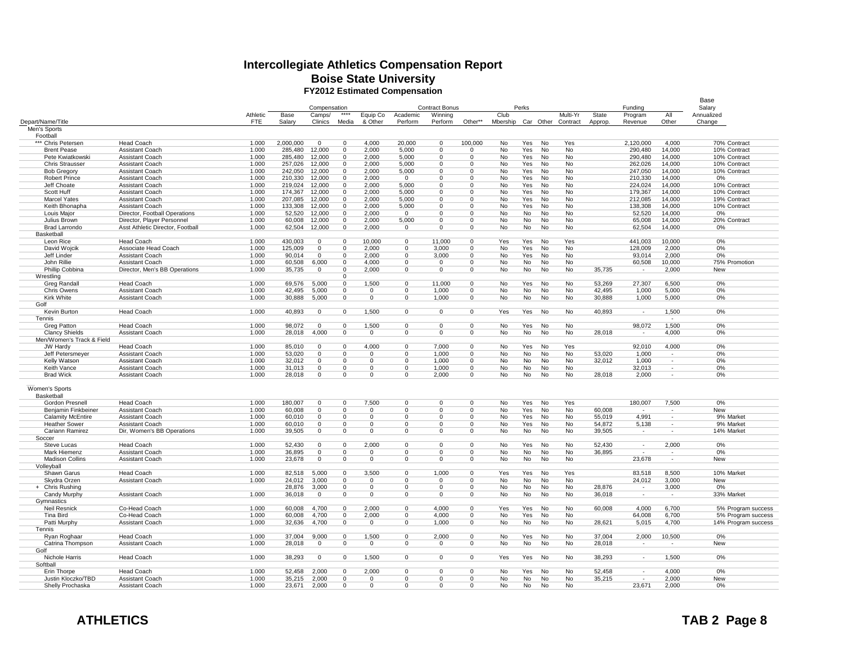### **Intercollegiate Athletics Compensation Report Boise State University FY2012 Estimated Compensation**

|                              |                                  |            |           | Compensation |             |                |              | <b>Contract Bonus</b> |              |           | Perks |                 |           |         | Funding                  |                          | Salary              |
|------------------------------|----------------------------------|------------|-----------|--------------|-------------|----------------|--------------|-----------------------|--------------|-----------|-------|-----------------|-----------|---------|--------------------------|--------------------------|---------------------|
|                              |                                  | Athletic   | Base      | Camps/       | ****        | Equip Co       | Academic     | Winning               |              | Club      |       |                 | Multi-Yr  | State   | Program                  | All                      | Annualized          |
| Depart/Name/Title            |                                  | <b>FTE</b> | Salary    | Clinics      | Media       | & Other        | Perform      | Perform               | Other**      | Mbership  |       | Car Other       | Contract  | Approp. | Revenue                  | Other                    | Change              |
| Men's Sports                 |                                  |            |           |              |             |                |              |                       |              |           |       |                 |           |         |                          |                          |                     |
| Football                     |                                  |            |           |              |             |                |              |                       |              |           |       |                 |           |         |                          |                          |                     |
| *** Chris Petersen           | <b>Head Coach</b>                | 1.000      | 2,000,000 | $\mathbf 0$  | 0           | 4,000          | 20,000       | $\Omega$              | 100,000      | No        | Yes   | No              | Yes       |         | 2,120,000                | 4,000                    | 70% Contract        |
| <b>Brent Pease</b>           | <b>Assistant Coach</b>           | 1.000      | 285,480   | 12,000       | 0           | 2,000          | 5,000        | 0                     | $\mathbf 0$  | No        | Yes   | No              | No        |         | 290,480                  | 14,000                   | 10% Contract        |
| Pete Kwiatkowski             | <b>Assistant Coach</b>           | 1.000      | 285.480   | 12.000       | $\mathbf 0$ | 2.000          | 5,000        | $\Omega$              | $\Omega$     | No        | Yes   | <b>No</b>       | <b>No</b> |         | 290.480                  | 14,000                   | 10% Contract        |
| Chris Strausser              | <b>Assistant Coach</b>           | 1.000      | 257,026   | 12,000       | $\mathbf 0$ | 2.000          | 5,000        | $\Omega$              | $\Omega$     | No        | Yes   | No              | No        |         | 262,026                  | 14,000                   | 10% Contract        |
| <b>Bob Gregory</b>           | <b>Assistant Coach</b>           | 1.000      | 242.050   | 12,000       | $\mathbf 0$ | 2.000          | 5,000        | $\Omega$              | $\Omega$     | No        | Yes   | No              | <b>No</b> |         | 247,050                  | 14.000                   | 10% Contract        |
| <b>Robert Prince</b>         | <b>Assistant Coach</b>           | 1.000      | 210,330   | 12.000       | $\mathbf 0$ | 2,000          | $\mathbf{0}$ | $\Omega$              | $\Omega$     | No        | Yes   | <b>No</b>       | <b>No</b> |         | 210,330                  | 14.000                   | 0%                  |
| Jeff Choate                  | <b>Assistant Coach</b>           | 1.000      | 219,024   | 12,000       | $\mathbf 0$ | 2,000          | 5,000        | $\Omega$              | $\Omega$     | No        | Yes   | No              | <b>No</b> |         | 224,024                  | 14,000                   | 10% Contract        |
| Scott Huff                   | <b>Assistant Coach</b>           | 1.000      | 174.367   | 12,000       | $\mathbf 0$ | 2.000          | 5.000        | $\Omega$              | $\Omega$     | <b>No</b> | Yes   | <b>No</b>       | <b>No</b> |         | 179.367                  | 14.000                   | 10% Contract        |
| <b>Marcel Yates</b>          | <b>Assistant Coach</b>           | 1.000      | 207,085   | 12,000       | 0           | 2,000          | 5,000        | $\Omega$              | $\Omega$     | No        | Yes   | No              | No        |         | 212,085                  | 14,000                   | 19% Contract        |
| Keith Bhonapha               | <b>Assistant Coach</b>           | 1.000      | 133,308   | 12,000       | 0           | 2,000          | 5,000        | $\Omega$              | $\Omega$     | No        | Yes   | No              | No        |         | 138,308                  | 14,000                   | 10% Contract        |
| Louis Major                  | Director, Football Operations    | 1.000      | 52.520    | 12,000       | $\mathbf 0$ | 2,000          | $\mathbf 0$  | $\Omega$              | $\Omega$     | No        | No    | No              | <b>No</b> |         | 52,520                   | 14,000                   | 0%                  |
| Julius Brown                 | Director, Player Personnel       | 1.000      | 60.008    | 12.000       | $\mathbf 0$ | 2.000          | 5.000        | $\Omega$              | $\Omega$     | No        | No    | <b>No</b>       | <b>No</b> |         | 65.008                   | 14.000                   | 20% Contract        |
| <b>Brad Larrondo</b>         | Asst Athletic Director, Football | 1.000      | 62,504    | 12,000       | $\mathbf 0$ | 2,000          | $\mathbf 0$  | $\Omega$              | $\mathsf 0$  | No        | No    | No              | No        |         | 62,504                   | 14,000                   | 0%                  |
| Basketball                   |                                  |            |           |              |             |                |              |                       |              |           |       |                 |           |         |                          |                          |                     |
| Leon Rice                    | <b>Head Coach</b>                | 1.000      | 430.003   | $\Omega$     | $\Omega$    | 10.000         | $\Omega$     | 11.000                | $\mathbf 0$  | Yes       | Yes   | <b>No</b>       | Yes       |         | 441.003                  | 10.000                   | 0%                  |
| David Wojcik                 | Associate Head Coach             | 1.000      | 125,009   | $\Omega$     | $\mathbf 0$ | 2,000          | $\Omega$     | 3,000                 | $\mathsf 0$  | No        | Yes   | No              | No        |         | 128,009                  | 2,000                    | 0%                  |
| Jeff Linder                  | <b>Assistant Coach</b>           | 1.000      | 90,014    | $\mathbf 0$  | 0           | 2,000          | $\mathbf 0$  | 3,000                 | $\mathbf 0$  | No        | Yes   | No              | No        |         | 93,014                   | 2,000                    | 0%                  |
| John Rillie                  | <b>Assistant Coach</b>           | 1.000      | 60.508    | 6.000        | $\mathbf 0$ | 4.000          | $\Omega$     | $\mathbf 0$           | $\Omega$     | No        | No    | <b>No</b>       | <b>No</b> |         | 60,508                   | 10.000                   | 75% Promotion       |
| Phillip Cobbina              | Director, Men's BB Operations    | 1.000      | 35,735    | $\Omega$     | $\Omega$    | 2.000          | $\Omega$     | $\Omega$              | $\Omega$     | No        | No    | <b>No</b>       | <b>No</b> | 35,735  | $\sim$                   | 2.000                    | New                 |
| Wrestling                    |                                  |            |           |              | 0           |                |              |                       |              |           |       |                 |           |         |                          |                          |                     |
| Greg Randall                 | <b>Head Coach</b>                | 1.000      | 69.576    | 5.000        | $\Omega$    | 1,500          | $\Omega$     | 11.000                | $\mathbf 0$  | No        | Yes   | <b>No</b>       | <b>No</b> | 53,269  | 27.307                   | 6.500                    | 0%                  |
| <b>Chris Owens</b>           | <b>Assistant Coach</b>           | 1.000      | 42,495    | 5,000        | $\mathbf 0$ | $\mathbf 0$    | $\Omega$     | 1.000                 | $\mathbf 0$  | No        | No    | No              | No        | 42,495  | 1.000                    | 5,000                    | 0%                  |
| Kirk White                   | Assistant Coach                  | 1.000      | 30,888    | 5,000        | $\mathbf 0$ | $\overline{0}$ | $\mathbf 0$  | 1,000                 | $\mathsf 0$  | No        | No    | No              | No        | 30,888  | 1,000                    | 5,000                    | 0%                  |
| Golf                         |                                  |            |           |              |             |                |              |                       |              |           |       |                 |           |         |                          |                          |                     |
|                              | <b>Head Coach</b>                | 1.000      | 40.893    | $\mathbf 0$  | $\mathbf 0$ |                | $\Omega$     | $\mathbf{0}$          | $\mathbf{0}$ | Yes       |       | <b>No</b>       | <b>No</b> |         | $\sim$                   |                          | 0%                  |
| Kevin Burton                 |                                  |            |           |              |             | 1,500          |              |                       |              |           | Yes   |                 |           | 40,893  |                          | 1,500                    |                     |
| Tennis                       |                                  |            |           |              |             |                |              |                       |              |           |       |                 |           |         |                          |                          |                     |
| Greg Patton                  | Head Coach                       | 1.000      | 98,072    | $\mathbf 0$  | 0           | 1,500          | $\Omega$     | $\Omega$              | $\mathbf 0$  | No        | Yes   | No              | No        |         | 98,072                   | 1,500                    | 0%                  |
| <b>Clancy Shields</b>        | <b>Assistant Coach</b>           | 1.000      | 28.018    | 4,000        | $\mathbf 0$ | $\mathbf 0$    | $\Omega$     | $\Omega$              | $\mathbf 0$  | No        | No    | No              | No        | 28,018  | $\sim$                   | 4,000                    | 0%                  |
| Men/Women's Track & Field    |                                  |            |           |              |             |                |              |                       |              |           |       |                 |           |         |                          |                          |                     |
| <b>JW Hardy</b>              | <b>Head Coach</b>                | 1.000      | 85,010    | $\mathbf 0$  | $\Omega$    | 4,000          | $\mathbf 0$  | 7,000                 | $\mathbf 0$  | No        | Yes   | No              | Yes       |         | 92,010                   | 4,000                    | 0%                  |
| Jeff Petersmeyer             | <b>Assistant Coach</b>           | 1.000      | 53,020    | $\Omega$     | $\mathbf 0$ | $\mathbf 0$    | $\mathbf 0$  | 1,000                 | $\Omega$     | No        | No    | No              | No        | 53,020  | 1,000                    | $\sim$                   | 0%                  |
| Kelly Watson                 | <b>Assistant Coach</b>           | 1.000      | 32,012    | $\Omega$     | 0           | $\mathbf 0$    | $\mathbf 0$  | 1,000                 | $\Omega$     | No        | No    | No              | No        | 32,012  | 1,000                    | $\overline{\phantom{m}}$ | 0%                  |
| Keith Vance                  | <b>Assistant Coach</b>           | 1.000      | 31.013    | $\Omega$     | $\Omega$    | $\Omega$       | $\Omega$     | 1.000                 | $\Omega$     | No        | No    | <b>No</b>       | <b>No</b> |         | 32.013                   | ÷.                       | 0%                  |
| <b>Brad Wick</b>             | <b>Assistant Coach</b>           | 1.000      | 28,018    | $\Omega$     | 0           | $\Omega$       | $\mathbf 0$  | 2,000                 | $\Omega$     | No        | No    | No              | <b>No</b> | 28,018  | 2,000                    | ÷.                       | 0%                  |
| Women's Sports<br>Basketball |                                  |            |           |              |             |                |              |                       |              |           |       |                 |           |         |                          |                          |                     |
| Gordon Presnell              | <b>Head Coach</b>                | 1.000      | 180,007   | $\Omega$     | $\mathbf 0$ | 7,500          | $\Omega$     | $\Omega$              | $\mathbf 0$  | No        | Yes   | No              | Yes       |         | 180,007                  | 7,500                    | 0%                  |
| Benjamin Finkbeiner          | <b>Assistant Coach</b>           | 1.000      | 60,008    | $\Omega$     | $\mathbf 0$ | $\mathbf 0$    | $\Omega$     | 0                     | $\Omega$     | No        | Yes   | No              | No        | 60,008  |                          | $\overline{\phantom{a}}$ | New                 |
| <b>Calamity McEntire</b>     | <b>Assistant Coach</b>           | 1.000      | 60.010    | $\Omega$     | $\Omega$    | $\Omega$       | $\Omega$     | $\Omega$              | $\Omega$     | No        | Yes   | No              | No        | 55,019  | 4.991                    | $\mathbf{r}$             | 9% Market           |
| <b>Heather Sower</b>         | Assistant Coach                  | 1.000      | 60,010    | $\mathbf 0$  | 0           | $\mathbf 0$    | $\mathbf 0$  | 0                     | $\mathbf 0$  | No        | Yes   | No              | No        | 54,872  | 5,138                    | ٠                        | 9% Market           |
| Cariann Ramirez              | Dir, Women's BB Operations       | 1.000      | 39,505    | $\Omega$     | $\Omega$    | $\Omega$       | $\Omega$     | $\Omega$              | $\mathbf 0$  | No        | No    | No              | No        | 39,505  |                          | $\overline{\phantom{a}}$ | 14% Market          |
| Soccer                       |                                  |            |           |              |             |                |              |                       |              |           |       |                 |           |         |                          |                          |                     |
| Steve Lucas                  | <b>Head Coach</b>                | 1.000      | 52,430    | $\Omega$     | $\Omega$    | 2,000          | $\Omega$     | $\Omega$              | $\mathbf 0$  | No        | Yes   | No              | No        | 52,430  | $\sim$                   | 2,000                    | 0%                  |
| <b>Mark Hiemenz</b>          | <b>Assistant Coach</b>           | 1.000      | 36,895    | $\Omega$     | $\Omega$    | $\Omega$       | $\mathbf 0$  | 0                     | $\Omega$     | No        | No    | No              | No        | 36,895  | $\overline{\phantom{a}}$ |                          | 0%                  |
| <b>Madison Collins</b>       | <b>Assistant Coach</b>           | 1.000      | 23,678    | $\Omega$     | $\Omega$    | $\Omega$       | $\Omega$     | $\Omega$              | $\mathbf 0$  | No        | No    | <b>No</b>       | No        |         | 23,678                   | ×.                       | New                 |
| Volleyball                   |                                  |            |           |              |             |                |              |                       |              |           |       |                 |           |         |                          |                          |                     |
| Shawn Garus                  | <b>Head Coach</b>                | 1.000      | 82,518    | 5,000        | 0           | 3,500          | $\Omega$     | 1,000                 | $\mathbf 0$  | Yes       | Yes   | No              | Yes       |         | 83,518                   | 8,500                    | 10% Market          |
| Skydra Orzen                 | <b>Assistant Coach</b>           | 1.000      | 24.012    | 3,000        | $\mathbf 0$ | $^{\circ}$     | $\Omega$     | $\mathbf{0}$          | $\Omega$     | <b>No</b> | No    | <b>No</b>       | <b>No</b> |         | 24,012                   | 3.000                    | New                 |
| + Chris Rushing              |                                  |            | 28,876    | 3,000        | $\mathbf 0$ | $\mathbf 0$    | $\Omega$     | $\Omega$              | $\mathbf 0$  | No        | No    | No              | No        | 28,876  | $\sim$                   | 3,000                    | 0%                  |
| Candy Murphy                 | <b>Assistant Coach</b>           | 1.000      | 36,018    | $\mathbf 0$  | 0           | $\mathbf 0$    | $\mathbf 0$  | $\Omega$              | $\mathbf 0$  | No        | No    | No              | No        | 36,018  | $\sim$                   | $\blacksquare$           | 33% Market          |
| Gymnastics                   |                                  |            |           |              |             |                |              |                       |              |           |       |                 |           |         |                          |                          |                     |
| <b>Neil Resnick</b>          | Co-Head Coach                    | 1.000      | 60,008    | 4,700        | $\mathbf 0$ | 2,000          | $\Omega$     | 4,000                 | $\mathbf 0$  | Yes       | Yes   | No              | No        | 60,008  | 4,000                    | 6,700                    | 5% Program success  |
| <b>Tina Bird</b>             | Co-Head Coach                    | 1.000      | 60,008    | 4,700        | 0           | 2,000          | $\mathbf 0$  | 4,000                 | $\mathbf 0$  | No        |       |                 | No        |         | 64,008                   | 6,700                    |                     |
| Patti Murphy                 | <b>Assistant Coach</b>           | 1.000      |           | 4,700        |             | $\mathbf 0$    | $\Omega$     | 1,000                 | $\mathbf 0$  | No        | Yes   | No<br><b>No</b> | No        |         | 5,015                    | 4,700                    | 5% Program success  |
|                              |                                  |            | 32,636    |              | 0           |                |              |                       |              |           | No    |                 |           | 28,621  |                          |                          | 14% Program success |
| Tennis                       |                                  |            |           |              |             |                |              |                       |              |           |       |                 |           |         |                          |                          |                     |
| Ryan Roghaar                 | <b>Head Coach</b>                | 1.000      | 37.004    | 9,000        | $\Omega$    | 1,500          | $\Omega$     | 2,000                 | $^{\circ}$   | No        | Yes   | No              | No        | 37,004  | 2,000                    | 10,500                   | 0%                  |
| Catrina Thompson             | <b>Assistant Coach</b>           | 1.000      | 28,018    | $\Omega$     | 0           | $\mathbf 0$    | $\Omega$     | $\mathbf 0$           | $\mathbf 0$  | No        | No    | No              | No        | 28,018  |                          | $\sim$                   | New                 |
| Golf                         |                                  |            |           |              |             |                |              |                       |              |           |       |                 |           |         |                          |                          |                     |
| Nichole Harris               | <b>Head Coach</b>                | 1.000      | 38.293    | $\Omega$     | $\mathbf 0$ | 1,500          | $\Omega$     | $\Omega$              | $\mathbf 0$  | Yes       | Yes   | <b>No</b>       | <b>No</b> | 38,293  | $\sim$                   | 1,500                    | 0%                  |
| Softball                     |                                  |            |           |              |             |                |              |                       |              |           |       |                 |           |         |                          |                          |                     |
| Erin Thorpe                  | <b>Head Coach</b>                | 1.000      | 52.458    | 2,000        | $\Omega$    | 2,000          | $\Omega$     | $\Omega$              | $\mathbf 0$  | No        | Yes   | <b>No</b>       | <b>No</b> | 52,458  | $\overline{\phantom{a}}$ | 4.000                    | 0%                  |
| Justin Kloczko/TBD           | <b>Assistant Coach</b>           | 1.000      | 35.215    | 2.000        | $\mathbf 0$ | $\mathbf 0$    | $\Omega$     | $\Omega$              | $\Omega$     | No        | No    | <b>No</b>       | <b>No</b> | 35,215  | $\sim$                   | 2.000                    | New                 |
| Shelly Prochaska             | <b>Assistant Coach</b>           | 1.000      | 23.671    | 2.000        | $\Omega$    | $\Omega$       | $\Omega$     | $\Omega$              | $\Omega$     | No        | No    | No              | <b>No</b> |         | 23.671                   | 2.000                    | 0%                  |

Base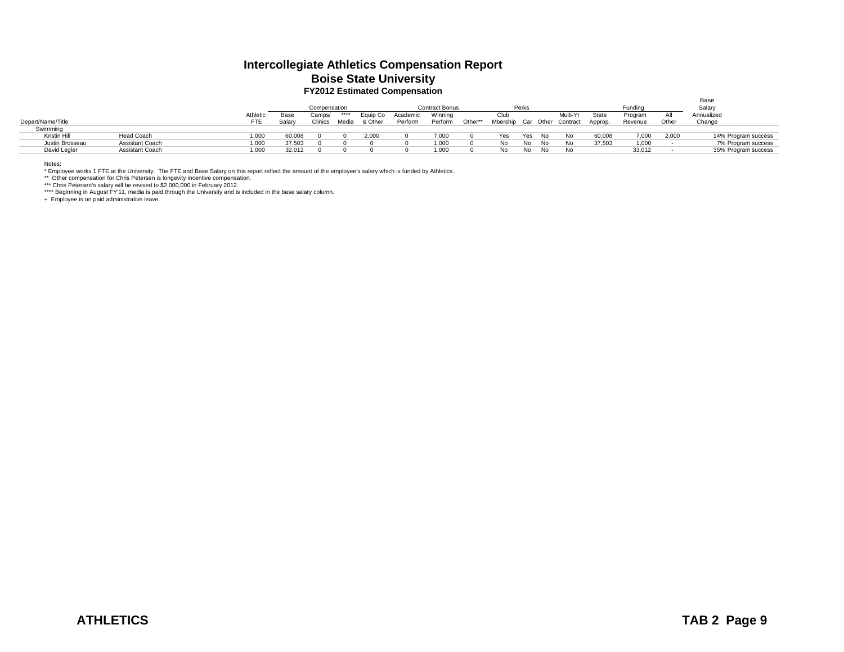### **Intercollegiate Athletics Compensation Report Boise State University FY2012 Estimated Compensation**

|                   |                 |          |        | Compensation |       |          | .        | <b>Contract Bonus</b> |         |                             | Perks     |           |           |         | Funding |       | Base<br>Salary      |
|-------------------|-----------------|----------|--------|--------------|-------|----------|----------|-----------------------|---------|-----------------------------|-----------|-----------|-----------|---------|---------|-------|---------------------|
|                   |                 | Athletic | Base   | Camps/       | ****  | Equip Co | Academic | Winning               |         | Club                        |           |           | Multi-Yr  | State   | Program |       | Annualized          |
| Depart/Name/Title |                 | FTE      | Salary | Clinics      | Media | & Other  | Perform  | Perform               | Other** | Mbership Car Other Contract |           |           |           | Approp. | Revenue | Other | Change              |
| Swimming          |                 |          |        |              |       |          |          |                       |         |                             |           |           |           |         |         |       |                     |
| Kristin Hill      | Head Coach      | 1.000    | 60,008 |              |       | 2.000    |          | 7,000                 |         | Yes                         | Yes       | - No      | <b>No</b> | 60,008  | 7,000   | 2,000 | 14% Program success |
| Justin Brosseau   | Assistant Coach | 1.000    | 37,503 |              |       |          |          | 1,000                 |         | NO.                         | <b>No</b> | <b>No</b> | No        | 37,503  | 1,000   |       | 7% Program success  |
| David Legler      | Assistant Coach | 1.000    | 32.012 |              |       |          |          | 1,000                 |         |                             | No        | <b>No</b> | <b>No</b> |         | 33,012  |       | 35% Program success |

Notes:

\* Employee works 1 FTE at the University. The FTE and Base Salary on this report reflect the amount of the employee's salary which is funded by Athletics.

\*\* Other compensation for Chris Petersen is longevity incentive compensation.

\*\*\* Chris Petersen's salary will be revised to \$2,000,000 in February 2012. \*\*\*\* Beginning in August FY'11, media is paid through the University and is included in the base salary column.

+ Employee is on paid administrative leave.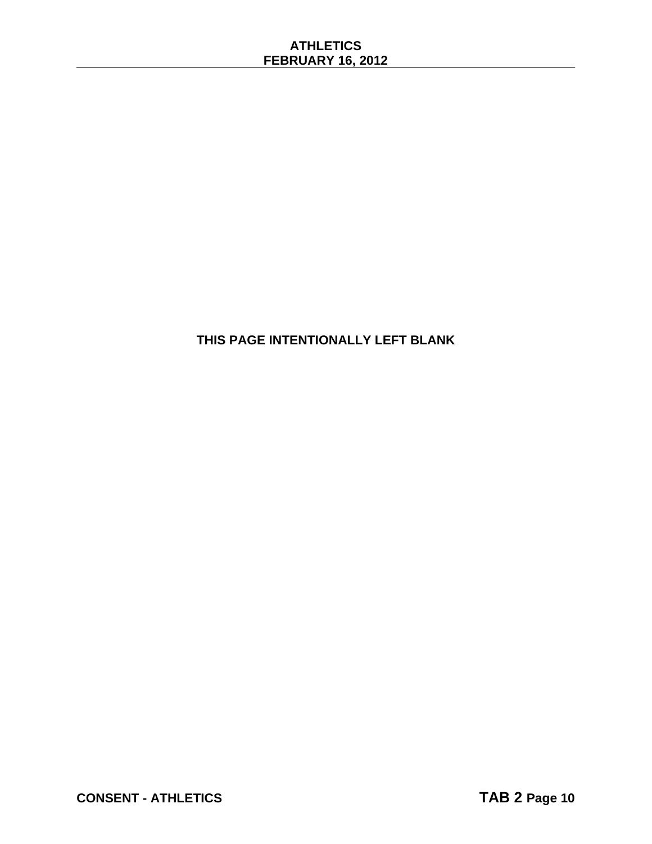### **ATHLETICS FEBRUARY 16, 2012**

### **THIS PAGE INTENTIONALLY LEFT BLANK**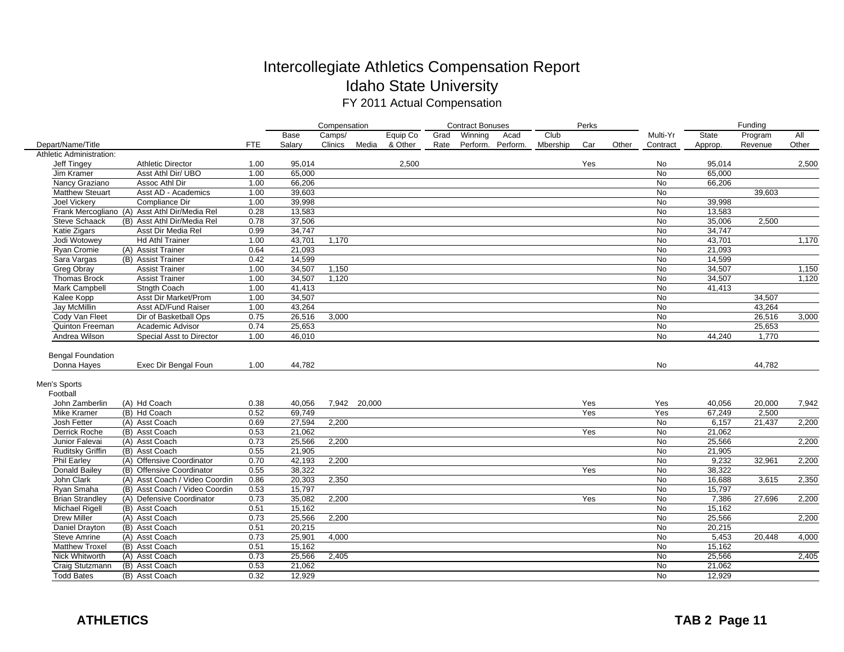FY 2011 Actual Compensation

|                          |                                               |      |        | Compensation |              |          |      | <b>Contract Bonuses</b> |                   |          | Perks |       |                |              | Funding |       |
|--------------------------|-----------------------------------------------|------|--------|--------------|--------------|----------|------|-------------------------|-------------------|----------|-------|-------|----------------|--------------|---------|-------|
|                          |                                               |      | Base   | Camps/       |              | Equip Co | Grad | Winning                 | Acad              | Club     |       |       | Multi-Yr       | <b>State</b> | Program | All   |
| Depart/Name/Title        |                                               | FTE  | Salary | Clinics      | Media        | & Other  | Rate |                         | Perform. Perform. | Mbership | Car   | Other | Contract       | Approp.      | Revenue | Other |
| Athletic Administration: |                                               |      |        |              |              |          |      |                         |                   |          |       |       |                |              |         |       |
| Jeff Tingey              | <b>Athletic Director</b>                      | 1.00 | 95,014 |              |              | 2,500    |      |                         |                   |          | Yes   |       | No             | 95,014       |         | 2,500 |
| Jim Kramer               | Asst Athl Dir/ UBO                            | 1.00 | 65,000 |              |              |          |      |                         |                   |          |       |       | <b>No</b>      | 65,000       |         |       |
| Nancy Graziano           | Assoc Athl Dir                                | 1.00 | 66,206 |              |              |          |      |                         |                   |          |       |       | No             | 66,206       |         |       |
| <b>Matthew Steuart</b>   | Asst AD - Academics                           | 1.00 | 39,603 |              |              |          |      |                         |                   |          |       |       | <b>No</b>      |              | 39,603  |       |
| <b>Joel Vickery</b>      | Compliance Dir                                | 1.00 | 39,998 |              |              |          |      |                         |                   |          |       |       | No             | 39,998       |         |       |
|                          | Frank Mercogliano (A) Asst Athl Dir/Media Rel | 0.28 | 13,583 |              |              |          |      |                         |                   |          |       |       | $\overline{N}$ | 13,583       |         |       |
| <b>Steve Schaack</b>     | (B) Asst Athl Dir/Media Rel                   | 0.78 | 37,506 |              |              |          |      |                         |                   |          |       |       | $\overline{N}$ | 35,006       | 2,500   |       |
| Katie Zigars             | Asst Dir Media Rel                            | 0.99 | 34,747 |              |              |          |      |                         |                   |          |       |       | <b>No</b>      | 34,747       |         |       |
| Jodi Wotowey             | <b>Hd Athl Trainer</b>                        | 1.00 | 43,701 | 1,170        |              |          |      |                         |                   |          |       |       | <b>No</b>      | 43,701       |         | 1,170 |
| <b>Ryan Cromie</b>       | (A) Assist Trainer                            | 0.64 | 21.093 |              |              |          |      |                         |                   |          |       |       | <b>No</b>      | 21.093       |         |       |
| Sara Vargas              | (B) Assist Trainer                            | 0.42 | 14,599 |              |              |          |      |                         |                   |          |       |       | No             | 14,599       |         |       |
| <b>Greg Obray</b>        | <b>Assist Trainer</b>                         | 1.00 | 34,507 | 1,150        |              |          |      |                         |                   |          |       |       | <b>No</b>      | 34,507       |         | 1,150 |
| <b>Thomas Brock</b>      | <b>Assist Trainer</b>                         | 1.00 | 34,507 | 1,120        |              |          |      |                         |                   |          |       |       | $\overline{N}$ | 34,507       |         | 1,120 |
| <b>Mark Campbell</b>     | <b>Stngth Coach</b>                           | 1.00 | 41,413 |              |              |          |      |                         |                   |          |       |       | $\overline{N}$ | 41,413       |         |       |
| Kalee Kopp               | Asst Dir Market/Prom                          | 1.00 | 34,507 |              |              |          |      |                         |                   |          |       |       | <b>No</b>      |              | 34.507  |       |
| <b>Jay McMillin</b>      | Asst AD/Fund Raiser                           | 1.00 | 43,264 |              |              |          |      |                         |                   |          |       |       | $\overline{N}$ |              | 43,264  |       |
| Cody Van Fleet           | Dir of Basketball Ops                         | 0.75 | 26,516 | 3,000        |              |          |      |                         |                   |          |       |       | <b>No</b>      |              | 26,516  | 3,000 |
| Quinton Freeman          | Academic Advisor                              | 0.74 | 25,653 |              |              |          |      |                         |                   |          |       |       | No             |              | 25,653  |       |
| Andrea Wilson            | Special Asst to Director                      | 1.00 | 46,010 |              |              |          |      |                         |                   |          |       |       | $\overline{N}$ | 44,240       | 1,770   |       |
|                          |                                               |      |        |              |              |          |      |                         |                   |          |       |       |                |              |         |       |
| <b>Bengal Foundation</b> |                                               |      |        |              |              |          |      |                         |                   |          |       |       |                |              |         |       |
| Donna Hayes              | Exec Dir Bengal Foun                          | 1.00 | 44,782 |              |              |          |      |                         |                   |          |       |       | No             |              | 44,782  |       |
|                          |                                               |      |        |              |              |          |      |                         |                   |          |       |       |                |              |         |       |
| Men's Sports             |                                               |      |        |              |              |          |      |                         |                   |          |       |       |                |              |         |       |
| Football                 |                                               |      |        |              |              |          |      |                         |                   |          |       |       |                |              |         |       |
| John Zamberlin           | (A) Hd Coach                                  | 0.38 | 40,056 |              | 7,942 20,000 |          |      |                         |                   |          | Yes   |       | Yes            | 40,056       | 20,000  | 7,942 |
| <b>Mike Kramer</b>       | (B) Hd Coach                                  | 0.52 | 69,749 |              |              |          |      |                         |                   |          | Yes   |       | Yes            | 67,249       | 2,500   |       |
| <b>Josh Fetter</b>       | (A) Asst Coach                                | 0.69 | 27,594 | 2,200        |              |          |      |                         |                   |          |       |       | $\overline{N}$ | 6,157        | 21,437  | 2,200 |
| <b>Derrick Roche</b>     | (B) Asst Coach                                | 0.53 | 21,062 |              |              |          |      |                         |                   |          | Yes   |       | $\overline{N}$ | 21,062       |         |       |
| Junior Falevai           | (A) Asst Coach                                | 0.73 | 25,566 | 2,200        |              |          |      |                         |                   |          |       |       | $\overline{N}$ | 25,566       |         | 2,200 |
| <b>Ruditsky Griffin</b>  | (B) Asst Coach                                | 0.55 | 21,905 |              |              |          |      |                         |                   |          |       |       | <b>No</b>      | 21,905       |         |       |
| <b>Phil Earley</b>       | (A) Offensive Coordinator                     | 0.70 | 42,193 | 2,200        |              |          |      |                         |                   |          |       |       | $\overline{N}$ | 9,232        | 32,961  | 2,200 |
| Donald Bailey            | (B) Offensive Coordinator                     | 0.55 | 38.322 |              |              |          |      |                         |                   |          | Yes   |       | <b>No</b>      | 38.322       |         |       |
| John Clark               | (A) Asst Coach / Video Coordin                | 0.86 | 20,303 | 2,350        |              |          |      |                         |                   |          |       |       | $\overline{N}$ | 16,688       | 3,615   | 2,350 |
| Ryan Smaha               | (B) Asst Coach / Video Coordin                | 0.53 | 15,797 |              |              |          |      |                         |                   |          |       |       | <b>No</b>      | 15,797       |         |       |
| <b>Brian Strandley</b>   | (A) Defensive Coordinator                     | 0.73 | 35,082 | 2,200        |              |          |      |                         |                   |          | Yes   |       | $\overline{N}$ | 7,386        | 27,696  | 2,200 |
| <b>Michael Rigell</b>    | (B) Asst Coach                                | 0.51 | 15,162 |              |              |          |      |                         |                   |          |       |       | <b>No</b>      | 15,162       |         |       |
| <b>Drew Miller</b>       | (A) Asst Coach                                | 0.73 | 25,566 | 2,200        |              |          |      |                         |                   |          |       |       | <b>No</b>      | 25,566       |         | 2,200 |
| Daniel Drayton           | (B) Asst Coach                                | 0.51 | 20,215 |              |              |          |      |                         |                   |          |       |       | $\overline{N}$ | 20,215       |         |       |
| <b>Steve Amrine</b>      | (A) Asst Coach                                | 0.73 | 25,901 | 4,000        |              |          |      |                         |                   |          |       |       | $\overline{N}$ | 5,453        | 20,448  | 4,000 |
| <b>Matthew Troxel</b>    | (B) Asst Coach                                | 0.51 | 15,162 |              |              |          |      |                         |                   |          |       |       | $\overline{N}$ | 15,162       |         |       |
| <b>Nick Whitworth</b>    | (A) Asst Coach                                | 0.73 | 25,566 | 2,405        |              |          |      |                         |                   |          |       |       | <b>No</b>      | 25,566       |         | 2,405 |
| Craig Stutzmann          | (B) Asst Coach                                | 0.53 | 21,062 |              |              |          |      |                         |                   |          |       |       | No             | 21,062       |         |       |
| <b>Todd Bates</b>        | (B) Asst Coach                                | 0.32 | 12,929 |              |              |          |      |                         |                   |          |       |       | No             | 12,929       |         |       |
|                          |                                               |      |        |              |              |          |      |                         |                   |          |       |       |                |              |         |       |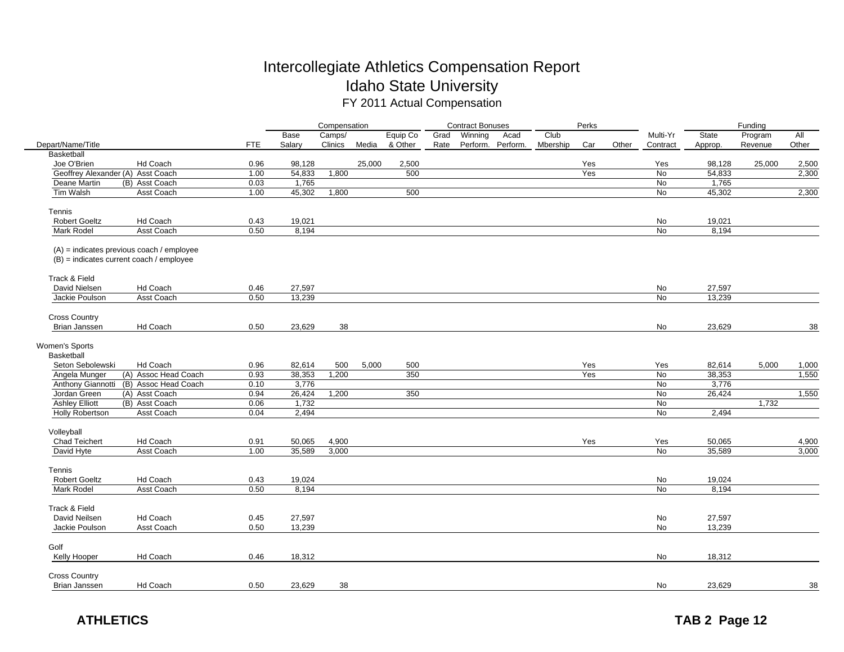FY 2011 Actual Compensation

|                                   |                                                                                           |            |        | Compensation |        |          |      | <b>Contract Bonuses</b> |                   |          | Perks |       |                |              | Funding |       |
|-----------------------------------|-------------------------------------------------------------------------------------------|------------|--------|--------------|--------|----------|------|-------------------------|-------------------|----------|-------|-------|----------------|--------------|---------|-------|
|                                   |                                                                                           |            | Base   | Camps/       |        | Equip Co | Grad | Winning                 | Acad              | Club     |       |       | Multi-Yr       | <b>State</b> | Program | All   |
| Depart/Name/Title                 |                                                                                           | <b>FTE</b> | Salary | Clinics      | Media  | & Other  | Rate |                         | Perform. Perform. | Mbership | Car   | Other | Contract       | Approp.      | Revenue | Other |
| Basketball                        |                                                                                           |            |        |              |        |          |      |                         |                   |          |       |       |                |              |         |       |
| Joe O'Brien                       | Hd Coach                                                                                  | 0.96       | 98,128 |              | 25,000 | 2,500    |      |                         |                   |          | Yes   |       | Yes            | 98,128       | 25,000  | 2,500 |
| Geoffrey Alexander (A) Asst Coach |                                                                                           | 1.00       | 54,833 | 1,800        |        | 500      |      |                         |                   |          | Yes   |       | $\overline{N}$ | 54,833       |         | 2,300 |
| Deane Martin                      | (B) Asst Coach                                                                            | 0.03       | 1,765  |              |        |          |      |                         |                   |          |       |       | No             | 1,765        |         |       |
| Tim Walsh                         | Asst Coach                                                                                | 1.00       | 45,302 | 1,800        |        | 500      |      |                         |                   |          |       |       | No             | 45,302       |         | 2,300 |
| Tennis                            |                                                                                           |            |        |              |        |          |      |                         |                   |          |       |       |                |              |         |       |
| <b>Robert Goeltz</b>              | <b>Hd Coach</b>                                                                           | 0.43       | 19,021 |              |        |          |      |                         |                   |          |       |       | No             | 19,021       |         |       |
| <b>Mark Rodel</b>                 | Asst Coach                                                                                | 0.50       | 8,194  |              |        |          |      |                         |                   |          |       |       | $\overline{N}$ | 8,194        |         |       |
|                                   | $(A)$ = indicates previous coach / employee<br>$(B)$ = indicates current coach / employee |            |        |              |        |          |      |                         |                   |          |       |       |                |              |         |       |
| Track & Field                     |                                                                                           |            |        |              |        |          |      |                         |                   |          |       |       |                |              |         |       |
| David Nielsen                     | Hd Coach                                                                                  | 0.46       | 27,597 |              |        |          |      |                         |                   |          |       |       | No             | 27,597       |         |       |
| Jackie Poulson                    | Asst Coach                                                                                | 0.50       | 13,239 |              |        |          |      |                         |                   |          |       |       | No             | 13,239       |         |       |
| <b>Cross Country</b>              |                                                                                           |            |        |              |        |          |      |                         |                   |          |       |       |                |              |         |       |
| Brian Janssen                     | Hd Coach                                                                                  | 0.50       | 23,629 | 38           |        |          |      |                         |                   |          |       |       | No             | 23,629       |         | 38    |
| Women's Sports<br>Basketball      |                                                                                           |            |        |              |        |          |      |                         |                   |          |       |       |                |              |         |       |
| Seton Sebolewski                  | Hd Coach                                                                                  | 0.96       | 82,614 | 500          | 5,000  | 500      |      |                         |                   |          | Yes   |       | Yes            | 82,614       | 5,000   | 1,000 |
| Angela Munger                     | (A) Assoc Head Coach                                                                      | 0.93       | 38,353 | 1,200        |        | 350      |      |                         |                   |          | Yes   |       | No             | 38,353       |         | 1,550 |
| Anthony Giannotti                 | (B) Assoc Head Coach                                                                      | 0.10       | 3,776  |              |        |          |      |                         |                   |          |       |       | No             | 3,776        |         |       |
| Jordan Green                      | (A) Asst Coach                                                                            | 0.94       | 26,424 | 1,200        |        | 350      |      |                         |                   |          |       |       | No             | 26,424       |         | 1,550 |
| <b>Ashley Elliott</b>             | (B) Asst Coach                                                                            | 0.06       | 1,732  |              |        |          |      |                         |                   |          |       |       | No             |              | 1,732   |       |
| <b>Holly Robertson</b>            | Asst Coach                                                                                | 0.04       | 2,494  |              |        |          |      |                         |                   |          |       |       | No             | 2,494        |         |       |
| Volleyball                        |                                                                                           |            |        |              |        |          |      |                         |                   |          |       |       |                |              |         |       |
| Chad Teichert                     | Hd Coach                                                                                  | 0.91       | 50,065 | 4,900        |        |          |      |                         |                   |          | Yes   |       | Yes            | 50,065       |         | 4,900 |
| David Hyte                        | Asst Coach                                                                                | 1.00       | 35,589 | 3,000        |        |          |      |                         |                   |          |       |       | <b>No</b>      | 35,589       |         | 3,000 |
| Tennis                            |                                                                                           |            |        |              |        |          |      |                         |                   |          |       |       |                |              |         |       |
| <b>Robert Goeltz</b>              | Hd Coach                                                                                  | 0.43       | 19,024 |              |        |          |      |                         |                   |          |       |       | No             | 19,024       |         |       |
| <b>Mark Rodel</b>                 | Asst Coach                                                                                | 0.50       | 8,194  |              |        |          |      |                         |                   |          |       |       | $\overline{N}$ | 8,194        |         |       |
| Track & Field                     |                                                                                           |            |        |              |        |          |      |                         |                   |          |       |       |                |              |         |       |
| David Neilsen                     | Hd Coach                                                                                  | 0.45       | 27,597 |              |        |          |      |                         |                   |          |       |       | No             | 27,597       |         |       |
| Jackie Poulson                    | Asst Coach                                                                                | 0.50       | 13,239 |              |        |          |      |                         |                   |          |       |       | No             | 13,239       |         |       |
| Golf                              |                                                                                           |            |        |              |        |          |      |                         |                   |          |       |       |                |              |         |       |
| Kelly Hooper                      | Hd Coach                                                                                  | 0.46       | 18,312 |              |        |          |      |                         |                   |          |       |       | No             | 18,312       |         |       |
| <b>Cross Country</b>              |                                                                                           |            |        |              |        |          |      |                         |                   |          |       |       |                |              |         |       |
| Brian Janssen                     | Hd Coach                                                                                  | 0.50       | 23,629 | 38           |        |          |      |                         |                   |          |       |       | No             | 23,629       |         | 38    |
|                                   |                                                                                           |            |        |              |        |          |      |                         |                   |          |       |       |                |              |         |       |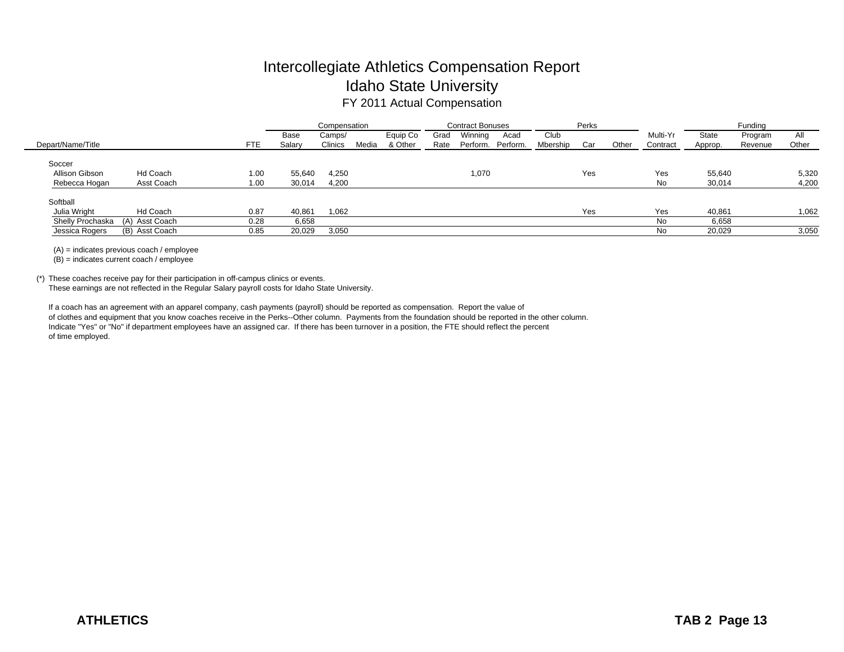FY 2011 Actual Compensation

|                   |                   |      |                | Compensation      |       |                     |              | <b>Contract Bonuses</b> |                           |                  | Perks |       |                      |                  | Fundina            |              |
|-------------------|-------------------|------|----------------|-------------------|-------|---------------------|--------------|-------------------------|---------------------------|------------------|-------|-------|----------------------|------------------|--------------------|--------------|
| Depart/Name/Title |                   | FTE. | Base<br>Salary | Camps/<br>Clinics | Media | Equip Co<br>& Other | Grad<br>Rate | Winning                 | Acad<br>Perform. Perform. | Club<br>Mbership | Car   | Other | Multi-Yr<br>Contract | State<br>Approp. | Program<br>Revenue | All<br>Other |
| Soccer            |                   |      |                |                   |       |                     |              |                         |                           |                  |       |       |                      |                  |                    |              |
| Allison Gibson    | Hd Coach          | 1.00 | 55,640         | 4,250             |       |                     |              | 1,070                   |                           |                  | Yes   |       | Yes                  | 55,640           |                    | 5,320        |
| Rebecca Hogan     | Asst Coach        | 1.00 | 30,014         | 4,200             |       |                     |              |                         |                           |                  |       |       | No                   | 30,014           |                    | 4,200        |
| Softball          |                   |      |                |                   |       |                     |              |                         |                           |                  |       |       |                      |                  |                    |              |
| Julia Wright      | Hd Coach          | 0.87 | 40.861         | 1,062             |       |                     |              |                         |                           |                  | Yes   |       | Yes                  | 40,861           |                    | 1,062        |
| Shelly Prochaska  | Asst Coach<br>(A) | 0.28 | 6,658          |                   |       |                     |              |                         |                           |                  |       |       | No.                  | 6,658            |                    |              |
| Jessica Rogers    | (B) Asst Coach    | 0.85 | 20,029         | 3,050             |       |                     |              |                         |                           |                  |       |       | No                   | 20,029           |                    | 3,050        |
|                   |                   |      |                |                   |       |                     |              |                         |                           |                  |       |       |                      |                  |                    |              |

(A) = indicates previous coach / employee

(B) = indicates current coach / employee

(\*) These coaches receive pay for their participation in off-campus clinics or events.

These earnings are not reflected in the Regular Salary payroll costs for Idaho State University.

If a coach has an agreement with an apparel company, cash payments (payroll) should be reported as compensation. Report the value of of clothes and equipment that you know coaches receive in the Perks--Other column. Payments from the foundation should be reported in the other column. Indicate "Yes" or "No" if department employees have an assigned car. If there has been turnover in a position, the FTE should reflect the percent of time employed.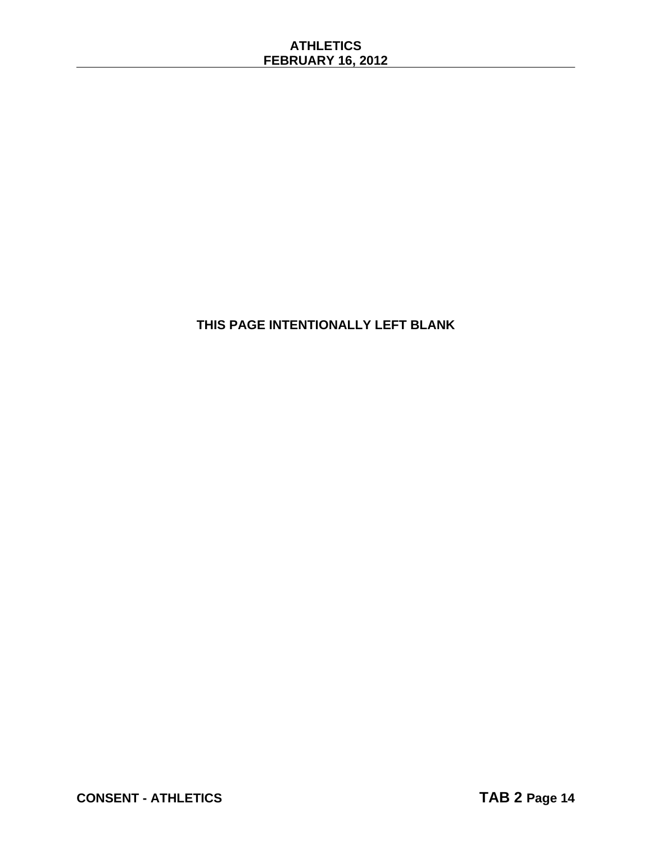### **ATHLETICS FEBRUARY 16, 2012**

### **THIS PAGE INTENTIONALLY LEFT BLANK**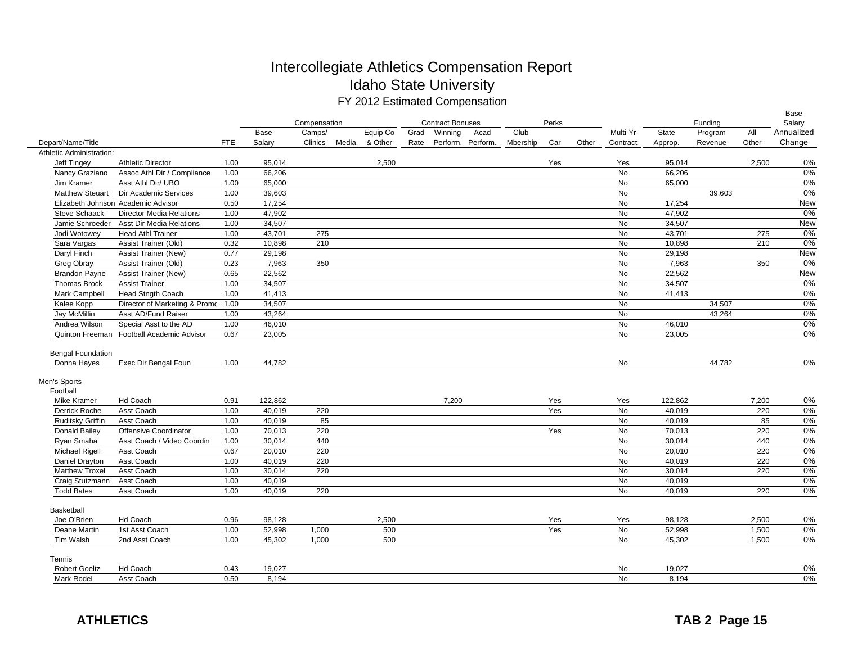### FY 2012 Estimated Compensation

| Salary<br>Compensation<br><b>Contract Bonuses</b><br>Perks<br>Fundina<br>Equip Co<br>Grad<br>Club<br>Annualized<br>Base<br>Camps/<br>Winning<br>Acad<br>Multi-Yr<br>State<br>All<br>Program<br><b>FTE</b><br>Clinics<br>& Other<br>Perform. Perform.<br>Other<br>Change<br>Depart/Name/Title<br>Salarv<br>Media<br>Rate<br>Mbership<br>Car<br>Revenue<br>Other<br>Contract<br>Approp.<br>Athletic Administration:<br>Jeff Tingey<br><b>Athletic Director</b><br>1.00<br>95,014<br>2,500<br>Yes<br>Yes<br>95,014<br>2,500<br>0%<br>0%<br>Assoc Athl Dir / Compliance<br>1.00<br>66,206<br><b>No</b><br>66,206<br>Nancy Graziano<br>0%<br>65,000<br>No<br>Jim Kramer<br>Asst Athl Dir/ UBO<br>1.00<br>65,000<br>0%<br><b>Matthew Steuart</b><br>Dir Academic Services<br>39,603<br>No<br>39,603<br>1.00<br>0.50<br>17,254<br>New<br>Elizabeth Johnson Academic Advisor<br>17,254<br>No<br>47,902<br>47,902<br>0%<br>Steve Schaack<br><b>Director Media Relations</b><br>1.00<br>No<br>Jamie Schroeder<br>34,507<br>New<br><b>Asst Dir Media Relations</b><br>1.00<br>34,507<br>No<br>1.00<br>43,701<br><b>No</b><br>43,701<br>0%<br>Jodi Wotowey<br><b>Head Athl Trainer</b><br>275<br>275<br>Assist Trainer (Old)<br>210<br>0%<br>Sara Vargas<br>0.32<br>10,898<br>210<br>No<br>10,898<br>Daryl Finch<br><b>Assist Trainer (New)</b><br>29,198<br>29,198<br>0.77<br>No<br>New<br>Assist Trainer (Old)<br>0.23<br>7,963<br>350<br>7,963<br>350<br>0%<br>Greg Obray<br>No<br>22,562<br>New<br><b>Brandon Payne</b><br>Assist Trainer (New)<br>0.65<br>22,562<br>No<br>0%<br>1.00<br>34,507<br>34,507<br><b>Thomas Brock</b><br><b>Assist Trainer</b><br>No<br>0%<br>Mark Campbell<br><b>Head Stngth Coach</b><br>1.00<br>41,413<br>No<br>41,413<br>0%<br>34,507<br>Kalee Kopp<br>Director of Marketing & Promc 1.00<br>No<br>34,507<br>0%<br>Jay McMillin<br>Asst AD/Fund Raiser<br>43,264<br>No<br>43,264<br>1.00<br>0%<br>Andrea Wilson<br>Special Asst to the AD<br>1.00<br>46,010<br>No<br>46,010<br>0.67<br>0%<br>Quinton Freeman<br>Football Academic Advisor<br>23,005<br>No<br>23,005<br><b>Bengal Foundation</b><br>0%<br>No<br>Donna Hayes<br>Exec Dir Bengal Foun<br>1.00<br>44,782<br>44,782<br>Men's Sports<br>Football<br>7.200<br><b>Mike Kramer</b><br>Hd Coach<br>0.91<br>122,862<br>Yes<br>Yes<br>122,862<br>7,200<br>0%<br>Derrick Roche<br>Asst Coach<br>1.00<br>220<br>Yes<br>No<br>40,019<br>220<br>0%<br>40,019<br>0%<br>85<br>85<br><b>Ruditsky Griffin</b><br>Asst Coach<br>1.00<br>40,019<br>No<br>40,019<br>220<br>0%<br>Donald Bailey<br>1.00<br>70,013<br>220<br>Yes<br><b>No</b><br>70.013<br>Offensive Coordinator<br>0%<br>Ryan Smaha<br>Asst Coach / Video Coordin<br>440<br><b>No</b><br>30,014<br>440<br>1.00<br>30,014<br>220<br>0%<br>0.67<br>220<br>Michael Rigell<br>Asst Coach<br>20,010<br>No<br>20,010<br>Daniel Drayton<br>Asst Coach<br>40,019<br>220<br><b>No</b><br>40,019<br>220<br>0%<br>1.00<br>0%<br>220<br>30,014<br>220<br><b>Matthew Troxel</b><br>Asst Coach<br>1.00<br>30,014<br>No<br>40,019<br>0%<br>Craig Stutzmann<br>Asst Coach<br>1.00<br>40,019<br>No<br><b>Todd Bates</b><br>40,019<br>220<br>0%<br>Asst Coach<br>1.00<br>40,019<br>220<br>No<br>Basketball<br>Joe O'Brien<br>Hd Coach<br>0.96<br>98,128<br>2,500<br>Yes<br>98,128<br>2,500<br>0%<br>Yes<br>0%<br>Deane Martin<br>1st Asst Coach<br>1.00<br>52,998<br>1,000<br>500<br>Yes<br>No<br>52,998<br>1,500<br>0%<br>500<br><b>Tim Walsh</b><br>2nd Asst Coach<br>1.00<br>45,302<br>1,000<br>No<br>45,302<br>1,500<br>Tennis<br>Hd Coach<br>0%<br><b>Robert Goeltz</b><br>0.43<br>19,027<br>No<br>19,027<br>0.50<br>8,194<br>No<br>Mark Rodel<br>Asst Coach<br>8,194 |  |  |  |  |  |  |  |  | Base |
|-----------------------------------------------------------------------------------------------------------------------------------------------------------------------------------------------------------------------------------------------------------------------------------------------------------------------------------------------------------------------------------------------------------------------------------------------------------------------------------------------------------------------------------------------------------------------------------------------------------------------------------------------------------------------------------------------------------------------------------------------------------------------------------------------------------------------------------------------------------------------------------------------------------------------------------------------------------------------------------------------------------------------------------------------------------------------------------------------------------------------------------------------------------------------------------------------------------------------------------------------------------------------------------------------------------------------------------------------------------------------------------------------------------------------------------------------------------------------------------------------------------------------------------------------------------------------------------------------------------------------------------------------------------------------------------------------------------------------------------------------------------------------------------------------------------------------------------------------------------------------------------------------------------------------------------------------------------------------------------------------------------------------------------------------------------------------------------------------------------------------------------------------------------------------------------------------------------------------------------------------------------------------------------------------------------------------------------------------------------------------------------------------------------------------------------------------------------------------------------------------------------------------------------------------------------------------------------------------------------------------------------------------------------------------------------------------------------------------------------------------------------------------------------------------------------------------------------------------------------------------------------------------------------------------------------------------------------------------------------------------------------------------------------------------------------------------------------------------------------------------------------------------------------------------------------------------------------------------------------------------------------------------------------------------------------------------------------------------------------------------------------------------------------------------------------------------------------------------------------------------------------------------------------------------------------------------------------------------------------------------------------------------------------------------------------------|--|--|--|--|--|--|--|--|------|
|                                                                                                                                                                                                                                                                                                                                                                                                                                                                                                                                                                                                                                                                                                                                                                                                                                                                                                                                                                                                                                                                                                                                                                                                                                                                                                                                                                                                                                                                                                                                                                                                                                                                                                                                                                                                                                                                                                                                                                                                                                                                                                                                                                                                                                                                                                                                                                                                                                                                                                                                                                                                                                                                                                                                                                                                                                                                                                                                                                                                                                                                                                                                                                                                                                                                                                                                                                                                                                                                                                                                                                                                                                                                                         |  |  |  |  |  |  |  |  |      |
|                                                                                                                                                                                                                                                                                                                                                                                                                                                                                                                                                                                                                                                                                                                                                                                                                                                                                                                                                                                                                                                                                                                                                                                                                                                                                                                                                                                                                                                                                                                                                                                                                                                                                                                                                                                                                                                                                                                                                                                                                                                                                                                                                                                                                                                                                                                                                                                                                                                                                                                                                                                                                                                                                                                                                                                                                                                                                                                                                                                                                                                                                                                                                                                                                                                                                                                                                                                                                                                                                                                                                                                                                                                                                         |  |  |  |  |  |  |  |  |      |
|                                                                                                                                                                                                                                                                                                                                                                                                                                                                                                                                                                                                                                                                                                                                                                                                                                                                                                                                                                                                                                                                                                                                                                                                                                                                                                                                                                                                                                                                                                                                                                                                                                                                                                                                                                                                                                                                                                                                                                                                                                                                                                                                                                                                                                                                                                                                                                                                                                                                                                                                                                                                                                                                                                                                                                                                                                                                                                                                                                                                                                                                                                                                                                                                                                                                                                                                                                                                                                                                                                                                                                                                                                                                                         |  |  |  |  |  |  |  |  |      |
|                                                                                                                                                                                                                                                                                                                                                                                                                                                                                                                                                                                                                                                                                                                                                                                                                                                                                                                                                                                                                                                                                                                                                                                                                                                                                                                                                                                                                                                                                                                                                                                                                                                                                                                                                                                                                                                                                                                                                                                                                                                                                                                                                                                                                                                                                                                                                                                                                                                                                                                                                                                                                                                                                                                                                                                                                                                                                                                                                                                                                                                                                                                                                                                                                                                                                                                                                                                                                                                                                                                                                                                                                                                                                         |  |  |  |  |  |  |  |  |      |
|                                                                                                                                                                                                                                                                                                                                                                                                                                                                                                                                                                                                                                                                                                                                                                                                                                                                                                                                                                                                                                                                                                                                                                                                                                                                                                                                                                                                                                                                                                                                                                                                                                                                                                                                                                                                                                                                                                                                                                                                                                                                                                                                                                                                                                                                                                                                                                                                                                                                                                                                                                                                                                                                                                                                                                                                                                                                                                                                                                                                                                                                                                                                                                                                                                                                                                                                                                                                                                                                                                                                                                                                                                                                                         |  |  |  |  |  |  |  |  |      |
|                                                                                                                                                                                                                                                                                                                                                                                                                                                                                                                                                                                                                                                                                                                                                                                                                                                                                                                                                                                                                                                                                                                                                                                                                                                                                                                                                                                                                                                                                                                                                                                                                                                                                                                                                                                                                                                                                                                                                                                                                                                                                                                                                                                                                                                                                                                                                                                                                                                                                                                                                                                                                                                                                                                                                                                                                                                                                                                                                                                                                                                                                                                                                                                                                                                                                                                                                                                                                                                                                                                                                                                                                                                                                         |  |  |  |  |  |  |  |  |      |
|                                                                                                                                                                                                                                                                                                                                                                                                                                                                                                                                                                                                                                                                                                                                                                                                                                                                                                                                                                                                                                                                                                                                                                                                                                                                                                                                                                                                                                                                                                                                                                                                                                                                                                                                                                                                                                                                                                                                                                                                                                                                                                                                                                                                                                                                                                                                                                                                                                                                                                                                                                                                                                                                                                                                                                                                                                                                                                                                                                                                                                                                                                                                                                                                                                                                                                                                                                                                                                                                                                                                                                                                                                                                                         |  |  |  |  |  |  |  |  |      |
|                                                                                                                                                                                                                                                                                                                                                                                                                                                                                                                                                                                                                                                                                                                                                                                                                                                                                                                                                                                                                                                                                                                                                                                                                                                                                                                                                                                                                                                                                                                                                                                                                                                                                                                                                                                                                                                                                                                                                                                                                                                                                                                                                                                                                                                                                                                                                                                                                                                                                                                                                                                                                                                                                                                                                                                                                                                                                                                                                                                                                                                                                                                                                                                                                                                                                                                                                                                                                                                                                                                                                                                                                                                                                         |  |  |  |  |  |  |  |  |      |
|                                                                                                                                                                                                                                                                                                                                                                                                                                                                                                                                                                                                                                                                                                                                                                                                                                                                                                                                                                                                                                                                                                                                                                                                                                                                                                                                                                                                                                                                                                                                                                                                                                                                                                                                                                                                                                                                                                                                                                                                                                                                                                                                                                                                                                                                                                                                                                                                                                                                                                                                                                                                                                                                                                                                                                                                                                                                                                                                                                                                                                                                                                                                                                                                                                                                                                                                                                                                                                                                                                                                                                                                                                                                                         |  |  |  |  |  |  |  |  |      |
|                                                                                                                                                                                                                                                                                                                                                                                                                                                                                                                                                                                                                                                                                                                                                                                                                                                                                                                                                                                                                                                                                                                                                                                                                                                                                                                                                                                                                                                                                                                                                                                                                                                                                                                                                                                                                                                                                                                                                                                                                                                                                                                                                                                                                                                                                                                                                                                                                                                                                                                                                                                                                                                                                                                                                                                                                                                                                                                                                                                                                                                                                                                                                                                                                                                                                                                                                                                                                                                                                                                                                                                                                                                                                         |  |  |  |  |  |  |  |  |      |
|                                                                                                                                                                                                                                                                                                                                                                                                                                                                                                                                                                                                                                                                                                                                                                                                                                                                                                                                                                                                                                                                                                                                                                                                                                                                                                                                                                                                                                                                                                                                                                                                                                                                                                                                                                                                                                                                                                                                                                                                                                                                                                                                                                                                                                                                                                                                                                                                                                                                                                                                                                                                                                                                                                                                                                                                                                                                                                                                                                                                                                                                                                                                                                                                                                                                                                                                                                                                                                                                                                                                                                                                                                                                                         |  |  |  |  |  |  |  |  |      |
|                                                                                                                                                                                                                                                                                                                                                                                                                                                                                                                                                                                                                                                                                                                                                                                                                                                                                                                                                                                                                                                                                                                                                                                                                                                                                                                                                                                                                                                                                                                                                                                                                                                                                                                                                                                                                                                                                                                                                                                                                                                                                                                                                                                                                                                                                                                                                                                                                                                                                                                                                                                                                                                                                                                                                                                                                                                                                                                                                                                                                                                                                                                                                                                                                                                                                                                                                                                                                                                                                                                                                                                                                                                                                         |  |  |  |  |  |  |  |  |      |
|                                                                                                                                                                                                                                                                                                                                                                                                                                                                                                                                                                                                                                                                                                                                                                                                                                                                                                                                                                                                                                                                                                                                                                                                                                                                                                                                                                                                                                                                                                                                                                                                                                                                                                                                                                                                                                                                                                                                                                                                                                                                                                                                                                                                                                                                                                                                                                                                                                                                                                                                                                                                                                                                                                                                                                                                                                                                                                                                                                                                                                                                                                                                                                                                                                                                                                                                                                                                                                                                                                                                                                                                                                                                                         |  |  |  |  |  |  |  |  |      |
|                                                                                                                                                                                                                                                                                                                                                                                                                                                                                                                                                                                                                                                                                                                                                                                                                                                                                                                                                                                                                                                                                                                                                                                                                                                                                                                                                                                                                                                                                                                                                                                                                                                                                                                                                                                                                                                                                                                                                                                                                                                                                                                                                                                                                                                                                                                                                                                                                                                                                                                                                                                                                                                                                                                                                                                                                                                                                                                                                                                                                                                                                                                                                                                                                                                                                                                                                                                                                                                                                                                                                                                                                                                                                         |  |  |  |  |  |  |  |  |      |
|                                                                                                                                                                                                                                                                                                                                                                                                                                                                                                                                                                                                                                                                                                                                                                                                                                                                                                                                                                                                                                                                                                                                                                                                                                                                                                                                                                                                                                                                                                                                                                                                                                                                                                                                                                                                                                                                                                                                                                                                                                                                                                                                                                                                                                                                                                                                                                                                                                                                                                                                                                                                                                                                                                                                                                                                                                                                                                                                                                                                                                                                                                                                                                                                                                                                                                                                                                                                                                                                                                                                                                                                                                                                                         |  |  |  |  |  |  |  |  |      |
|                                                                                                                                                                                                                                                                                                                                                                                                                                                                                                                                                                                                                                                                                                                                                                                                                                                                                                                                                                                                                                                                                                                                                                                                                                                                                                                                                                                                                                                                                                                                                                                                                                                                                                                                                                                                                                                                                                                                                                                                                                                                                                                                                                                                                                                                                                                                                                                                                                                                                                                                                                                                                                                                                                                                                                                                                                                                                                                                                                                                                                                                                                                                                                                                                                                                                                                                                                                                                                                                                                                                                                                                                                                                                         |  |  |  |  |  |  |  |  |      |
|                                                                                                                                                                                                                                                                                                                                                                                                                                                                                                                                                                                                                                                                                                                                                                                                                                                                                                                                                                                                                                                                                                                                                                                                                                                                                                                                                                                                                                                                                                                                                                                                                                                                                                                                                                                                                                                                                                                                                                                                                                                                                                                                                                                                                                                                                                                                                                                                                                                                                                                                                                                                                                                                                                                                                                                                                                                                                                                                                                                                                                                                                                                                                                                                                                                                                                                                                                                                                                                                                                                                                                                                                                                                                         |  |  |  |  |  |  |  |  |      |
|                                                                                                                                                                                                                                                                                                                                                                                                                                                                                                                                                                                                                                                                                                                                                                                                                                                                                                                                                                                                                                                                                                                                                                                                                                                                                                                                                                                                                                                                                                                                                                                                                                                                                                                                                                                                                                                                                                                                                                                                                                                                                                                                                                                                                                                                                                                                                                                                                                                                                                                                                                                                                                                                                                                                                                                                                                                                                                                                                                                                                                                                                                                                                                                                                                                                                                                                                                                                                                                                                                                                                                                                                                                                                         |  |  |  |  |  |  |  |  |      |
|                                                                                                                                                                                                                                                                                                                                                                                                                                                                                                                                                                                                                                                                                                                                                                                                                                                                                                                                                                                                                                                                                                                                                                                                                                                                                                                                                                                                                                                                                                                                                                                                                                                                                                                                                                                                                                                                                                                                                                                                                                                                                                                                                                                                                                                                                                                                                                                                                                                                                                                                                                                                                                                                                                                                                                                                                                                                                                                                                                                                                                                                                                                                                                                                                                                                                                                                                                                                                                                                                                                                                                                                                                                                                         |  |  |  |  |  |  |  |  |      |
|                                                                                                                                                                                                                                                                                                                                                                                                                                                                                                                                                                                                                                                                                                                                                                                                                                                                                                                                                                                                                                                                                                                                                                                                                                                                                                                                                                                                                                                                                                                                                                                                                                                                                                                                                                                                                                                                                                                                                                                                                                                                                                                                                                                                                                                                                                                                                                                                                                                                                                                                                                                                                                                                                                                                                                                                                                                                                                                                                                                                                                                                                                                                                                                                                                                                                                                                                                                                                                                                                                                                                                                                                                                                                         |  |  |  |  |  |  |  |  |      |
|                                                                                                                                                                                                                                                                                                                                                                                                                                                                                                                                                                                                                                                                                                                                                                                                                                                                                                                                                                                                                                                                                                                                                                                                                                                                                                                                                                                                                                                                                                                                                                                                                                                                                                                                                                                                                                                                                                                                                                                                                                                                                                                                                                                                                                                                                                                                                                                                                                                                                                                                                                                                                                                                                                                                                                                                                                                                                                                                                                                                                                                                                                                                                                                                                                                                                                                                                                                                                                                                                                                                                                                                                                                                                         |  |  |  |  |  |  |  |  |      |
|                                                                                                                                                                                                                                                                                                                                                                                                                                                                                                                                                                                                                                                                                                                                                                                                                                                                                                                                                                                                                                                                                                                                                                                                                                                                                                                                                                                                                                                                                                                                                                                                                                                                                                                                                                                                                                                                                                                                                                                                                                                                                                                                                                                                                                                                                                                                                                                                                                                                                                                                                                                                                                                                                                                                                                                                                                                                                                                                                                                                                                                                                                                                                                                                                                                                                                                                                                                                                                                                                                                                                                                                                                                                                         |  |  |  |  |  |  |  |  |      |
|                                                                                                                                                                                                                                                                                                                                                                                                                                                                                                                                                                                                                                                                                                                                                                                                                                                                                                                                                                                                                                                                                                                                                                                                                                                                                                                                                                                                                                                                                                                                                                                                                                                                                                                                                                                                                                                                                                                                                                                                                                                                                                                                                                                                                                                                                                                                                                                                                                                                                                                                                                                                                                                                                                                                                                                                                                                                                                                                                                                                                                                                                                                                                                                                                                                                                                                                                                                                                                                                                                                                                                                                                                                                                         |  |  |  |  |  |  |  |  |      |
|                                                                                                                                                                                                                                                                                                                                                                                                                                                                                                                                                                                                                                                                                                                                                                                                                                                                                                                                                                                                                                                                                                                                                                                                                                                                                                                                                                                                                                                                                                                                                                                                                                                                                                                                                                                                                                                                                                                                                                                                                                                                                                                                                                                                                                                                                                                                                                                                                                                                                                                                                                                                                                                                                                                                                                                                                                                                                                                                                                                                                                                                                                                                                                                                                                                                                                                                                                                                                                                                                                                                                                                                                                                                                         |  |  |  |  |  |  |  |  |      |
|                                                                                                                                                                                                                                                                                                                                                                                                                                                                                                                                                                                                                                                                                                                                                                                                                                                                                                                                                                                                                                                                                                                                                                                                                                                                                                                                                                                                                                                                                                                                                                                                                                                                                                                                                                                                                                                                                                                                                                                                                                                                                                                                                                                                                                                                                                                                                                                                                                                                                                                                                                                                                                                                                                                                                                                                                                                                                                                                                                                                                                                                                                                                                                                                                                                                                                                                                                                                                                                                                                                                                                                                                                                                                         |  |  |  |  |  |  |  |  |      |
|                                                                                                                                                                                                                                                                                                                                                                                                                                                                                                                                                                                                                                                                                                                                                                                                                                                                                                                                                                                                                                                                                                                                                                                                                                                                                                                                                                                                                                                                                                                                                                                                                                                                                                                                                                                                                                                                                                                                                                                                                                                                                                                                                                                                                                                                                                                                                                                                                                                                                                                                                                                                                                                                                                                                                                                                                                                                                                                                                                                                                                                                                                                                                                                                                                                                                                                                                                                                                                                                                                                                                                                                                                                                                         |  |  |  |  |  |  |  |  |      |
|                                                                                                                                                                                                                                                                                                                                                                                                                                                                                                                                                                                                                                                                                                                                                                                                                                                                                                                                                                                                                                                                                                                                                                                                                                                                                                                                                                                                                                                                                                                                                                                                                                                                                                                                                                                                                                                                                                                                                                                                                                                                                                                                                                                                                                                                                                                                                                                                                                                                                                                                                                                                                                                                                                                                                                                                                                                                                                                                                                                                                                                                                                                                                                                                                                                                                                                                                                                                                                                                                                                                                                                                                                                                                         |  |  |  |  |  |  |  |  |      |
|                                                                                                                                                                                                                                                                                                                                                                                                                                                                                                                                                                                                                                                                                                                                                                                                                                                                                                                                                                                                                                                                                                                                                                                                                                                                                                                                                                                                                                                                                                                                                                                                                                                                                                                                                                                                                                                                                                                                                                                                                                                                                                                                                                                                                                                                                                                                                                                                                                                                                                                                                                                                                                                                                                                                                                                                                                                                                                                                                                                                                                                                                                                                                                                                                                                                                                                                                                                                                                                                                                                                                                                                                                                                                         |  |  |  |  |  |  |  |  |      |
|                                                                                                                                                                                                                                                                                                                                                                                                                                                                                                                                                                                                                                                                                                                                                                                                                                                                                                                                                                                                                                                                                                                                                                                                                                                                                                                                                                                                                                                                                                                                                                                                                                                                                                                                                                                                                                                                                                                                                                                                                                                                                                                                                                                                                                                                                                                                                                                                                                                                                                                                                                                                                                                                                                                                                                                                                                                                                                                                                                                                                                                                                                                                                                                                                                                                                                                                                                                                                                                                                                                                                                                                                                                                                         |  |  |  |  |  |  |  |  |      |
|                                                                                                                                                                                                                                                                                                                                                                                                                                                                                                                                                                                                                                                                                                                                                                                                                                                                                                                                                                                                                                                                                                                                                                                                                                                                                                                                                                                                                                                                                                                                                                                                                                                                                                                                                                                                                                                                                                                                                                                                                                                                                                                                                                                                                                                                                                                                                                                                                                                                                                                                                                                                                                                                                                                                                                                                                                                                                                                                                                                                                                                                                                                                                                                                                                                                                                                                                                                                                                                                                                                                                                                                                                                                                         |  |  |  |  |  |  |  |  |      |
|                                                                                                                                                                                                                                                                                                                                                                                                                                                                                                                                                                                                                                                                                                                                                                                                                                                                                                                                                                                                                                                                                                                                                                                                                                                                                                                                                                                                                                                                                                                                                                                                                                                                                                                                                                                                                                                                                                                                                                                                                                                                                                                                                                                                                                                                                                                                                                                                                                                                                                                                                                                                                                                                                                                                                                                                                                                                                                                                                                                                                                                                                                                                                                                                                                                                                                                                                                                                                                                                                                                                                                                                                                                                                         |  |  |  |  |  |  |  |  |      |
|                                                                                                                                                                                                                                                                                                                                                                                                                                                                                                                                                                                                                                                                                                                                                                                                                                                                                                                                                                                                                                                                                                                                                                                                                                                                                                                                                                                                                                                                                                                                                                                                                                                                                                                                                                                                                                                                                                                                                                                                                                                                                                                                                                                                                                                                                                                                                                                                                                                                                                                                                                                                                                                                                                                                                                                                                                                                                                                                                                                                                                                                                                                                                                                                                                                                                                                                                                                                                                                                                                                                                                                                                                                                                         |  |  |  |  |  |  |  |  |      |
|                                                                                                                                                                                                                                                                                                                                                                                                                                                                                                                                                                                                                                                                                                                                                                                                                                                                                                                                                                                                                                                                                                                                                                                                                                                                                                                                                                                                                                                                                                                                                                                                                                                                                                                                                                                                                                                                                                                                                                                                                                                                                                                                                                                                                                                                                                                                                                                                                                                                                                                                                                                                                                                                                                                                                                                                                                                                                                                                                                                                                                                                                                                                                                                                                                                                                                                                                                                                                                                                                                                                                                                                                                                                                         |  |  |  |  |  |  |  |  |      |
|                                                                                                                                                                                                                                                                                                                                                                                                                                                                                                                                                                                                                                                                                                                                                                                                                                                                                                                                                                                                                                                                                                                                                                                                                                                                                                                                                                                                                                                                                                                                                                                                                                                                                                                                                                                                                                                                                                                                                                                                                                                                                                                                                                                                                                                                                                                                                                                                                                                                                                                                                                                                                                                                                                                                                                                                                                                                                                                                                                                                                                                                                                                                                                                                                                                                                                                                                                                                                                                                                                                                                                                                                                                                                         |  |  |  |  |  |  |  |  |      |
|                                                                                                                                                                                                                                                                                                                                                                                                                                                                                                                                                                                                                                                                                                                                                                                                                                                                                                                                                                                                                                                                                                                                                                                                                                                                                                                                                                                                                                                                                                                                                                                                                                                                                                                                                                                                                                                                                                                                                                                                                                                                                                                                                                                                                                                                                                                                                                                                                                                                                                                                                                                                                                                                                                                                                                                                                                                                                                                                                                                                                                                                                                                                                                                                                                                                                                                                                                                                                                                                                                                                                                                                                                                                                         |  |  |  |  |  |  |  |  |      |
|                                                                                                                                                                                                                                                                                                                                                                                                                                                                                                                                                                                                                                                                                                                                                                                                                                                                                                                                                                                                                                                                                                                                                                                                                                                                                                                                                                                                                                                                                                                                                                                                                                                                                                                                                                                                                                                                                                                                                                                                                                                                                                                                                                                                                                                                                                                                                                                                                                                                                                                                                                                                                                                                                                                                                                                                                                                                                                                                                                                                                                                                                                                                                                                                                                                                                                                                                                                                                                                                                                                                                                                                                                                                                         |  |  |  |  |  |  |  |  |      |
|                                                                                                                                                                                                                                                                                                                                                                                                                                                                                                                                                                                                                                                                                                                                                                                                                                                                                                                                                                                                                                                                                                                                                                                                                                                                                                                                                                                                                                                                                                                                                                                                                                                                                                                                                                                                                                                                                                                                                                                                                                                                                                                                                                                                                                                                                                                                                                                                                                                                                                                                                                                                                                                                                                                                                                                                                                                                                                                                                                                                                                                                                                                                                                                                                                                                                                                                                                                                                                                                                                                                                                                                                                                                                         |  |  |  |  |  |  |  |  |      |
|                                                                                                                                                                                                                                                                                                                                                                                                                                                                                                                                                                                                                                                                                                                                                                                                                                                                                                                                                                                                                                                                                                                                                                                                                                                                                                                                                                                                                                                                                                                                                                                                                                                                                                                                                                                                                                                                                                                                                                                                                                                                                                                                                                                                                                                                                                                                                                                                                                                                                                                                                                                                                                                                                                                                                                                                                                                                                                                                                                                                                                                                                                                                                                                                                                                                                                                                                                                                                                                                                                                                                                                                                                                                                         |  |  |  |  |  |  |  |  |      |
|                                                                                                                                                                                                                                                                                                                                                                                                                                                                                                                                                                                                                                                                                                                                                                                                                                                                                                                                                                                                                                                                                                                                                                                                                                                                                                                                                                                                                                                                                                                                                                                                                                                                                                                                                                                                                                                                                                                                                                                                                                                                                                                                                                                                                                                                                                                                                                                                                                                                                                                                                                                                                                                                                                                                                                                                                                                                                                                                                                                                                                                                                                                                                                                                                                                                                                                                                                                                                                                                                                                                                                                                                                                                                         |  |  |  |  |  |  |  |  |      |
|                                                                                                                                                                                                                                                                                                                                                                                                                                                                                                                                                                                                                                                                                                                                                                                                                                                                                                                                                                                                                                                                                                                                                                                                                                                                                                                                                                                                                                                                                                                                                                                                                                                                                                                                                                                                                                                                                                                                                                                                                                                                                                                                                                                                                                                                                                                                                                                                                                                                                                                                                                                                                                                                                                                                                                                                                                                                                                                                                                                                                                                                                                                                                                                                                                                                                                                                                                                                                                                                                                                                                                                                                                                                                         |  |  |  |  |  |  |  |  |      |
|                                                                                                                                                                                                                                                                                                                                                                                                                                                                                                                                                                                                                                                                                                                                                                                                                                                                                                                                                                                                                                                                                                                                                                                                                                                                                                                                                                                                                                                                                                                                                                                                                                                                                                                                                                                                                                                                                                                                                                                                                                                                                                                                                                                                                                                                                                                                                                                                                                                                                                                                                                                                                                                                                                                                                                                                                                                                                                                                                                                                                                                                                                                                                                                                                                                                                                                                                                                                                                                                                                                                                                                                                                                                                         |  |  |  |  |  |  |  |  | 0%   |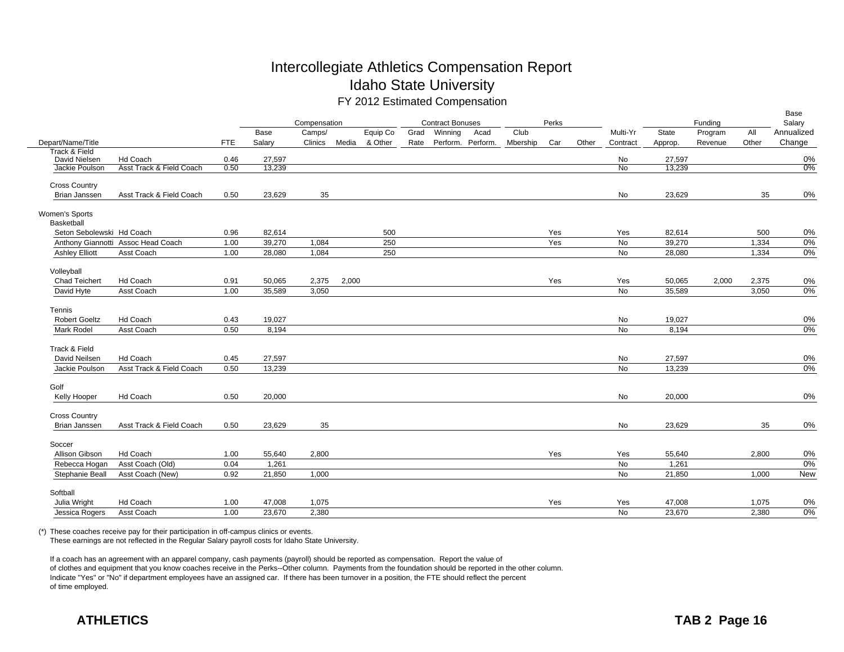### FY 2012 Estimated Compensation

|                                |                                    |            |        |              |       |          |      |                         |                   |          |       |       |           |         |         |       | Base       |
|--------------------------------|------------------------------------|------------|--------|--------------|-------|----------|------|-------------------------|-------------------|----------|-------|-------|-----------|---------|---------|-------|------------|
|                                |                                    |            |        | Compensation |       |          |      | <b>Contract Bonuses</b> |                   |          | Perks |       |           |         | Funding |       | Salary     |
|                                |                                    |            | Base   | Camps/       |       | Equip Co | Grad | Winning                 | Acad              | Club     |       |       | Multi-Yr  | State   | Program | All   | Annualized |
| Depart/Name/Title              |                                    | <b>FTE</b> | Salary | Clinics      | Media | & Other  | Rate |                         | Perform. Perform. | Mbership | Car   | Other | Contract  | Approp. | Revenue | Other | Change     |
| Track & Field<br>David Nielsen | Hd Coach                           | 0.46       | 27,597 |              |       |          |      |                         |                   |          |       |       | No        | 27,597  |         |       | 0%         |
| Jackie Poulson                 | Asst Track & Field Coach           | 0.50       | 13,239 |              |       |          |      |                         |                   |          |       |       | No        | 13,239  |         |       | 0%         |
|                                |                                    |            |        |              |       |          |      |                         |                   |          |       |       |           |         |         |       |            |
| <b>Cross Country</b>           |                                    |            |        |              |       |          |      |                         |                   |          |       |       |           |         |         |       |            |
| Brian Janssen                  | Asst Track & Field Coach           | 0.50       | 23,629 | 35           |       |          |      |                         |                   |          |       |       | No        | 23,629  |         | 35    | 0%         |
| Women's Sports<br>Basketball   |                                    |            |        |              |       |          |      |                         |                   |          |       |       |           |         |         |       |            |
| Seton Sebolewski Hd Coach      |                                    | 0.96       | 82,614 |              |       | 500      |      |                         |                   |          | Yes   |       | Yes       | 82,614  |         | 500   | 0%         |
|                                | Anthony Giannotti Assoc Head Coach | 1.00       | 39,270 | 1,084        |       | 250      |      |                         |                   |          | Yes   |       | No        | 39,270  |         | 1,334 | 0%         |
| <b>Ashley Elliott</b>          | Asst Coach                         | 1.00       | 28,080 | 1,084        |       | 250      |      |                         |                   |          |       |       | No        | 28,080  |         | 1,334 | 0%         |
| Volleyball                     |                                    |            |        |              |       |          |      |                         |                   |          |       |       |           |         |         |       |            |
| Chad Teichert                  | Hd Coach                           | 0.91       | 50,065 | 2,375        | 2,000 |          |      |                         |                   |          | Yes   |       | Yes       | 50,065  | 2,000   | 2,375 | 0%         |
| David Hyte                     | Asst Coach                         | 1.00       | 35,589 | 3,050        |       |          |      |                         |                   |          |       |       | <b>No</b> | 35,589  |         | 3,050 | 0%         |
| Tennis                         |                                    |            |        |              |       |          |      |                         |                   |          |       |       |           |         |         |       |            |
| <b>Robert Goeltz</b>           | Hd Coach                           | 0.43       | 19,027 |              |       |          |      |                         |                   |          |       |       | No        | 19,027  |         |       | 0%         |
| Mark Rodel                     | Asst Coach                         | 0.50       | 8,194  |              |       |          |      |                         |                   |          |       |       | No        | 8,194   |         |       | 0%         |
|                                |                                    |            |        |              |       |          |      |                         |                   |          |       |       |           |         |         |       |            |
| Track & Field                  |                                    |            |        |              |       |          |      |                         |                   |          |       |       |           |         |         |       |            |
| David Neilsen                  | Hd Coach                           | 0.45       | 27,597 |              |       |          |      |                         |                   |          |       |       | No        | 27,597  |         |       | 0%         |
| Jackie Poulson                 | Asst Track & Field Coach           | 0.50       | 13,239 |              |       |          |      |                         |                   |          |       |       | No        | 13,239  |         |       | 0%         |
| Golf                           |                                    |            |        |              |       |          |      |                         |                   |          |       |       |           |         |         |       |            |
| Kelly Hooper                   | Hd Coach                           | 0.50       | 20,000 |              |       |          |      |                         |                   |          |       |       | No        | 20,000  |         |       | 0%         |
|                                |                                    |            |        |              |       |          |      |                         |                   |          |       |       |           |         |         |       |            |
| <b>Cross Country</b>           |                                    |            |        |              |       |          |      |                         |                   |          |       |       |           |         |         |       |            |
| Brian Janssen                  | Asst Track & Field Coach           | 0.50       | 23,629 | 35           |       |          |      |                         |                   |          |       |       | No        | 23,629  |         | 35    | 0%         |
| Soccer                         |                                    |            |        |              |       |          |      |                         |                   |          |       |       |           |         |         |       |            |
| Allison Gibson                 | Hd Coach                           | 1.00       | 55,640 | 2,800        |       |          |      |                         |                   |          | Yes   |       | Yes       | 55,640  |         | 2,800 | 0%         |
| Rebecca Hogan                  | Asst Coach (Old)                   | 0.04       | 1,261  |              |       |          |      |                         |                   |          |       |       | No        | 1,261   |         |       | 0%         |
| Stephanie Beall                | Asst Coach (New)                   | 0.92       | 21,850 | 1,000        |       |          |      |                         |                   |          |       |       | No        | 21,850  |         | 1,000 | New        |
| Softball                       |                                    |            |        |              |       |          |      |                         |                   |          |       |       |           |         |         |       |            |
| Julia Wright                   | Hd Coach                           | 1.00       | 47,008 | 1,075        |       |          |      |                         |                   |          | Yes   |       | Yes       | 47,008  |         | 1,075 | 0%         |
| Jessica Rogers                 | Asst Coach                         | 1.00       | 23,670 | 2,380        |       |          |      |                         |                   |          |       |       | No        | 23,670  |         | 2,380 | 0%         |
|                                |                                    |            |        |              |       |          |      |                         |                   |          |       |       |           |         |         |       |            |

(\*) These coaches receive pay for their participation in off-campus clinics or events.

These earnings are not reflected in the Regular Salary payroll costs for Idaho State University.

If a coach has an agreement with an apparel company, cash payments (payroll) should be reported as compensation. Report the value of

of clothes and equipment that you know coaches receive in the Perks--Other column. Payments from the foundation should be reported in the other column.

Indicate "Yes" or "No" if department employees have an assigned car. If there has been turnover in a position, the FTE should reflect the percent

of time employed.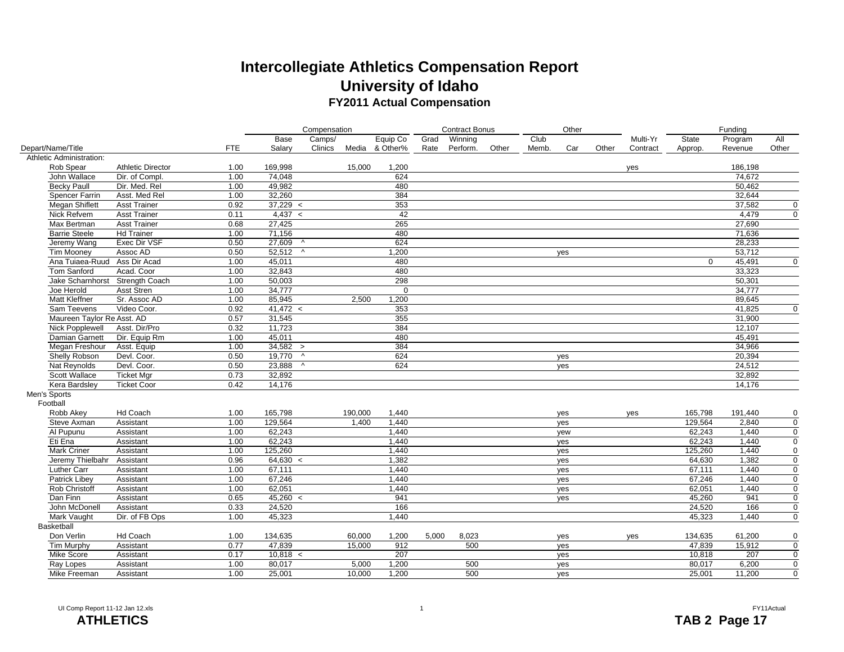### **Intercollegiate Athletics Compensation Report University of Idaho FY2011 Actual Compensation**

|                                 |                          | Compensation |            |           |         |                |       | <b>Contract Bonus</b> |       |       | Other |       |          | Funding  |         |                |
|---------------------------------|--------------------------|--------------|------------|-----------|---------|----------------|-------|-----------------------|-------|-------|-------|-------|----------|----------|---------|----------------|
|                                 |                          |              | Base       | Camps/    |         | Equip Co       | Grad  | Winning               |       | Club  |       |       | Multi-Yr | State    | Program | All            |
| Depart/Name/Title               |                          | <b>FTE</b>   | Salary     | Clinics   |         | Media & Other% | Rate  | Perform.              | Other | Memb. | Car   | Other | Contract | Approp.  | Revenue | Other          |
| Athletic Administration:        |                          |              |            |           |         |                |       |                       |       |       |       |       |          |          |         |                |
| Rob Spear                       | <b>Athletic Director</b> | 1.00         | 169,998    |           | 15,000  | 1,200          |       |                       |       |       |       |       | yes      |          | 186,198 |                |
| John Wallace                    | Dir. of Compl.           | 1.00         | 74,048     |           |         | 624            |       |                       |       |       |       |       |          |          | 74,672  |                |
| <b>Becky Paull</b>              | Dir. Med. Rel            | 1.00         | 49,982     |           |         | 480            |       |                       |       |       |       |       |          |          | 50,462  |                |
| Spencer Farrin                  | Asst. Med Rel            | 1.00         | 32,260     |           |         | 384            |       |                       |       |       |       |       |          |          | 32,644  |                |
| <b>Megan Shiflett</b>           | <b>Asst Trainer</b>      | 0.92         | 37,229 <   |           |         | 353            |       |                       |       |       |       |       |          |          | 37,582  | $\mathbf 0$    |
| <b>Nick Refvem</b>              | <b>Asst Trainer</b>      | 0.11         | 4,437 <    |           |         | 42             |       |                       |       |       |       |       |          |          | 4,479   | $\Omega$       |
| Max Bertman                     | <b>Asst Trainer</b>      | 0.68         | 27,425     |           |         | 265            |       |                       |       |       |       |       |          |          | 27,690  |                |
| <b>Barrie Steele</b>            | <b>Hd Trainer</b>        | 1.00         | 71,156     |           |         | 480            |       |                       |       |       |       |       |          |          | 71,636  |                |
| Jeremy Wang                     | Exec Dir VSF             | 0.50         | $27,609$ ^ |           |         | 624            |       |                       |       |       |       |       |          |          | 28,233  |                |
| <b>Tim Mooney</b>               | Assoc AD                 | 0.50         | $52,512$ ^ |           |         | 1,200          |       |                       |       |       | yes   |       |          |          | 53,712  |                |
| Ana Tuiaea-Ruud Ass Dir Acad    |                          | 1.00         | 45,011     |           |         | 480            |       |                       |       |       |       |       |          | $\Omega$ | 45,491  | $\mathbf 0$    |
| <b>Tom Sanford</b>              | Acad. Coor               | 1.00         | 32,843     |           |         | 480            |       |                       |       |       |       |       |          |          | 33,323  |                |
| Jake Scharnhorst Strength Coach |                          | 1.00         | 50,003     |           |         | 298            |       |                       |       |       |       |       |          |          | 50,301  |                |
| Joe Herold                      | <b>Asst Stren</b>        | 1.00         | 34,777     |           |         | $\mathbf 0$    |       |                       |       |       |       |       |          |          | 34,777  |                |
| <b>Matt Kleffner</b>            | Sr. Assoc AD             | 1.00         | 85,945     |           | 2,500   | 1,200          |       |                       |       |       |       |       |          |          | 89,645  |                |
| Sam Teevens                     | Video Coor.              | 0.92         | 41,472 <   |           |         | 353            |       |                       |       |       |       |       |          |          | 41,825  | $\mathbf 0$    |
| Maureen Taylor Re Asst. AD      |                          | 0.57         | 31,545     |           |         | 355            |       |                       |       |       |       |       |          |          | 31,900  |                |
| Nick Popplewell                 | Asst. Dir/Pro            | 0.32         | 11,723     |           |         | 384            |       |                       |       |       |       |       |          |          | 12,107  |                |
| <b>Damian Garnett</b>           | Dir. Equip Rm            | 1.00         | 45,011     |           |         | 480            |       |                       |       |       |       |       |          |          | 45,491  |                |
| Megan Freshour                  | Asst. Equip              | 1.00         | 34,582 >   |           |         | 384            |       |                       |       |       |       |       |          |          | 34,966  |                |
| <b>Shelly Robson</b>            | Devl. Coor.              | 0.50         | $19,770$ ^ |           |         | 624            |       |                       |       |       | yes   |       |          |          | 20,394  |                |
| Nat Reynolds                    | Devl. Coor.              | 0.50         | 23,888     | $\Lambda$ |         | 624            |       |                       |       |       | yes   |       |          |          | 24,512  |                |
| <b>Scott Wallace</b>            | <b>Ticket Mgr</b>        | 0.73         | 32,892     |           |         |                |       |                       |       |       |       |       |          |          | 32,892  |                |
| Kera Bardsley                   | <b>Ticket Coor</b>       | 0.42         | 14,176     |           |         |                |       |                       |       |       |       |       |          |          | 14,176  |                |
| Men's Sports                    |                          |              |            |           |         |                |       |                       |       |       |       |       |          |          |         |                |
| Football                        |                          |              |            |           |         |                |       |                       |       |       |       |       |          |          |         |                |
| Robb Akey                       | Hd Coach                 | 1.00         | 165,798    |           | 190,000 | 1,440          |       |                       |       |       | yes   |       | yes      | 165,798  | 191,440 | 0              |
| Steve Axman                     | Assistant                | 1.00         | 129,564    |           | 1.400   | 1,440          |       |                       |       |       | yes   |       |          | 129,564  | 2,840   | $\mathbf 0$    |
| Al Pupunu                       | Assistant                | 1.00         | 62,243     |           |         | 1,440          |       |                       |       |       | yew   |       |          | 62.243   | 1,440   | $\overline{0}$ |
| Eti Ena                         | Assistant                | 1.00         | 62,243     |           |         | 1,440          |       |                       |       |       | yes   |       |          | 62,243   | 1,440   | $\mathbf 0$    |
| <b>Mark Criner</b>              | Assistant                | 1.00         | 125,260    |           |         | 1,440          |       |                       |       |       | yes   |       |          | 125,260  | 1,440   | 0              |
| Jeremy Thielbahr                | Assistant                | 0.96         | 64,630 <   |           |         | 1,382          |       |                       |       |       | yes   |       |          | 64,630   | 1,382   | $\mathbf 0$    |
| <b>Luther Carr</b>              | Assistant                | 1.00         | 67,111     |           |         | 1,440          |       |                       |       |       | yes   |       |          | 67,111   | 1,440   | $\mathbf 0$    |
| <b>Patrick Libey</b>            | Assistant                | 1.00         | 67,246     |           |         | 1,440          |       |                       |       |       | yes   |       |          | 67,246   | 1,440   | $\mathbf 0$    |
| Rob Christoff                   | Assistant                | 1.00         | 62,051     |           |         | 1,440          |       |                       |       |       | yes   |       |          | 62,051   | 1,440   | $\mathbf 0$    |
| Dan Finn                        | Assistant                | 0.65         | 45,260 <   |           |         | 941            |       |                       |       |       | yes   |       |          | 45,260   | 941     | $\mathbf 0$    |
| John McDonell                   | Assistant                | 0.33         | 24,520     |           |         | 166            |       |                       |       |       |       |       |          | 24,520   | 166     | $\mathbf 0$    |
| Mark Vaught                     | Dir. of FB Ops           | 1.00         | 45,323     |           |         | 1,440          |       |                       |       |       |       |       |          | 45.323   | 1,440   | $\overline{0}$ |
| <b>Basketball</b>               |                          |              |            |           |         |                |       |                       |       |       |       |       |          |          |         |                |
| Don Verlin                      | Hd Coach                 | 1.00         | 134,635    |           | 60,000  | 1,200          | 5,000 | 8,023                 |       |       | yes   |       | yes      | 134,635  | 61,200  | $\mathbf 0$    |
| <b>Tim Murphy</b>               | Assistant                | 0.77         | 47,839     |           | 15,000  | 912            |       | 500                   |       |       | yes   |       |          | 47,839   | 15,912  | $\mathbf 0$    |
| Mike Score                      | Assistant                | 0.17         | 10,818 <   |           |         | 207            |       |                       |       |       | yes   |       |          | 10,818   | 207     | $\mathbf 0$    |
| Ray Lopes                       | Assistant                | 1.00         | 80,017     |           | 5,000   | 1,200          |       | 500                   |       |       | yes   |       |          | 80,017   | 6,200   | $\mathbf 0$    |
| Mike Freeman                    | Assistant                | 1.00         | 25,001     |           | 10,000  | 1,200          |       | 500                   |       |       | yes   |       |          | 25,001   | 11,200  | $\mathbf 0$    |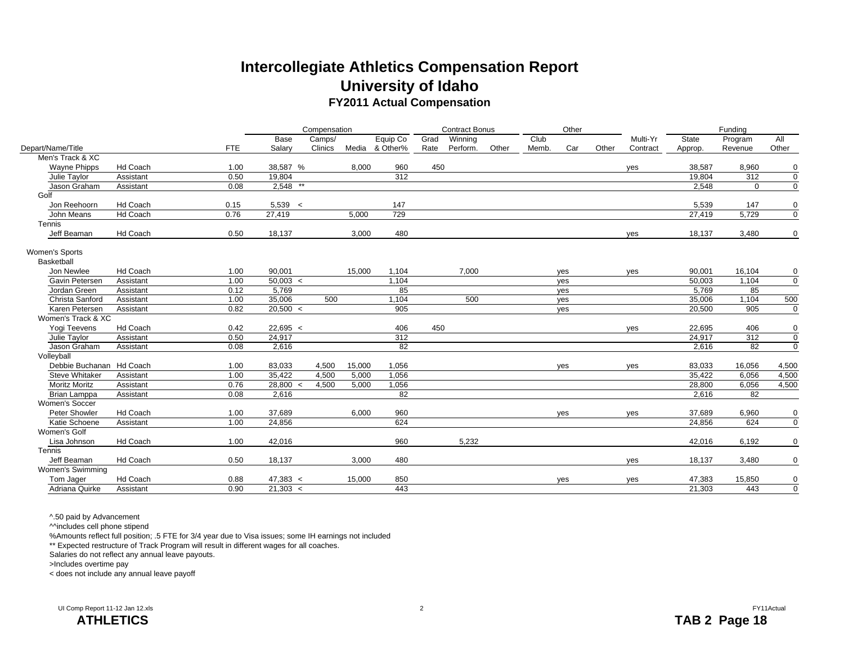### **Intercollegiate Athletics Compensation Report University of Idaho FY2011 Actual Compensation**

|                          |           |            |            | Compensation |        |                  |      | <b>Contract Bonus</b> |       |       | Other |       |          |         | Funding     |                |
|--------------------------|-----------|------------|------------|--------------|--------|------------------|------|-----------------------|-------|-------|-------|-------|----------|---------|-------------|----------------|
|                          |           |            | Base       | Camps/       |        | Equip Co         | Grad | Winning               |       | Club  |       |       | Multi-Yr | State   | Program     | All            |
| Depart/Name/Title        |           | <b>FTE</b> | Salary     | Clinics      | Media  | & Other%         | Rate | Perform.              | Other | Memb. | Car   | Other | Contract | Approp. | Revenue     | Other          |
| Men's Track & XC         |           |            |            |              |        |                  |      |                       |       |       |       |       |          |         |             |                |
| <b>Wayne Phipps</b>      | Hd Coach  | 1.00       | 38,587 %   |              | 8,000  | 960              | 450  |                       |       |       |       |       | yes      | 38,587  | 8,960       | $\mathbf 0$    |
| Julie Taylor             | Assistant | 0.50       | 19,804     |              |        | 312              |      |                       |       |       |       |       |          | 19,804  | 312         | $\mathbf 0$    |
| Jason Graham             | Assistant | 0.08       | $2,548$ ** |              |        |                  |      |                       |       |       |       |       |          | 2,548   | $\mathbf 0$ | $\mathbf 0$    |
| Golf                     |           |            |            |              |        |                  |      |                       |       |       |       |       |          |         |             |                |
| Jon Reehoorn             | Hd Coach  | 0.15       | 5,539 <    |              |        | 147              |      |                       |       |       |       |       |          | 5,539   | 147         | $\mathbf 0$    |
| John Means               | Hd Coach  | 0.76       | 27,419     |              | 5,000  | 729              |      |                       |       |       |       |       |          | 27,419  | 5,729       | $\mathbf 0$    |
| Tennis                   |           |            |            |              |        |                  |      |                       |       |       |       |       |          |         |             |                |
| Jeff Beaman              | Hd Coach  | 0.50       | 18,137     |              | 3,000  | 480              |      |                       |       |       |       |       | yes      | 18,137  | 3,480       | $\mathbf 0$    |
| <b>Women's Sports</b>    |           |            |            |              |        |                  |      |                       |       |       |       |       |          |         |             |                |
| Basketball               |           |            |            |              |        |                  |      |                       |       |       |       |       |          |         |             |                |
| Jon Newlee               | Hd Coach  | 1.00       | 90,001     |              | 15,000 | 1,104            |      | 7,000                 |       |       | yes   |       | yes      | 90,001  | 16,104      | $\mathbf 0$    |
| Gavin Petersen           | Assistant | 1.00       | 50,003 <   |              |        | 1,104            |      |                       |       |       | yes   |       |          | 50,003  | 1,104       | $\mathbf 0$    |
| Jordan Green             | Assistant | 0.12       | 5,769      |              |        | 85               |      |                       |       |       | yes   |       |          | 5,769   | 85          |                |
| Christa Sanford          | Assistant | 1.00       | 35,006     | 500          |        | 1,104            |      | 500                   |       |       | yes   |       |          | 35,006  | 1,104       | 500            |
| Karen Petersen           | Assistant | 0.82       | 20,500 <   |              |        | 905              |      |                       |       |       | ves   |       |          | 20,500  | 905         | $\mathbf 0$    |
| Women's Track & XC       |           |            |            |              |        |                  |      |                       |       |       |       |       |          |         |             |                |
| Yogi Teevens             | Hd Coach  | 0.42       | 22,695 <   |              |        | 406              | 450  |                       |       |       |       |       | yes      | 22,695  | 406         | $\mathbf 0$    |
| Julie Taylor             | Assistant | 0.50       | 24,917     |              |        | 312              |      |                       |       |       |       |       |          | 24,917  | 312         | $\mathbf 0$    |
| Jason Graham             | Assistant | 0.08       | 2.616      |              |        | $\overline{82}$  |      |                       |       |       |       |       |          | 2,616   | 82          | $\mathsf 0$    |
| Volleyball               |           |            |            |              |        |                  |      |                       |       |       |       |       |          |         |             |                |
| Debbie Buchanan Hd Coach |           | 1.00       | 83,033     | 4,500        | 15,000 | 1,056            |      |                       |       |       | yes   |       | yes      | 83,033  | 16,056      | 4,500          |
| <b>Steve Whitaker</b>    | Assistant | 1.00       | 35,422     | 4,500        | 5,000  | 1,056            |      |                       |       |       |       |       |          | 35,422  | 6,056       | 4,500          |
| <b>Moritz Moritz</b>     | Assistant | 0.76       | 28,800 <   | 4,500        | 5,000  | 1,056            |      |                       |       |       |       |       |          | 28,800  | 6,056       | 4,500          |
| Brian Lamppa             | Assistant | 0.08       | 2,616      |              |        | 82               |      |                       |       |       |       |       |          | 2,616   | 82          |                |
| Women's Soccer           |           |            |            |              |        |                  |      |                       |       |       |       |       |          |         |             |                |
| Peter Showler            | Hd Coach  | 1.00       | 37,689     |              | 6,000  | 960              |      |                       |       |       | yes   |       | yes      | 37,689  | 6,960       | 0              |
| Katie Schoene            | Assistant | 1.00       | 24,856     |              |        | 624              |      |                       |       |       |       |       |          | 24,856  | 624         | $\overline{0}$ |
| Women's Golf             |           |            |            |              |        |                  |      |                       |       |       |       |       |          |         |             |                |
| Lisa Johnson             | Hd Coach  | 1.00       | 42,016     |              |        | 960              |      | 5,232                 |       |       |       |       |          | 42,016  | 6,192       | $\mathbf 0$    |
| <b>Tennis</b>            |           |            |            |              |        |                  |      |                       |       |       |       |       |          |         |             |                |
| Jeff Beaman              | Hd Coach  | 0.50       | 18,137     |              | 3,000  | 480              |      |                       |       |       |       |       | yes      | 18,137  | 3,480       | $\mathbf 0$    |
| Women's Swimming         |           |            |            |              |        |                  |      |                       |       |       |       |       |          |         |             |                |
| Tom Jager                | Hd Coach  | 0.88       | 47,383 <   |              | 15,000 | 850              |      |                       |       |       | yes   |       | yes      | 47,383  | 15,850      | $\mathbf 0$    |
| Adriana Quirke           | Assistant | 0.90       | 21,303 <   |              |        | $\overline{443}$ |      |                       |       |       |       |       |          | 21.303  | 443         | $\mathbf 0$    |
|                          |           |            |            |              |        |                  |      |                       |       |       |       |       |          |         |             |                |

^.50 paid by Advancement

^^includes cell phone stipend

%Amounts reflect full position; .5 FTE for 3/4 year due to Visa issues; some IH earnings not included

\*\* Expected restructure of Track Program will result in different wages for all coaches.

Salaries do not reflect any annual leave payouts.

>Includes overtime pay

< does not include any annual leave payoff

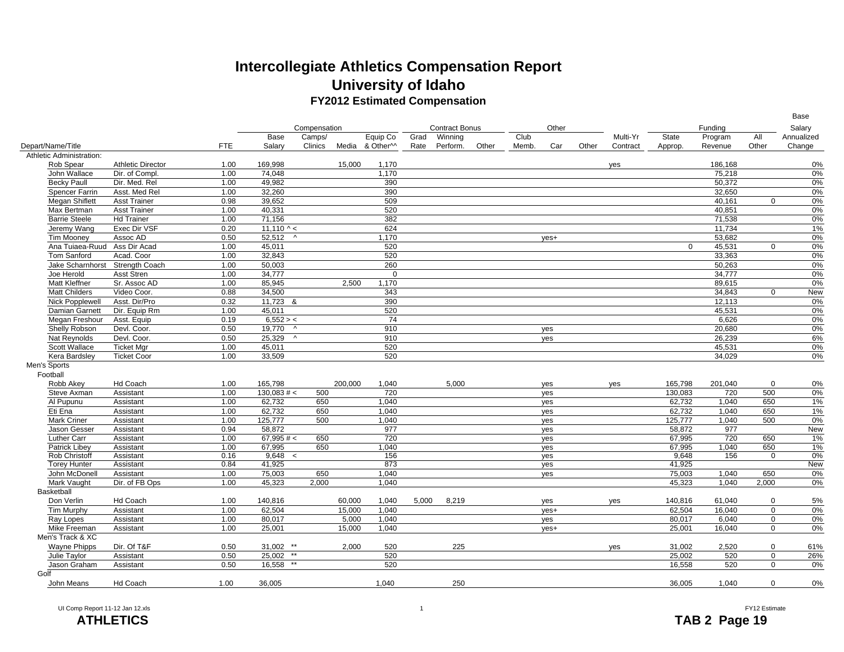### **Intercollegiate Athletics Compensation Report University of Idaho FY2012 Estimated Compensation**

|                          |                          |            |                       |                   |         |                                         |              |                       |       |               |       |       |                      |                  |                    |                | Base                 |
|--------------------------|--------------------------|------------|-----------------------|-------------------|---------|-----------------------------------------|--------------|-----------------------|-------|---------------|-------|-------|----------------------|------------------|--------------------|----------------|----------------------|
|                          |                          |            |                       | Compensation      |         |                                         |              | <b>Contract Bonus</b> |       |               | Other |       |                      |                  | Funding            |                | Salary               |
| Depart/Name/Title        |                          | <b>FTE</b> | <b>Base</b><br>Salary | Camps/<br>Clinics |         | Equip Co<br>Media & Other <sup>11</sup> | Grad<br>Rate | Winning<br>Perform.   | Other | Club<br>Memb. | Car   | Other | Multi-Yr<br>Contract | State<br>Approp. | Program<br>Revenue | All<br>Other   | Annualized<br>Change |
| Athletic Administration: |                          |            |                       |                   |         |                                         |              |                       |       |               |       |       |                      |                  |                    |                |                      |
| <b>Rob Spear</b>         | <b>Athletic Director</b> | 1.00       | 169,998               |                   | 15,000  | 1,170                                   |              |                       |       |               |       |       | yes                  |                  | 186,168            |                | 0%                   |
| John Wallace             | Dir. of Compl.           | 1.00       | 74,048                |                   |         | 1,170                                   |              |                       |       |               |       |       |                      |                  | 75,218             |                | 0%                   |
| <b>Becky Paull</b>       | Dir. Med. Rel            | 1.00       | 49,982                |                   |         | 390                                     |              |                       |       |               |       |       |                      |                  | 50.372             |                | 0%                   |
| <b>Spencer Farrin</b>    | Asst. Med Rel            | 1.00       | 32,260                |                   |         | 390                                     |              |                       |       |               |       |       |                      |                  | 32,650             |                | 0%                   |
| Megan Shiflett           | <b>Asst Trainer</b>      | 0.98       | 39,652                |                   |         | 509                                     |              |                       |       |               |       |       |                      |                  | 40,161             | $\overline{0}$ | 0%                   |
| Max Bertman              | <b>Asst Trainer</b>      | 1.00       | 40,331                |                   |         | 520                                     |              |                       |       |               |       |       |                      |                  | 40,851             |                | 0%                   |
| <b>Barrie Steele</b>     | <b>Hd Trainer</b>        | 1.00       | 71,156                |                   |         | 382                                     |              |                       |       |               |       |       |                      |                  | 71,538             |                | 0%                   |
| Jeremy Wang              | Exec Dir VSF             | 0.20       | $11,110 \wedge z$     |                   |         | 624                                     |              |                       |       |               |       |       |                      |                  | 11,734             |                | 1%                   |
| <b>Tim Mooney</b>        | Assoc AD                 | 0.50       | $52,512$ ^            |                   |         | 1,170                                   |              |                       |       |               | yes+  |       |                      |                  | 53,682             |                | 0%                   |
| Ana Tuiaea-Ruud          | Ass Dir Acad             | 1.00       | 45,011                |                   |         | 520                                     |              |                       |       |               |       |       |                      | $\mathbf 0$      | 45,531             | $\mathbf 0$    | 0%                   |
| Tom Sanford              | Acad. Coor               | 1.00       | 32,843                |                   |         | 520                                     |              |                       |       |               |       |       |                      |                  | 33,363             |                | 0%                   |
| Jake Scharnhorst         | Strength Coach           | 1.00       | 50,003                |                   |         | 260                                     |              |                       |       |               |       |       |                      |                  | 50,263             |                | 0%                   |
| Joe Herold               | Asst Stren               | 1.00       | 34,777                |                   |         | $\mathbf 0$                             |              |                       |       |               |       |       |                      |                  | 34,777             |                | 0%                   |
| Matt Kleffner            | Sr. Assoc AD             | 1.00       | 85,945                |                   | 2,500   | 1,170                                   |              |                       |       |               |       |       |                      |                  | 89,615             |                | 0%                   |
| <b>Matt Childers</b>     | Video Coor.              | 0.88       | 34,500                |                   |         | 343                                     |              |                       |       |               |       |       |                      |                  | 34,843             | $\mathbf 0$    | New                  |
| <b>Nick Popplewell</b>   | Asst. Dir/Pro            | 0.32       | 11,723 &              |                   |         | 390                                     |              |                       |       |               |       |       |                      |                  | 12,113             |                | 0%                   |
| Damian Garnett           | Dir. Equip Rm            | 1.00       | 45,011                |                   |         | 520                                     |              |                       |       |               |       |       |                      |                  | 45,531             |                | 0%                   |
| Megan Freshour           | Asst. Equip              | 0.19       | 6,552 >               |                   |         | 74                                      |              |                       |       |               |       |       |                      |                  | 6.626              |                | 0%                   |
| Shelly Robson            | Devl. Coor.              | 0.50       | 19.770<br>$\lambda$   |                   |         | 910                                     |              |                       |       |               | yes   |       |                      |                  | 20.680             |                | 0%                   |
| Nat Reynolds             | Devl. Coor.              | 0.50       | 25,329 ^              |                   |         | 910                                     |              |                       |       |               | ves   |       |                      |                  | 26,239             |                | 6%                   |
| <b>Scott Wallace</b>     | <b>Ticket Mgr</b>        | 1.00       | 45,011                |                   |         | 520                                     |              |                       |       |               |       |       |                      |                  | 45,531             |                | 0%                   |
| Kera Bardsley            | <b>Ticket Coor</b>       | 1.00       | 33,509                |                   |         | 520                                     |              |                       |       |               |       |       |                      |                  | 34,029             |                | 0%                   |
| Men's Sports             |                          |            |                       |                   |         |                                         |              |                       |       |               |       |       |                      |                  |                    |                |                      |
| Football                 |                          |            |                       |                   |         |                                         |              |                       |       |               |       |       |                      |                  |                    |                |                      |
| Robb Akey                | Hd Coach                 | 1.00       | 165,798               |                   | 200,000 | 1,040                                   |              | 5,000                 |       |               | yes   |       | yes                  | 165,798          | 201,040            | 0              | 0%                   |
| Steve Axman              | Assistant                | 1.00       | $130,083 \# <$        | 500               |         | 720                                     |              |                       |       |               | yes   |       |                      | 130,083          | 720                | 500            | 0%                   |
| Al Pupunu                | Assistant                | 1.00       | 62,732                | 650               |         | 1,040                                   |              |                       |       |               | yes   |       |                      | 62,732           | 1,040              | 650            | 1%                   |
| Eti Ena                  | Assistant                | 1.00       | 62,732                | 650               |         | 1,040                                   |              |                       |       |               | yes   |       |                      | 62,732           | 1,040              | 650            | 1%                   |
| Mark Criner              | Assistant                | 1.00       | 125,777               | 500               |         | 1,040                                   |              |                       |       |               | yes   |       |                      | 125,777          | 1,040              | 500            | 0%                   |
| Jason Gesser             | Assistant                | 0.94       | 58,872                |                   |         | 977                                     |              |                       |       |               | yes   |       |                      | 58,872           | 977                |                | New                  |
| Luther Carr              | Assistant                | 1.00       | $67,995 \neq 6$       | 650               |         | 720                                     |              |                       |       |               | yes   |       |                      | 67,995           | 720                | 650            | 1%                   |
| <b>Patrick Libey</b>     | Assistant                | 1.00       | 67.995                | 650               |         | 1.040                                   |              |                       |       |               | ves   |       |                      | 67,995           | 1.040              | 650            | 1%                   |
| <b>Rob Christoff</b>     | Assistant                | 0.16       | 9,648<br>$\prec$      |                   |         | 156                                     |              |                       |       |               | yes   |       |                      | 9,648            | 156                | $\overline{0}$ | 0%                   |
| <b>Torey Hunter</b>      | Assistant                | 0.84       | 41,925                |                   |         | 873                                     |              |                       |       |               | yes   |       |                      | 41,925           |                    |                | New                  |
| John McDonell            | Assistant                | 1.00       | 75,003                | 650               |         | 1,040                                   |              |                       |       |               | ves   |       |                      | 75,003           | 1,040              | 650            | 0%                   |
| Mark Vaught              | Dir. of FB Ops           | 1.00       | 45,323                | 2,000             |         | 1,040                                   |              |                       |       |               |       |       |                      | 45,323           | 1.040              | 2,000          | 0%                   |
| Basketball               |                          |            |                       |                   |         |                                         |              |                       |       |               |       |       |                      |                  |                    |                |                      |
| Don Verlin               | Hd Coach                 | 1.00       | 140,816               |                   | 60,000  | 1,040                                   | 5,000        | 8,219                 |       |               | ves   |       | yes                  | 140,816          | 61,040             | $\mathbf 0$    | 5%                   |
| Tim Murphy               | Assistant                | 1.00       | 62,504                |                   | 15,000  | 1,040                                   |              |                       |       |               | yes+  |       |                      | 62,504           | 16,040             | $\mathbf 0$    | 0%                   |
| Ray Lopes                | Assistant                | 1.00       | 80,017                |                   | 5,000   | 1,040                                   |              |                       |       |               | yes   |       |                      | 80,017           | 6,040              | $\mathbf 0$    | 0%                   |
| Mike Freeman             | Assistant                | 1.00       | 25,001                |                   | 15,000  | 1,040                                   |              |                       |       |               | yes+  |       |                      | 25,001           | 16,040             | $\mathbf 0$    | 0%                   |
| Men's Track & XC         |                          |            |                       |                   |         |                                         |              |                       |       |               |       |       |                      |                  |                    |                |                      |
| <b>Wayne Phipps</b>      | Dir. Of T&F              | 0.50       | 31,002 **             |                   | 2,000   | 520                                     |              | 225                   |       |               |       |       | yes                  | 31,002           | 2,520              | $\mathbf 0$    | 61%                  |
| Julie Taylor             | Assistant                | 0.50       | 25,002<br>$***$       |                   |         | 520                                     |              |                       |       |               |       |       |                      | 25,002           | 520                | $\mathbf 0$    | 26%                  |
| Jason Graham             | Assistant                | 0.50       | 16,558 **             |                   |         | 520                                     |              |                       |       |               |       |       |                      | 16,558           | 520                | $\mathbf 0$    | 0%                   |
| Golf                     |                          |            |                       |                   |         |                                         |              |                       |       |               |       |       |                      |                  |                    |                |                      |
| John Means               | Hd Coach                 | 1.00       | 36,005                |                   |         | 1,040                                   |              | 250                   |       |               |       |       |                      | 36,005           | 1,040              | $\mathbf 0$    | 0%                   |

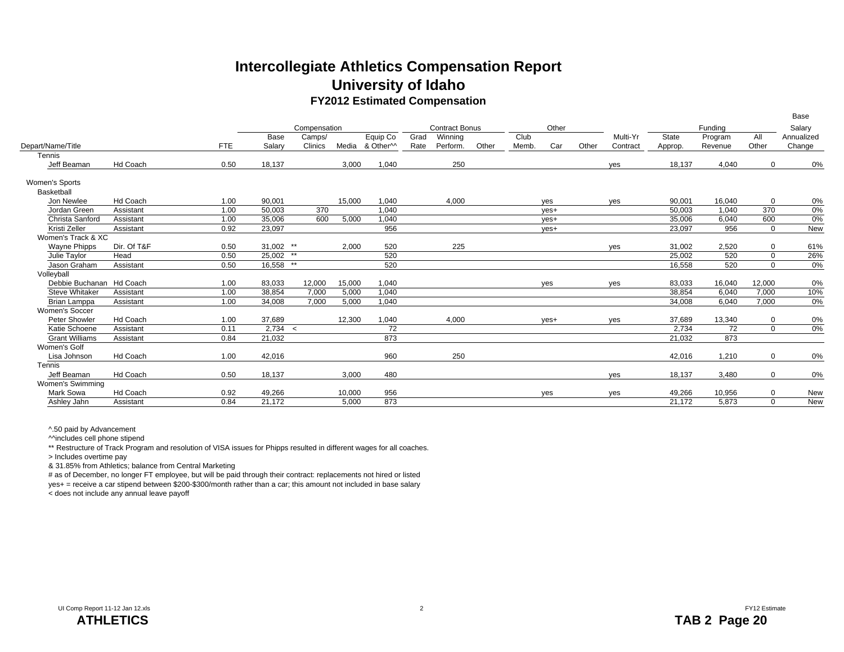### **Intercollegiate Athletics Compensation Report University of Idaho FY2012 Estimated Compensation**

|                          |             |            |             |              |        |                             |      |                       |       |       |        |       |          |         |         |              | Base       |
|--------------------------|-------------|------------|-------------|--------------|--------|-----------------------------|------|-----------------------|-------|-------|--------|-------|----------|---------|---------|--------------|------------|
|                          |             |            |             | Compensation |        |                             |      | <b>Contract Bonus</b> |       |       | Other  |       |          |         | Funding |              | Salary     |
|                          |             |            | Base        | Camps/       |        | Equip Co                    | Grad | Winning               |       | Club  |        |       | Multi-Yr | State   | Program | All          | Annualized |
| Depart/Name/Title        |             | <b>FTE</b> | Salarv      | Clinics      |        | Media & Other <sup>11</sup> | Rate | Perform.              | Other | Memb. | Car    | Other | Contract | Approp. | Revenue | Other        | Change     |
| Tennis                   |             |            |             |              |        |                             |      |                       |       |       |        |       |          |         |         |              |            |
| Jeff Beaman              | Hd Coach    | 0.50       | 18,137      |              | 3,000  | 1,040                       |      | 250                   |       |       |        |       | yes      | 18,137  | 4,040   | $\mathbf 0$  | 0%         |
| <b>Women's Sports</b>    |             |            |             |              |        |                             |      |                       |       |       |        |       |          |         |         |              |            |
| Basketball               |             |            |             |              |        |                             |      |                       |       |       |        |       |          |         |         |              |            |
| Jon Newlee               | Hd Coach    | 1.00       | 90.001      |              | 15,000 | 1,040                       |      | 4,000                 |       |       | ves    |       | yes      | 90,001  | 16,040  | $\mathbf 0$  | 0%         |
| Jordan Green             | Assistant   | 1.00       | 50,003      | 370          |        | 1.040                       |      |                       |       |       | ves+   |       |          | 50,003  | 1.040   | 370          | 0%         |
| Christa Sanford          | Assistant   | 1.00       | 35,006      | 600          | 5,000  | 1,040                       |      |                       |       |       | yes+   |       |          | 35,006  | 6,040   | 600          | 0%         |
| Kristi Zeller            | Assistant   | 0.92       | 23,097      |              |        | 956                         |      |                       |       |       | yes+   |       |          | 23,097  | 956     | $\mathbf{0}$ | <b>New</b> |
| Women's Track & XC       |             |            |             |              |        |                             |      |                       |       |       |        |       |          |         |         |              |            |
| <b>Wayne Phipps</b>      | Dir. Of T&F | 0.50       | 31.002 **   |              | 2,000  | 520                         |      | 225                   |       |       |        |       | yes      | 31,002  | 2,520   | 0            | 61%        |
| Julie Tavlor             | Head        | 0.50       | $25,002$ ** |              |        | 520                         |      |                       |       |       |        |       |          | 25.002  | 520     | $\mathbf 0$  | 26%        |
| Jason Graham             | Assistant   | 0.50       | 16.558 **   |              |        | 520                         |      |                       |       |       |        |       |          | 16,558  | 520     | $\mathbf 0$  | 0%         |
| Volleyball               |             |            |             |              |        |                             |      |                       |       |       |        |       |          |         |         |              |            |
| Debbie Buchanan Hd Coach |             | 1.00       | 83.033      | 12,000       | 15,000 | 1.040                       |      |                       |       |       | ves    |       | yes      | 83,033  | 16,040  | 12,000       | 0%         |
| <b>Steve Whitaker</b>    | Assistant   | 1.00       | 38,854      | 7,000        | 5,000  | 1,040                       |      |                       |       |       |        |       |          | 38,854  | 6,040   | 7,000        | 10%        |
| Brian Lamppa             | Assistant   | 1.00       | 34,008      | 7,000        | 5,000  | 1,040                       |      |                       |       |       |        |       |          | 34,008  | 6,040   | 7,000        | 0%         |
| Women's Soccer           |             |            |             |              |        |                             |      |                       |       |       |        |       |          |         |         |              |            |
| Peter Showler            | Hd Coach    | 1.00       | 37,689      |              | 12,300 | 1,040                       |      | 4,000                 |       |       | $ves+$ |       | yes      | 37,689  | 13,340  | 0            | 0%         |
| Katie Schoene            | Assistant   | 0.11       | 2.734 <     |              |        | 72                          |      |                       |       |       |        |       |          | 2.734   | 72      | $\mathbf 0$  | 0%         |
| <b>Grant Williams</b>    | Assistant   | 0.84       | 21,032      |              |        | 873                         |      |                       |       |       |        |       |          | 21,032  | 873     |              |            |
| Women's Golf             |             |            |             |              |        |                             |      |                       |       |       |        |       |          |         |         |              |            |
| Lisa Johnson             | Hd Coach    | 1.00       | 42,016      |              |        | 960                         |      | 250                   |       |       |        |       |          | 42,016  | 1,210   | 0            | 0%         |
| Tennis                   |             |            |             |              |        |                             |      |                       |       |       |        |       |          |         |         |              |            |
| Jeff Beaman              | Hd Coach    | 0.50       | 18.137      |              | 3.000  | 480                         |      |                       |       |       |        |       | yes      | 18,137  | 3,480   | $\mathbf 0$  | 0%         |
| Women's Swimming         |             |            |             |              |        |                             |      |                       |       |       |        |       |          |         |         |              |            |
| Mark Sowa                | Hd Coach    | 0.92       | 49,266      |              | 10,000 | 956                         |      |                       |       |       | yes    |       | yes      | 49,266  | 10,956  | 0            | New        |
| Ashley Jahn              | Assistant   | 0.84       | 21,172      |              | 5,000  | 873                         |      |                       |       |       |        |       |          | 21,172  | 5,873   | $\mathbf 0$  | <b>New</b> |

^.50 paid by Advancement

^^includes cell phone stipend

\*\* Restructure of Track Program and resolution of VISA issues for Phipps resulted in different wages for all coaches.

> Includes overtime pay

& 31.85% from Athletics; balance from Central Marketing

# as of December, no longer FT employee, but will be paid through their contract: replacements not hired or listed yes+ = receive a car stipend between \$200-\$300/month rather than a car; this amount not included in base salary < does not include any annual leave payoff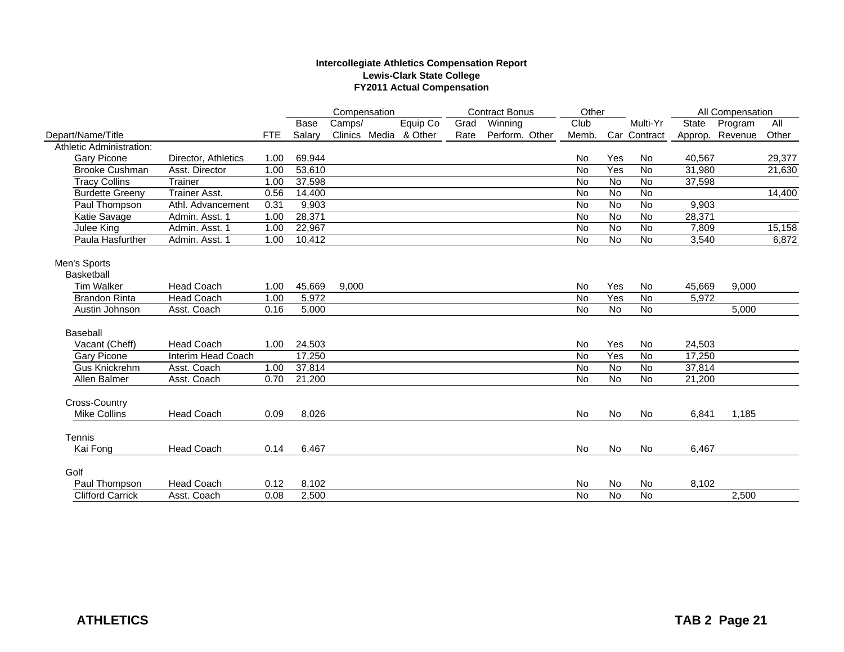#### **Intercollegiate Athletics Compensation Report Lewis-Clark State College FY2011 Actual Compensation**

|                          |                           |      |        | Compensation |                       |      | <b>Contract Bonus</b> | Other     |                |                |        | All Compensation |        |
|--------------------------|---------------------------|------|--------|--------------|-----------------------|------|-----------------------|-----------|----------------|----------------|--------|------------------|--------|
|                          |                           |      | Base   | Camps/       | Equip Co              | Grad | Winning               | Club      |                | Multi-Yr       | State  | Program          | All    |
| Depart/Name/Title        |                           | FTE  | Salary |              | Clinics Media & Other | Rate | Perform. Other        | Memb.     |                | Car Contract   |        | Approp. Revenue  | Other  |
| Athletic Administration: |                           |      |        |              |                       |      |                       |           |                |                |        |                  |        |
| <b>Gary Picone</b>       | Director, Athletics       | 1.00 | 69,944 |              |                       |      |                       | No        | Yes            | No             | 40,567 |                  | 29,377 |
| <b>Brooke Cushman</b>    | Asst. Director            | 1.00 | 53,610 |              |                       |      |                       | <b>No</b> | Yes            | No             | 31,980 |                  | 21,630 |
| <b>Tracy Collins</b>     | Trainer                   | 1.00 | 37,598 |              |                       |      |                       | No        | <b>No</b>      | No             | 37,598 |                  |        |
| <b>Burdette Greeny</b>   | <b>Trainer Asst.</b>      | 0.56 | 14,400 |              |                       |      |                       | <b>No</b> | <b>No</b>      | No             |        |                  | 14,400 |
| Paul Thompson            | Athl. Advancement         | 0.31 | 9,903  |              |                       |      |                       | <b>No</b> | $\overline{N}$ | $\overline{N}$ | 9,903  |                  |        |
| Katie Savage             | Admin. Asst. 1            | 1.00 | 28,371 |              |                       |      |                       | No        | <b>No</b>      | No             | 28,371 |                  |        |
| Julee King               | Admin, Asst. 1            | 1.00 | 22,967 |              |                       |      |                       | No        | $\overline{N}$ | No             | 7,809  |                  | 15,158 |
| Paula Hasfurther         | Admin. Asst. 1            | 1.00 | 10,412 |              |                       |      |                       | <b>No</b> | No             | No             | 3,540  |                  | 6,872  |
| Men's Sports             |                           |      |        |              |                       |      |                       |           |                |                |        |                  |        |
| <b>Basketball</b>        |                           |      |        |              |                       |      |                       |           |                |                |        |                  |        |
| <b>Tim Walker</b>        | <b>Head Coach</b>         | 1.00 | 45,669 | 9,000        |                       |      |                       | No        | Yes            | No             | 45.669 | 9.000            |        |
| <b>Brandon Rinta</b>     | <b>Head Coach</b>         | 1.00 | 5,972  |              |                       |      |                       | No        | Yes            | No             | 5,972  |                  |        |
| Austin Johnson           | Asst. Coach               | 0.16 | 5,000  |              |                       |      |                       | <b>No</b> | No             | No             |        | 5,000            |        |
| <b>Baseball</b>          |                           |      |        |              |                       |      |                       |           |                |                |        |                  |        |
| Vacant (Cheff)           | <b>Head Coach</b>         | 1.00 | 24,503 |              |                       |      |                       | No        | Yes            | No             | 24,503 |                  |        |
| <b>Gary Picone</b>       | <b>Interim Head Coach</b> |      | 17,250 |              |                       |      |                       | <b>No</b> | Yes            | <b>No</b>      | 17,250 |                  |        |
| <b>Gus Knickrehm</b>     | Asst. Coach               | 1.00 | 37,814 |              |                       |      |                       | <b>No</b> | No             | <b>No</b>      | 37,814 |                  |        |
| Allen Balmer             | Asst. Coach               | 0.70 | 21,200 |              |                       |      |                       | No        | $\overline{N}$ | No             | 21,200 |                  |        |
| Cross-Country            |                           |      |        |              |                       |      |                       |           |                |                |        |                  |        |
| <b>Mike Collins</b>      | <b>Head Coach</b>         | 0.09 | 8,026  |              |                       |      |                       | <b>No</b> | No             | No             | 6,841  | 1,185            |        |
| Tennis                   |                           |      |        |              |                       |      |                       |           |                |                |        |                  |        |
| Kai Fong                 | <b>Head Coach</b>         | 0.14 | 6,467  |              |                       |      |                       | No        | No             | No             | 6,467  |                  |        |
|                          |                           |      |        |              |                       |      |                       |           |                |                |        |                  |        |
| Golf                     |                           |      |        |              |                       |      |                       |           |                |                |        |                  |        |
| Paul Thompson            | <b>Head Coach</b>         | 0.12 | 8,102  |              |                       |      |                       | No        | No             | No             | 8,102  |                  |        |
| <b>Clifford Carrick</b>  | Asst. Coach               | 0.08 | 2,500  |              |                       |      |                       | <b>No</b> | $\overline{N}$ | No             |        | 2,500            |        |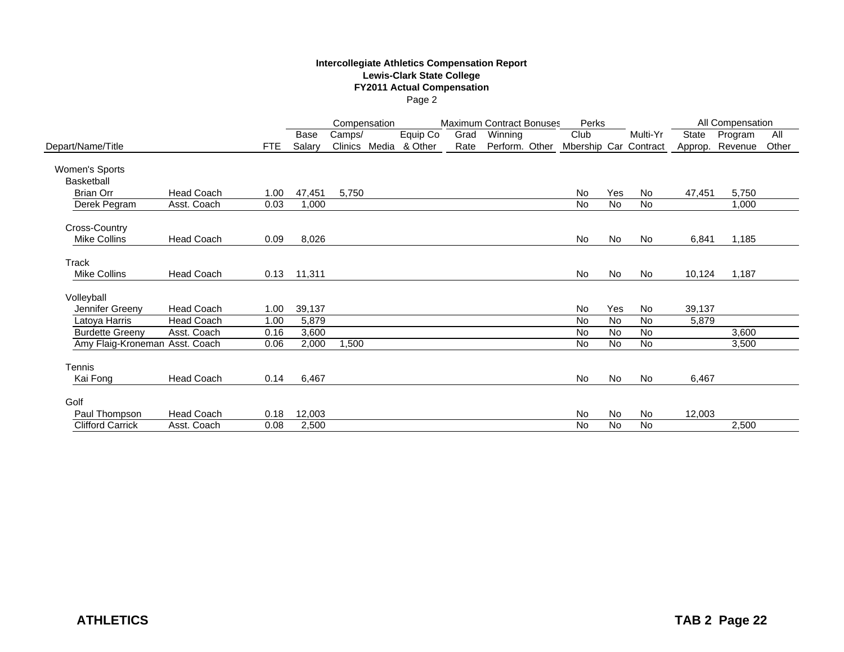#### **Intercollegiate Athletics Compensation Report Lewis-Clark State College FY2011 Actual Compensation** Page 2

|                                |                   |      |        | Compensation |                       |      | <b>Maximum Contract Bonuses</b> | Perks                 |           |           |        | All Compensation |       |
|--------------------------------|-------------------|------|--------|--------------|-----------------------|------|---------------------------------|-----------------------|-----------|-----------|--------|------------------|-------|
|                                |                   |      | Base   | Camps/       | Equip Co              | Grad | Winning                         | Club                  |           | Multi-Yr  | State  | Program          | All   |
| Depart/Name/Title              |                   | FTE. | Salary |              | Clinics Media & Other | Rate | Perform. Other                  | Mbership Car Contract |           |           |        | Approp. Revenue  | Other |
| Women's Sports                 |                   |      |        |              |                       |      |                                 |                       |           |           |        |                  |       |
| Basketball                     |                   |      |        |              |                       |      |                                 |                       |           |           |        |                  |       |
| <b>Brian Orr</b>               | <b>Head Coach</b> | 1.00 | 47,451 | 5,750        |                       |      |                                 | <b>No</b>             | Yes       | <b>No</b> | 47,451 | 5,750            |       |
| Derek Pegram                   | Asst. Coach       | 0.03 | 1,000  |              |                       |      |                                 | <b>No</b>             | <b>No</b> | <b>No</b> |        | 1,000            |       |
| Cross-Country                  |                   |      |        |              |                       |      |                                 |                       |           |           |        |                  |       |
| <b>Mike Collins</b>            | Head Coach        | 0.09 | 8,026  |              |                       |      |                                 | No                    | No        | No        | 6,841  | 1,185            |       |
| Track                          |                   |      |        |              |                       |      |                                 |                       |           |           |        |                  |       |
| <b>Mike Collins</b>            | <b>Head Coach</b> | 0.13 | 11,311 |              |                       |      |                                 | <b>No</b>             | <b>No</b> | No        | 10,124 | 1,187            |       |
| Volleyball                     |                   |      |        |              |                       |      |                                 |                       |           |           |        |                  |       |
| Jennifer Greeny                | <b>Head Coach</b> | 1.00 | 39,137 |              |                       |      |                                 | <b>No</b>             | Yes       | No        | 39,137 |                  |       |
| Latoya Harris                  | <b>Head Coach</b> | 1.00 | 5,879  |              |                       |      |                                 | <b>No</b>             | <b>No</b> | <b>No</b> | 5,879  |                  |       |
| <b>Burdette Greeny</b>         | Asst. Coach       | 0.16 | 3,600  |              |                       |      |                                 | <b>No</b>             | <b>No</b> | <b>No</b> |        | 3,600            |       |
| Amy Flaig-Kroneman Asst. Coach |                   | 0.06 | 2,000  | 1,500        |                       |      |                                 | <b>No</b>             | <b>No</b> | No        |        | 3,500            |       |
| <b>Tennis</b>                  |                   |      |        |              |                       |      |                                 |                       |           |           |        |                  |       |
| Kai Fong                       | <b>Head Coach</b> | 0.14 | 6,467  |              |                       |      |                                 | <b>No</b>             | <b>No</b> | <b>No</b> | 6,467  |                  |       |
| Golf                           |                   |      |        |              |                       |      |                                 |                       |           |           |        |                  |       |
| Paul Thompson                  | <b>Head Coach</b> | 0.18 | 12,003 |              |                       |      |                                 | No                    | No        | No        | 12,003 |                  |       |
| <b>Clifford Carrick</b>        | Asst. Coach       | 0.08 | 2,500  |              |                       |      |                                 | <b>No</b>             | No        | No        |        | 2,500            |       |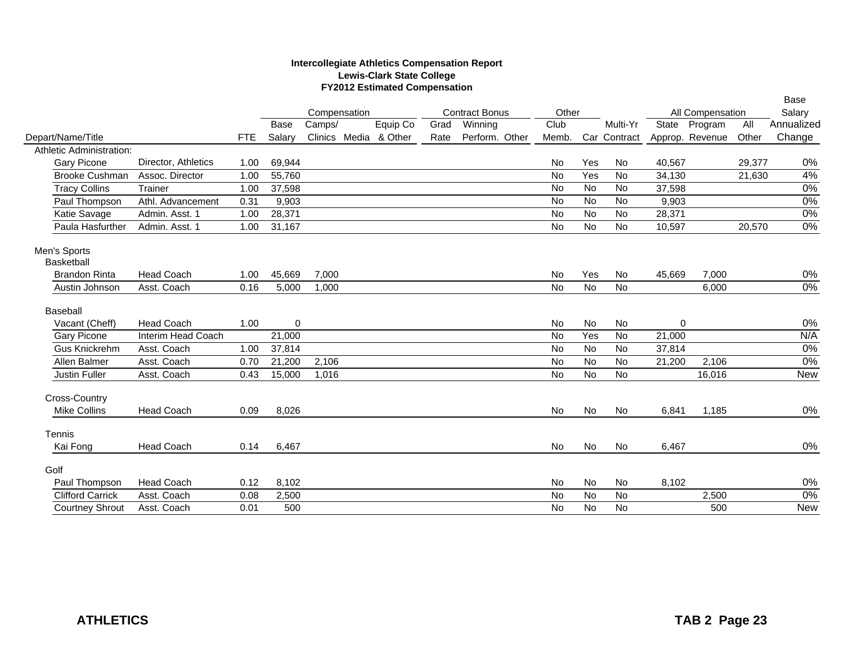#### **Intercollegiate Athletics Compensation Report Lewis-Clark State College FY2012 Estimated Compensation**

| <b>Contract Bonus</b><br>Other<br>Compensation                                                                              | All Compensation | Salary            |
|-----------------------------------------------------------------------------------------------------------------------------|------------------|-------------------|
|                                                                                                                             |                  |                   |
| Winning<br>Club<br>Camps/<br>Equip Co<br>Grad<br>Base<br>Multi-Yr                                                           | State Program    | All<br>Annualized |
| Salary<br>Clinics Media & Other<br>Car Contract<br>FTE<br>Perform. Other<br>Depart/Name/Title<br>Rate<br>Memb.              | Approp. Revenue  | Other<br>Change   |
| Athletic Administration:                                                                                                    |                  |                   |
| Director, Athletics<br><b>Gary Picone</b><br>69,944<br>No<br>Yes<br>No<br>40,567<br>1.00                                    |                  | 0%<br>29,377      |
| Yes<br><b>No</b><br><b>No</b><br><b>Brooke Cushman</b><br>Assoc. Director<br>1.00<br>55,760<br>34,130                       |                  | 4%<br>21,630      |
| No<br>No<br>37,598<br><b>No</b><br><b>Tracy Collins</b><br>Trainer<br>1.00<br>37,598                                        |                  | $0\%$             |
| No<br>No<br><b>No</b><br>Athl. Advancement<br>0.31<br>9,903<br>Paul Thompson                                                | 9,903            | $0\%$             |
| Katie Savage<br>Admin. Asst. 1<br>28,371<br>No<br>1.00<br>No<br><b>No</b><br>28,371                                         |                  | $0\%$             |
| <b>No</b><br>Paula Hasfurther<br>Admin. Asst. 1<br>31,167<br>No<br>No<br>10,597<br>1.00                                     |                  | $0\%$<br>20,570   |
| Men's Sports                                                                                                                |                  |                   |
| Basketball                                                                                                                  |                  | 0%                |
| <b>Head Coach</b><br><b>Brandon Rinta</b><br>45,669<br>7,000<br>Yes<br>No<br>1.00<br>No<br>45,669<br><b>No</b><br><b>No</b> | 7,000            |                   |
| No<br>Asst. Coach<br>0.16<br>5.000<br>1.000<br>Austin Johnson                                                               | 6.000            | 0%                |
| Baseball                                                                                                                    |                  |                   |
| <b>Head Coach</b><br>$\mathbf 0$<br>No<br>No<br>Vacant (Cheff)<br>1.00<br><b>No</b>                                         | $\mathbf 0$      | 0%                |
| Interim Head Coach<br>No<br>Yes<br>No<br>21,000<br><b>Gary Picone</b><br>21,000                                             |                  | N/A               |
| <b>Gus Knickrehm</b><br>No<br>No<br>Asst. Coach<br>1.00<br>37,814<br><b>No</b><br>37,814                                    |                  | $0\%$             |
| Allen Balmer<br>Asst. Coach<br>2,106<br><b>No</b><br><b>No</b><br>0.70<br>21,200<br>No<br>21,200                            | 2,106            | $0\%$             |
| <b>No</b><br>No<br>No<br>Justin Fuller<br>Asst. Coach<br>0.43<br>15,000<br>1,016                                            | 16,016           | New               |
| Cross-Country                                                                                                               |                  |                   |
| <b>Head Coach</b><br>No<br><b>Mike Collins</b><br>0.09<br>8,026<br><b>No</b><br><b>No</b>                                   | 6,841<br>1,185   | 0%                |
| Tennis                                                                                                                      |                  |                   |
| <b>Head Coach</b><br>Kai Fong<br>0.14<br>6,467<br><b>No</b><br><b>No</b><br>No                                              | 6,467            | 0%                |
| Golf                                                                                                                        |                  |                   |
| <b>Head Coach</b><br>0.12<br>8,102<br>No<br>Paul Thompson<br>No<br><b>No</b>                                                | 8,102            | 0%                |
| No<br><b>Clifford Carrick</b><br>Asst. Coach<br>2,500<br>No<br>0.08<br><b>No</b>                                            | 2,500            | $0\%$             |
| No<br><b>Courtney Shrout</b><br>Asst. Coach<br>500<br>No<br><b>No</b><br>0.01                                               | 500              | <b>New</b>        |